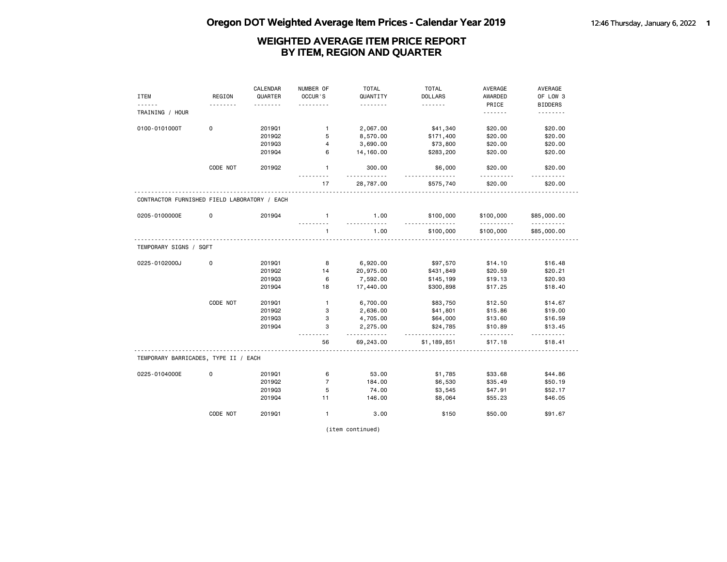|                                              |             | CALENDAR | NUMBER OF      | <b>TOTAL</b>  | <b>TOTAL</b>          | AVERAGE        | AVERAGE          |
|----------------------------------------------|-------------|----------|----------------|---------------|-----------------------|----------------|------------------|
| <b>ITEM</b>                                  | REGION      | QUARTER  | OCCUR'S        | QUANTITY      | <b>DOLLARS</b>        | AWARDED        | OF LOW 3         |
|                                              |             |          |                | .             | .                     | PRICE          | <b>BIDDERS</b>   |
| TRAINING / HOUR                              |             |          |                |               |                       | <u>.</u>       | .                |
| 0100-0101000T                                | $\mathbf 0$ | 201901   | $\mathbf{1}$   | 2,067.00      | \$41,340              | \$20.00        | \$20.00          |
|                                              |             | 201902   | 5              | 8,570.00      | \$171,400             | \$20.00        | \$20.00          |
|                                              |             | 201903   | 4              | 3,690.00      | \$73,800              | \$20.00        | \$20.00          |
|                                              |             | 201904   | 6              | 14,160.00     | \$283,200             | \$20.00        | \$20.00          |
|                                              | CODE NOT    | 201902   | $\mathbf{1}$   | 300.00<br>.   | \$6,000<br><u>.</u>   | \$20.00<br>.   | \$20.00<br>.     |
|                                              |             |          | 17             | 28,787.00     | \$575,740             | \$20.00        | \$20.00          |
| CONTRACTOR FURNISHED FIELD LABORATORY / EACH |             |          |                |               |                       |                |                  |
| 0205-0100000E                                | $\mathbf 0$ | 201904   | $\mathbf{1}$   | 1.00          | \$100,000<br><u>.</u> | \$100,000<br>. | \$85,000.00      |
|                                              |             |          | $\mathbf{1}$   | 1.00          | \$100,000             | \$100,000      | .<br>\$85,000.00 |
| TEMPORARY SIGNS / SQFT                       |             |          |                |               |                       |                |                  |
| 0225-0102000J                                | $\mathbf 0$ | 201901   | 8              | 6,920.00      | \$97,570              | \$14.10        | \$16.48          |
|                                              |             | 201902   | 14             | 20,975.00     | \$431,849             | \$20.59        | \$20.21          |
|                                              |             | 201903   | 6              | 7,592.00      | \$145,199             | \$19.13        | \$20.93          |
|                                              |             | 201904   | 18             | 17,440.00     | \$300,898             | \$17.25        | \$18.40          |
|                                              | CODE NOT    | 201901   | $\mathbf{1}$   | 6,700.00      | \$83,750              | \$12.50        | \$14.67          |
|                                              |             | 201902   | 3              | 2,636.00      | \$41,801              | \$15.86        | \$19.00          |
|                                              |             | 201903   | 3              | 4,705.00      | \$64,000              | \$13.60        | \$16.59          |
|                                              |             | 201904   | 3              | 2,275.00<br>. | \$24,785<br><u>.</u>  | \$10.89<br>.   | \$13.45<br>.     |
|                                              |             |          | 56             | 69,243.00     | \$1,189,851           | \$17.18        | \$18.41          |
| TEMPORARY BARRICADES, TYPE II / EACH         |             |          |                |               |                       |                |                  |
| 0225-0104000E                                | $\mathbf 0$ | 201901   | 6              | 53.00         | \$1,785               | \$33.68        | \$44.86          |
|                                              |             | 201902   | $\overline{7}$ | 184.00        | \$6,530               | \$35.49        | \$50.19          |
|                                              |             | 201903   | 5              | 74.00         | \$3,545               | \$47.91        | \$52.17          |
|                                              |             | 201904   | 11             | 146.00        | \$8,064               | \$55.23        | \$46.05          |
|                                              | CODE NOT    | 201901   | $\mathbf{1}$   | 3.00          | \$150                 | \$50.00        | \$91.67          |

(item continued)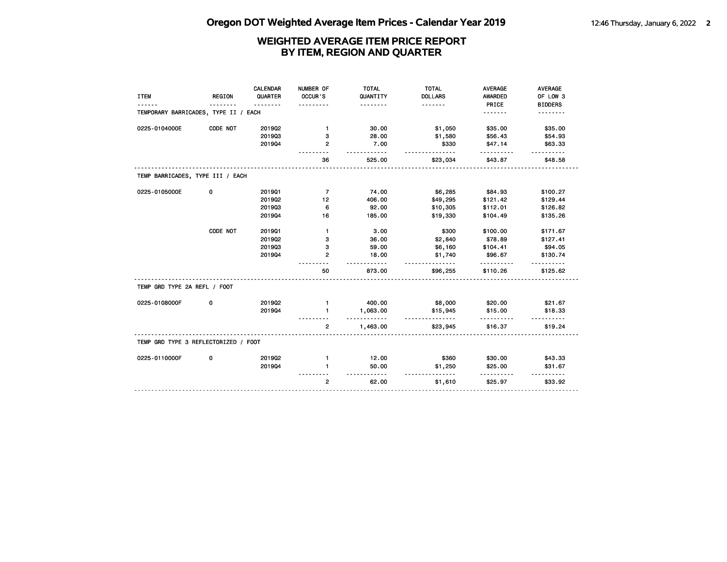| <b>ITEM</b>                          | <b>REGION</b> | CALENDAR<br>QUARTER<br>$\frac{1}{2}$ | NUMBER OF<br>OCCUR'S | <b>TOTAL</b><br>QUANTITY<br>. | <b>TOTAL</b><br><b>DOLLARS</b><br>. | <b>AVERAGE</b><br><b>AWARDED</b><br>PRICE | AVERAGE<br>OF LOW 3<br><b>BIDDERS</b> |
|--------------------------------------|---------------|--------------------------------------|----------------------|-------------------------------|-------------------------------------|-------------------------------------------|---------------------------------------|
| TEMPORARY BARRICADES, TYPE II / EACH |               |                                      |                      |                               |                                     | <u>.</u>                                  | .                                     |
| 0225-0104000E                        | CODE NOT      | 2019Q2                               | $\mathbf{1}$         | 30.00                         | \$1,050                             | \$35.00                                   | \$35.00                               |
|                                      |               | 201903                               | з                    | 28.00                         | \$1,580                             | \$56.43                                   | \$54.93                               |
|                                      |               | 201904                               | $\mathbf{2}$         | 7.00                          | \$330                               | \$47.14                                   | \$63.33                               |
|                                      |               |                                      | 36                   | 525.00                        | \$23,034                            | \$43.87                                   | \$48.58                               |
| TEMP BARRICADES, TYPE III / EACH     |               |                                      |                      |                               |                                     |                                           |                                       |
| 0225-0105000E                        | 0             | 201901                               | $\overline{7}$       | 74.00                         | \$6,285                             | \$84.93                                   | \$100.27                              |
|                                      |               | 2019Q2                               | 12                   | 406.00                        | \$49,295                            | \$121.42                                  | \$129.44                              |
|                                      |               | 201903                               | 6                    | 92.00                         | \$10,305                            | \$112.01                                  | \$126.82                              |
|                                      |               | 201904                               | 16                   | 185.00                        | \$19,330                            | \$104.49                                  | \$135.26                              |
|                                      | CODE NOT      | 201901                               | $\mathbf{1}$         | 3.00                          | \$300                               | \$100.00                                  | \$171.67                              |
|                                      |               | 2019Q2                               | з                    | 36.00                         | \$2,840                             | \$78.89                                   | \$127.41                              |
|                                      |               | 201903                               | з                    | 59.00                         | \$6,160                             | \$104.41                                  | \$94.05                               |
|                                      |               | 201904                               | 2                    | 18.00<br>$- - - - -$          | \$1,740<br><u>.</u>                 | \$96.67<br>.                              | \$130.74<br>.                         |
|                                      |               |                                      | 50                   | 873.00                        | \$96,255                            | \$110.26                                  | \$125.62                              |
| TEMP GRD TYPE 2A REFL / FOOT         |               |                                      |                      |                               |                                     |                                           |                                       |
| 0225-0108000F                        | 0             | 201902                               | $\mathbf{1}$         | 400.00                        | \$8,000                             | \$20.00                                   | \$21.67                               |
|                                      |               | 201904                               | 1                    | 1,063.00<br>.                 | \$15,945<br>.                       | \$15.00                                   | \$18.33                               |
|                                      |               |                                      | $\overline{2}$       | 1,463.00                      | \$23,945                            | \$16.37                                   | \$19.24                               |
| TEMP GRD TYPE 3 REFLECTORIZED / FOOT |               |                                      |                      |                               |                                     |                                           |                                       |
| 0225-0110000F                        | 0             | 201902                               | $\mathbf{1}$         | 12.00                         | \$360                               | \$30.00                                   | \$43.33                               |
|                                      |               | 201904                               | 1                    | 50.00<br>.                    | \$1,250<br>.                        | \$25.00                                   | \$31.67                               |
|                                      |               |                                      | $\overline{2}$       | 62.00                         | \$1,610                             | \$25.97                                   | \$33.92                               |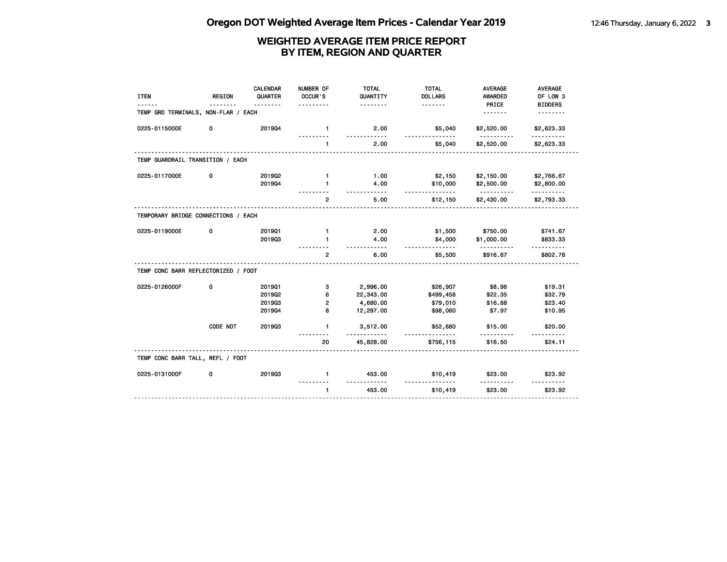|                                     |               | <b>CALENDAR</b> | NUMBER OF      | <b>TOTAL</b>        | <b>TOTAL</b>         | <b>AVERAGE</b>  | AVERAGE                |
|-------------------------------------|---------------|-----------------|----------------|---------------------|----------------------|-----------------|------------------------|
| <b>ITEM</b>                         | <b>REGION</b> | QUARTER         | OCCUR'S        | QUANTITY            | <b>DOLLARS</b>       | AWARDED         | OF LOW 3               |
|                                     |               |                 |                | .                   | .                    | PRICE           | <b>BIDDERS</b>         |
| TEMP GRD TERMINALS, NON-FLAR / EACH |               |                 |                |                     |                      | <u>.</u>        |                        |
| 0225-0115000E                       | 0             | 201904          | $\mathbf{1}$   | 2.00<br>-----       | \$5,040              | \$2,520.00      | \$2,623.33<br>.        |
|                                     |               |                 | $\mathbf{1}$   | 2.00                | \$5,040              | \$2,520.00      | \$2,623.33             |
| TEMP GUARDRAIL TRANSITION / EACH    |               |                 |                |                     |                      |                 |                        |
| 0225-0117000E                       | 0             | 2019Q2          | $\mathbf{1}$   | 1.00                | \$2,150              | \$2,150.00      | \$2,766.67             |
|                                     |               | 201904          | 1              | 4.00                | \$10,000             | \$2,500.00      | \$2,800.00             |
|                                     |               |                 | $\mathbf{2}$   | $- - - - -$<br>5.00 | <u>.</u><br>\$12,150 | .<br>\$2,430.00 | <u>.</u><br>\$2,793.33 |
| TEMPORARY BRIDGE CONNECTIONS / EACH |               |                 |                |                     |                      |                 |                        |
| 0225-0119000E                       | 0             | 201901          | $\mathbf{1}$   | 2.00                | \$1,500              | \$750.00        | \$741.67               |
|                                     |               | 201903          |                | 4.00<br>- - - - -   | \$4,000              | \$1,000.00      | \$833.33               |
|                                     |               |                 | $\overline{2}$ | 6.00                | <u>.</u><br>\$5,500  | \$916.67        | \$802.78               |
| TEMP CONC BARR REFLECTORIZED / FOOT |               |                 |                |                     |                      |                 |                        |
| 0225-0126000F                       | 0             | 201901          | з              | 2,996.00            | \$26,907             | \$8.98          | \$19.31                |
|                                     |               | 201902          | 6              | 22,343.00           | \$499,458            | \$22.35         | \$32.79                |
|                                     |               | 201903          | 2              | 4,680.00            | \$79,010             | \$16.88         | \$23.40                |
|                                     |               | 201904          | 8              | 12,297.00           | \$98,060             | \$7.97          | \$10.95                |
|                                     | CODE NOT      | 201903          | $\mathbf{1}$   | 3,512.00            | \$52,680             | \$15.00         | \$20.00                |
|                                     |               |                 | 20             | 45,828.00           | \$756,115            | \$16.50         | \$24.11                |
| TEMP CONC BARR TALL, REFL / FOOT    |               |                 |                |                     |                      |                 |                        |
| 0225-0131000F                       | 0             | 201903          | $\mathbf{1}$   | 453.00              | \$10,419             | \$23.00         | \$23.92                |
|                                     |               |                 | $\blacksquare$ | 453.00              | \$10,419             | \$23.00         | \$23.92                |
|                                     |               |                 |                |                     |                      |                 |                        |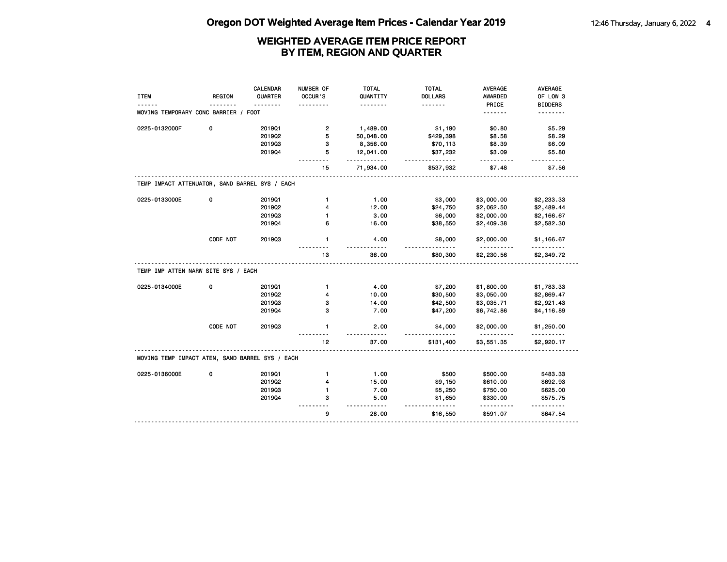| <b>ITEM</b><br>MOVING TEMPORARY CONC BARRIER / FOOT | <b>REGION</b> | QUARTER<br>. | OCCUR'S        | QUANTITY<br>.    | <b>DOLLARS</b><br><u>.</u> | <b>AWARDED</b><br>PRICE | OF LOW 3        |
|-----------------------------------------------------|---------------|--------------|----------------|------------------|----------------------------|-------------------------|-----------------|
|                                                     |               |              |                |                  |                            |                         |                 |
|                                                     |               |              |                |                  |                            |                         | <b>BIDDERS</b>  |
|                                                     |               |              |                |                  |                            | .                       | <u>.</u>        |
| 0225-0132000F                                       | 0             | 201901       | $\overline{2}$ | 1,489.00         | \$1,190                    | \$0.80                  | \$5.29          |
|                                                     |               | 201902       | 5              | 50,048.00        | \$429,398                  | \$8.58                  | \$8.29          |
|                                                     |               | 201903       | з              | 8,356.00         | \$70,113                   | \$8.39                  | \$6.09          |
|                                                     |               | 201904       | 5              | 12,041.00<br>.   | \$37,232<br>.              | \$3.09                  | \$5.80          |
|                                                     |               |              | 15             | 71,934.00        | \$537,932                  | \$7.48                  | \$7.56          |
| TEMP IMPACT ATTENUATOR, SAND BARREL SYS / EACH      |               |              |                |                  |                            |                         |                 |
| 0225-0133000E                                       | 0             | 201901       | $\mathbf{1}$   | 1.00             | \$3,000                    | \$3,000.00              | \$2,233.33      |
|                                                     |               | 2019Q2       | 4              | 12.00            | \$24,750                   | \$2,062.50              | \$2,489.44      |
|                                                     |               | 201903       | 1              | 3.00             | \$6,000                    | \$2,000.00              | \$2,166.67      |
|                                                     |               | 201904       | 6              | 16.00            | \$38,550                   | \$2,409.38              | \$2,582.30      |
|                                                     | CODE NOT      | 201903       | $\mathbf{1}$   | 4.00             | \$8,000                    | \$2,000.00              | \$1,166.67      |
|                                                     |               |              | 13             | $- - -$<br>36.00 | \$80,300                   | <u>.</u><br>\$2,230.56  | .<br>\$2,349.72 |
| TEMP IMP ATTEN NARW SITE SYS / EACH                 |               |              |                |                  |                            |                         |                 |
| 0225-0134000E                                       | 0             | 201901       | $\mathbf{1}$   | 4.00             | \$7,200                    | \$1,800.00              | \$1,783.33      |
|                                                     |               | 2019Q2       | 4              | 10.00            | \$30,500                   | \$3,050.00              | \$2,869.47      |
|                                                     |               | 201903       | 3              | 14.00            | \$42,500                   | \$3,035.71              | \$2,921.43      |
|                                                     |               | 201904       | 3              | 7.00             | \$47,200                   | \$6,742.86              | \$4,116.89      |
|                                                     | CODE NOT      | 201903       | $\mathbf{1}$   | 2.00             | \$4,000                    | \$2,000.00              | \$1,250.00      |
|                                                     |               |              | 12             | 37.00            | \$131,400                  | \$3,551.35              | \$2,920.17      |
| MOVING TEMP IMPACT ATEN, SAND BARREL SYS / EACH     |               |              |                |                  |                            |                         |                 |
| 0225-0136000E                                       | 0             | 201901       | 1              | 1.00             | \$500                      | \$500.00                | \$483.33        |
|                                                     |               | 2019Q2       | 4              | 15.00            | \$9,150                    | \$610.00                | \$692.93        |
|                                                     |               | 201903       | 1              | 7.00             | \$5,250                    | \$750.00                | \$625.00        |
|                                                     |               | 201904       | з              | 5.00<br>.        | \$1,650<br>------          | \$330.00                | \$575.75        |
|                                                     |               |              | 9              | 28.00            | \$16,550                   | \$591.07                | \$647.54        |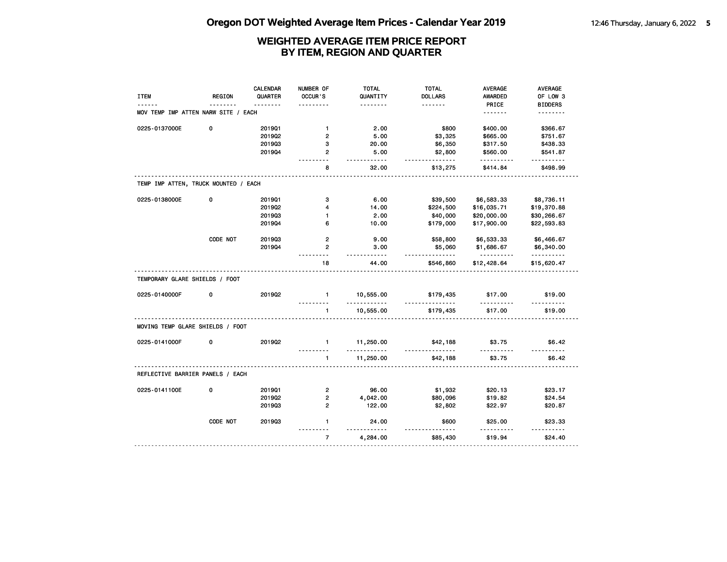|                                      |               | <b>CALENDAR</b> | NUMBER OF                  | <b>TOTAL</b>      | <b>TOTAL</b>         | <b>AVERAGE</b>   | AVERAGE              |
|--------------------------------------|---------------|-----------------|----------------------------|-------------------|----------------------|------------------|----------------------|
| <b>ITEM</b>                          | <b>REGION</b> | QUARTER         | <b>OCCUR'S</b>             | QUANTITY          | <b>DOLLARS</b>       | <b>AWARDED</b>   | OF LOW 3             |
|                                      |               | .               | .                          | .                 | .                    | PRICE            | <b>BIDDERS</b>       |
| MOV TEMP IMP ATTEN NARW SITE / EACH  |               |                 |                            |                   |                      | <u>.</u>         | .                    |
| 0225-0137000E                        | 0             | 201901          | $\mathbf{1}$               | 2.00              | \$800                | \$400.00         | \$366.67             |
|                                      |               | 2019Q2          | $\overline{2}$             | 5.00              | \$3,325              | \$665.00         | \$751.67             |
|                                      |               | 201903          | з                          | 20.00             | \$6,350              | \$317.50         | \$438.33             |
|                                      |               | 201904          | $\mathbf{2}$               | 5.00              | \$2,800              | \$560.00         | \$541.87             |
|                                      |               |                 | .<br>8                     | <u>.</u><br>32.00 | .<br>\$13,275        | .<br>\$414.84    | <u>.</u><br>\$498.99 |
| TEMP IMP ATTEN, TRUCK MOUNTED / EACH |               |                 |                            |                   |                      |                  |                      |
| 0225-0138000E                        | 0             | 201901          | 3                          | 6.00              | \$39,500             | \$6,583.33       | \$8,736.11           |
|                                      |               | 201902          | 4                          | 14.00             | \$224,500            | \$16,035.71      | \$19,370.88          |
|                                      |               | 201903          | $\mathbf{1}$               | 2.00              | \$40,000             | \$20,000.00      | \$30,266.67          |
|                                      |               | 201904          | 6                          | 10.00             | \$179,000            | \$17,900.00      | \$22,593.83          |
|                                      | CODE NOT      | 201903          | $\overline{2}$             | 9.00              | \$58,800             | \$6,533.33       | \$6,466.67           |
|                                      |               | 201904          | $\overline{2}$             | 3.00              | \$5,060              | \$1,686.67       | \$6,340.00           |
|                                      |               |                 | <u>.</u><br>18             | .<br>44.00        | .<br>\$546,860       | .<br>\$12,428.64 | .<br>\$15,620.47     |
| TEMPORARY GLARE SHIELDS / FOOT       |               |                 |                            |                   |                      |                  |                      |
| 0225-0140000F                        | 0             | 201902          | $\mathbf{1}$               | 10,555.00<br>.    | \$179,435<br>.       | \$17.00          | \$19.00              |
|                                      |               |                 | $\mathbf{1}$               | 10,555.00         | \$179,435            | \$17.00          | \$19.00              |
| MOVING TEMP GLARE SHIELDS / FOOT     |               |                 |                            |                   |                      |                  |                      |
| 0225-0141000F                        | $\mathbf 0$   | 201902          | $\mathbf{1}$               | 11,250.00<br>.    | \$42,188<br><u>.</u> | \$3.75           | \$6.42               |
|                                      |               |                 | $\mathbf{1}$               | 11,250.00         | \$42,188             | \$3.75           | \$6.42               |
| REFLECTIVE BARRIER PANELS / EACH     |               |                 |                            |                   |                      |                  |                      |
| 0225-0141100E                        | 0             | 201901          | $\overline{2}$             | 96.00             | \$1,932              | \$20.13          | \$23.17              |
|                                      |               | 2019Q2          | $\overline{2}$             | 4,042.00          | \$80,096             | \$19.82          | \$24.54              |
|                                      |               | 201903          | $\overline{2}$             | 122.00            | \$2,802              | \$22.97          | \$20.87              |
|                                      | CODE NOT      | 201903          | $\mathbf{1}$               | 24.00             | \$600                | \$25.00          | \$23.33              |
|                                      |               |                 | <u>.</u><br>$\overline{7}$ | .<br>4,284.00     | \$85,430             | .<br>\$19.94     | \$24.40              |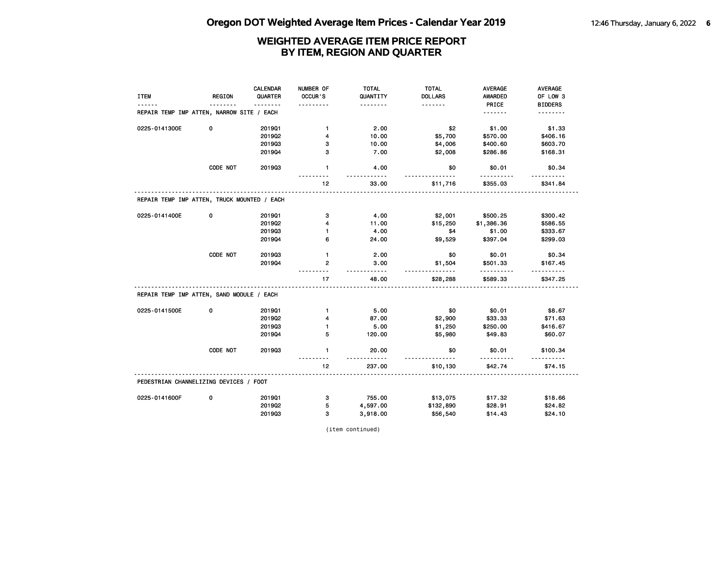|                                             |               | CALENDAR | NUMBER OF    | <b>TOTAL</b>      | <b>TOTAL</b>         | <b>AVERAGE</b> | AVERAGE        |
|---------------------------------------------|---------------|----------|--------------|-------------------|----------------------|----------------|----------------|
| <b>ITEM</b>                                 | <b>REGION</b> | QUARTER  | OCCUR'S      | QUANTITY          | <b>DOLLARS</b>       | AWARDED        | OF LOW 3       |
|                                             | <u>.</u>      | <u>.</u> | .            | <u>.</u>          | <u>.</u>             | PRICE          | <b>BIDDERS</b> |
| REPAIR TEMP IMP ATTEN, NARROW SITE / EACH   |               |          |              |                   |                      |                | <u>.</u>       |
| 0225-0141300E                               | 0             | 201901   | $\mathbf{1}$ | 2.00              | \$2                  | \$1.00         | \$1.33         |
|                                             |               | 201902   | 4            | 10.00             | \$5,700              | \$570.00       | \$406.16       |
|                                             |               | 201903   | з            | 10.00             | \$4,006              | \$400.60       | \$603.70       |
|                                             |               | 201904   | з            | 7.00              | \$2,008              | \$286.86       | \$168.31       |
|                                             | CODE NOT      | 201903   | $\mathbf{1}$ | 4.00<br>.         | \$0<br><u>.</u>      | \$0.01         | \$0.34         |
|                                             |               |          | 12           | 33.00             | \$11,716             | \$355.03       | \$341.84       |
| REPAIR TEMP IMP ATTEN, TRUCK MOUNTED / EACH |               |          |              |                   |                      |                |                |
| 0225-0141400E                               | 0             | 201901   | з            | 4.00              | \$2,001              | \$500.25       | \$300.42       |
|                                             |               | 201902   | 4            | 11.00             | \$15,250             | \$1,386.36     | \$586.55       |
|                                             |               | 201903   | $\mathbf{1}$ | 4.00              | \$4                  | \$1.00         | \$333.67       |
|                                             |               | 201904   | 6            | 24.00             | \$9,529              | \$397.04       | \$299.03       |
|                                             | CODE NOT      | 201903   | $\mathbf{1}$ | 2.00              | \$0                  | \$0.01         | \$0.34         |
|                                             |               | 201904   | $\mathbf{2}$ | 3.00              | \$1,504              | \$501.33       | \$167.45       |
|                                             |               |          | 17           | <u>.</u><br>48.00 | <u>.</u><br>\$28,288 | .<br>\$589.33  | \$347.25       |
| REPAIR TEMP IMP ATTEN, SAND MODULE / EACH   |               |          |              |                   |                      |                |                |
| 0225-0141500E                               | 0             | 201901   | $\mathbf{1}$ | 5.00              | \$0                  | \$0.01         | \$8.67         |
|                                             |               | 201902   | 4            | 87.00             | \$2,900              | \$33.33        | \$71.63        |
|                                             |               | 201903   | 1            | 5.00              | \$1,250              | \$250.00       | \$416.67       |
|                                             |               | 201904   | 5            | 120.00            | \$5,980              | \$49.83        | \$60.07        |
|                                             | CODE NOT      | 201903   | $\mathbf{1}$ | 20.00<br>.        | \$0<br>$- - -$       | \$0.01<br>.    | \$100.34<br>.  |
|                                             |               |          | 12           | 237.00            | \$10,130             | \$42.74        | \$74.15        |
| PEDESTRIAN CHANNELIZING DEVICES / FOOT      |               |          |              |                   |                      |                |                |
| 0225-0141600F                               | 0             | 201901   | 3            | 755.00            | \$13,075             | \$17.32        | \$18.66        |
|                                             |               | 2019Q2   | 5            | 4,597.00          | \$132,890            | \$28.91        | \$24.82        |
|                                             |               | 201903   | 3            | 3,918.00          | \$56,540             | \$14.43        | \$24.10        |

(item continued)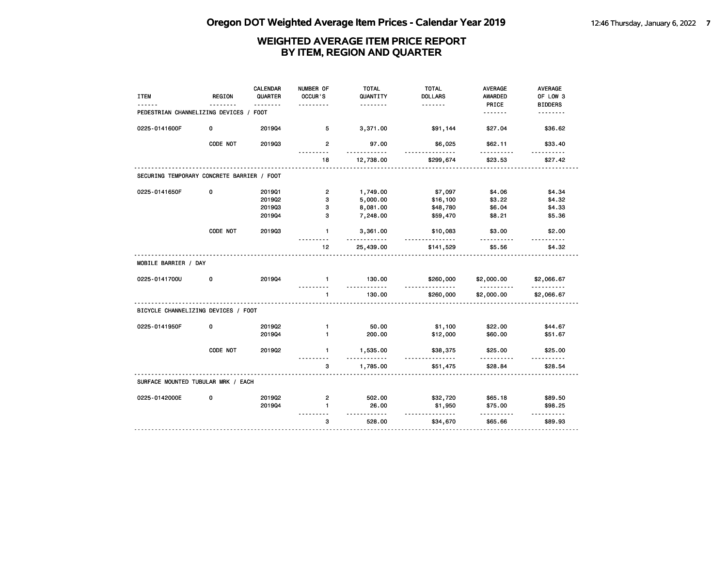| <b>ITEM</b>                                | <b>REGION</b> | <b>CALENDAR</b><br>QUARTER | NUMBER OF<br>OCCUR'S    | <b>TOTAL</b><br>QUANTITY<br>. | <b>TOTAL</b><br><b>DOLLARS</b><br><u>.</u> | <b>AVERAGE</b><br><b>AWARDED</b><br>PRICE | AVERAGE<br>OF LOW 3<br><b>BIDDERS</b> |
|--------------------------------------------|---------------|----------------------------|-------------------------|-------------------------------|--------------------------------------------|-------------------------------------------|---------------------------------------|
| PEDESTRIAN CHANNELIZING DEVICES /          |               | <b>FOOT</b>                |                         |                               |                                            | <u>.</u>                                  | .                                     |
| 0225-0141600F                              | 0             | 201904                     | 5                       | 3,371.00                      | \$91,144                                   | \$27.04                                   | \$36.62                               |
|                                            | CODE NOT      | 201903                     | $\overline{2}$          | 97.00<br><u>---------</u>     | \$6,025                                    | \$62.11                                   | \$33.40                               |
|                                            |               |                            | 18                      | 12,738.00                     | \$299,674                                  | \$23.53                                   | \$27.42                               |
| SECURING TEMPORARY CONCRETE BARRIER / FOOT |               |                            |                         |                               |                                            |                                           |                                       |
| 0225-0141650F                              | 0             | 201901                     | $\overline{\mathbf{c}}$ | 1,749.00                      | \$7,097                                    | \$4.06                                    | \$4.34                                |
|                                            |               | 2019Q2                     | з                       | 5,000.00                      | \$16,100                                   | \$3.22                                    | \$4.32                                |
|                                            |               | 201903                     | 3                       | 8,081.00                      | \$48,780                                   | \$6.04                                    | \$4.33                                |
|                                            |               | 201904                     | 3                       | 7,248.00                      | \$59,470                                   | \$8.21                                    | \$5.36                                |
|                                            | CODE NOT      | 201903                     | $\mathbf{1}$            | 3,361.00<br><u></u>           | \$10,083<br>.                              | \$3.00                                    | \$2.00                                |
|                                            |               |                            | 12 <sub>2</sub>         | 25,439.00                     | \$141,529                                  | \$5.56                                    | \$4.32                                |
| MOBILE BARRIER / DAY                       |               |                            |                         |                               |                                            |                                           |                                       |
| 0225-0141700U                              | 0             | 201904                     | $\mathbf{1}$<br>.       | 130.00<br>.                   | \$260,000<br>.                             | \$2,000.00<br>.                           | \$2,066.67<br><u>.</u>                |
|                                            |               |                            | $\mathbf{1}$            | 130.00                        | \$260,000                                  | \$2,000.00                                | \$2,066.67                            |
| BICYCLE CHANNELIZING DEVICES / FOOT        |               |                            |                         |                               |                                            |                                           |                                       |
| 0225-0141950F                              | 0             | 201902                     | $\mathbf{1}$            | 50.00                         | \$1,100                                    | \$22.00                                   | \$44.67                               |
|                                            |               | 201904                     | $\mathbf{1}$            | 200.00                        | \$12,000                                   | \$60.00                                   | \$51.67                               |
|                                            | CODE NOT      | 2019Q2                     | $\mathbf{1}$            | 1,535.00<br>.                 | \$38,375                                   | \$25.00                                   | \$25.00                               |
|                                            |               |                            | 3                       | 1,785.00                      | \$51,475                                   | \$28.84                                   | \$28.54                               |
| SURFACE MOUNTED TUBULAR MRK / EACH         |               |                            |                         |                               |                                            |                                           |                                       |
| 0225-0142000E                              | 0             | 2019Q2                     | 2                       | 502.00                        | \$32,720                                   | \$65.18                                   | \$89.50                               |
|                                            |               | 201904                     | $\blacksquare$          | 26.00<br>.                    | \$1,950<br><u>.</u>                        | \$75.00                                   | \$98.25<br>$- - - - - -$              |
|                                            |               |                            | 3                       | 528.00                        | \$34,670                                   | \$65.66                                   | \$89.93                               |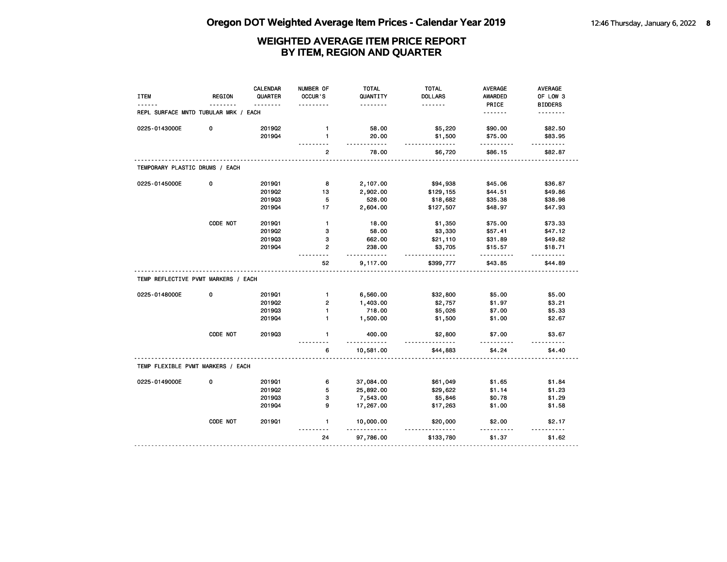| <b>ITEM</b>                          | <b>REGION</b> | <b>CALENDAR</b><br>QUARTER | NUMBER OF<br>OCCUR'S | <b>TOTAL</b><br>QUANTITY | <b>TOTAL</b><br><b>DOLLARS</b> | <b>AVERAGE</b><br><b>AWARDED</b> | AVERAGE<br>OF LOW 3 |
|--------------------------------------|---------------|----------------------------|----------------------|--------------------------|--------------------------------|----------------------------------|---------------------|
|                                      |               |                            |                      | .                        | <u>.</u>                       | PRICE                            | <b>BIDDERS</b>      |
| REPL SURFACE MNTD TUBULAR MRK / EACH |               |                            |                      |                          |                                | <u>.</u>                         | .                   |
| 0225-0143000E                        | 0             | 201902                     | $\mathbf{1}$         | 58.00                    | \$5,220                        | \$90.00                          | \$82.50             |
|                                      |               | 201904                     | $\mathbf{1}$         | 20.00                    | \$1,500                        | \$75.00                          | \$83.95             |
|                                      |               |                            | 2                    | .<br>78.00               | .<br>\$6,720                   | <u>.</u><br>\$86.15              | .<br>\$82.87        |
| TEMPORARY PLASTIC DRUMS / EACH       |               |                            |                      |                          |                                |                                  |                     |
| 0225-0145000E                        | 0             | 201901                     | 8                    | 2,107.00                 | \$94,938                       | \$45.06                          | \$36.87             |
|                                      |               | 2019Q2                     | 13                   | 2,902.00                 | \$129,155                      | \$44.51                          | \$49.86             |
|                                      |               | 201903                     | 5                    | 528.00                   | \$18,682                       | \$35.38                          | \$38.98             |
|                                      |               | 201904                     | 17                   | 2,604.00                 | \$127,507                      | \$48.97                          | \$47.93             |
|                                      | CODE NOT      | 201901                     | $\mathbf{1}$         | 18.00                    | \$1,350                        | \$75.00                          | \$73.33             |
|                                      |               | 2019Q2                     | 3                    | 58.00                    | \$3,330                        | \$57.41                          | \$47.12             |
|                                      |               | 201903                     | 3                    | 662.00                   | \$21,110                       | \$31.89                          | \$49.82             |
|                                      |               | 201904                     | $\overline{2}$       | 238.00                   | \$3,705                        | \$15.57                          | \$18.71             |
|                                      |               |                            | 52                   | .<br>9,117.00            | <u>.</u><br>\$399,777          | .<br>\$43.85                     | .<br>\$44.89        |
| TEMP REFLECTIVE PVMT MARKERS / EACH  |               |                            |                      |                          |                                |                                  |                     |
| 0225-0148000E                        | 0             | 2019Q1                     | $\mathbf{1}$         | 6,560.00                 | \$32,800                       | \$5.00                           | \$5.00              |
|                                      |               | 201902                     | $\overline{2}$       | 1,403.00                 | \$2,757                        | \$1.97                           | \$3.21              |
|                                      |               | 201903                     | $\mathbf{1}$         | 718.00                   | \$5,026                        | \$7.00                           | \$5.33              |
|                                      |               | 201904                     | $\mathbf{1}$         | 1,500.00                 | \$1,500                        | \$1.00                           | \$2.67              |
|                                      | CODE NOT      | 201903                     | 1                    | 400.00                   | \$2,800                        | \$7.00                           | \$3.67              |
|                                      |               |                            | 6                    | <u></u><br>10,581.00     | <u>.</u><br>\$44,883           | \$4.24                           | \$4.40              |
| TEMP FLEXIBLE PVMT MARKERS / EACH    |               |                            |                      |                          |                                |                                  |                     |
| 0225-0149000E                        | 0             | 201901                     | 6                    | 37,084.00                | \$61,049                       | \$1.65                           | \$1.84              |
|                                      |               | 2019Q2                     | 5                    | 25,892.00                | \$29,622                       | \$1.14                           | \$1.23              |
|                                      |               | 201903                     | 3                    | 7,543.00                 | \$5,846                        | \$0.78                           | \$1.29              |
|                                      |               | 201904                     | 9                    | 17,267.00                | \$17,263                       | \$1.00                           | \$1.58              |
|                                      | CODE NOT      | 201901                     | 1                    | 10,000.00                | \$20,000                       | \$2.00                           | \$2.17              |
|                                      |               |                            | $- - -$<br>24        | 97,786.00                | <u>.</u><br>\$133,780          | \$1.37                           | \$1.62              |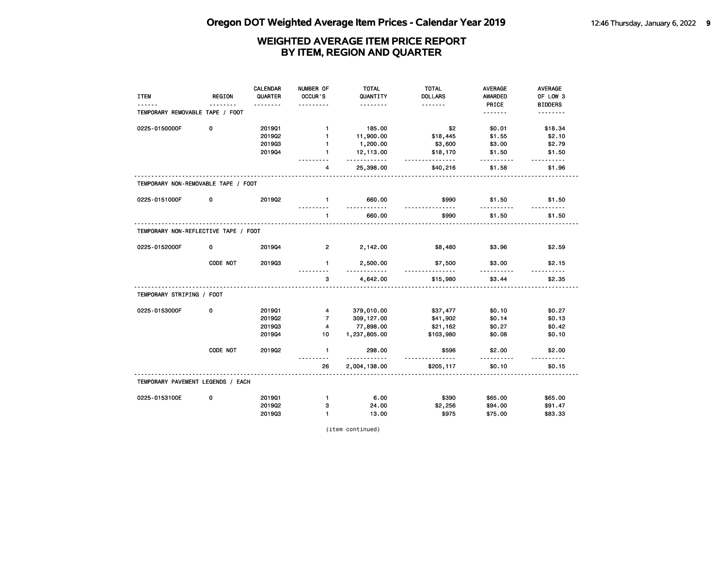| <b>ITEM</b>                          | <b>REGION</b> | CALENDAR<br>QUARTER | NUMBER OF<br>OCCUR'S      | <b>TOTAL</b><br>QUANTITY<br>. | <b>TOTAL</b><br><b>DOLLARS</b><br><u>.</u> | <b>AVERAGE</b><br><b>AWARDED</b><br>PRICE | <b>AVERAGE</b><br>OF LOW 3<br><b>BIDDERS</b> |
|--------------------------------------|---------------|---------------------|---------------------------|-------------------------------|--------------------------------------------|-------------------------------------------|----------------------------------------------|
| TEMPORARY REMOVABLE TAPE / FOOT      |               |                     |                           |                               |                                            | <u>.</u>                                  | <u>.</u>                                     |
| 0225-0150000F                        | 0             | 201901              | $\mathbf{1}$              | 185.00                        | \$2                                        | \$0.01                                    | \$18.34                                      |
|                                      |               | 201902              | $\mathbf{1}$              | 11,900.00                     | \$18,445                                   | \$1.55                                    | \$2.10                                       |
|                                      |               | 201903              | $\mathbf{1}$              | 1,200.00                      | \$3,600                                    | \$3.00                                    | \$2.79                                       |
|                                      |               | 201904              | $\blacksquare$            | 12,113.00<br>.                | \$18,170<br><u>.</u>                       | \$1.50<br>$- - - - - -$                   | \$1.50<br><u>.</u>                           |
|                                      |               |                     | 4                         | 25,398.00                     | \$40,216                                   | \$1.58                                    | \$1.96                                       |
| TEMPORARY NON-REMOVABLE TAPE / FOOT  |               |                     |                           |                               |                                            |                                           |                                              |
| 0225-0151000F                        | 0             | 201902              | $\mathbf{1}$<br>--------- | 660.00<br><u>.</u>            | \$990<br><u>.</u>                          | \$1.50<br>.                               | \$1.50                                       |
|                                      |               |                     | $\mathbf{1}$              | 660.00                        | \$990                                      | \$1.50                                    | \$1.50                                       |
| TEMPORARY NON-REFLECTIVE TAPE / FOOT |               |                     |                           |                               |                                            |                                           |                                              |
| 0225-0152000F                        | 0             | 201904              | $\overline{2}$            | 2,142.00                      | \$8,480                                    | \$3.96                                    | \$2.59                                       |
|                                      | CODE NOT      | 201903              | $\mathbf{1}$              | 2,500.00<br>$- - - - -$       | \$7,500                                    | \$3.00<br><u>.</u>                        | \$2.15                                       |
|                                      |               |                     | 3                         | 4,642.00                      | \$15,980                                   | \$3.44                                    | \$2.35                                       |
| TEMPORARY STRIPING / FOOT            |               |                     |                           |                               |                                            |                                           |                                              |
| 0225-0153000F                        | $\mathbf 0$   | 201901              | $\overline{\mathbf{4}}$   | 379,010.00                    | \$37,477                                   | \$0.10                                    | \$0.27                                       |
|                                      |               | 201902              | $\overline{7}$            | 309, 127.00                   | \$41,902                                   | \$0.14                                    | \$0.13                                       |
|                                      |               | 201903              | 4                         | 77,898.00                     | \$21,162                                   | \$0.27                                    | \$0.42                                       |
|                                      |               | 201904              | 10                        | 1,237,805.00                  | \$103,980                                  | \$0.08                                    | \$0.10                                       |
|                                      | CODE NOT      | 2019Q2              | $\mathbf{1}$<br>.         | 298.00<br><u>.</u>            | \$596<br>.                                 | \$2.00<br><u>.</u>                        | \$2.00<br><u>.</u>                           |
|                                      |               |                     | 26                        | 2,004,138.00                  | \$205,117                                  | \$0.10                                    | \$0.15                                       |
| TEMPORARY PAVEMENT LEGENDS / EACH    |               |                     |                           |                               |                                            |                                           |                                              |
| 0225-0153100E                        | 0             | 201901              | $\mathbf{1}$              | 6.00                          | \$390                                      | \$65.00                                   | \$65.00                                      |
|                                      |               | 201902              | з                         | 24.00                         | \$2,256                                    | \$94.00                                   | \$91.47                                      |
|                                      |               | 201903              | $\mathbf{1}$              | 13.00                         | \$975                                      | \$75.00                                   | \$83.33                                      |

(item continued)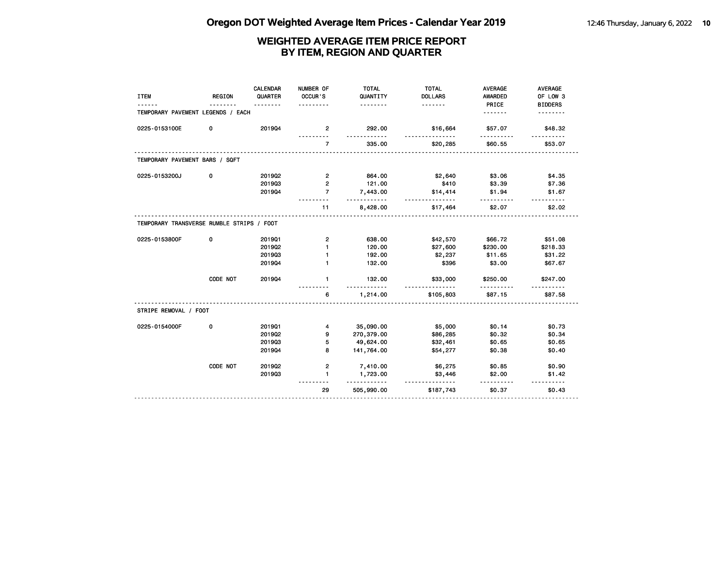| <b>ITEM</b>                               | <b>REGION</b> | <b>CALENDAR</b><br>QUARTER | NUMBER OF<br>OCCUR'S<br>$\frac{1}{2}$ | <b>TOTAL</b><br>QUANTITY<br>. | <b>TOTAL</b><br><b>DOLLARS</b><br><u>.</u> | <b>AVERAGE</b><br><b>AWARDED</b><br>PRICE | <b>AVERAGE</b><br>OF LOW 3<br><b>BIDDERS</b> |
|-------------------------------------------|---------------|----------------------------|---------------------------------------|-------------------------------|--------------------------------------------|-------------------------------------------|----------------------------------------------|
| TEMPORARY PAVEMENT LEGENDS / EACH         |               |                            |                                       |                               |                                            | <u>.</u>                                  | .                                            |
| 0225-0153100E                             | 0             | 201904                     | 2                                     | 292.00                        | \$16,664                                   | \$57.07                                   | \$48.32                                      |
|                                           |               |                            | $\overline{7}$                        | 335.00                        | \$20,285                                   | \$60.55                                   | \$53.07                                      |
| TEMPORARY PAVEMENT BARS / SQFT            |               |                            |                                       |                               |                                            |                                           |                                              |
| 0225-0153200J                             | 0             | 2019Q2                     | $\overline{2}$                        | 864.00                        | \$2,640                                    | \$3.06                                    | \$4.35                                       |
|                                           |               | 201903                     | $\overline{2}$                        | 121.00                        | \$410                                      | \$3.39                                    | \$7.36                                       |
|                                           |               | 201904                     | $\overline{7}$                        | 7,443.00<br>.                 | \$14,414<br><u>.</u>                       | \$1.94<br>.                               | \$1.67                                       |
|                                           |               |                            | 11                                    | 8,428.00                      | \$17,464                                   | \$2.07                                    | \$2.02                                       |
| TEMPORARY TRANSVERSE RUMBLE STRIPS / FOOT |               |                            |                                       |                               |                                            |                                           |                                              |
| 0225-0153800F                             | 0             | 201901                     | $\overline{2}$                        | 638.00                        | \$42,570                                   | \$66.72                                   | \$51.08                                      |
|                                           |               | 2019Q2                     | 1                                     | 120.00                        | \$27,600                                   | \$230.00                                  | \$218.33                                     |
|                                           |               | 201903                     | 1                                     | 192.00                        | \$2,237                                    | \$11.65                                   | \$31.22                                      |
|                                           |               | 201904                     | 1                                     | 132.00                        | \$396                                      | \$3.00                                    | \$67.67                                      |
|                                           | CODE NOT      | 201904                     | $\mathbf{1}$                          | 132.00<br>$- - - -$           | \$33,000                                   | \$250.00                                  | \$247.00                                     |
|                                           |               |                            | 6                                     | 1,214.00                      | \$105,803                                  | \$87.15                                   | \$87.58                                      |
| STRIPE REMOVAL / FOOT                     |               |                            |                                       |                               |                                            |                                           |                                              |
| 0225-0154000F                             | 0             | 201901                     | 4                                     | 35,090.00                     | \$5,000                                    | \$0.14                                    | \$0.73                                       |
|                                           |               | 201902                     | g,                                    | 270,379.00                    | \$86,285                                   | \$0.32                                    | \$0.34                                       |
|                                           |               | 201903                     | 5                                     | 49,624.00                     | \$32,461                                   | \$0.65                                    | \$0.65                                       |
|                                           |               | 201904                     | 8                                     | 141,764.00                    | \$54,277                                   | \$0.38                                    | \$0.40                                       |
|                                           | CODE NOT      | 201902                     | $\overline{2}$                        | 7,410.00                      | \$6,275                                    | \$0.85                                    | \$0.90                                       |
|                                           |               | 201903                     | $\mathbf{1}$                          | 1,723.00                      | \$3,446                                    | \$2.00                                    | \$1.42                                       |
|                                           |               |                            |                                       | .                             |                                            |                                           |                                              |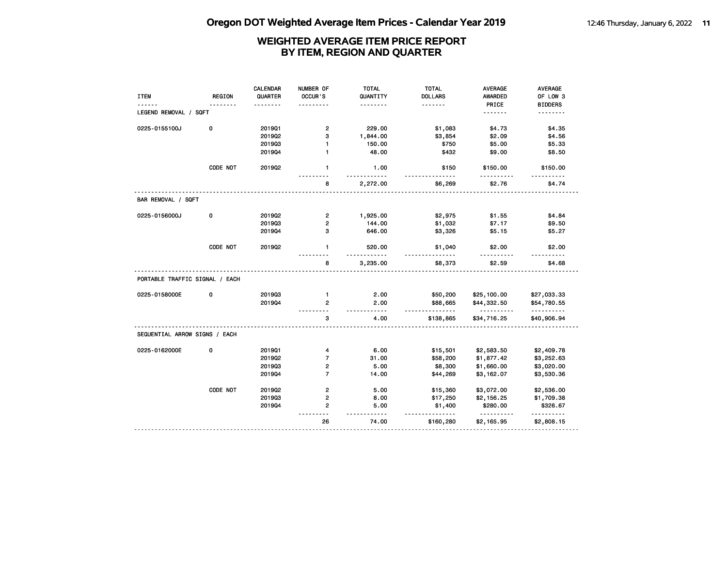| <b>ITEM</b>                    | <b>REGION</b> | <b>CALENDAR</b><br>QUARTER<br><u>.</u> | NUMBER OF<br><b>OCCUR'S</b> | <b>TOTAL</b><br>QUANTITY<br>. | <b>TOTAL</b><br><b>DOLLARS</b><br>. | <b>AVERAGE</b><br><b>AWARDED</b><br>PRICE | AVERAGE<br>OF LOW 3<br><b>BIDDERS</b> |
|--------------------------------|---------------|----------------------------------------|-----------------------------|-------------------------------|-------------------------------------|-------------------------------------------|---------------------------------------|
| LEGEND REMOVAL / SQFT          |               |                                        |                             |                               |                                     | <u>.</u>                                  | <u>.</u>                              |
| 0225-0155100J                  | 0             | 201901                                 | $\overline{2}$              | 229.00                        | \$1,083                             | \$4.73                                    | \$4.35                                |
|                                |               | 201902                                 | 3                           | 1,844.00                      | \$3,854                             | \$2.09                                    | \$4.56                                |
|                                |               | 201903                                 | 1                           | 150.00                        | \$750                               | \$5.00                                    | \$5.33                                |
|                                |               | 201904                                 | $\blacksquare$              | 48.00                         | \$432                               | \$9.00                                    | \$8.50                                |
|                                | CODE NOT      | 2019Q2                                 | $\mathbf{1}$                | 1.00<br>.                     | \$150<br>.                          | \$150.00<br>.                             | \$150.00                              |
|                                |               |                                        | 8                           | 2,272.00                      | \$6,269                             | \$2.76                                    | \$4.74                                |
| BAR REMOVAL / SQFT             |               |                                        |                             |                               |                                     |                                           |                                       |
| 0225-0156000J                  | 0             | 201902                                 | $\overline{2}$              | 1,925.00                      | \$2,975                             | \$1.55                                    | \$4.84                                |
|                                |               | 201903                                 | $\overline{2}$              | 144.00                        | \$1,032                             | \$7.17                                    | \$9.50                                |
|                                |               | 201904                                 | з                           | 646.00                        | \$3,326                             | \$5.15                                    | \$5.27                                |
|                                | CODE NOT      | 2019Q2                                 | $\mathbf{1}$                | 520.00<br><u>.</u>            | \$1,040                             | \$2.00                                    | \$2.00                                |
|                                |               |                                        | 8                           | 3,235.00                      | \$8,373                             | \$2.59                                    | \$4.68                                |
| PORTABLE TRAFFIC SIGNAL / EACH |               |                                        |                             |                               |                                     |                                           |                                       |
| 0225-0158000E                  | 0             | 201903                                 | $\blacksquare$              | 2.00                          | \$50,200                            | \$25,100.00                               | \$27,033.33                           |
|                                |               | 201904                                 | $\overline{2}$              | 2.00<br>$- - - - -$           | \$88,665<br><u>.</u>                | \$44,332.50<br>.                          | \$54,780.55<br><u>.</u>               |
|                                |               |                                        | 3                           | 4.00                          | \$138,865                           | \$34,716.25                               | \$40,906.94                           |
| SEQUENTIAL ARROW SIGNS / EACH  |               |                                        |                             |                               |                                     |                                           |                                       |
| 0225-0162000E                  | 0             | 201901                                 | 4                           | 6.00                          | \$15,501                            | \$2,583.50                                | \$2,409.78                            |
|                                |               | 2019Q2                                 | $\overline{7}$              | 31.00                         | \$58,200                            | \$1,877.42                                | \$3,252.63                            |
|                                |               | 201903                                 | 2                           | 5.00                          | \$8,300                             | \$1,660.00                                | \$3,020.00                            |
|                                |               | 201904                                 | $\overline{7}$              | 14.00                         | \$44,269                            | \$3,162.07                                | \$3,530.36                            |
|                                | CODE NOT      | 2019Q2                                 | $\overline{2}$              | 5.00                          | \$15,360                            | \$3,072.00                                | \$2,536.00                            |
|                                |               | 201903                                 | 2                           | 8.00                          | \$17,250                            | \$2,156.25                                | \$1,709.38                            |
|                                |               | 201904                                 | $\overline{2}$              | 5.00                          | \$1,400                             | \$280.00                                  | \$326.67                              |
|                                |               |                                        |                             | - - - -                       | .                                   | <u>.</u>                                  | .                                     |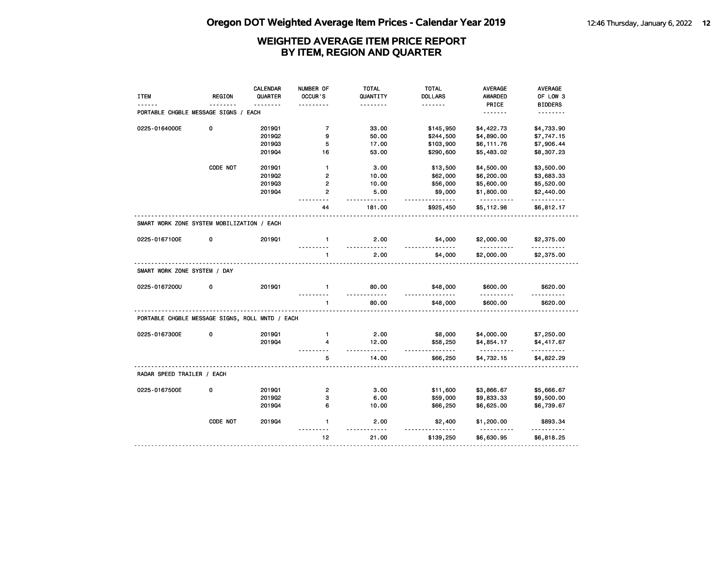| <b>ITEM</b>                                     | <b>REGION</b> | <b>CALENDAR</b><br>QUARTER<br>1.1.1.1.1.1 | NUMBER OF<br>OCCUR'S                   | TOTAL<br>QUANTITY<br>. | TOTAL<br><b>DOLLARS</b><br>. | <b>AVERAGE</b><br><b>AWARDED</b><br>PRICE | AVERAGE<br>OF LOW 3<br><b>BIDDERS</b> |
|-------------------------------------------------|---------------|-------------------------------------------|----------------------------------------|------------------------|------------------------------|-------------------------------------------|---------------------------------------|
| <b>PORTABLE CHGBLE MESSAGE SIGNS / EACH</b>     |               |                                           |                                        |                        |                              | .                                         | <u>.</u>                              |
| 0225-0164000E                                   | 0             | 201901                                    | $\overline{7}$                         | 33.00                  | \$145,950                    | \$4,422.73                                | \$4,733.90                            |
|                                                 |               | 2019Q2                                    | 9                                      | 50.00                  | \$244,500                    | \$4,890.00                                | \$7,747.15                            |
|                                                 |               | 201903                                    | 5                                      | 17.00                  | \$103,900                    | \$6,111.76                                | \$7,906.44                            |
|                                                 |               | 201904                                    | 16                                     | 53.00                  | \$290,600                    | \$5,483.02                                | \$8,307.23                            |
|                                                 | CODE NOT      | 201901                                    | $\mathbf{1}$                           | 3.00                   | \$13,500                     | \$4,500.00                                | \$3,500.00                            |
|                                                 |               | 201902                                    | $\overline{2}$                         | 10.00                  | \$62,000                     | \$6,200.00                                | \$3,683.33                            |
|                                                 |               | 201903                                    | 2                                      | 10.00                  | \$56,000                     | \$5,600.00                                | \$5,520.00                            |
|                                                 |               | 201904                                    | $\overline{2}$<br>$\sim$ $\sim$ $\sim$ | 5.00<br>$- - - - -$    | \$9,000<br>.                 | \$1,800.00<br>.                           | \$2,440.00<br>.                       |
|                                                 |               |                                           | 44                                     | 181.00                 | \$925,450                    | \$5,112.98                                | \$6,812.17                            |
| SMART WORK ZONE SYSTEM MOBILIZATION / EACH      |               |                                           |                                        |                        |                              |                                           |                                       |
| 0225-0167100E                                   | 0             | 201901                                    | $\mathbf{1}$                           | 2.00<br><u>.</u>       | \$4,000                      | \$2,000.00<br>.                           | \$2,375.00<br>.                       |
|                                                 |               |                                           | 1                                      | 2.00                   | \$4,000                      | \$2,000.00                                | \$2,375.00                            |
| SMART WORK ZONE SYSTEM / DAY                    |               |                                           |                                        |                        |                              |                                           |                                       |
| 0225-0167200U                                   | 0             | 2019Q1                                    | $\mathbf{1}$                           | 80.00<br>$- - - - - -$ | \$48,000<br>.                | \$600.00<br>.                             | \$620.00<br><u>.</u>                  |
|                                                 |               |                                           | $\mathbf{1}$                           | 80.00                  | \$48,000                     | \$600.00                                  | \$620.00                              |
| PORTABLE CHGBLE MESSAGE SIGNS, ROLL MNTD / EACH |               |                                           |                                        |                        |                              |                                           |                                       |
| 0225-0167300E                                   | 0             | 2019Q1                                    | $\mathbf{1}$                           | 2.00                   | \$8,000                      | \$4,000.00                                | \$7,250.00                            |
|                                                 |               | 201904                                    | 4                                      | 12.00<br>$- - - - -$   | \$58,250<br>.                | \$4,854.17<br>.                           | \$4,417.67<br>.                       |
|                                                 |               |                                           | 5                                      | 14.00                  | \$66,250                     | \$4,732.15                                | \$4,822.29                            |
| RADAR SPEED TRAILER / EACH                      |               |                                           |                                        |                        |                              |                                           |                                       |
| 0225-0167500E                                   | 0             | 201901                                    | $\overline{2}$                         | 3.00                   | \$11,600                     | \$3,866.67                                | \$5,666.67                            |
|                                                 |               | 2019Q2                                    | з                                      | 6.00                   | \$59,000                     | \$9,833.33                                | \$9,500.00                            |
|                                                 |               | 201904                                    | 6                                      | 10.00                  | \$66,250                     | \$6,625.00                                | \$6,739.67                            |
|                                                 | CODE NOT      | 201904                                    | $\mathbf{1}$<br>$\sim$ $\sim$          | 2.00                   | \$2,400                      | \$1,200.00                                | \$893.34                              |
|                                                 |               |                                           |                                        |                        |                              |                                           |                                       |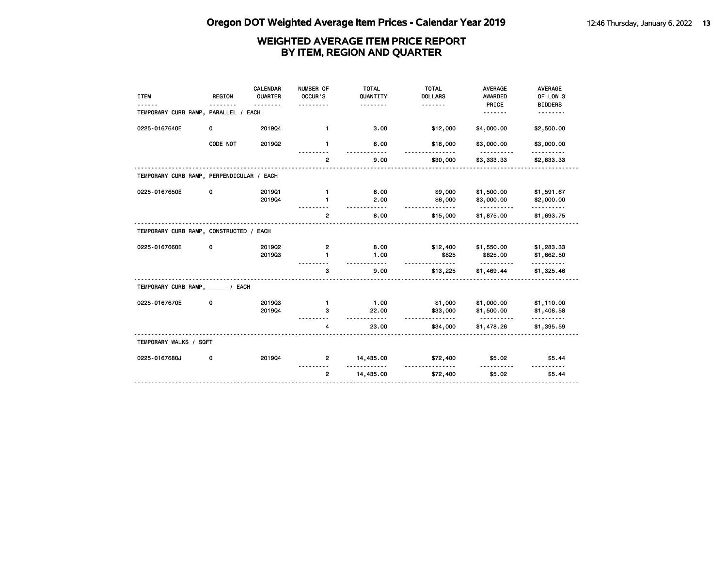| <b>ITEM</b>                               | <b>REGION</b> | <b>CALENDAR</b><br>QUARTER | NUMBER OF<br>OCCUR'S | <b>TOTAL</b><br>QUANTITY<br>. | <b>TOTAL</b><br><b>DOLLARS</b><br><u>.</u> | <b>AVERAGE</b><br><b>AWARDED</b><br>PRICE | <b>AVERAGE</b><br>OF LOW 3<br><b>BIDDERS</b> |
|-------------------------------------------|---------------|----------------------------|----------------------|-------------------------------|--------------------------------------------|-------------------------------------------|----------------------------------------------|
| TEMPORARY CURB RAMP, PARALLEL / EACH      |               |                            |                      |                               |                                            | .                                         |                                              |
| 0225-0167640E                             | 0             | 201904                     | $\mathbf{1}$         | 3.00                          | \$12,000                                   | \$4,000.00                                | \$2,500.00                                   |
|                                           | CODE NOT      | 2019Q2                     | $\mathbf{1}$         | 6.00                          | \$18,000                                   | \$3,000.00                                | \$3,000.00                                   |
|                                           |               |                            | $\overline{2}$       | 9.00                          | \$30,000                                   | \$3,333.33                                | \$2,833.33                                   |
| TEMPORARY CURB RAMP, PERPENDICULAR / EACH |               |                            |                      |                               |                                            |                                           |                                              |
| 0225-0167650E                             | 0             | 201901                     | $\mathbf{1}$         | 6.00                          | \$9,000                                    | \$1,500.00                                | \$1,591.67                                   |
|                                           |               | 201904                     | 1                    | 2.00                          | \$6,000<br><u>.</u>                        | \$3,000.00                                | \$2,000.00<br><u>.</u>                       |
|                                           |               |                            | $\overline{2}$       | 8.00                          | \$15,000                                   | \$1,875.00                                | \$1,693.75                                   |
| TEMPORARY CURB RAMP, CONSTRUCTED / EACH   |               |                            |                      |                               |                                            |                                           |                                              |
| 0225-0167660E                             | 0             | 2019Q2                     | 2                    | 8.00                          | \$12,400                                   | \$1,550.00                                | \$1,283.33                                   |
|                                           |               | 201903                     | 1                    | 1.00                          | \$825                                      | \$825.00<br><u>.</u>                      | \$1,662.50<br>.                              |
|                                           |               |                            | 3                    | 9.00                          | \$13,225                                   | \$1,469.44                                | \$1,325.46                                   |
| TEMPORARY CURB RAMP, ____ / EACH          |               |                            |                      |                               |                                            |                                           |                                              |
| 0225-0167670E                             | 0             | 201903                     | $\mathbf{1}$         | 1.00                          | \$1,000                                    | \$1,000.00                                | \$1,110.00                                   |
|                                           |               | 201904                     | з                    | 22.00<br>.                    | \$33,000<br>.                              | \$1,500.00                                | \$1,408.58<br>. <b>.</b>                     |
|                                           |               |                            | 4                    | 23.00                         | \$34,000                                   | \$1,478.26                                | \$1,395.59                                   |
| TEMPORARY WALKS / SQFT                    |               |                            |                      |                               |                                            |                                           |                                              |
| 0225-0167680J                             | 0             | 201904                     | $\overline{2}$       | 14,435.00                     | \$72,400                                   | \$5.02                                    | \$5.44                                       |
|                                           |               |                            | $\overline{2}$       | 14,435.00                     | \$72,400                                   | \$5.02                                    | \$5.44                                       |
|                                           |               |                            |                      |                               |                                            |                                           |                                              |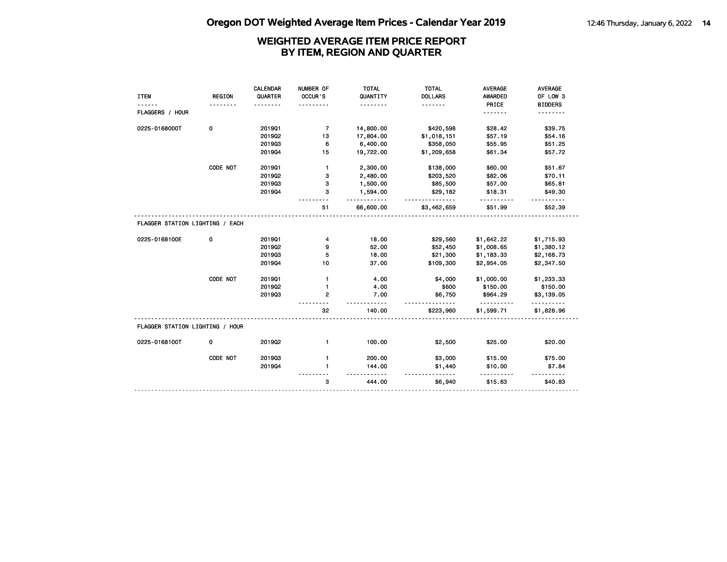|                                 |               | CALENDAR | NUMBER OF      | <b>TOTAL</b>          | <b>TOTAL</b>        | <b>AVERAGE</b>     | <b>AVERAGE</b> |
|---------------------------------|---------------|----------|----------------|-----------------------|---------------------|--------------------|----------------|
| <b>ITEM</b>                     | <b>REGION</b> | QUARTER  | OCCUR'S        | QUANTITY              | <b>DOLLARS</b>      | <b>AWARDED</b>     | OF LOW 3       |
|                                 |               | <u>.</u> |                | .                     | <u>.</u>            | PRICE              | <b>BIDDERS</b> |
| FLAGGERS / HOUR                 |               |          |                |                       |                     | <u>.</u>           | .              |
| 0225-0168000T                   | 0             | 201901   | $\overline{7}$ | 14,800.00             | \$420,598           | \$28.42            | \$39.75        |
|                                 |               | 2019Q2   | 13             | 17,804.00             | \$1,018,151         | \$57.19            | \$54.16        |
|                                 |               | 201903   | 6              | 6,400.00              | \$358,050           | \$55.95            | \$51.25        |
|                                 |               | 201904   | 15             | 19,722.00             | \$1,209,658         | \$61.34            | \$57.72        |
|                                 | CODE NOT      | 201901   | $\mathbf{1}$   | 2,300.00              | \$138,000           | \$60.00            | \$51.67        |
|                                 |               | 2019Q2   | 3              | 2,480.00              | \$203,520           | \$82.06            | \$70.11        |
|                                 |               | 201903   | 3              | 1,500.00              | \$85,500            | \$57.00            | \$65.81        |
|                                 |               | 201904   | 3              | 1,594.00<br>--------- | \$29,182            | \$18.31<br><u></u> | \$49.30        |
|                                 |               |          | 51             | 66,600.00             | .<br>\$3,462,659    | \$51.99            | \$52.39        |
| FLAGGER STATION LIGHTING / EACH |               |          |                |                       |                     |                    |                |
| 0225-0168100E                   | 0             | 201901   | 4              | 18.00                 | \$29,560            | \$1,642.22         | \$1,715.93     |
|                                 |               | 2019Q2   | 9              | 52.00                 | \$52,450            | \$1,008.65         | \$1,380.12     |
|                                 |               | 201903   | 5              | 18.00                 | \$21,300            | \$1,183.33         | \$2,168.73     |
|                                 |               | 201904   | 10             | 37.00                 | \$109,300           | \$2,954.05         | \$2,347.50     |
|                                 | CODE NOT      | 201901   | $\mathbf{1}$   | 4.00                  | \$4,000             | \$1,000.00         | \$1,233.33     |
|                                 |               | 2019Q2   | $\mathbf{1}$   | 4.00                  | \$600               | \$150.00           | \$150.00       |
|                                 |               | 201903   | $\mathbf{2}$   | 7.00                  | \$6,750<br>.        | \$964.29           | \$3,139.05     |
|                                 |               |          | 32             | 140.00                | \$223,960           | \$1,599.71         | \$1,828.96     |
| FLAGGER STATION LIGHTING / HOUR |               |          |                |                       |                     |                    |                |
| 0225-0168100T                   | 0             | 2019Q2   | $\mathbf{1}$   | 100.00                | \$2,500             | \$25.00            | \$20.00        |
|                                 | CODE NOT      | 201903   | $\mathbf{1}$   | 200.00                | \$3,000             | \$15.00            | \$75.00        |
|                                 |               | 201904   | $\mathbf{1}$   | 144.00                | \$1,440             | \$10.00            | \$7.84         |
|                                 |               |          | 3              | 444.00                | <u>.</u><br>\$6,940 | .<br>\$15.63       | \$40.83        |
|                                 |               |          |                |                       |                     |                    |                |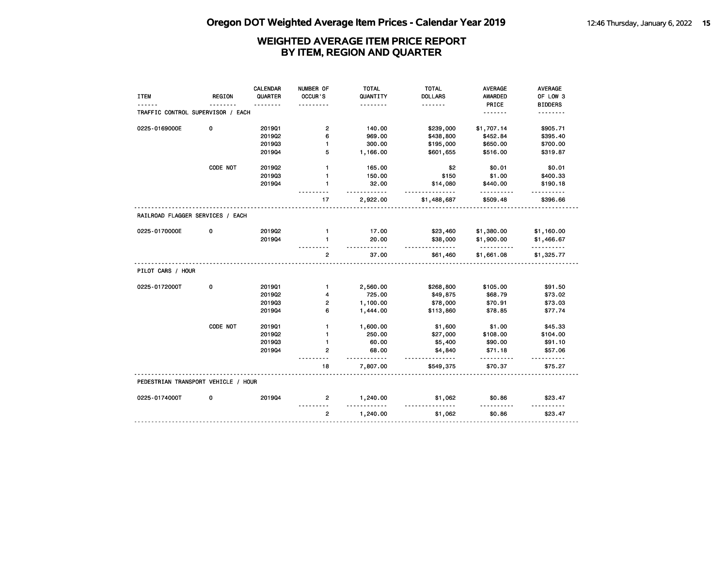| <b>ITEM</b>                         | <b>REGION</b> | <b>CALENDAR</b><br>QUARTER | NUMBER OF<br>OCCUR'S | <b>TOTAL</b><br>QUANTITY<br>. | <b>TOTAL</b><br><b>DOLLARS</b><br>. | AVERAGE<br>AWARDED<br>PRICE | AVERAGE<br>OF LOW 3<br><b>BIDDERS</b> |
|-------------------------------------|---------------|----------------------------|----------------------|-------------------------------|-------------------------------------|-----------------------------|---------------------------------------|
| TRAFFIC CONTROL SUPERVISOR / EACH   |               |                            |                      |                               |                                     | <u>.</u>                    | .                                     |
| 0225-0169000E                       | 0             | 2019Q1                     | $\overline{2}$       | 140.00                        | \$239,000                           | \$1,707.14                  | \$905.71                              |
|                                     |               | 201902                     | 6                    | 969.00                        | \$438,800                           | \$452.84                    | \$395.40                              |
|                                     |               | 201903                     | $\mathbf{1}$         | 300.00                        | \$195,000                           | \$650.00                    | \$700.00                              |
|                                     |               | 201904                     | 5                    | 1,166.00                      | \$601,655                           | \$516.00                    | \$319.87                              |
|                                     | CODE NOT      | 2019Q2                     | $\mathbf{1}$         | 165.00                        | \$2                                 | \$0.01                      | \$0.01                                |
|                                     |               | 201903                     | $\mathbf{1}$         | 150.00                        | \$150                               | \$1.00                      | \$400.33                              |
|                                     |               | 201904                     | $\mathbf{1}$         | 32.00<br><u>.</u>             | \$14,080<br><u>.</u>                | \$440.00<br>.               | \$190.18                              |
|                                     |               |                            | 17                   | 2,922.00                      | \$1,488,687                         | \$509.48                    | \$396.66                              |
| RAILROAD FLAGGER SERVICES / EACH    |               |                            |                      |                               |                                     |                             |                                       |
| 0225-0170000E                       | 0             | 201902                     | $\mathbf{1}$         | 17.00                         | \$23,460                            | \$1,380.00                  | \$1,160.00                            |
|                                     |               | 201904                     | $\mathbf{1}$         | 20.00<br>$- - - - -$          | \$38,000<br>$- - - -$               | \$1,900.00<br><u>.</u>      | \$1,466.67<br>.                       |
|                                     |               |                            | $\mathbf{2}$         | 37.00                         | \$61,460                            | \$1,661.08                  | \$1,325.77                            |
| PILOT CARS / HOUR                   |               |                            |                      |                               |                                     |                             |                                       |
| 0225-0172000T                       | 0             | 201901                     | $\mathbf{1}$         | 2,560.00                      | \$268,800                           | \$105.00                    | \$91.50                               |
|                                     |               | 201902                     | 4                    | 725.00                        | \$49,875                            | \$68.79                     | \$73.02                               |
|                                     |               | 201903                     | 2                    | 1,100.00                      | \$78,000                            | \$70.91                     | \$73.03                               |
|                                     |               | 201904                     | 6                    | 1,444.00                      | \$113,860                           | \$78.85                     | \$77.74                               |
|                                     | CODE NOT      | 201901                     | 1                    | 1,600.00                      | \$1,600                             | \$1.00                      | \$45.33                               |
|                                     |               | 2019Q2                     | $\mathbf{1}$         | 250.00                        | \$27,000                            | \$108.00                    | \$104.00                              |
|                                     |               | 201903                     | 1                    | 60.00                         | \$5,400                             | \$90.00                     | \$91.10                               |
|                                     |               | 201904                     | 2                    | 68.00<br><u>.</u>             | \$4,840<br><u>.</u>                 | \$71.18                     | \$57.06                               |
|                                     |               |                            | 18                   | 7,807.00                      | \$549,375                           | \$70.37                     | \$75.27                               |
| PEDESTRIAN TRANSPORT VEHICLE / HOUR |               |                            |                      |                               |                                     |                             |                                       |
| 0225-0174000T                       | 0             | 201904                     | $\overline{2}$       | 1,240.00<br><u>.</u>          | \$1,062                             | \$0.86                      | \$23.47                               |
|                                     |               |                            | $\overline{2}$       | 1,240.00                      | \$1,062                             | \$0.86                      | \$23.47                               |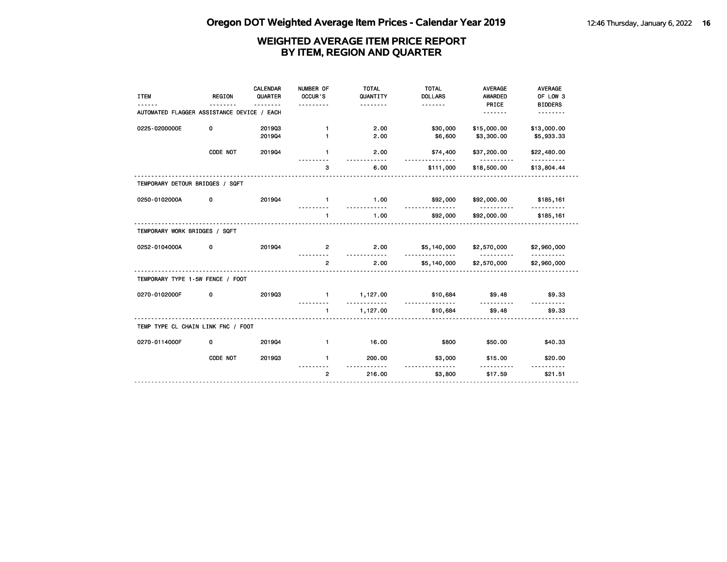| <b>ITEM</b>                                | <b>REGION</b> | <b>CALENDAR</b><br>QUARTER | NUMBER OF<br>OCCUR'S<br>.    | <b>TOTAL</b><br>QUANTITY<br><u>.</u> | <b>TOTAL</b><br><b>DOLLARS</b><br><u>.</u> | <b>AVERAGE</b><br>AWARDED<br>PRICE | <b>AVERAGE</b><br>OF LOW 3<br><b>BIDDERS</b> |
|--------------------------------------------|---------------|----------------------------|------------------------------|--------------------------------------|--------------------------------------------|------------------------------------|----------------------------------------------|
| AUTOMATED FLAGGER ASSISTANCE DEVICE / EACH |               |                            |                              |                                      |                                            | <u>.</u>                           | <u>.</u>                                     |
| 0225-0200000E                              | 0             | 201903<br>201904           | $\mathbf{1}$<br>$\mathbf{1}$ | 2.00<br>2.00                         | \$30,000<br>\$6,600                        | \$15,000.00<br>\$3,300.00          | \$13,000.00<br>\$5,933.33                    |
|                                            | CODE NOT      | 201904                     | $\mathbf{1}$                 | 2.00<br>.                            | \$74,400<br><u>.</u>                       | \$37,200.00<br>.                   | \$22,480.00<br>.                             |
|                                            |               |                            | 3                            | 6.00                                 | \$111,000                                  | \$18,500.00                        | \$13,804.44                                  |
| TEMPORARY DETOUR BRIDGES / SQFT            |               |                            |                              |                                      |                                            |                                    |                                              |
| 0250-0102000A                              | 0             | 201904                     | $\blacksquare$               | 1.00<br>.                            | \$92,000                                   | \$92,000.00                        | \$185,161                                    |
|                                            |               |                            | $\mathbf{1}$                 | 1.00                                 | \$92,000                                   | \$92,000.00                        | \$185,161                                    |
| TEMPORARY WORK BRIDGES / SQFT              |               |                            |                              |                                      |                                            |                                    |                                              |
| 0252-0104000A                              | 0             | 201904                     | $\overline{2}$               | 2.00                                 | \$5,140,000                                | \$2,570,000                        | \$2,960,000                                  |
|                                            |               |                            | $\overline{2}$               | <u>---------</u><br>2.00             | <u>.</u><br>\$5,140,000                    | <u>----------</u><br>\$2,570,000   | <u>.</u><br>\$2,960,000                      |
| TEMPORARY TYPE 1-5W FENCE / FOOT           |               |                            |                              |                                      |                                            |                                    |                                              |
| 0270-0102000F                              | 0             | 201903                     | $\mathbf{1}$                 | 1,127.00<br><u>.</u>                 | \$10,684                                   | \$9.48                             | \$9.33                                       |
|                                            |               |                            | $\mathbf{1}$                 | 1,127.00                             | .<br>\$10,684                              | \$9.48                             | \$9.33                                       |
| TEMP TYPE CL CHAIN LINK FNC / FOOT         |               |                            |                              |                                      |                                            |                                    |                                              |
| 0270-0114000F                              | 0             | 201904                     | $\mathbf{1}$                 | 16.00                                | \$800                                      | \$50.00                            | \$40.33                                      |
|                                            | CODE NOT      | 201903                     | $\mathbf{1}$                 | 200.00                               | \$3,000                                    | \$15.00                            | \$20.00                                      |
|                                            |               |                            | $\overline{2}$               | 216.00                               | <u>.</u><br>\$3,800                        | .<br>\$17.59                       | <u> - - - - - - - - -</u><br>\$21.51         |
|                                            |               |                            |                              |                                      |                                            |                                    |                                              |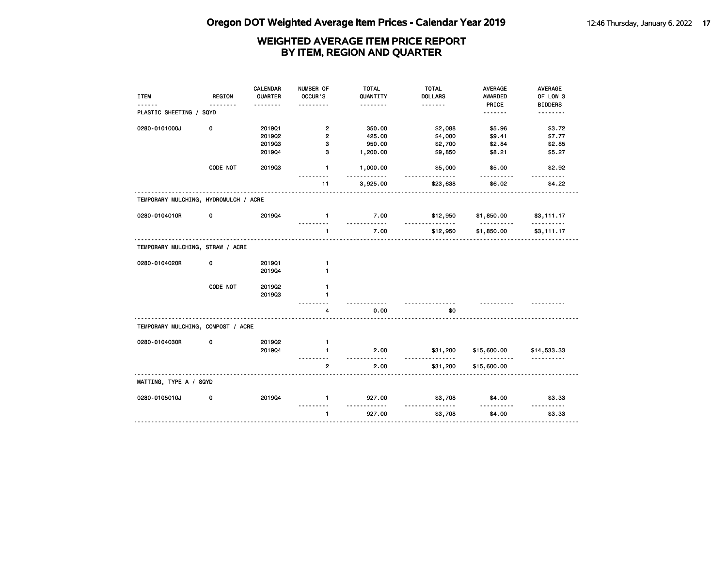| <b>ITEM</b><br>------                 | <b>REGION</b><br>. | <b>CALENDAR</b><br>QUARTER | NUMBER OF<br>OCCUR'S | <b>TOTAL</b><br>QUANTITY<br>. | <b>TOTAL</b><br><b>DOLLARS</b><br><u>.</u> | <b>AVERAGE</b><br><b>AWARDED</b><br>PRICE | AVERAGE<br>OF LOW 3<br><b>BIDDERS</b> |
|---------------------------------------|--------------------|----------------------------|----------------------|-------------------------------|--------------------------------------------|-------------------------------------------|---------------------------------------|
| PLASTIC SHEETING / SQYD               |                    |                            |                      |                               |                                            | <u>.</u>                                  | <u>.</u>                              |
| 0280-0101000J                         | 0                  | 201901                     | $\overline{2}$       | 350.00                        | \$2,088                                    | \$5.96                                    | \$3.72                                |
|                                       |                    | 2019Q2                     | $\overline{2}$       | 425.00                        | \$4,000                                    | \$9.41                                    | \$7.77                                |
|                                       |                    | 201903                     | 3                    | 950.00                        | \$2,700                                    | \$2.84                                    | \$2.85                                |
|                                       |                    | 201904                     | 3                    | 1,200.00                      | \$9,850                                    | \$8.21                                    | \$5.27                                |
|                                       | CODE NOT           | 201903                     | $\mathbf{1}$         | 1,000.00<br>.                 | \$5,000                                    | \$5.00                                    | \$2.92                                |
|                                       |                    |                            | 11                   | 3,925.00                      | \$23,638                                   | \$6.02                                    | \$4.22                                |
| TEMPORARY MULCHING, HYDROMULCH / ACRE |                    |                            |                      |                               |                                            |                                           |                                       |
| 0280-0104010R                         | 0                  | 201904                     | $\blacksquare$       | 7.00<br><u>.</u>              | \$12,950<br><u>.</u>                       | \$1,850.00<br>.                           | \$3,111.17<br>.                       |
|                                       |                    |                            | $\mathbf{1}$         | 7.00                          | \$12,950                                   | \$1,850.00                                | \$3,111.17                            |
| TEMPORARY MULCHING, STRAW / ACRE      |                    |                            |                      |                               |                                            |                                           |                                       |
| 0280-0104020R                         | 0                  | 201901                     | $\mathbf{1}$         |                               |                                            |                                           |                                       |
|                                       |                    | 201904                     | $\mathbf{1}$         |                               |                                            |                                           |                                       |
|                                       | CODE NOT           | 2019Q2                     | $\mathbf{1}$         |                               |                                            |                                           |                                       |
|                                       |                    | 201903                     | $\mathbf{1}$         |                               |                                            |                                           |                                       |
|                                       |                    |                            | 4                    | 0.00                          | \$0                                        |                                           |                                       |
| TEMPORARY MULCHING, COMPOST / ACRE    |                    |                            |                      |                               |                                            |                                           |                                       |
| 0280-0104030R                         | 0                  | 201902                     | $\mathbf{1}$         |                               |                                            |                                           |                                       |
|                                       |                    | 201904                     | $\mathbf{1}$         | 2.00<br>.                     | \$31,200<br><u>.</u>                       | \$15,600.00<br>.                          | \$14,533.33<br>.                      |
|                                       |                    |                            | $\overline{2}$       | 2.00                          | \$31,200                                   | \$15,600.00                               |                                       |
| MATTING, TYPE A / SQYD                |                    |                            |                      |                               |                                            |                                           |                                       |
| 0280-0105010J                         | 0                  | 201904                     | $\blacksquare$       | 927.00<br>.                   | \$3,708<br>.                               | \$4.00<br>.                               | \$3.33<br><u>.</u>                    |
|                                       |                    |                            | $\mathbf{1}$         | 927.00                        | \$3,708                                    | \$4.00                                    | \$3.33                                |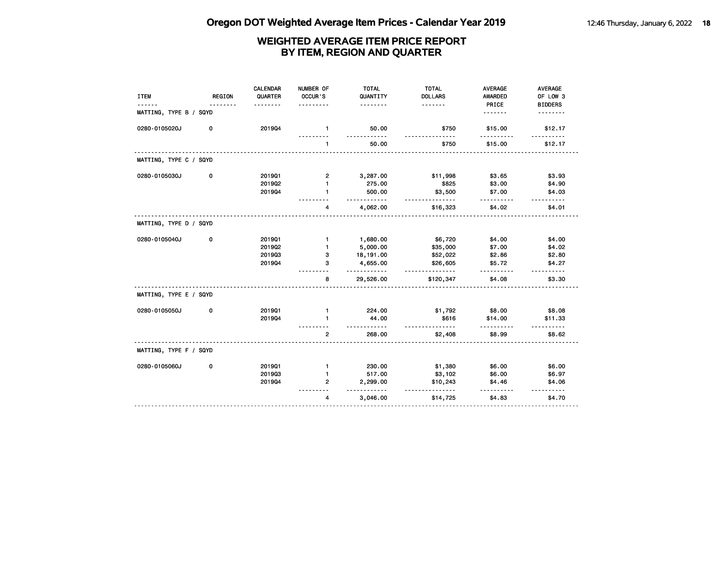| <b>ITEM</b>            | <b>REGION</b> | <b>CALENDAR</b><br>QUARTER | NUMBER OF<br>OCCUR'S | <b>TOTAL</b><br>QUANTITY | <b>TOTAL</b><br><b>DOLLARS</b>      | <b>AVERAGE</b><br><b>AWARDED</b> | AVERAGE<br>OF LOW 3 |
|------------------------|---------------|----------------------------|----------------------|--------------------------|-------------------------------------|----------------------------------|---------------------|
|                        |               |                            |                      | .                        | <u>.</u>                            | PRICE                            | <b>BIDDERS</b>      |
| MATTING, TYPE B / SQYD |               |                            |                      |                          |                                     | .                                |                     |
| 0280-0105020J          | 0             | 201904                     | $\mathbf{1}$         | 50.00<br>.               | \$750                               | \$15.00                          | \$12.17             |
|                        |               |                            | $\mathbf{1}$         | 50.00                    | \$750                               | \$15.00                          | \$12.17             |
| MATTING, TYPE C / SQYD |               |                            |                      |                          |                                     |                                  |                     |
| 0280-0105030J          | 0             | 201901                     | 2                    | 3,287.00                 | \$11,998                            | \$3.65                           | \$3.93              |
|                        |               | 2019Q2                     | 1                    | 275.00                   | \$825                               | \$3.00                           | \$4.90              |
|                        |               | 201904                     | $\mathbf{1}$         | 500.00                   | \$3,500                             | \$7.00                           | \$4.03              |
|                        |               |                            | 4                    | .<br>4,062.00            | <u>.</u><br>\$16,323                | \$4.02                           | .<br>\$4.01         |
| MATTING, TYPE D / SQYD |               |                            |                      |                          |                                     |                                  |                     |
| 0280-0105040J          | 0             | 201901                     | $\mathbf{1}$         | 1,680.00                 | \$6,720                             | \$4.00                           | \$4.00              |
|                        |               | 2019Q2                     | $\mathbf{1}$         | 5,000.00                 | \$35,000                            | \$7.00                           | \$4.02              |
|                        |               | 201903                     | з                    | 18,191.00                | \$52,022                            | \$2.86                           | \$2.80              |
|                        |               | 201904                     | З                    | 4,655.00                 | \$26,605                            | \$5.72                           | \$4.27              |
|                        |               |                            | 8                    | 29,526.00                | .<br>\$120,347                      | \$4.08                           | \$3.30              |
| MATTING, TYPE E / SQYD |               |                            |                      |                          |                                     |                                  |                     |
| 0280-0105050J          | 0             | 201901                     | $\mathbf{1}$         | 224.00                   | \$1,792                             | \$8.00                           | \$8.08              |
|                        |               | 201904                     | 1                    | 44.00                    | \$616                               | \$14.00                          | \$11.33             |
|                        |               |                            | $\overline{2}$       | $- - -$<br>268.00        | $\overline{\phantom{a}}$<br>\$2,408 | \$8.99                           | \$8.62              |
| MATTING, TYPE F / SQYD |               |                            |                      |                          |                                     |                                  |                     |
| 0280-0105060J          | 0             | 201901                     | $\mathbf{1}$         | 230.00                   | \$1,380                             | \$6.00                           | \$6.00              |
|                        |               | 201903                     | 1                    | 517.00                   | \$3,102                             | \$6.00                           | \$6.97              |
|                        |               | 201904                     | 2                    | 2,299.00                 | \$10,243                            | \$4.46                           | \$4.06              |
|                        |               |                            | 4                    | ------<br>3,046.00       | \$14,725                            | \$4.83                           | \$4.70              |
|                        |               |                            |                      |                          |                                     |                                  |                     |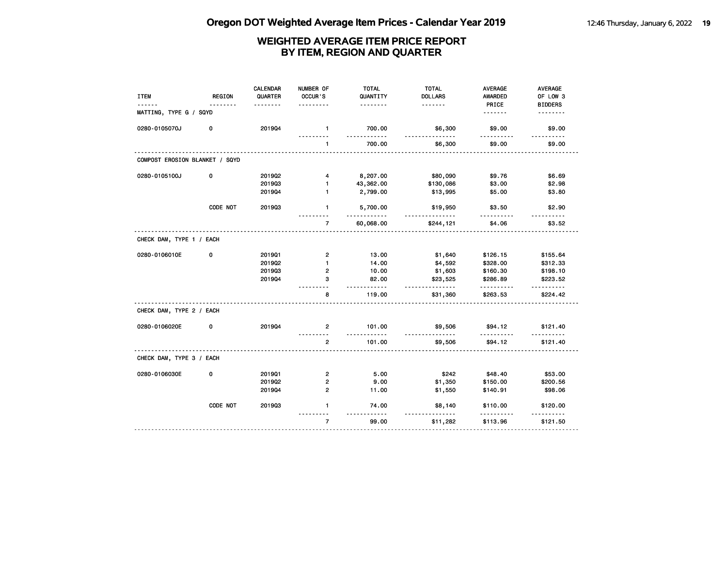| <b>ITEM</b>                    | <b>REGION</b> | <b>CALENDAR</b><br>QUARTER | NUMBER OF<br>OCCUR'S    | <b>TOTAL</b><br>QUANTITY | <b>TOTAL</b><br><b>DOLLARS</b> | <b>AVERAGE</b><br><b>AWARDED</b> | AVERAGE<br>OF LOW 3        |
|--------------------------------|---------------|----------------------------|-------------------------|--------------------------|--------------------------------|----------------------------------|----------------------------|
| MATTING, TYPE G / SQYD         |               |                            |                         | .                        | .                              | PRICE<br><u>.</u>                | <b>BIDDERS</b><br><u>.</u> |
| 0280-0105070J                  | 0             | 201904                     | $\mathbf{1}$            | 700.00<br>.              | \$6,300<br><u>.</u>            | \$9.00                           | \$9.00                     |
|                                |               |                            | $\mathbf{1}$            | 700.00                   | \$6,300                        | \$9.00                           | \$9.00                     |
| COMPOST EROSION BLANKET / SQYD |               |                            |                         |                          |                                |                                  |                            |
| 0280-0105100J                  | 0             | 201902                     | 4                       | 8,207.00                 | \$80,090                       | \$9.76                           | \$6.69                     |
|                                |               | 201903                     | $\mathbf{1}$            | 43,362.00                | \$130,086                      | \$3.00                           | \$2.98                     |
|                                |               | 201904                     | $\mathbf{1}$            | 2,799.00                 | \$13,995                       | \$5.00                           | \$3.80                     |
|                                | CODE NOT      | 201903                     | $\mathbf{1}$            | 5,700.00                 | \$19,950                       | \$3.50                           | \$2.90<br>.                |
|                                |               |                            | $\overline{7}$          | 60,068.00                | \$244,121                      | \$4.06                           | \$3.52                     |
| CHECK DAM, TYPE 1 / EACH       |               |                            |                         |                          |                                |                                  |                            |
| 0280-0106010E                  | 0             | 201901                     | $\overline{\mathbf{c}}$ | 13.00                    | \$1,640                        | \$126.15                         | \$155.64                   |
|                                |               | 201902                     | $\mathbf{1}$            | 14.00                    | \$4,592                        | \$328.00                         | \$312.33                   |
|                                |               | 201903                     | $\overline{2}$          | 10.00                    | \$1,603                        | \$160.30                         | \$198.10                   |
|                                |               | 201904                     | 3                       | 82.00<br>.               | \$23,525<br>.                  | \$286.89<br>.                    | \$223.52<br><u>.</u>       |
|                                |               |                            | 8                       | 119.00                   | \$31,360                       | \$263.53                         | \$224.42                   |
| CHECK DAM, TYPE 2 / EACH       |               |                            |                         |                          |                                |                                  |                            |
| 0280-0106020E                  | 0             | 201904                     | $\overline{2}$          | 101.00<br>.              | \$9,506                        | \$94.12<br>.                     | \$121.40<br>.              |
|                                |               |                            | $\overline{2}$          | 101.00                   | \$9,506                        | \$94.12                          | \$121.40                   |
| CHECK DAM, TYPE 3 / EACH       |               |                            |                         |                          |                                |                                  |                            |
| 0280-0106030E                  | 0             | 201901                     | $\overline{2}$          | 5.00                     | \$242                          | \$48.40                          | \$53.00                    |
|                                |               | 201902                     | $\overline{2}$          | 9.00                     | \$1,350                        | \$150.00                         | \$200.56                   |
|                                |               | 201904                     | $\overline{2}$          | 11.00                    | \$1,550                        | \$140.91                         | \$98.06                    |
|                                | CODE NOT      | 201903                     | 1                       | 74.00                    | \$8,140                        | \$110.00                         | \$120.00                   |
|                                |               |                            | $\overline{7}$          | 99.00                    | \$11,282                       | \$113.96                         | \$121.50                   |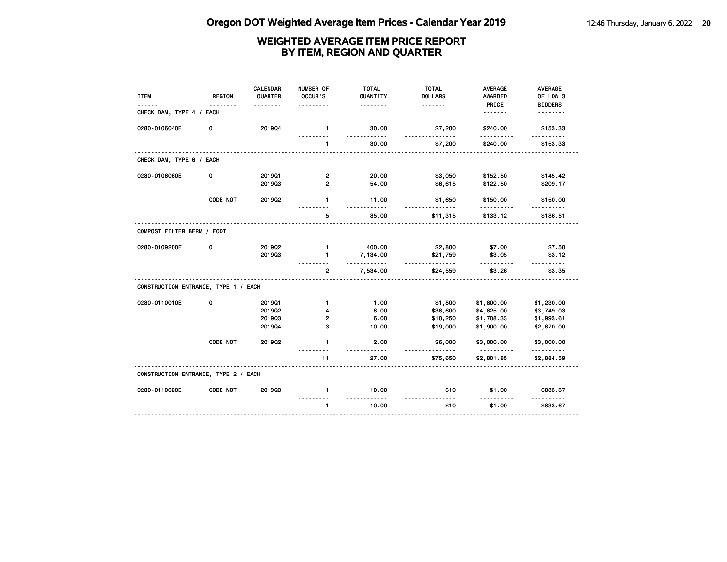| <b>ITEM</b>                          | <b>REGION</b> | <b>CALENDAR</b><br>QUARTER | NUMBER OF<br>OCCUR'S | <b>TOTAL</b><br>QUANTITY<br>. | <b>TOTAL</b><br><b>DOLLARS</b><br><u>.</u> | <b>AVERAGE</b><br>AWARDED<br>PRICE | AVERAGE<br>OF LOW 3 |
|--------------------------------------|---------------|----------------------------|----------------------|-------------------------------|--------------------------------------------|------------------------------------|---------------------|
| CHECK DAM, TYPE 4 / EACH             |               |                            |                      |                               |                                            | <u>.</u>                           | <b>BIDDERS</b><br>. |
| 0280-0106040E                        | 0             | 201904                     | $\mathbf{1}$         | 30.00<br><u>.</u>             | \$7,200<br><u>.</u>                        | \$240.00<br>.                      | \$153.33            |
|                                      |               |                            | 1                    | 30.00                         | \$7,200                                    | \$240.00                           | \$153.33            |
| CHECK DAM, TYPE 6 / EACH             |               |                            |                      |                               |                                            |                                    |                     |
| 0280-0106060E                        | 0             | 201901                     | $\mathbf{2}$         | 20.00                         | \$3,050                                    | \$152.50                           | \$145.42            |
|                                      |               | 201903                     | $\overline{2}$       | 54.00                         | \$6,615                                    | \$122.50                           | \$209.17            |
|                                      | CODE NOT      | 2019Q2                     | $\mathbf{1}$         | 11.00<br><u>.</u>             | \$1,650                                    | \$150.00<br>.                      | \$150.00            |
|                                      |               |                            | 5                    | 85.00                         | \$11,315                                   | \$133.12                           | \$186.51            |
| COMPOST FILTER BERM / FOOT           |               |                            |                      |                               |                                            |                                    |                     |
| 0280-0109200F                        | 0             | 2019Q2                     | $\mathbf{1}$         | 400.00                        | \$2,800                                    | \$7.00                             | \$7.50              |
|                                      |               | 201903                     | $\mathbf{1}$         | 7,134.00<br>.                 | \$21,759<br>.                              | \$3.05                             | \$3.12<br>-----     |
|                                      |               |                            | $\overline{2}$       | 7,534.00                      | \$24,559                                   | \$3.26                             | \$3.35              |
| CONSTRUCTION ENTRANCE, TYPE 1 / EACH |               |                            |                      |                               |                                            |                                    |                     |
| 0280-0110010E                        | 0             | 201901                     | $\mathbf{1}$         | 1.00                          | \$1,800                                    | \$1,800.00                         | \$1,230.00          |
|                                      |               | 201902                     | 4                    | 8.00                          | \$38,600                                   | \$4,825.00                         | \$3,749.03          |
|                                      |               | 201903                     | 2                    | 6.00                          | \$10,250                                   | \$1,708.33                         | \$1,993.61          |
|                                      |               | 201904                     | 3                    | 10.00                         | \$19,000                                   | \$1,900.00                         | \$2,870.00          |
|                                      | CODE NOT      | 201902                     | $\mathbf{1}$         | 2.00<br>.                     | \$6,000                                    | \$3,000.00<br><u>.</u>             | \$3,000.00<br>.     |
|                                      |               |                            | 11                   | 27.00                         | \$75,650                                   | \$2,801.85                         | \$2,884.59          |
| CONSTRUCTION ENTRANCE, TYPE 2 / EACH |               |                            |                      |                               |                                            |                                    |                     |
| 0280-0110020E                        | CODE NOT      | 201903                     | $\mathbf{1}$         | 10.00<br>. . <b>.</b>         | \$10<br>$\sim$ $\sim$ $\sim$               | \$1.00                             | \$833.67            |
|                                      |               |                            | $\mathbf{1}$         | 10.00                         | \$10                                       | \$1.00                             | \$833.67            |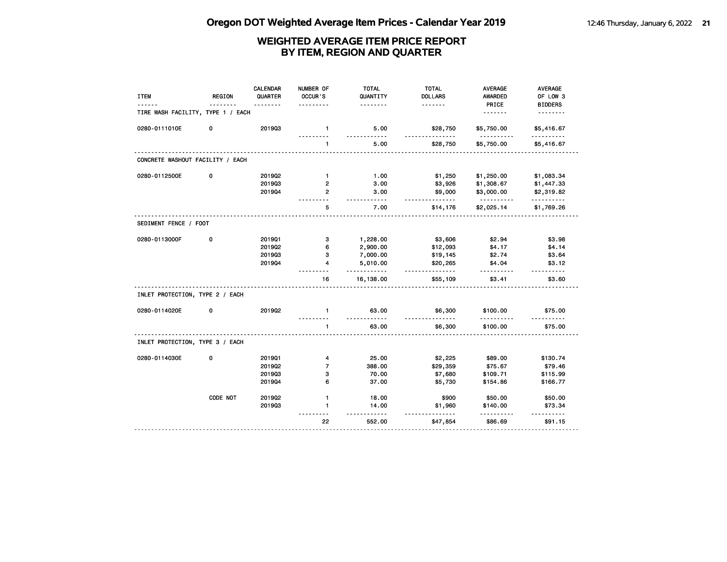| <b>ITEM</b>                       | <b>REGION</b> | CALENDAR<br>QUARTER | NUMBER OF<br>OCCUR'S     | <b>TOTAL</b><br>QUANTITY<br>. | <b>TOTAL</b><br><b>DOLLARS</b><br><u>.</u> | <b>AVERAGE</b><br><b>AWARDED</b><br>PRICE | AVERAGE<br>OF LOW 3<br><b>BIDDERS</b> |
|-----------------------------------|---------------|---------------------|--------------------------|-------------------------------|--------------------------------------------|-------------------------------------------|---------------------------------------|
| TIRE WASH FACILITY, TYPE 1 / EACH |               |                     |                          |                               |                                            | <u>.</u>                                  | <u>.</u>                              |
| 0280-0111010E                     | 0             | 201903              | $\mathbf{1}$             | 5.00<br>- - - - -             | \$28,750<br>.                              | \$5,750.00<br>.                           | \$5,416.67<br>.                       |
|                                   |               |                     | $\mathbf{1}$             | 5.00                          | \$28,750                                   | \$5,750.00                                | \$5,416.67                            |
| CONCRETE WASHOUT FACILITY / EACH  |               |                     |                          |                               |                                            |                                           |                                       |
| 0280-0112500E                     | 0             | 201902              | $\mathbf{1}$             | 1.00                          | \$1,250                                    | \$1,250.00                                | \$1,083.34                            |
|                                   |               | 201903              | 2                        | 3.00                          | \$3,926                                    | \$1,308.67                                | \$1,447.33                            |
|                                   |               | 201904              | $\overline{2}$           | 3.00<br>$- - -$               | \$9,000<br>.                               | \$3,000.00<br><u>.</u>                    | \$2,319.82<br>.                       |
|                                   |               |                     | 5                        | 7.00                          | \$14,176                                   | \$2,025.14                                | \$1,769.26                            |
| SEDIMENT FENCE / FOOT             |               |                     |                          |                               |                                            |                                           |                                       |
| 0280-0113000F                     | 0             | 201901              | з                        | 1,228.00                      | \$3,606                                    | \$2.94                                    | \$3.98                                |
|                                   |               | 2019Q2              | 6                        | 2,900.00                      | \$12,093                                   | \$4.17                                    | \$4.14                                |
|                                   |               | 201903              | з                        | 7,000.00                      | \$19,145                                   | \$2.74                                    | \$3.64                                |
|                                   |               | 201904              | 4                        | 5,010.00<br>.                 | \$20,265<br>.                              | \$4.04<br>.                               | \$3.12<br>.                           |
|                                   |               |                     | 16                       | 16,138.00                     | \$55,109                                   | \$3.41                                    | \$3.60                                |
| INLET PROTECTION, TYPE 2 / EACH   |               |                     |                          |                               |                                            |                                           |                                       |
| 0280-0114020E                     | 0             | 201902              | $\mathbf{1}$             | 63.00<br><u>.</u>             | \$6,300                                    | \$100.00                                  | \$75.00                               |
|                                   |               |                     | $\mathbf{1}$             | 63.00                         | \$6,300                                    | \$100.00                                  | \$75.00                               |
| INLET PROTECTION, TYPE 3 / EACH   |               |                     |                          |                               |                                            |                                           |                                       |
| 0280-0114030E                     | 0             | 201901              | 4                        | 25.00                         | \$2,225                                    | \$89.00                                   | \$130.74                              |
|                                   |               | 2019Q2              | $\overline{\phantom{a}}$ | 388.00                        | \$29,359                                   | \$75.67                                   | \$79.46                               |
|                                   |               | 201903              | 3                        | 70.00                         | \$7,680                                    | \$109.71                                  | \$115.99                              |
|                                   |               | 201904              | 6                        | 37.00                         | \$5,730                                    | \$154.86                                  | \$166.77                              |
|                                   | CODE NOT      | 2019Q2              | $\mathbf{1}$             | 18.00                         | \$900                                      | \$50.00                                   | \$50.00                               |
|                                   |               | 201903              | $\mathbf{1}$             | 14.00<br>$- - -$              | \$1,960<br>$- - -$                         | \$140.00                                  | \$73.34<br>$- - - - - -$              |
|                                   |               |                     | 22                       | 552.00                        | \$47,854                                   | \$86.69                                   | \$91.15                               |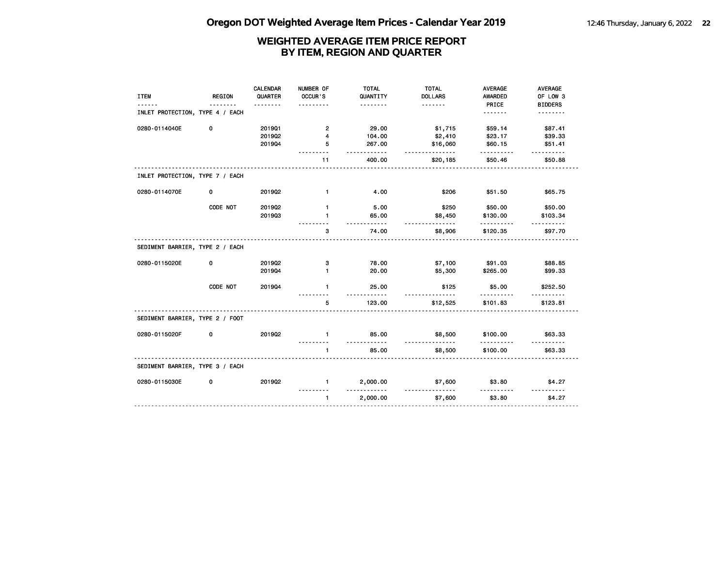| <b>ITEM</b>                     | <b>REGION</b> | CALENDAR<br>QUARTER<br>.   | NUMBER OF<br>OCCUR'S<br>-------       | <b>TOTAL</b><br>QUANTITY<br>.        | <b>TOTAL</b><br><b>DOLLARS</b><br>. <b>.</b> | <b>AVERAGE</b><br><b>AWARDED</b><br>PRICE | <b>AVERAGE</b><br>OF LOW 3<br><b>BIDDERS</b> |
|---------------------------------|---------------|----------------------------|---------------------------------------|--------------------------------------|----------------------------------------------|-------------------------------------------|----------------------------------------------|
| INLET PROTECTION, TYPE 4 / EACH |               |                            |                                       |                                      |                                              | .                                         | .                                            |
| 0280-0114040E                   | 0             | 201901<br>201902<br>201904 | $\overline{2}$<br>$\overline{4}$<br>5 | 29.00<br>104.00<br>267.00<br>$- - -$ | \$1,715<br>\$2,410<br>\$16,060<br>.          | \$59.14<br>\$23.17<br>\$60.15<br><u>.</u> | \$87.41<br>\$39.33<br>\$51.41<br><u>.</u>    |
|                                 |               |                            | 11                                    | 400.00                               | \$20,185                                     | \$50.46                                   | \$50.88                                      |
| INLET PROTECTION, TYPE 7 / EACH |               |                            |                                       |                                      |                                              |                                           |                                              |
| 0280-0114070E                   | 0             | 2019Q2                     | $\mathbf{1}$                          | 4.00                                 | \$206                                        | \$51.50                                   | \$65.75                                      |
|                                 | CODE NOT      | 2019Q2<br>201903           | $\mathbf{1}$<br>$\mathbf{1}$          | 5.00<br>65.00<br><u>.</u>            | \$250<br>\$8,450<br>.                        | \$50.00<br>\$130.00<br>.                  | \$50.00<br>\$103.34<br>$- - - - - -$         |
|                                 |               |                            | 3                                     | 74.00                                | \$8,906                                      | \$120.35                                  | \$97.70                                      |
| SEDIMENT BARRIER, TYPE 2 / EACH |               |                            |                                       |                                      |                                              |                                           |                                              |
| 0280-0115020E                   | 0             | 2019Q2<br>201904           | з<br>$\mathbf{1}$                     | 78.00<br>20.00                       | \$7,100<br>\$5,300                           | \$91.03<br>\$265.00                       | \$88.85<br>\$99.33                           |
|                                 | CODE NOT      | 201904                     | $\mathbf{1}$                          | 25.00                                | \$125                                        | \$5.00                                    | \$252.50                                     |
|                                 |               |                            | 5                                     | 123.00                               | \$12,525                                     | \$101.83                                  | \$123.81                                     |
| SEDIMENT BARRIER, TYPE 2 / FOOT |               |                            |                                       |                                      |                                              |                                           |                                              |
| 0280-0115020F                   | 0             | 2019Q2                     | $\mathbf{1}$                          | 85.00<br>.                           | \$8,500<br><u>.</u>                          | \$100.00<br>.                             | \$63.33<br><u>.</u>                          |
|                                 |               |                            | $\mathbf{1}$                          | 85.00                                | \$8,500                                      | \$100.00                                  | \$63.33                                      |
| SEDIMENT BARRIER, TYPE 3 / EACH |               |                            |                                       |                                      |                                              |                                           |                                              |
| 0280-0115030E                   | 0             | 201902                     | $\mathbf{1}$                          | 2,000.00                             | \$7,600                                      | \$3.80                                    | \$4.27                                       |
|                                 |               |                            | $\mathbf{1}$                          | 2,000.00                             | \$7,600                                      | \$3.80                                    | \$4.27                                       |
|                                 |               |                            |                                       |                                      |                                              |                                           |                                              |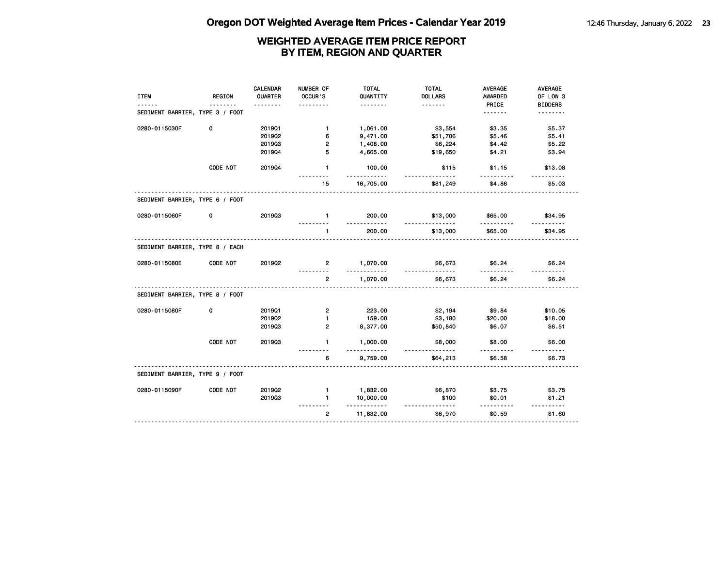| <b>ITEM</b>                     | <b>REGION</b> | <b>CALENDAR</b><br>QUARTER<br>. | NUMBER OF<br>OCCUR'S | <b>TOTAL</b><br>QUANTITY<br>. | <b>TOTAL</b><br><b>DOLLARS</b><br><u>.</u> | <b>AVERAGE</b><br><b>AWARDED</b><br>PRICE | AVERAGE<br>OF LOW 3<br><b>BIDDERS</b> |
|---------------------------------|---------------|---------------------------------|----------------------|-------------------------------|--------------------------------------------|-------------------------------------------|---------------------------------------|
| SEDIMENT BARRIER, TYPE 3 / FOOT |               |                                 |                      |                               |                                            | <u>.</u>                                  | <u>.</u>                              |
| 0280-0115030F                   | 0             | 201901                          | $\blacksquare$       | 1,061.00                      | \$3,554                                    | \$3.35                                    | \$5.37                                |
|                                 |               | 201902                          | 6                    | 9,471.00                      | \$51,706                                   | \$5.46                                    | \$5.41                                |
|                                 |               | 201903                          | $\overline{2}$       | 1,408.00                      | \$6,224                                    | \$4.42                                    | \$5.22                                |
|                                 |               | 201904                          | 5                    | 4,665.00                      | \$19,650                                   | \$4.21                                    | \$3.94                                |
|                                 | CODE NOT      | 201904                          | $\mathbf{1}$         | 100.00<br>.                   | \$115                                      | \$1.15<br>$- - - -$                       | \$13.08                               |
|                                 |               |                                 | 15                   | 16,705.00                     | \$81,249                                   | \$4.86                                    | \$5.03                                |
| SEDIMENT BARRIER, TYPE 6 / FOOT |               |                                 |                      |                               |                                            |                                           |                                       |
| 0280-0115060F                   | 0             | 201903                          | $\blacksquare$       | 200.00<br><u>.</u>            | \$13,000                                   | \$65.00                                   | \$34.95<br><u>.</u>                   |
|                                 |               |                                 | $\mathbf{1}$         | 200.00                        | \$13,000                                   | \$65.00                                   | \$34.95                               |
| SEDIMENT BARRIER, TYPE 8 / EACH |               |                                 |                      |                               |                                            |                                           |                                       |
| 0280-0115080E                   | CODE NOT      | 201902                          | $2^{\circ}$          | 1,070.00                      | \$6,673<br><u>.</u>                        | \$6.24                                    | \$6.24                                |
|                                 |               |                                 | $\mathbf{2}$         | 1,070.00                      | \$6,673                                    | \$6.24                                    | \$6.24                                |
| SEDIMENT BARRIER, TYPE 8 / FOOT |               |                                 |                      |                               |                                            |                                           |                                       |
| 0280-0115080F                   | 0             | 201901                          | $\mathbf{2}$         | 223.00                        | \$2,194                                    | \$9.84                                    | \$10.05                               |
|                                 |               | 201902                          | $\mathbf{1}$         | 159.00                        | \$3,180                                    | \$20.00                                   | \$18.00                               |
|                                 |               | 201903                          | $\overline{2}$       | 8,377.00                      | \$50,840                                   | \$6.07                                    | \$6.51                                |
|                                 | CODE NOT      | 201903                          | $\mathbf{1}$         | 1,000.00<br><u>.</u>          | \$8,000<br><u>.</u>                        | \$8.00                                    | \$6.00                                |
|                                 |               |                                 | 6                    | 9,759.00                      | \$64,213                                   | \$6.58                                    | \$6.73                                |
| SEDIMENT BARRIER, TYPE 9 / FOOT |               |                                 |                      |                               |                                            |                                           |                                       |
| 0280-0115090F                   | CODE NOT      | 201902                          | $\mathbf{1}$         | 1,832.00                      | \$6,870                                    | \$3.75                                    | \$3.75                                |
|                                 |               | 201903                          | $\mathbf{1}$         | 10,000.00<br>.                | \$100<br><u>.</u>                          | \$0.01<br>.                               | \$1.21<br>.                           |
|                                 |               |                                 | $\overline{2}$       | 11,832.00                     | \$6,970                                    | \$0.59                                    | \$1.60                                |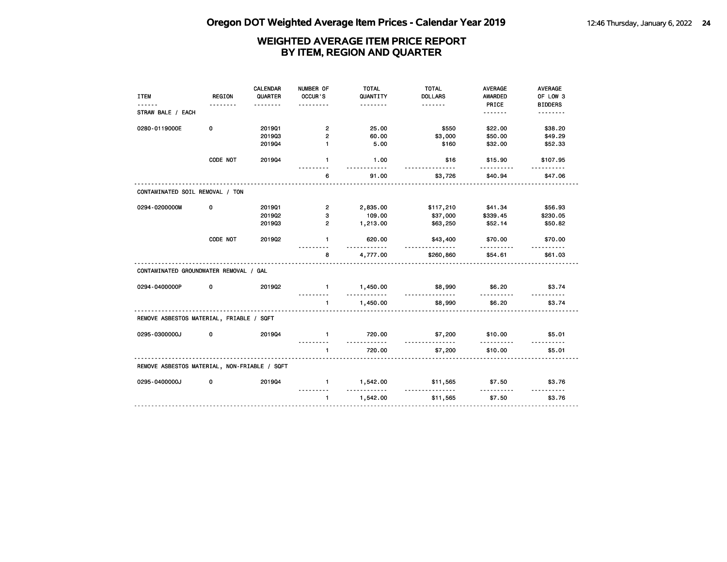|                                              |               | <b>CALENDAR</b> | NUMBER OF            | <b>TOTAL</b>  | <b>TOTAL</b>        | <b>AVERAGE</b>      | AVERAGE            |
|----------------------------------------------|---------------|-----------------|----------------------|---------------|---------------------|---------------------|--------------------|
| <b>ITEM</b>                                  | <b>REGION</b> | QUARTER         | OCCUR'S              | QUANTITY      | <b>DOLLARS</b>      | <b>AWARDED</b>      | OF LOW 3           |
|                                              |               |                 |                      | .             |                     | PRICE               | <b>BIDDERS</b>     |
| STRAW BALE / EACH                            |               |                 |                      |               |                     | <u>.</u>            | .                  |
| 0280-0119000E                                | 0             | 201901          | $\overline{2}$       | 25.00         | \$550               | \$22.00             | \$38.20            |
|                                              |               | 201903          | $\overline{2}$       | 60.00         | \$3,000             | \$50.00             | \$49.29            |
|                                              |               | 201904          | $\mathbf{1}$         | 5.00          | \$160               | \$32.00             | \$52.33            |
|                                              | CODE NOT      | 201904          | $\mathbf{1}$         | 1.00          | \$16                | \$15.90             | \$107.95           |
|                                              |               |                 | 6                    | 91.00         | \$3,726             | \$40.94             | \$47.06            |
| CONTAMINATED SOIL REMOVAL / TON              |               |                 |                      |               |                     |                     |                    |
| 0294-0200000M                                | 0             | 201901          | $\overline{2}$       | 2,835.00      | \$117,210           | \$41.34             | \$56.93            |
|                                              |               | 2019Q2          | 3                    | 109.00        | \$37,000            | \$339.45            | \$230.05           |
|                                              |               | 201903          | $\overline{2}$       | 1,213.00      | \$63,250            | \$52.14             | \$50.82            |
|                                              | CODE NOT      | 2019Q2          | $\mathbf{1}$         | 620.00<br>.   | \$43,400<br>.       | \$70.00<br><u>.</u> | \$70.00            |
|                                              |               |                 | 8                    | 4,777.00      | \$260,860           | \$54.61             | \$61.03            |
| CONTAMINATED GROUNDWATER REMOVAL / GAL       |               |                 |                      |               |                     |                     |                    |
| 0294-0400000P                                | 0             | 201902          | $\mathbf{1}$         | 1,450.00<br>. | \$8,990<br>.        | \$6.20              | \$3.74             |
|                                              |               |                 | $\mathbf{1}$         | 1,450.00      | \$8,990             | \$6.20              | \$3.74             |
| REMOVE ASBESTOS MATERIAL, FRIABLE / SQFT     |               |                 |                      |               |                     |                     |                    |
| 0295-0300000J                                | 0             | 201904          | $\mathbf{1}$         | 720.00<br>.   | \$7,200<br><u>.</u> | \$10.00<br>.        | \$5.01<br><u>.</u> |
|                                              |               |                 | $\blacktriangleleft$ | 720.00        | \$7,200             | \$10.00             | \$5.01             |
| REMOVE ASBESTOS MATERIAL, NON-FRIABLE / SQFT |               |                 |                      |               |                     |                     |                    |
| 0295-0400000J                                | 0             | 201904          | $\mathbf{1}$         | 1,542.00      | \$11,565            | \$7.50              | \$3.76             |
|                                              |               |                 | $\mathbf{1}$         | 1,542.00      | \$11,565            | \$7.50              | \$3.76             |
|                                              |               |                 |                      |               |                     |                     |                    |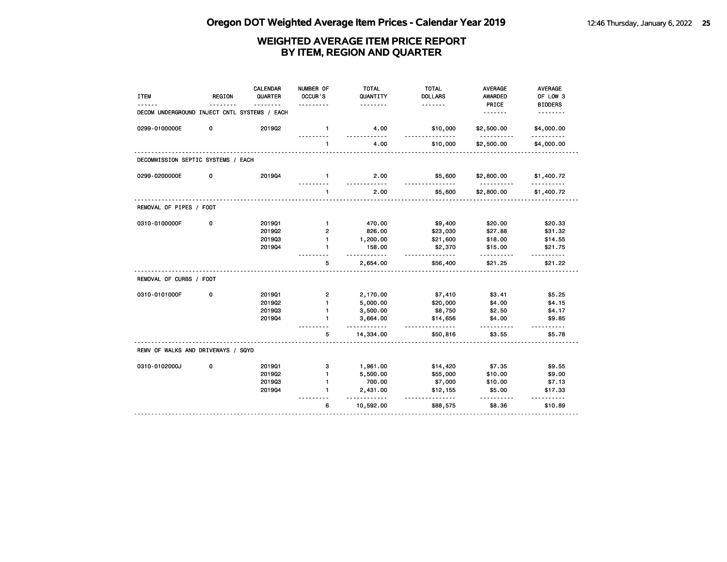| <b>ITEM</b>                                  | <b>REGION</b> | <b>CALENDAR</b><br>QUARTER | NUMBER OF<br>OCCUR'S | <b>TOTAL</b><br>QUANTITY | <b>TOTAL</b><br><b>DOLLARS</b> | <b>AVERAGE</b><br>AWARDED | AVERAGE<br>OF LOW 3  |
|----------------------------------------------|---------------|----------------------------|----------------------|--------------------------|--------------------------------|---------------------------|----------------------|
|                                              |               |                            |                      | .                        | <u>.</u>                       | PRICE                     | <b>BIDDERS</b>       |
| DECOM UNDERGROUND INJECT CNTL SYSTEMS / EACH |               |                            |                      |                          |                                | <u>.</u>                  |                      |
| 0299-0100000E                                | 0             | 201902                     | $\mathbf{1}$<br>.    | 4.00<br>$- - - - -$      | \$10,000<br>.                  | \$2,500.00<br>.           | \$4,000.00<br>.      |
|                                              |               |                            |                      | 4.00                     | \$10,000                       | \$2,500.00                | \$4,000.00           |
| DECOMMISSION SEPTIC SYSTEMS / EACH           |               |                            |                      |                          |                                |                           |                      |
| 0299-0200000E                                | 0             | 201904                     | $\blacksquare$       | 2.00<br>$- - - - -$      | \$5,600                        | \$2,800.00                | \$1,400.72           |
|                                              |               |                            | $\mathbf{1}$         | 2.00                     | \$5,600                        | \$2,800.00                | \$1,400.72           |
| REMOVAL OF PIPES / FOOT                      |               |                            |                      |                          |                                |                           |                      |
| 0310-0100000F                                | 0             | 201901                     | $\mathbf{1}$         | 470.00                   | \$9,400                        | \$20.00                   | \$20.33              |
|                                              |               | 2019Q2                     | $\overline{2}$       | 826.00                   | \$23,030                       | \$27.88                   | \$31.32              |
|                                              |               | 201903                     | 1.                   | 1,200.00                 | \$21,600                       | \$18.00                   | \$14.55              |
|                                              |               | 201904                     | $\mathbf{1}$         | 158.00<br><u>.</u>       | \$2,370<br><u>.</u>            | \$15.00                   | \$21.75              |
|                                              |               |                            | 5                    | 2,654.00                 | \$56,400                       | \$21.25                   | \$21.22              |
| REMOVAL OF CURBS / FOOT                      |               |                            |                      |                          |                                |                           |                      |
| 0310-0101000F                                | 0             | 201901                     | $\overline{2}$       | 2,170.00                 | \$7,410                        | \$3.41                    | \$5.25               |
|                                              |               | 201902                     | $\mathbf{1}$         | 5,000.00                 | \$20,000                       | \$4.00                    | \$4.15               |
|                                              |               | 201903                     | $\mathbf{1}$         | 3,500.00                 | \$8,750                        | \$2.50                    | \$4.17               |
|                                              |               | 201904                     | $\mathbf{1}$         | 3,664.00<br><u>.</u>     | \$14,656<br>.                  | \$4.00                    | \$9.85<br>.          |
|                                              |               |                            | 5                    | 14,334.00                | \$50,816                       | \$3.55                    | \$5.78               |
| REMV OF WALKS AND DRIVEWAYS / SQYD           |               |                            |                      |                          |                                |                           |                      |
| 0310-0102000J                                | 0             | 201901                     | з                    | 1,961.00                 | \$14,420                       | \$7.35                    | \$9.55               |
|                                              |               | 2019Q2                     | $\mathbf{1}$         | 5,500.00                 | \$55,000                       | \$10.00                   | \$9.00               |
|                                              |               | 201903                     | 1                    | 700.00                   | \$7,000                        | \$10.00                   | \$7.13               |
|                                              |               | 201904                     | $\blacksquare$       | 2,431.00<br>. . <b>.</b> | \$12,155<br>.                  | \$5.00                    | \$17.33<br>1.1.1.1.1 |
|                                              |               |                            | 6                    | 10,592.00                | \$88,575                       | \$8.36                    | \$10.89              |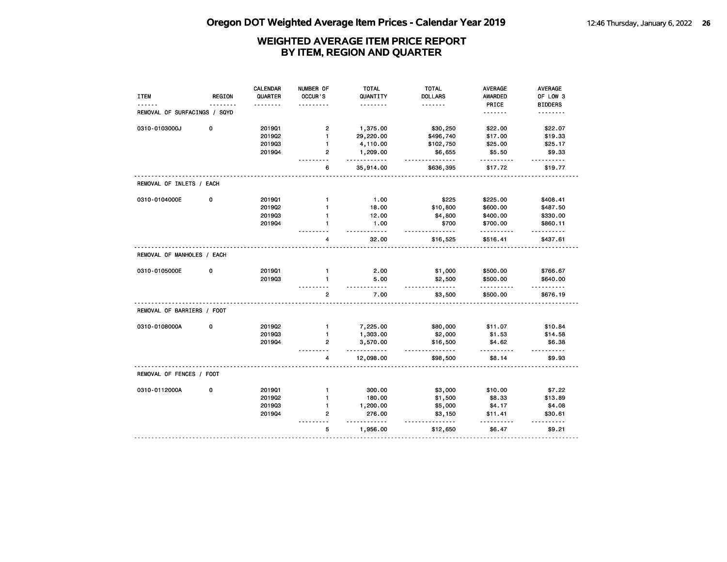| <b>ITEM</b>                  | <b>REGION</b> | <b>CALENDAR</b><br>QUARTER | NUMBER OF<br>OCCUR'S | <b>TOTAL</b><br>QUANTITY | <b>TOTAL</b><br><b>DOLLARS</b> | <b>AVERAGE</b><br>AWARDED | AVERAGE<br>OF LOW 3     |
|------------------------------|---------------|----------------------------|----------------------|--------------------------|--------------------------------|---------------------------|-------------------------|
|                              |               |                            |                      | .                        | .                              | PRICE                     | <b>BIDDERS</b>          |
| REMOVAL OF SURFACINGS / SQYD |               |                            |                      |                          |                                | <u>.</u>                  | .                       |
| 0310-0103000J                | 0             | 201901                     | $\mathbf{2}$         | 1,375.00                 | \$30,250                       | \$22.00                   | \$22.07                 |
|                              |               | 201902                     | $\mathbf{1}$         | 29,220.00                | \$496,740                      | \$17.00                   | \$19.33                 |
|                              |               | 201903                     | $\mathbf{1}$         | 4,110.00                 | \$102,750                      | \$25.00                   | \$25.17                 |
|                              |               | 201904                     | 2                    | 1,209.00<br>.            | \$6,655<br>.                   | \$5.50<br>.               | \$9.33                  |
|                              |               |                            | 6                    | 35,914.00                | \$636,395                      | \$17.72                   | \$19.77                 |
| REMOVAL OF INLETS / EACH     |               |                            |                      |                          |                                |                           |                         |
| 0310-0104000E                | 0             | 201901                     | $\mathbf{1}$         | 1.00                     | \$225                          | \$225.00                  | \$408.41                |
|                              |               | 201902                     | $\mathbf{1}$         | 18.00                    | \$10,800                       | \$600.00                  | \$487.50                |
|                              |               | 201903                     | $\mathbf{1}$         | 12.00                    | \$4,800                        | \$400.00                  | \$330.00                |
|                              |               | 201904                     | $\mathbf{1}$         | 1.00                     | \$700<br>$\cdots$              | \$700.00                  | \$860.11                |
|                              |               |                            | 4                    | 32.00                    | \$16,525                       | \$516.41                  | \$437.61                |
| REMOVAL OF MANHOLES / EACH   |               |                            |                      |                          |                                |                           |                         |
| 0310-0105000E                | 0             | 2019Q1                     | $\mathbf{1}$         | 2.00                     | \$1,000                        | \$500.00                  | \$766.67                |
|                              |               | 201903                     | $\mathbf{1}$         | 5.00<br>.                | \$2,500<br><u>.</u>            | \$500.00                  | \$640.00<br>$- - - - -$ |
|                              |               |                            | $\overline{2}$       | 7.00                     | \$3,500                        | \$500.00                  | \$676.19                |
| REMOVAL OF BARRIERS / FOOT   |               |                            |                      |                          |                                |                           |                         |
| 0310-0108000A                | 0             | 201902                     | $\mathbf{1}$         | 7,225.00                 | \$80,000                       | \$11.07                   | \$10.84                 |
|                              |               | 201903                     | $\mathbf{1}$         | 1,303.00                 | \$2,000                        | \$1.53                    | \$14.58                 |
|                              |               | 201904                     | $\overline{2}$       | 3,570.00<br>$- - - -$    | \$16,500<br>$- - -$            | \$4.62                    | \$6.38<br>-----         |
|                              |               |                            | 4                    | 12,098.00                | \$98,500                       | \$8.14                    | \$9.93                  |
| REMOVAL OF FENCES / FOOT     |               |                            |                      |                          |                                |                           |                         |
| 0310-0112000A                | 0             | 2019Q1                     | $\mathbf{1}$         | 300.00                   | \$3,000                        | \$10.00                   | \$7.22                  |
|                              |               | 2019Q2                     | $\mathbf{1}$         | 180.00                   | \$1,500                        | \$8.33                    | \$13.89                 |
|                              |               | 201903                     | $\mathbf{1}$         | 1,200.00                 | \$5,000                        | \$4.17                    | \$4.08                  |
|                              |               | 201904                     | $\overline{2}$       | 276.00                   | \$3,150                        | \$11.41                   | \$30.61                 |
|                              |               |                            | 5                    | $- - -$<br>1,956.00      | \$12,650                       | \$6.47                    | \$9.21                  |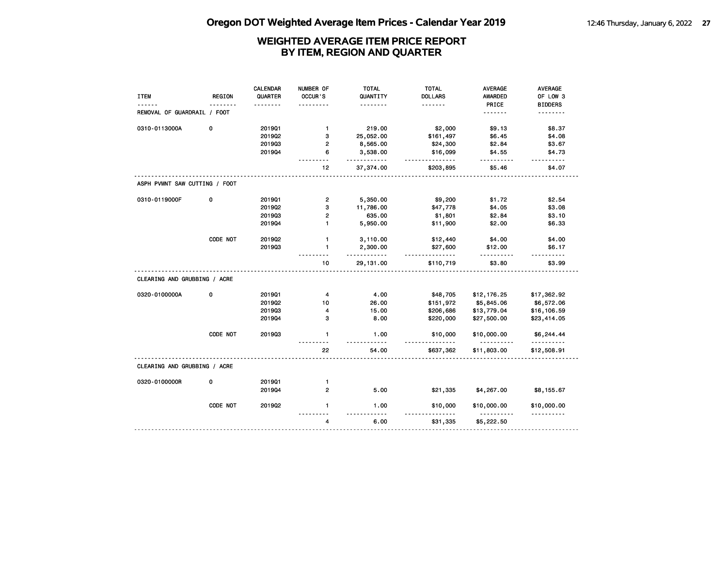| <b>ITEM</b>                   | <b>REGION</b> | <b>CALENDAR</b><br>QUARTER | NUMBER OF<br>OCCUR'S                     | <b>TOTAL</b><br>QUANTITY | <b>TOTAL</b><br><b>DOLLARS</b> | <b>AVERAGE</b><br><b>AWARDED</b> | AVERAGE<br>OF LOW 3 |
|-------------------------------|---------------|----------------------------|------------------------------------------|--------------------------|--------------------------------|----------------------------------|---------------------|
|                               |               |                            |                                          | .                        | <u>.</u>                       | PRICE                            | <b>BIDDERS</b>      |
| REMOVAL OF GUARDRAIL / FOOT   |               |                            |                                          |                          |                                | .                                | .                   |
| 0310-0113000A                 | 0             | 2019Q1                     | $\mathbf{1}$                             | 219.00                   | \$2,000                        | \$9.13                           | \$8.37              |
|                               |               | 201902                     | 3                                        | 25,052.00                | \$161,497                      | \$6.45                           | \$4.08              |
|                               |               | 201903                     | $\overline{2}$                           | 8,565.00                 | \$24,300                       | \$2.84                           | \$3.67              |
|                               |               | 201904                     | 6                                        | 3,538.00<br>.            | \$16,099<br><u>.</u>           | \$4.55<br>.                      | \$4.73<br>.         |
|                               |               |                            | 12                                       | 37,374.00                | \$203,895                      | \$5.46                           | \$4.07              |
| ASPH PVMNT SAW CUTTING / FOOT |               |                            |                                          |                          |                                |                                  |                     |
| 0310-0119000F                 | 0             | 201901                     | $\overline{\mathbf{c}}$                  | 5,350.00                 | \$9,200                        | \$1.72                           | \$2.54              |
|                               |               | 201902                     | 3                                        | 11,786.00                | \$47,778                       | \$4.05                           | \$3.08              |
|                               |               | 201903                     | $\overline{2}$                           | 635.00                   | \$1,801                        | \$2.84                           | \$3.10              |
|                               |               | 201904                     | $\mathbf{1}$                             | 5,950.00                 | \$11,900                       | \$2.00                           | \$6.33              |
|                               | CODE NOT      | 201902                     | $\mathbf{1}$                             | 3,110.00                 | \$12,440                       | \$4.00                           | \$4.00              |
|                               |               | 201903                     | $\mathbf{1}$                             | 2,300.00<br>.            | \$27,600<br>.                  | \$12.00                          | \$6.17              |
|                               |               |                            | 10                                       | 29, 131.00               | \$110,719                      | \$3.80                           | \$3.99              |
| CLEARING AND GRUBBING / ACRE  |               |                            |                                          |                          |                                |                                  |                     |
| 0320-0100000A                 | 0             | 201901                     | 4                                        | 4.00                     | \$48,705                       | \$12,176.25                      | \$17,362.92         |
|                               |               | 201902                     | 10                                       | 26.00                    | \$151,972                      | \$5,845.06                       | \$6,572.06          |
|                               |               | 201903                     | 4                                        | 15.00                    | \$206,686                      | \$13,779.04                      | \$16,106.59         |
|                               |               | 201904                     | з                                        | 8.00                     | \$220,000                      | \$27,500.00                      | \$23,414.05         |
|                               | CODE NOT      | 201903                     | $\mathbf{1}$<br>$\overline{\phantom{a}}$ | 1.00<br>$- - - - -$      | \$10,000                       | \$10,000.00<br>.                 | \$6,244.44<br>.     |
|                               |               |                            | 22                                       | 54.00                    | \$637,362                      | \$11,803.00                      | \$12,508.91         |
| CLEARING AND GRUBBING / ACRE  |               |                            |                                          |                          |                                |                                  |                     |
| 0320-0100000R                 | 0             | 2019Q1                     | 1                                        |                          |                                |                                  |                     |
|                               |               | 201904                     | $\overline{2}$                           | 5.00                     | \$21,335                       | \$4,267.00                       | \$8,155.67          |
|                               | CODE NOT      | 2019Q2                     | $\mathbf{1}$                             | 1.00                     | \$10,000                       | \$10,000.00                      | \$10,000.00<br>.    |
|                               |               |                            | 4                                        | 6.00                     | \$31,335                       | \$5,222.50                       |                     |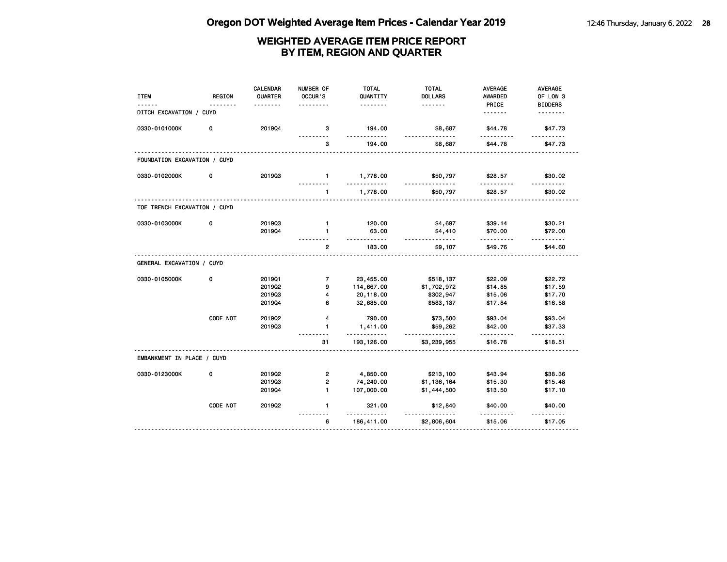| <b>ITEM</b>                  | <b>REGION</b> | <b>CALENDAR</b><br>QUARTER | NUMBER OF<br>OCCUR'S    | <b>TOTAL</b><br>QUANTITY<br>. | <b>TOTAL</b><br><b>DOLLARS</b><br><u>.</u> | <b>AVERAGE</b><br><b>AWARDED</b><br>PRICE | AVERAGE<br>OF LOW 3<br><b>BIDDERS</b> |
|------------------------------|---------------|----------------------------|-------------------------|-------------------------------|--------------------------------------------|-------------------------------------------|---------------------------------------|
| DITCH EXCAVATION / CUYD      |               |                            |                         |                               |                                            | <u>.</u>                                  | .                                     |
| 0330-0101000K                | 0             | 201904                     | 3                       | 194.00<br><u>.</u>            | \$8,687<br>.                               | \$44.78                                   | \$47.73<br>.                          |
|                              |               |                            | 3                       | 194.00                        | \$8,687                                    | \$44.78                                   | \$47.73                               |
| FOUNDATION EXCAVATION / CUYD |               |                            |                         |                               |                                            |                                           |                                       |
| 0330-0102000K                | 0             | 201903                     | $\mathbf{1}$            | 1,778.00<br>.                 | \$50,797                                   | \$28.57                                   | \$30.02                               |
|                              |               |                            | $\mathbf{1}$            | 1,778.00                      | \$50,797                                   | \$28.57                                   | \$30.02                               |
| TOE TRENCH EXCAVATION / CUYD |               |                            |                         |                               |                                            |                                           |                                       |
| 0330-0103000K                | 0             | 201903                     | $\mathbf{1}$            | 120.00                        | \$4,697                                    | \$39.14                                   | \$30.21                               |
|                              |               | 201904                     | $\mathbf{1}$            | 63.00<br>.                    | \$4,410<br>.                               | \$70.00<br>.                              | \$72.00<br>.                          |
|                              |               |                            | $\overline{2}$          | 183.00                        | \$9,107                                    | \$49.76                                   | \$44.60                               |
| GENERAL EXCAVATION / CUYD    |               |                            |                         |                               |                                            |                                           |                                       |
| 0330-0105000K                | 0             | 2019Q1                     | $\overline{7}$          | 23,455.00                     | \$518,137                                  | \$22.09                                   | \$22.72                               |
|                              |               | 201902                     | 9                       | 114,667.00                    | \$1,702,972                                | \$14.85                                   | \$17.59                               |
|                              |               | 201903                     | 4                       | 20,118.00                     | \$302,947                                  | \$15.06                                   | \$17.70                               |
|                              |               | 201904                     | 6                       | 32,685.00                     | \$583,137                                  | \$17.84                                   | \$16.58                               |
|                              | CODE NOT      | 201902                     | 4                       | 790.00                        | \$73,500                                   | \$93.04                                   | \$93.04                               |
|                              |               | 201903                     | $\mathbf{1}$            | 1,411.00<br>.                 | \$59,262<br>.                              | \$42.00<br>.                              | \$37.33<br>.                          |
|                              |               |                            | 31                      | 193, 126.00                   | \$3,239,955                                | \$16.78                                   | \$18.51                               |
| EMBANKMENT IN PLACE / CUYD   |               |                            |                         |                               |                                            |                                           |                                       |
| 0330-0123000K                | 0             | 201902                     | $\overline{\mathbf{c}}$ | 4,850.00                      | \$213,100                                  | \$43.94                                   | \$38.36                               |
|                              |               | 201903                     | $\overline{2}$          | 74,240.00                     | \$1,136,164                                | \$15.30                                   | \$15.48                               |
|                              |               | 201904                     | $\mathbf{1}$            | 107,000.00                    | \$1,444,500                                | \$13.50                                   | \$17.10                               |
|                              | CODE NOT      | 2019Q2                     | $\blacksquare$          | 321.00<br>.                   | \$12,840                                   | \$40.00                                   | \$40.00<br><u>.</u>                   |
|                              |               |                            | 6                       | 186,411.00                    | \$2,806,604                                | \$15.06                                   | \$17.05                               |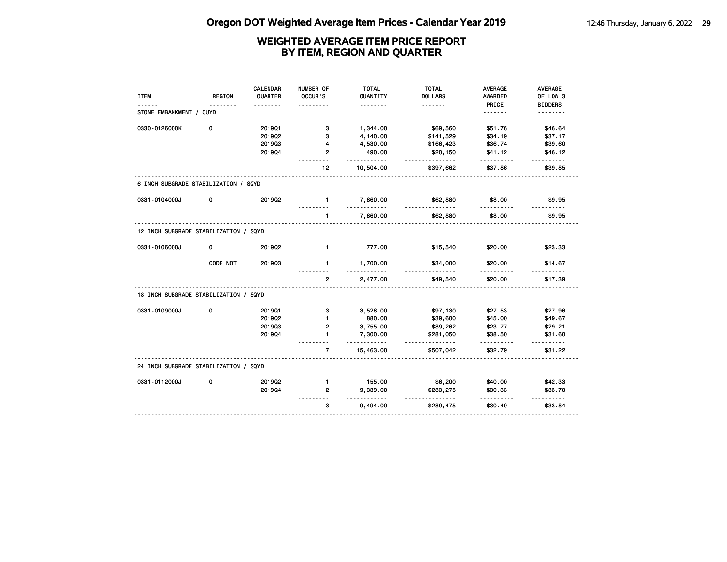|                                       |               | <b>CALENDAR</b> | NUMBER OF         | <b>TOTAL</b>         | <b>TOTAL</b>          | <b>AVERAGE</b> | <b>AVERAGE</b>      |
|---------------------------------------|---------------|-----------------|-------------------|----------------------|-----------------------|----------------|---------------------|
| <b>ITEM</b>                           | <b>REGION</b> | QUARTER         | OCCUR'S           | QUANTITY             | <b>DOLLARS</b>        | <b>AWARDED</b> | OF LOW 3            |
|                                       | .             |                 |                   | .                    | <u>.</u>              | PRICE          | <b>BIDDERS</b>      |
| STONE EMBANKMENT / CUYD               |               |                 |                   |                      |                       | <u>.</u>       | <u>.</u>            |
| 0330-0126000K                         | 0             | 201901          | з                 | 1,344.00             | \$69,560              | \$51.76        | \$46.64             |
|                                       |               | 201902          | 3                 | 4,140.00             | \$141,529             | \$34.19        | \$37.17             |
|                                       |               | 201903          | 4                 | 4,530.00             | \$166,423             | \$36.74        | \$39.60             |
|                                       |               | 201904          | $\overline{2}$    | 490.00<br><u>.</u>   | \$20,150<br>.         | \$41.12        | \$46.12             |
|                                       |               |                 | 12                | 10,504.00            | \$397,662             | \$37.86        | \$39.85             |
| 6 INCH SUBGRADE STABILIZATION / SQYD  |               |                 |                   |                      |                       |                |                     |
| 0331-0104000J                         | 0             | 2019Q2          | $\mathbf{1}$<br>. | 7,860.00<br>.        | \$62,880<br><u>.</u>  | \$8.00<br>.    | \$9.95              |
|                                       |               |                 | 1                 | 7,860.00             | \$62,880              | \$8.00         | \$9.95              |
| 12 INCH SUBGRADE STABILIZATION / SQYD |               |                 |                   |                      |                       |                |                     |
| 0331-0106000J                         | 0             | 201902          | $\mathbf{1}$      | 777.00               | \$15,540              | \$20.00        | \$23.33             |
|                                       | CODE NOT      | 201903          | $\mathbf{1}$      | 1,700.00             | \$34,000              | \$20.00<br>.   | \$14.67             |
|                                       |               |                 | $\overline{2}$    | 2,477.00             | \$49,540              | \$20.00        | \$17.39             |
| 18 INCH SUBGRADE STABILIZATION / SQYD |               |                 |                   |                      |                       |                |                     |
| 0331-0109000J                         | 0             | 201901          | 3                 | 3,528.00             | \$97,130              | \$27.53        | \$27.96             |
|                                       |               | 201902          | $\blacksquare$    | 880.00               | \$39,600              | \$45.00        | \$49.67             |
|                                       |               | 201903          | $\overline{2}$    | 3,755.00             | \$89,262              | \$23.77        | \$29.21             |
|                                       |               | 201904          | $\mathbf{1}$      | 7,300.00<br><u>.</u> | \$281,050<br><u>.</u> | \$38.50        | \$31.60<br>.        |
|                                       |               |                 | $\overline{7}$    | 15,463.00            | \$507,042             | \$32.79        | \$31.22             |
| 24 INCH SUBGRADE STABILIZATION / SQYD |               |                 |                   |                      |                       |                |                     |
| 0331-0112000J                         | 0             | 201902          | $\mathbf{1}$      | 155.00               | \$6,200               | \$40.00        | \$42.33             |
|                                       |               | 201904          | $\overline{2}$    | 9,339.00<br><u>.</u> | \$283,275<br>.        | \$30.33        | \$33.70<br><u>.</u> |
|                                       |               |                 | 3                 | 9,494.00             | \$289,475             | .<br>\$30.49   | \$33.84             |
|                                       |               |                 |                   |                      |                       |                |                     |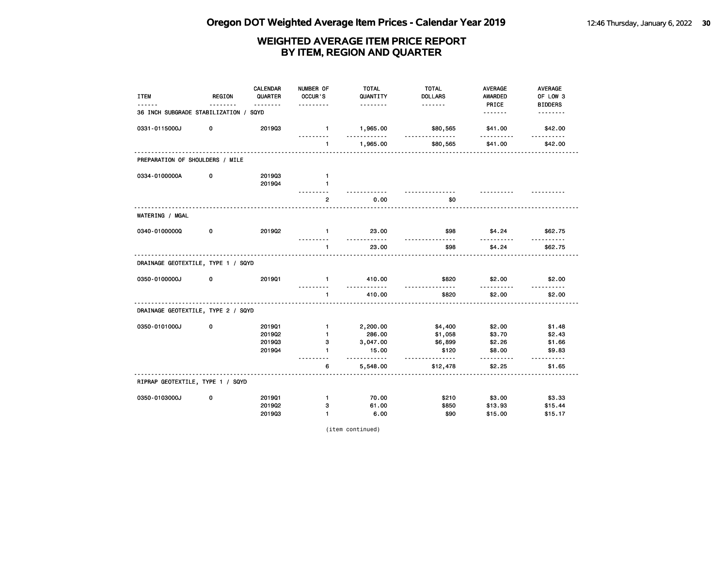| <b>ITEM</b>                           | <b>REGION</b> | <b>CALENDAR</b><br>QUARTER | NUMBER OF<br>OCCUR'S<br>. | <b>TOTAL</b><br>QUANTITY | <b>TOTAL</b><br><b>DOLLARS</b> | <b>AVERAGE</b><br><b>AWARDED</b> | <b>AVERAGE</b><br>OF LOW 3 |
|---------------------------------------|---------------|----------------------------|---------------------------|--------------------------|--------------------------------|----------------------------------|----------------------------|
| 36 INCH SUBGRADE STABILIZATION / SQYD |               | <u>.</u>                   |                           | .                        | <u>.</u>                       | PRICE<br>                        | <b>BIDDERS</b><br>-------- |
| 0331-0115000J                         | 0             | 201903                     | $\mathbf{1}$              | 1,965.00                 | \$80,565                       | \$41.00                          | \$42.00                    |
|                                       |               |                            | .<br>$\mathbf{1}$         | .<br>1,965.00            | <u>.</u><br>\$80,565           | $- - - - - -$<br>\$41.00         | <u>.</u><br>\$42.00        |
| PREPARATION OF SHOULDERS / MILE       |               |                            |                           |                          |                                |                                  |                            |
| 0334-0100000A                         | 0             | 201903                     | $\mathbf{1}$              |                          |                                |                                  |                            |
|                                       |               | 201904                     | $\mathbf{1}$              |                          |                                |                                  |                            |
|                                       |               |                            | $\mathbf{2}$              | 0.00                     | \$0                            |                                  |                            |
| WATERING / MGAL                       |               |                            |                           |                          |                                |                                  |                            |
| 0340-01000000                         | 0             | 201902                     | $\mathbf{1}$              | 23.00                    | \$98                           | \$4.24                           | \$62.75                    |
|                                       |               |                            | $\mathbf{1}$              | 23.00                    | \$98                           | \$4.24                           | \$62.75                    |
| DRAINAGE GEOTEXTILE, TYPE 1 / SQYD    |               |                            |                           |                          |                                |                                  |                            |
| 0350-0100000J                         | 0             | 201901                     | $\mathbf{1}$<br>.         | 410.00<br><u>.</u>       | \$820<br><u>.</u>              | \$2.00<br>.                      | \$2.00<br><u>.</u>         |
|                                       |               |                            | $\blacktriangleleft$      | 410.00                   | \$820                          | \$2.00                           | \$2.00                     |
| DRAINAGE GEOTEXTILE, TYPE 2 / SQYD    |               |                            |                           |                          |                                |                                  |                            |
| 0350-0101000J                         | 0             | 201901                     | $\mathbf{1}$              | 2,200.00                 | \$4,400                        | \$2.00                           | \$1.48                     |
|                                       |               | 2019Q2                     | $\mathbf{1}$              | 286.00                   | \$1,058                        | \$3.70                           | \$2.43                     |
|                                       |               | 201903                     | з                         | 3,047.00                 | \$6,899                        | \$2.26                           | \$1.66                     |
|                                       |               | 201904                     | $\mathbf{1}$<br>.         | 15.00<br>.               | \$120<br>-----                 | \$8.00<br>.                      | \$9.83<br>.                |
|                                       |               |                            | 6                         | 5,548.00                 | \$12,478                       | \$2.25                           | \$1.65                     |
| RIPRAP GEOTEXTILE, TYPE 1 / SQYD      |               |                            |                           |                          |                                |                                  |                            |
| 0350-0103000J                         | 0             | 201901                     | $\mathbf{1}$              | 70.00                    | \$210                          | \$3.00                           | \$3.33                     |
|                                       |               | 2019Q2                     | з                         | 61.00                    | \$850                          | \$13.93                          | \$15.44                    |
|                                       |               | 201903                     | $\mathbf{1}$              | 6.00                     | \$90                           | \$15.00                          | \$15.17                    |

(item continued)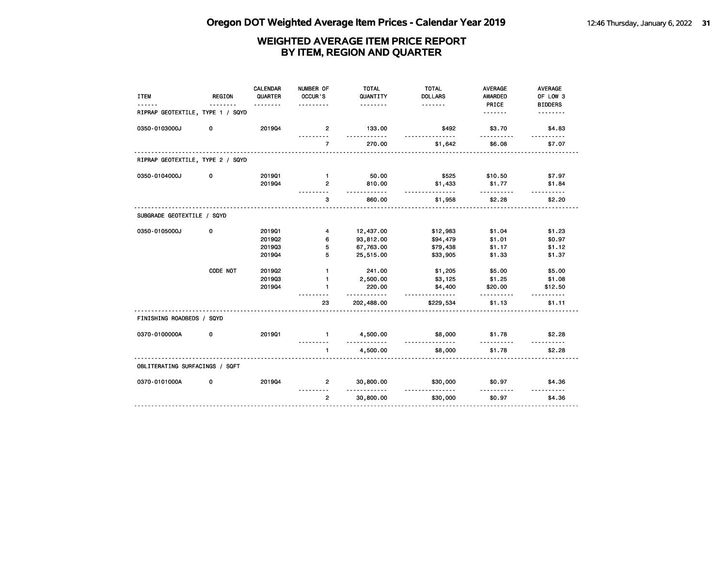| <b>ITEM</b>                      | <b>REGION</b> | <b>CALENDAR</b><br>QUARTER | NUMBER OF<br>OCCUR'S     | <b>TOTAL</b><br>QUANTITY | <b>TOTAL</b><br><b>DOLLARS</b> | <b>AVERAGE</b><br><b>AWARDED</b> | <b>AVERAGE</b><br>OF LOW 3 |
|----------------------------------|---------------|----------------------------|--------------------------|--------------------------|--------------------------------|----------------------------------|----------------------------|
| RIPRAP GEOTEXTILE, TYPE 1 / SQYD |               | .                          | .                        | .                        | <u>.</u>                       | PRICE<br>.                       | <b>BIDDERS</b>             |
| 0350-0103000J                    | 0             | 201904                     | $\overline{2}$           | 133.00<br><u>.</u>       | \$492                          | \$3.70                           | \$4.83                     |
|                                  |               |                            | $\overline{7}$           | 270.00                   | \$1,642                        | \$6.08                           | \$7.07                     |
| RIPRAP GEOTEXTILE, TYPE 2 / SQYD |               |                            |                          |                          |                                |                                  |                            |
| 0350-0104000J                    | 0             | 201901                     | $\mathbf{1}$             | 50.00                    | \$525                          | \$10.50                          | \$7.97                     |
|                                  |               | 201904                     | $\overline{2}$           | 810.00<br>.              | \$1,433<br><u>.</u>            | \$1.77                           | \$1.84                     |
|                                  |               |                            | з                        | 860.00                   | \$1,958                        | \$2.28                           | \$2.20                     |
| SUBGRADE GEOTEXTILE / SQYD       |               |                            |                          |                          |                                |                                  |                            |
| 0350-0105000J                    | 0             | 201901                     | 4                        | 12,437.00                | \$12,983                       | \$1.04                           | \$1.23                     |
|                                  |               | 201902                     | 6                        | 93,812.00                | \$94,479                       | \$1.01                           | \$0.97                     |
|                                  |               | 201903                     | 5                        | 67,763.00                | \$79,438                       | \$1.17                           | \$1.12                     |
|                                  |               | 201904                     | 5                        | 25,515.00                | \$33,905                       | \$1.33                           | \$1.37                     |
|                                  | CODE NOT      | 2019Q2                     | $\mathbf{1}$             | 241.00                   | \$1,205                        | \$5.00                           | \$5.00                     |
|                                  |               | 201903                     | $\mathbf{1}$             | 2,500.00                 | \$3,125                        | \$1.25                           | \$1.08                     |
|                                  |               | 201904                     | 1                        | 220.00<br><u>.</u>       | \$4,400<br>.                   | \$20.00                          | \$12.50                    |
|                                  |               |                            | 23                       | 202,488.00               | \$229,534                      | \$1.13                           | \$1.11                     |
| FINISHING ROADBEDS / SQYD        |               |                            |                          |                          |                                |                                  |                            |
| 0370-0100000A                    | 0             | 201901                     | $\mathbf{1}$<br><u>.</u> | 4,500.00                 | \$8,000<br>.                   | \$1.78                           | \$2.28                     |
|                                  |               |                            | $\mathbf{1}$             | .<br>4,500.00            | \$8,000                        | <u>.</u><br>\$1.78               | \$2.28                     |
| OBLITERATING SURFACINGS / SQFT   |               |                            |                          |                          |                                |                                  |                            |
| 0370-0101000A                    | 0             | 201904                     | $\overline{2}$           | 30,800.00                | \$30,000                       | \$0.97                           | \$4.36                     |
|                                  |               |                            | $\overline{2}$           | 30,800.00                | \$30,000                       | \$0.97                           | \$4.36                     |
|                                  |               |                            |                          |                          |                                |                                  |                            |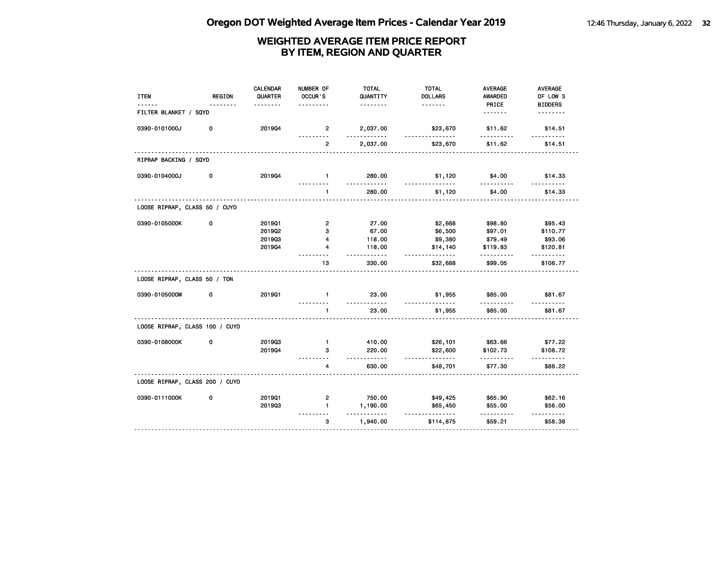| <b>ITEM</b><br>------          | <b>REGION</b><br>. | <b>CALENDAR</b><br>QUARTER<br>. | NUMBER OF<br>OCCUR'S      | <b>TOTAL</b><br>QUANTITY<br><u>.</u> | <b>TOTAL</b><br><b>DOLLARS</b> | <b>AVERAGE</b><br><b>AWARDED</b> | AVERAGE<br>OF LOW 3        |
|--------------------------------|--------------------|---------------------------------|---------------------------|--------------------------------------|--------------------------------|----------------------------------|----------------------------|
| FILTER BLANKET / SQYD          |                    |                                 |                           |                                      |                                | PRICE<br>.                       | <b>BIDDERS</b><br><u>.</u> |
| 0390-0101000J                  | 0                  | 201904                          | $\overline{2}$            | 2,037.00                             | \$23,670<br><u>.</u>           | \$11.62                          | \$14.51                    |
|                                |                    |                                 | $\overline{2}$            | 2,037.00                             | \$23,670                       | \$11.62                          | \$14.51                    |
| RIPRAP BACKING / SQYD          |                    |                                 |                           |                                      |                                |                                  |                            |
| 0390-0104000J                  | 0                  | 201904                          | $\mathbf{1}$              | 280.00<br>.                          | \$1,120<br><u>.</u>            | \$4.00<br>.                      | \$14.33<br>.               |
|                                |                    |                                 | $\mathbf{1}$              | 280.00                               | \$1,120                        | \$4.00                           | \$14.33                    |
| LOOSE RIPRAP, CLASS 50 / CUYD  |                    |                                 |                           |                                      |                                |                                  |                            |
| 0390-0105000K                  | 0                  | 201901                          | $\overline{2}$            | 27.00                                | \$2,668                        | \$98.80                          | \$95.43                    |
|                                |                    | 201902                          | 3                         | 67.00                                | \$6,500                        | \$97.01                          | \$110.77                   |
|                                |                    | 201903                          | $\overline{4}$            | 118.00                               | \$9,380                        | \$79.49                          | \$93.06                    |
|                                |                    | 201904                          | 4                         | 118.00<br><u>.</u>                   | \$14,140<br><u>.</u>           | \$119.83                         | \$120.81                   |
|                                |                    |                                 | 13                        | 330.00                               | \$32,688                       | \$99.05                          | \$106.77                   |
| LOOSE RIPRAP, CLASS 50 / TON   |                    |                                 |                           |                                      |                                |                                  |                            |
| 0390-0105000M                  | 0                  | 201901                          | $\mathbf{1}$              | 23.00                                | \$1,955                        | \$85.00                          | \$81.67                    |
|                                |                    |                                 | $\mathbf{1}$              | 23.00                                | \$1,955                        | \$85.00                          | \$81.67                    |
| LOOSE RIPRAP, CLASS 100 / CUYD |                    |                                 |                           |                                      |                                |                                  |                            |
| 0390-0108000K                  | 0                  | 201903                          | $\mathbf{1}$              | 410.00                               | \$26,101                       | \$63.66                          | \$77.22                    |
|                                |                    | 201904                          | з                         | 220.00<br><u>.</u>                   | \$22,600<br>.                  | \$102.73                         | \$108.72<br>.              |
|                                |                    |                                 | 4                         | 630.00                               | \$48,701                       | \$77.30                          | \$88.22                    |
| LOOSE RIPRAP, CLASS 200 / CUYD |                    |                                 |                           |                                      |                                |                                  |                            |
| 0390-0111000K                  | 0                  | 201901                          | $\overline{2}$            | 750.00                               | \$49,425                       | \$65.90                          | \$62.16                    |
|                                |                    | 201903                          | $\blacksquare$<br>$- - -$ | 1,190.00<br>.                        | \$65,450<br><u>.</u>           | \$55.00<br>.                     | \$56.00<br>.               |
|                                |                    |                                 | 3                         | 1,940.00                             | \$114,875                      | \$59.21                          | \$58.38                    |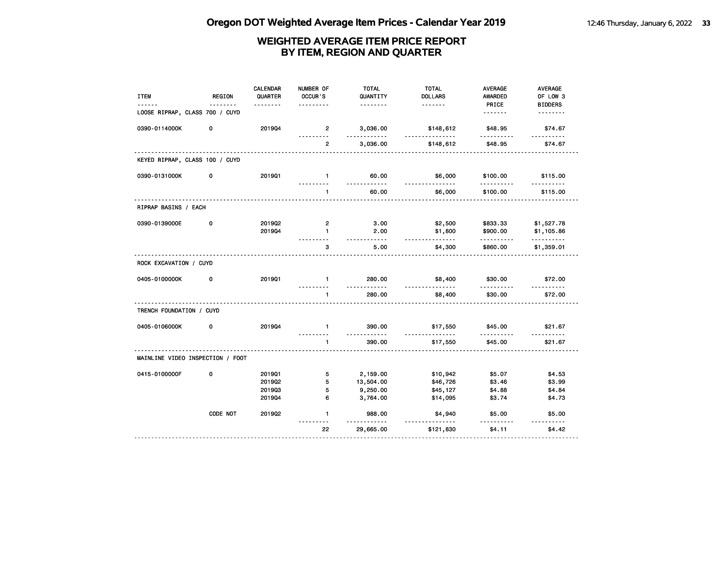| <b>ITEM</b>                      | <b>REGION</b> | <b>CALENDAR</b><br>QUARTER<br><u>.</u> | NUMBER OF<br>OCCUR'S | <b>TOTAL</b><br>QUANTITY<br>.      | <b>TOTAL</b><br><b>DOLLARS</b><br>. | <b>AVERAGE</b><br><b>AWARDED</b><br>PRICE | AVERAGE<br>OF LOW 3<br><b>BIDDERS</b> |
|----------------------------------|---------------|----------------------------------------|----------------------|------------------------------------|-------------------------------------|-------------------------------------------|---------------------------------------|
| LOOSE RIPRAP, CLASS 700 / CUYD   |               |                                        |                      |                                    |                                     | <u>.</u>                                  | .                                     |
| 0390-0114000K                    | 0             | 201904                                 | $\overline{2}$       | 3,036.00                           | \$148,612                           | \$48.95                                   | \$74.67                               |
|                                  |               |                                        | $\overline{2}$       | 3,036.00                           | \$148,612                           | \$48.95                                   | \$74.67                               |
| KEYED RIPRAP, CLASS 100 / CUYD   |               |                                        |                      |                                    |                                     |                                           |                                       |
| 0390-0131000K                    | 0             | 2019Q1                                 | $\mathbf{1}$         | 60.00                              | \$6,000                             | \$100.00                                  | \$115.00                              |
|                                  |               |                                        | $\mathbf{1}$         | 60.00                              | \$6,000                             | \$100.00                                  | \$115.00                              |
| RIPRAP BASINS / EACH             |               |                                        |                      |                                    |                                     |                                           |                                       |
| 0390-0139000E                    | 0             | 2019Q2                                 | $\overline{2}$       | 3.00                               | \$2,500                             | \$833.33                                  | \$1,527.78                            |
|                                  |               | 201904                                 | $\mathbf{1}$         | 2.00<br>-----                      | \$1,800<br><u>.</u>                 | \$900.00                                  | \$1,105.86<br>.                       |
|                                  |               |                                        | з                    | 5.00                               | \$4,300                             | \$860.00                                  | \$1,359.01                            |
| ROCK EXCAVATION / CUYD           |               |                                        |                      |                                    |                                     |                                           |                                       |
| 0405-0100000K                    | 0             | 201901                                 | $\blacksquare$       | 280.00<br><u>.</u>                 | \$8,400<br><u>.</u>                 | \$30.00                                   | \$72.00                               |
|                                  |               |                                        | $\mathbf{1}$         | 280.00                             | \$8,400                             | \$30.00                                   | \$72.00                               |
| TRENCH FOUNDATION / CUYD         |               |                                        |                      |                                    |                                     |                                           |                                       |
| 0405-0106000K                    | 0             | 201904                                 | $\mathbf{1}$         | 390.00<br>$\overline{\phantom{a}}$ | \$17,550<br>-----                   | \$45.00                                   | \$21.67                               |
|                                  |               |                                        | $\mathbf{1}$         | 390.00                             | \$17,550                            | \$45.00                                   | \$21.67                               |
| MAINLINE VIDEO INSPECTION / FOOT |               |                                        |                      |                                    |                                     |                                           |                                       |
| 0415-0100000F                    | 0             | 201901                                 | 5                    | 2,159.00                           | \$10,942                            | \$5.07                                    | \$4.53                                |
|                                  |               | 201902                                 | 5                    | 13,504.00                          | \$46,726                            | \$3.46                                    | \$3.99                                |
|                                  |               | 201903                                 | 5                    | 9,250.00                           | \$45,127                            | \$4.88                                    | \$4.84                                |
|                                  |               | 201904                                 | 6                    | 3,764.00                           | \$14,095                            | \$3.74                                    | \$4.73                                |
|                                  | CODE NOT      | 2019Q2                                 | $\mathbf{1}$         | 988.00<br>$\sim$ $\sim$            | \$4,940                             | \$5.00                                    | \$5.00                                |
|                                  |               |                                        | 22                   | 29,665.00                          | \$121,830                           | \$4.11                                    | \$4.42                                |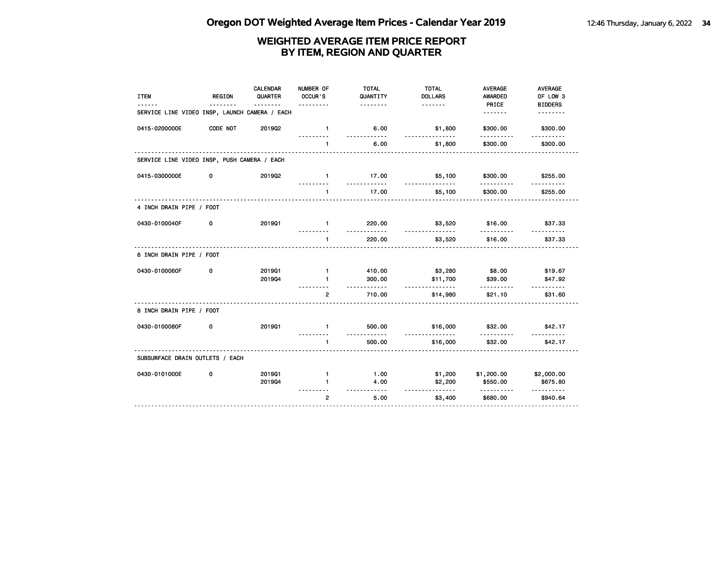| <b>ITEM</b>                                   | <b>REGION</b> | <b>CALENDAR</b><br>QUARTER<br><u>.</u> | NUMBER OF<br>OCCUR'S<br>. | <b>TOTAL</b><br>QUANTITY<br><u>.</u> | <b>TOTAL</b><br><b>DOLLARS</b><br>. | <b>AVERAGE</b><br><b>AWARDED</b><br>PRICE | AVERAGE<br>OF LOW 3<br><b>BIDDERS</b> |
|-----------------------------------------------|---------------|----------------------------------------|---------------------------|--------------------------------------|-------------------------------------|-------------------------------------------|---------------------------------------|
| SERVICE LINE VIDEO INSP, LAUNCH CAMERA / EACH |               |                                        |                           |                                      |                                     | <u>.</u>                                  | .                                     |
| 0415-0200000E                                 | CODE NOT      | 2019Q2                                 | $\mathbf{1}$              | 6.00<br>.                            | \$1,800<br><u>.</u>                 | \$300.00<br>.                             | \$300.00                              |
|                                               |               |                                        | $\mathbf{1}$              | 6.00                                 | \$1,800                             | \$300.00                                  | \$300.00                              |
| SERVICE LINE VIDEO INSP, PUSH CAMERA / EACH   |               |                                        |                           |                                      |                                     |                                           |                                       |
| 0415-0300000E                                 | 0             | 2019Q2                                 | $\mathbf{1}$              | 17.00                                | \$5,100<br><u>.</u>                 | \$300.00                                  | \$255.00                              |
|                                               |               |                                        | $\blacksquare$            | 17.00                                | \$5,100                             | \$300.00                                  | \$255.00                              |
| 4 INCH DRAIN PIPE / FOOT                      |               |                                        |                           |                                      |                                     |                                           |                                       |
| 0430-0100040F                                 | 0             | 201901                                 | $\mathbf{1}$              | 220.00<br><u>.</u>                   | \$3,520<br><u>.</u>                 | \$16.00<br>.                              | \$37.33<br><u>.</u>                   |
|                                               |               |                                        | 1                         | 220.00                               | \$3,520                             | \$16.00                                   | \$37.33                               |
| 6 INCH DRAIN PIPE / FOOT                      |               |                                        |                           |                                      |                                     |                                           |                                       |
| 0430-0100060F                                 | 0             | 201901                                 | $\mathbf{1}$              | 410.00                               | \$3,280                             | \$8.00                                    | \$19.67                               |
|                                               |               | 201904                                 | 1                         | 300.00<br>.                          | \$11,700<br><u>.</u>                | \$39.00                                   | \$47.92<br>.                          |
|                                               |               |                                        | $\overline{2}$            | 710.00                               | \$14,980                            | \$21.10                                   | \$31.60                               |
| 8 INCH DRAIN PIPE / FOOT                      |               |                                        |                           |                                      |                                     |                                           |                                       |
| 0430-0100080F                                 | 0             | 201901                                 | $\mathbf{1}$<br>--------- | 500.00<br><u>.</u>                   | \$16,000<br><u>.</u>                | \$32.00<br>.                              | \$42.17<br><u>.</u>                   |
|                                               |               |                                        | 1                         | 500.00                               | \$16,000                            | \$32.00                                   | \$42.17                               |
| SUBSURFACE DRAIN OUTLETS / EACH               |               |                                        |                           |                                      |                                     |                                           |                                       |
| 0430-0101000E                                 | 0             | 201901                                 | $\mathbf{1}$              | 1.00                                 | \$1,200                             | \$1,200.00                                | \$2,000.00                            |
|                                               |               | 201904                                 | 1                         | 4.00<br><u>.</u>                     | \$2,200<br><u>.</u>                 | \$550.00<br>.                             | \$675.80<br><u> - - - - - - - -</u>   |
|                                               |               |                                        | $\overline{2}$            | 5.00                                 | \$3,400                             | \$680.00                                  | \$940.64                              |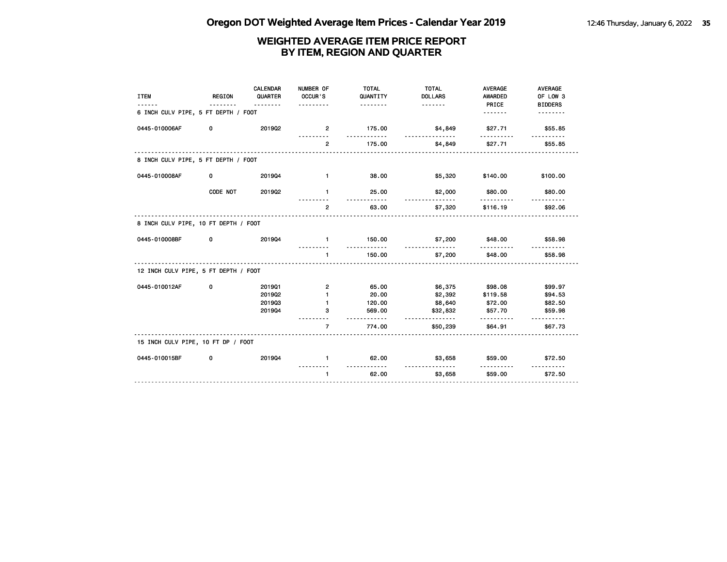| <b>ITEM</b>                          | <b>REGION</b> | <b>CALENDAR</b><br>QUARTER<br>. | NUMBER OF<br>OCCUR'S | <b>TOTAL</b><br>QUANTITY<br><u>.</u> | <b>TOTAL</b><br><b>DOLLARS</b> | <b>AVERAGE</b><br><b>AWARDED</b><br>PRICE | AVERAGE<br>OF LOW 3<br><b>BIDDERS</b> |
|--------------------------------------|---------------|---------------------------------|----------------------|--------------------------------------|--------------------------------|-------------------------------------------|---------------------------------------|
| 6 INCH CULV PIPE, 5 FT DEPTH / FOOT  |               |                                 |                      |                                      |                                | <u>.</u>                                  |                                       |
| 0445-010006AF                        | 0             | 201902                          | $\overline{2}$       | 175.00                               | \$4,849                        | \$27.71                                   | \$55.85                               |
|                                      |               |                                 | $\overline{2}$       | 175.00                               | \$4,849                        | \$27.71                                   | \$55.85                               |
| 8 INCH CULV PIPE, 5 FT DEPTH / FOOT  |               |                                 |                      |                                      |                                |                                           |                                       |
| 0445-010008AF                        | 0             | 201904                          | $\mathbf{1}$         | 38.00                                | \$5,320                        | \$140.00                                  | \$100.00                              |
|                                      | CODE NOT      | 2019Q2                          | $\mathbf{1}$         | 25.00                                | \$2,000                        | \$80.00                                   | \$80.00                               |
|                                      |               |                                 | $\overline{2}$       | 63.00                                | \$7,320                        | \$116.19                                  | \$92.06                               |
| 8 INCH CULV PIPE, 10 FT DEPTH / FOOT |               |                                 |                      |                                      |                                |                                           |                                       |
| 0445-010008BF                        | 0             | 201904                          | $\mathbf{1}$         | 150.00                               | \$7,200<br>.                   | \$48.00                                   | \$58.98                               |
|                                      |               |                                 | $\mathbf{1}$         | 150.00                               | \$7,200                        | \$48.00                                   | \$58.98                               |
| 12 INCH CULV PIPE, 5 FT DEPTH / FOOT |               |                                 |                      |                                      |                                |                                           |                                       |
| 0445-010012AF                        | 0             | 201901                          | $\mathbf{2}$         | 65.00                                | \$6,375                        | \$98.08                                   | \$99.97                               |
|                                      |               | 2019Q2                          | $\mathbf{1}$         | 20.00                                | \$2,392                        | \$119.58                                  | \$94.53                               |
|                                      |               | 201903                          | $\mathbf{1}$         | 120.00                               | \$8,640                        | \$72.00                                   | \$82.50                               |
|                                      |               | 201904                          | 3                    | 569.00                               | \$32,832<br>.                  | \$57.70                                   | \$59.98                               |
|                                      |               |                                 | $\overline{7}$       | 774.00                               | \$50,239                       | \$64.91                                   | \$67.73                               |
| 15 INCH CULV PIPE, 10 FT DP / FOOT   |               |                                 |                      |                                      |                                |                                           |                                       |
| 0445-010015BF                        | 0             | 201904                          | $\mathbf{1}$         | 62.00<br><u>----------</u>           | \$3,658<br>.                   | \$59.00                                   | \$72.50                               |
|                                      |               |                                 | $\mathbf{1}$         | 62.00                                | \$3,658                        | \$59.00                                   | \$72.50                               |
|                                      |               |                                 |                      |                                      |                                |                                           |                                       |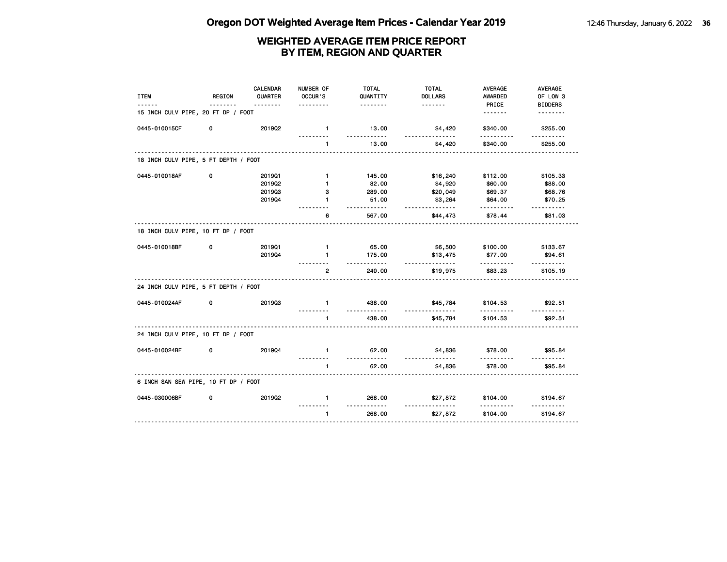| <b>ITEM</b>                          | <b>REGION</b> | <b>CALENDAR</b><br>QUARTER | NUMBER OF<br>OCCUR'S | <b>TOTAL</b><br>QUANTITY  | <b>TOTAL</b><br><b>DOLLARS</b> | <b>AVERAGE</b><br><b>AWARDED</b> | AVERAGE<br>OF LOW 3 |
|--------------------------------------|---------------|----------------------------|----------------------|---------------------------|--------------------------------|----------------------------------|---------------------|
|                                      |               | <u>.</u>                   |                      | .                         | <u>.</u>                       | PRICE                            | <b>BIDDERS</b>      |
| 15 INCH CULV PIPE, 20 FT DP / FOOT   |               |                            |                      |                           |                                | <u>.</u>                         | <u>.</u>            |
| 0445-010015CF                        | 0             | 2019Q2                     | $\mathbf{1}$         | 13.00<br>.                | \$4,420<br><u>.</u>            | \$340.00<br>.                    | \$255.00<br>.       |
|                                      |               |                            | 1                    | 13.00                     | \$4,420                        | \$340.00                         | \$255.00            |
| 18 INCH CULV PIPE, 5 FT DEPTH / FOOT |               |                            |                      |                           |                                |                                  |                     |
| 0445-010018AF                        | 0             | 201901                     | $\mathbf{1}$         | 145.00                    | \$16,240                       | \$112.00                         | \$105.33            |
|                                      |               | 2019Q2                     | $\mathbf{1}$         | 82.00                     | \$4,920                        | \$60.00                          | \$88.00             |
|                                      |               | 201903                     | 3                    | 289.00                    | \$20,049                       | \$69.37                          | \$68.76             |
|                                      |               | 201904                     | $\mathbf{1}$         | 51.00<br>.                | \$3,264<br><u>.</u>            | \$64.00                          | \$70.25             |
|                                      |               |                            | 6                    | 567.00                    | \$44,473                       | \$78.44                          | \$81.03             |
| 18 INCH CULV PIPE, 10 FT DP / FOOT   |               |                            |                      |                           |                                |                                  |                     |
| 0445-010018BF                        | 0             | 201901                     | $\mathbf{1}$         | 65.00                     | \$6,500                        | \$100.00                         | \$133.67            |
|                                      |               | 201904                     | $\mathbf{1}$         | 175.00<br>$- - - - - - -$ | \$13,475<br>.                  | \$77.00<br>.                     | \$94.61             |
|                                      |               |                            | $\overline{2}$       | 240.00                    | \$19,975                       | \$83.23                          | \$105.19            |
| 24 INCH CULV PIPE, 5 FT DEPTH / FOOT |               |                            |                      |                           |                                |                                  |                     |
| 0445-010024AF                        | 0             | 201903                     | $\mathbf{1}$         | 438.00<br>.               | \$45,784                       | \$104.53<br>.                    | \$92.51             |
|                                      |               |                            | $\mathbf{1}$         | 438.00                    | \$45,784                       | \$104.53                         | <u>.</u><br>\$92.51 |
| 24 INCH CULV PIPE, 10 FT DP / FOOT   |               |                            |                      |                           |                                |                                  |                     |
| 0445-010024BF                        | 0             | 201904                     | $\mathbf{1}$         | 62.00                     | \$4,836                        | \$78.00                          | \$95.84             |
|                                      |               |                            | $\mathbf{1}$         | .<br>62.00                | \$4,836                        | \$78.00                          | \$95.84             |
| 6 INCH SAN SEW PIPE, 10 FT DP / FOOT |               |                            |                      |                           |                                |                                  |                     |
| 0445-030006BF                        | 0             | 2019Q2                     | $\mathbf{1}$         | 268,00                    | \$27,872                       | \$104.00                         | \$194.67            |
|                                      |               |                            | $\mathbf{1}$         | 268.00                    | \$27,872                       | \$104.00                         | \$194.67            |
|                                      |               |                            |                      |                           |                                |                                  |                     |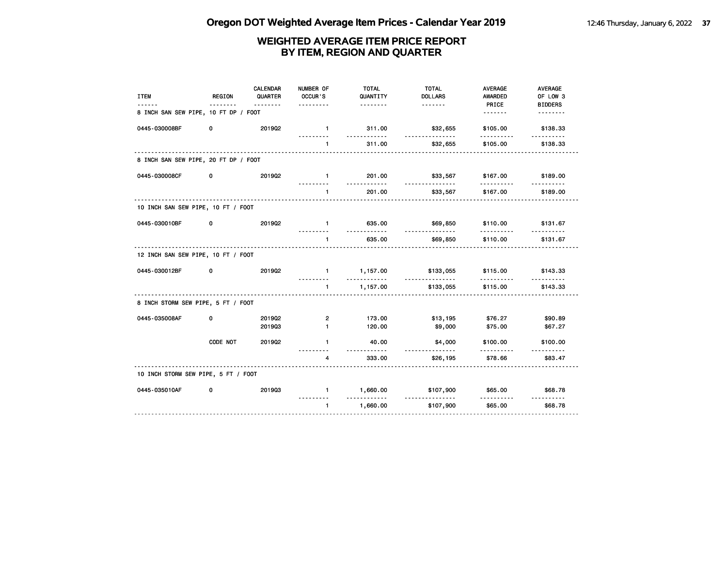| <b>ITEM</b>                          | REGION   | CALENDAR<br>QUARTER | NUMBER OF<br>OCCUR'S     | <b>TOTAL</b><br>QUANTITY | <b>TOTAL</b><br><b>DOLLARS</b> | AVERAGE<br><b>AWARDED</b> | AVERAGE<br>OF LOW 3        |
|--------------------------------------|----------|---------------------|--------------------------|--------------------------|--------------------------------|---------------------------|----------------------------|
| 8 INCH SAN SEW PIPE, 10 FT DP / FOOT |          | <u>.</u>            |                          | <u>.</u>                 | <u>.</u>                       | PRICE                     | <b>BIDDERS</b><br><u>.</u> |
| 0445-030008BF                        | 0        | 201902              | $\mathbf{1}$<br><u>.</u> | 311.00<br>.              | \$32,655<br>.                  | \$105.00<br>.             | \$138.33<br>.              |
|                                      |          |                     | $\blacksquare$           | 311.00                   | \$32,655                       | \$105.00                  | \$138.33                   |
| 8 INCH SAN SEW PIPE, 20 FT DP / FOOT |          |                     |                          |                          |                                |                           |                            |
| 0445-030008CF                        | 0        | 201902              | $\blacksquare$           | 201.00                   | \$33,567                       | \$167.00                  | \$189.00                   |
|                                      |          |                     | $\mathbf{1}$             | 201.00                   | \$33,567                       | \$167.00                  | \$189.00                   |
| 10 INCH SAN SEW PIPE, 10 FT / FOOT   |          |                     |                          |                          |                                |                           |                            |
| 0445-030010BF                        | 0        | 2019Q2              | $\mathbf{1}$             | 635.00                   | \$69,850<br>.                  | \$110.00                  | \$131.67                   |
|                                      |          | .                   | $\mathbf{1}$             | 635.00                   | \$69,850                       | \$110.00                  | \$131.67                   |
| 12 INCH SAN SEW PIPE, 10 FT / FOOT   |          |                     |                          |                          |                                |                           |                            |
| 0445-030012BF                        | 0        | 201902              | $\blacksquare$           | 1,157.00<br>$- - - - -$  | \$133,055<br>.                 | \$115.00<br>.             | \$143.33                   |
|                                      |          |                     | $\mathbf{1}$             | 1,157.00                 | \$133,055                      | \$115.00                  | \$143.33                   |
| 8 INCH STORM SEW PIPE, 5 FT / FOOT   |          |                     |                          |                          |                                |                           |                            |
| 0445-035008AF                        | 0        | 201902              | $\overline{2}$           | 173.00                   | \$13,195                       | \$76.27                   | \$90.89                    |
|                                      |          | 201903              | $\mathbf{1}$             | 120.00                   | \$9,000                        | \$75.00                   | \$67.27                    |
|                                      | CODE NOT | 201902              | $\mathbf{1}$             | 40.00<br>.               | \$4,000                        | \$100.00<br>.             | \$100.00                   |
|                                      |          |                     | 4                        | 333.00                   | \$26,195                       | \$78.66                   | \$83.47                    |
| 10 INCH STORM SEW PIPE, 5 FT / FOOT  |          |                     |                          |                          |                                |                           |                            |
| 0445-035010AF                        | 0        | 201903              | $\mathbf{1}$             | 1,660.00<br>.            | \$107,900<br><u>.</u>          | \$65.00                   | \$68.78<br>.               |
|                                      |          |                     | $\mathbf{1}$             | 1,660.00                 | \$107,900                      | \$65.00                   | \$68.78                    |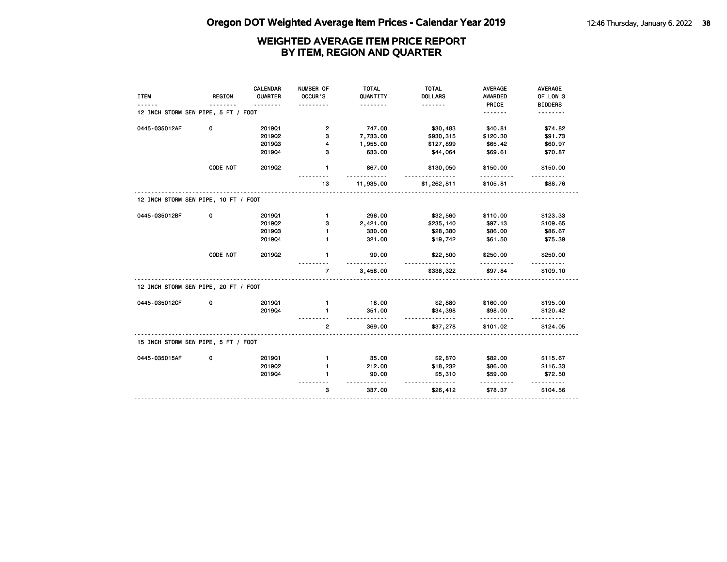|                                      |               | CALENDAR | NUMBER OF      | <b>TOTAL</b>          | <b>TOTAL</b>          | <b>AVERAGE</b>          | AVERAGE                    |
|--------------------------------------|---------------|----------|----------------|-----------------------|-----------------------|-------------------------|----------------------------|
| <b>ITEM</b>                          | <b>REGION</b> | QUARTER  | OCCUR'S        | QUANTITY<br><u>.</u>  | <b>DOLLARS</b>        | <b>AWARDED</b><br>PRICE | OF LOW 3<br><b>BIDDERS</b> |
| 12 INCH STORM SEW PIPE, 5 FT / FOOT  |               |          |                |                       |                       | <u>.</u>                | .                          |
| 0445-035012AF                        | 0             | 201901   | 2              | 747.00                | \$30,483              | \$40.81                 | \$74.82                    |
|                                      |               | 2019Q2   | з              | 7,733.00              | \$930,315             | \$120.30                | \$91.73                    |
|                                      |               | 201903   | 4              | 1,955.00              | \$127,899             | \$65.42                 | \$60.97                    |
|                                      | 201904        | 3        | 633.00         | \$44,064              | \$69.61               | \$70.87                 |                            |
|                                      | CODE NOT      | 201902   | $\mathbf{1}$   | 867.00<br>.           | \$130,050<br>.        | \$150.00<br>.           | \$150.00                   |
|                                      |               |          | 13             | 11,935.00             | \$1,262,811           | \$105.81                | \$88.76                    |
| 12 INCH STORM SEW PIPE, 10 FT / FOOT |               |          |                |                       |                       |                         |                            |
| 0445-035012BF                        | 0             | 201901   | $\mathbf{1}$   | 296.00                | \$32,560              | \$110.00                | \$123.33                   |
|                                      |               | 2019Q2   | з              | 2,421.00              | \$235,140             | \$97.13                 | \$109.65                   |
|                                      |               | 201903   | $\mathbf{1}$   | 330.00                | \$28,380              | \$86.00                 | \$86.67                    |
|                                      |               | 201904   | $\blacksquare$ | 321.00                | \$19,742              | \$61.50                 | \$75.39                    |
|                                      | CODE NOT      | 201902   | $\mathbf{1}$   | 90.00<br>. . <b>.</b> | \$22,500              | \$250.00<br>.           | \$250.00                   |
|                                      |               |          | $\overline{7}$ | 3,458.00              | <u>.</u><br>\$338,322 | \$97.84                 | \$109.10                   |
| 12 INCH STORM SEW PIPE, 20 FT / FOOT |               |          |                |                       |                       |                         |                            |
| 0445-035012CF                        | 0             | 201901   | $\mathbf{1}$   | 18.00                 | \$2,880               | \$160.00                | \$195.00                   |
|                                      |               | 201904   | $\blacksquare$ | 351.00                | \$34,398              | \$98.00<br>.            | \$120.42                   |
|                                      |               |          | $\mathbf{2}$   | .<br>369.00           | \$37,278              | \$101.02                | \$124.05                   |
| 15 INCH STORM SEW PIPE, 5 FT / FOOT  |               |          |                |                       |                       |                         |                            |
| 0445-035015AF                        | 0             | 201901   | $\mathbf{1}$   | 35.00                 | \$2,870               | \$82.00                 | \$115.67                   |
|                                      |               | 201902   | 1              | 212.00                | \$18,232              | \$86.00                 | \$116.33                   |
|                                      |               | 201904   | 1              | 90.00<br><u></u>      | \$5,310<br><u>.</u>   | \$59.00                 | \$72.50                    |
|                                      |               |          | 3              | 337.00                | \$26,412              | \$78.37                 | \$104.56                   |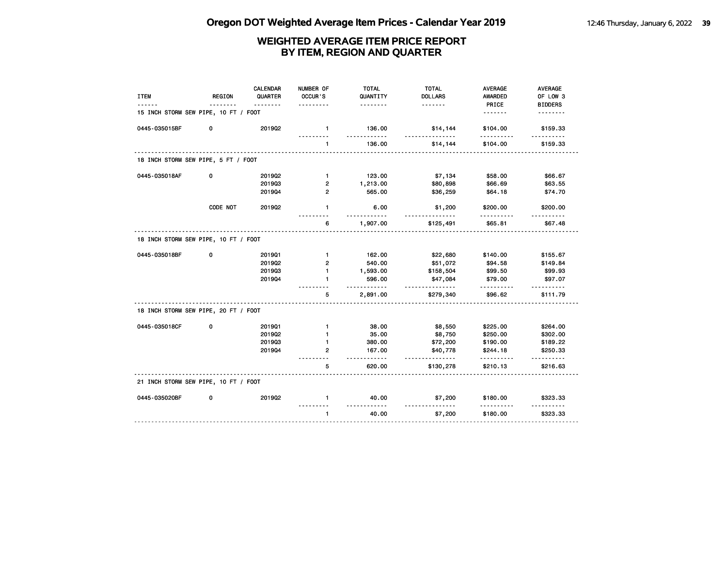| <b>ITEM</b>                          | <b>REGION</b> | <b>CALENDAR</b><br>QUARTER | NUMBER OF<br>OCCUR'S | <b>TOTAL</b><br>QUANTITY | <b>TOTAL</b><br><b>DOLLARS</b> | <b>AVERAGE</b><br>AWARDED | AVERAGE<br>OF LOW 3 |
|--------------------------------------|---------------|----------------------------|----------------------|--------------------------|--------------------------------|---------------------------|---------------------|
|                                      |               | <u>.</u>                   |                      | <u>.</u>                 | <u>.</u>                       | PRICE                     | <b>BIDDERS</b>      |
| 15 INCH STORM SEW PIPE, 10 FT / FOOT |               |                            |                      |                          |                                | .                         | .                   |
| 0445-035015BF                        | 0             | 201902                     | $\mathbf{1}$         | 136.00<br>.              | \$14,144<br><u>.</u>           | \$104.00<br>.             | \$159.33<br>.       |
|                                      |               |                            | 1                    | 136.00                   | \$14,144                       | \$104.00                  | \$159.33            |
| 18 INCH STORM SEW PIPE, 5 FT / FOOT  |               |                            |                      |                          |                                |                           |                     |
| 0445-035018AF                        | 0             | 2019Q2                     | $\mathbf{1}$         | 123.00                   | \$7,134                        | \$58.00                   | \$66.67             |
|                                      |               | 201903                     | 2                    | 1,213.00                 | \$80,898                       | \$66.69                   | \$63.55             |
|                                      |               | 201904                     | $\overline{2}$       | 565.00                   | \$36,259                       | \$64.18                   | \$74.70             |
|                                      | CODE NOT      | 2019Q2                     | $\mathbf{1}$         | 6.00                     | \$1,200                        | \$200.00                  | \$200.00            |
|                                      |               |                            | 6                    | 1,907.00                 | \$125,491                      | \$65.81                   | \$67.48             |
| 18 INCH STORM SEW PIPE, 10 FT / FOOT |               |                            |                      |                          |                                |                           |                     |
| 0445-035018BF                        | 0             | 201901                     | $\mathbf{1}$         | 162.00                   | \$22,680                       | \$140.00                  | \$155.67            |
|                                      |               | 2019Q2                     | $\overline{2}$       | 540.00                   | \$51,072                       | \$94.58                   | \$149.84            |
|                                      |               | 201903                     | $\mathbf{1}$         | 1,593.00                 | \$158,504                      | \$99.50                   | \$99.93             |
|                                      |               | 201904                     | $\mathbf{1}$         | 596.00<br><u>.</u>       | \$47,084<br><u>.</u>           | \$79.00                   | \$97.07             |
|                                      |               |                            | 5                    | 2,891.00                 | \$279,340                      | \$96.62                   | \$111.79            |
| 18 INCH STORM SEW PIPE, 20 FT / FOOT |               |                            |                      |                          |                                |                           |                     |
| 0445-035018CF                        | 0             | 201901                     | $\mathbf{1}$         | 38.00                    | \$8,550                        | \$225.00                  | \$264.00            |
|                                      |               | 201902                     | 1                    | 35.00                    | \$8,750                        | \$250.00                  | \$302.00            |
|                                      |               | 201903                     | $\mathbf{1}$         | 380.00                   | \$72,200                       | \$190.00                  | \$189.22            |
|                                      |               | 201904                     | $\mathbf{2}$         | 167.00<br>$- - -$        | \$40,778<br>.                  | \$244.18<br>.             | \$250.33<br>.       |
|                                      |               |                            | 5                    | 620.00                   | \$130,278                      | \$210.13                  | \$216.63            |
| 21 INCH STORM SEW PIPE, 10 FT / FOOT |               |                            |                      |                          |                                |                           |                     |
| 0445-035020BF                        | 0             | 201902                     | $\mathbf{1}$         | 40.00                    | \$7,200                        | \$180.00                  | \$323.33            |
|                                      |               |                            | $\mathbf{1}$         | 40.00                    | \$7,200                        | \$180.00                  | \$323.33            |
|                                      |               |                            |                      |                          |                                |                           |                     |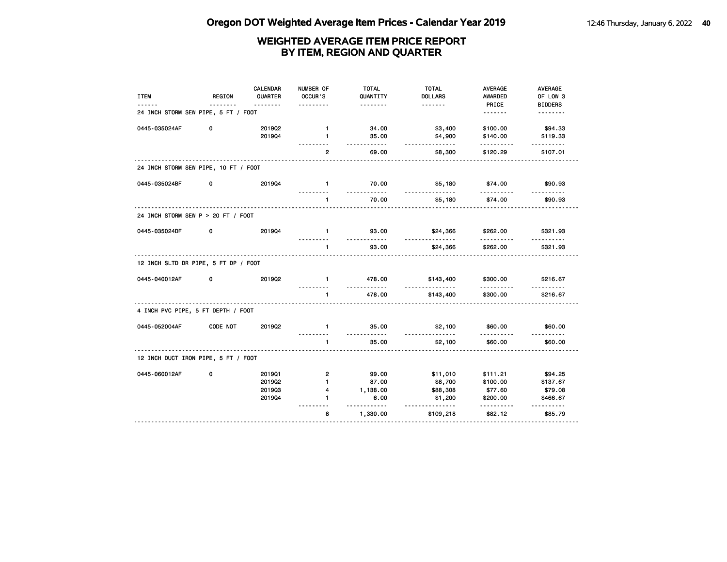| <b>ITEM</b>                          | REGION   | <b>CALENDAR</b><br>QUARTER | NUMBER OF<br>OCCUR'S       | <b>TOTAL</b><br>QUANTITY | <b>TOTAL</b><br><b>DOLLARS</b> | <b>AVERAGE</b><br>AWARDED | <b>AVERAGE</b><br>OF LOW 3 |
|--------------------------------------|----------|----------------------------|----------------------------|--------------------------|--------------------------------|---------------------------|----------------------------|
|                                      | <u>.</u> | <u>.</u>                   | .                          | .                        | <u>.</u>                       | PRICE                     | <b>BIDDERS</b>             |
| 24 INCH STORM SEW PIPE, 5 FT / FOOT  |          |                            |                            |                          |                                | <u>.</u>                  | <u>.</u>                   |
| 0445-035024AF                        | 0        | 201902                     | $\mathbf{1}$               | 34.00                    | \$3,400                        | \$100.00                  | \$94.33                    |
|                                      |          | 201904                     | 1                          | 35.00<br>.               | \$4,900<br>.                   | \$140.00<br>.             | \$119.33<br>.              |
|                                      |          |                            | $\overline{2}$             | 69.00                    | \$8,300                        | \$120.29                  | \$107.01                   |
| 24 INCH STORM SEW PIPE, 10 FT / FOOT |          |                            |                            |                          |                                |                           |                            |
| 0445-035024BF                        | 0        | 201904                     | $\mathbf{1}$<br>.          | 70.00<br><u></u>         | \$5,180<br><u>.</u>            | \$74.00<br><u>.</u>       | \$90.93<br>.               |
|                                      |          |                            | $\mathbf{1}$               | 70.00                    | \$5,180                        | \$74.00                   | \$90.93                    |
| 24 INCH STORM SEW P > 20 FT / FOOT   |          |                            |                            |                          |                                |                           |                            |
| 0445-035024DF                        | 0        | 201904                     | $\mathbf{1}$               | 93.00<br><u>.</u>        | \$24,366<br>.                  | \$262.00                  | \$321.93                   |
|                                      |          |                            | $\mathbf{1}$               | 93.00                    | \$24,366                       | \$262.00                  | \$321.93                   |
| 12 INCH SLTD DR PIPE, 5 FT DP / FOOT |          |                            |                            |                          |                                |                           |                            |
| 0445-040012AF                        | 0        | 201902                     | $\mathbf{1}$               | 478.00                   | \$143,400<br><u>----------</u> | \$300.00                  | \$216.67                   |
|                                      |          |                            | $\mathbf{1}$               | 478.00                   | \$143,400                      | \$300.00                  | \$216.67                   |
| 4 INCH PVC PIPE, 5 FT DEPTH / FOOT   |          |                            |                            |                          |                                |                           |                            |
| 0445-052004AF                        | CODE NOT | 2019Q2                     | $\mathbf{1}$               | 35.00<br>.               | \$2,100                        | \$60.00                   | \$60.00                    |
|                                      |          |                            | $\blacksquare$<br><u>.</u> | 35.00                    | \$2,100                        | \$60.00                   | \$60.00                    |
| 12 INCH DUCT IRON PIPE, 5 FT / FOOT  |          |                            |                            |                          |                                |                           |                            |
| 0445-060012AF                        | 0        | 201901                     | $\overline{2}$             | 99.00                    | \$11,010                       | \$111.21                  | \$94.25                    |
|                                      |          | 201902                     | $\mathbf{1}$               | 87.00                    | \$8,700                        | \$100.00                  | \$137.67                   |
|                                      |          | 201903                     | 4                          | 1,138.00                 | \$88,308                       | \$77.60                   | \$79.08                    |
|                                      |          | 201904                     | $\blacksquare$             | 6.00<br><u>.</u>         | \$1,200<br>.                   | \$200.00<br>.             | \$466.67<br>.              |
|                                      |          |                            | 8                          | 1,330.00                 | \$109,218                      | \$82.12                   | \$85.79                    |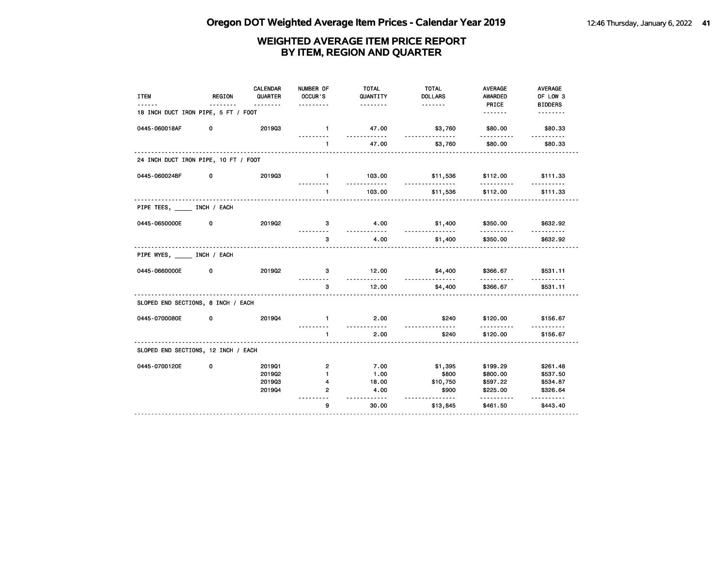| <b>ITEM</b>                          | REGION | CALENDAR<br>QUARTER<br><u>.</u> | NUMBER OF<br>OCCUR'S<br>. | <b>TOTAL</b><br>QUANTITY<br>. | <b>TOTAL</b><br><b>DOLLARS</b> | <b>AVERAGE</b><br>AWARDED<br>PRICE | <b>AVERAGE</b><br>OF LOW 3<br><b>BIDDERS</b> |
|--------------------------------------|--------|---------------------------------|---------------------------|-------------------------------|--------------------------------|------------------------------------|----------------------------------------------|
| 18 INCH DUCT IRON PIPE, 5 FT / FOOT  |        |                                 |                           |                               |                                |                                    | <u>.</u>                                     |
| 0445-060018AF                        | 0      | 201903                          | $\mathbf{1}$              | 47.00<br>.                    | \$3,760                        | \$80.00<br><u>.</u>                | \$80.33<br><u>.</u>                          |
|                                      |        |                                 | $\mathbf{1}$              | 47.00                         | \$3,760                        | \$80.00                            | \$80.33                                      |
| 24 INCH DUCT IRON PIPE, 10 FT / FOOT |        |                                 |                           |                               |                                |                                    |                                              |
| 0445-060024BF                        | 0      | 201903                          | $\blacksquare$            | 103.00<br>.                   | \$11,536<br>.                  | \$112.00<br>.                      | \$111.33                                     |
|                                      |        |                                 | $\mathbf{1}$              | 103.00                        | \$11,536                       | \$112.00                           | \$111.33                                     |
| PIPE TEES, _____ INCH / EACH         |        |                                 |                           |                               |                                |                                    |                                              |
| 0445-0650000E                        | 0      | 201902                          | 3                         | 4.00<br><u>.</u>              | \$1,400<br><u>.</u>            | \$350.00<br>.                      | \$632.92<br><u>.</u>                         |
|                                      |        |                                 | 3                         | 4.00                          | \$1,400                        | \$350.00                           | \$632.92                                     |
| PIPE WYES, INCH / EACH               |        |                                 |                           |                               |                                |                                    |                                              |
| 0445-0660000E                        | 0      | 201902                          | 3                         | 12.00<br>.                    | \$4,400                        | \$366.67                           | \$531.11<br>.                                |
|                                      |        |                                 | 3                         | 12.00                         | \$4,400                        | \$366.67                           | \$531.11                                     |
| SLOPED END SECTIONS, 8 INCH / EACH   |        |                                 |                           |                               |                                |                                    |                                              |
| 0445-0700080E                        | 0      | 201904                          | $\mathbf{1}$              | 2.00<br>.                     | \$240                          | \$120.00                           | \$156.67                                     |
|                                      |        |                                 | $\mathbf{1}$              | 2.00                          | \$240                          | \$120.00                           | \$156.67                                     |
| SLOPED END SECTIONS, 12 INCH / EACH  |        |                                 |                           |                               |                                |                                    |                                              |
| 0445-0700120E                        | 0      | 201901                          | $\mathbf{2}$              | 7.00                          | \$1,395                        | \$199.29                           | \$261.48                                     |
|                                      |        | 201902                          | $\mathbf{1}$              | 1.00                          | \$800                          | \$800.00                           | \$537.50                                     |
|                                      |        | 201903                          | 4                         | 18.00                         | \$10,750                       | \$597.22                           | \$534.87                                     |
|                                      |        | 201904                          | $\overline{2}$            | 4.00<br>.                     | \$900<br><u>.</u>              | \$225.00<br>.                      | \$326.64<br><u>.</u>                         |
|                                      |        |                                 | 9                         | 30.00                         | \$13,845                       | \$461.50                           | \$443.40                                     |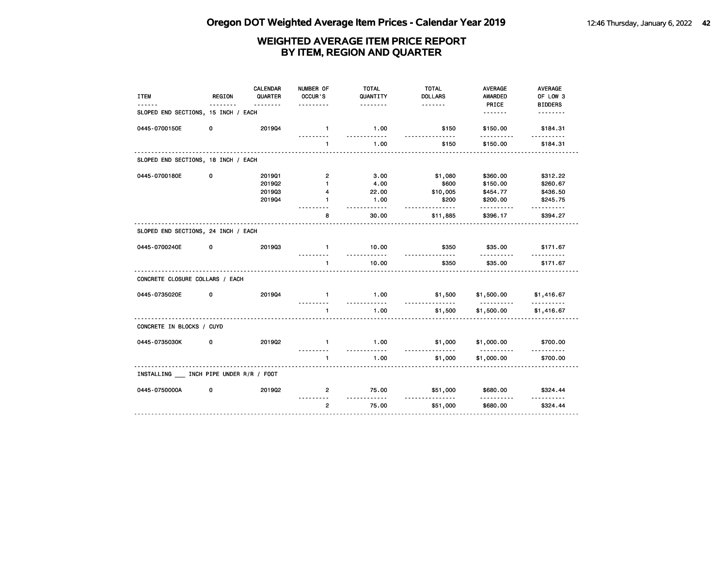| <b>ITEM</b>                           | <b>REGION</b> | <b>CALENDAR</b><br>QUARTER | NUMBER OF<br>OCCUR'S | <b>TOTAL</b><br>QUANTITY | <b>TOTAL</b><br><b>DOLLARS</b> | <b>AVERAGE</b><br><b>AWARDED</b> | <b>AVERAGE</b><br>OF LOW 3 |
|---------------------------------------|---------------|----------------------------|----------------------|--------------------------|--------------------------------|----------------------------------|----------------------------|
| SLOPED END SECTIONS, 15 INCH / EACH   |               | <u>.</u>                   | .                    | .                        | <u>.</u>                       | PRICE                            | <b>BIDDERS</b><br><u>.</u> |
| 0445-0700150E                         | 0             | 201904                     | $\mathbf{1}$         | 1.00<br>.                | \$150<br>.                     | \$150.00                         | \$184.31                   |
|                                       |               |                            | .<br>1               | 1.00                     | \$150                          | .<br>\$150.00                    | <u>.</u><br>\$184.31       |
| SLOPED END SECTIONS, 18 INCH / EACH   |               |                            |                      |                          |                                |                                  |                            |
| 0445-0700180E                         | 0             | 201901                     | 2                    | 3.00                     | \$1,080                        | \$360.00                         | \$312.22                   |
|                                       |               | 201902                     | 1                    | 4.00                     | \$600                          | \$150.00                         | \$260.67                   |
|                                       |               | 201903                     | 4                    | 22.00                    | \$10,005                       | \$454.77                         | \$436.50                   |
|                                       |               | 201904                     | 1                    | 1.00<br><u>.</u>         | \$200<br>.                     | \$200.00<br>.                    | \$245.75<br>.              |
|                                       |               |                            | 8                    | 30.00                    | \$11,885                       | \$396.17                         | \$394.27                   |
| SLOPED END SECTIONS, 24 INCH / EACH   |               |                            |                      |                          |                                |                                  |                            |
| 0445-0700240E                         | 0             | 201903                     | $\mathbf{1}$         | 10.00<br>.               | \$350<br>.                     | \$35.00                          | \$171.67                   |
|                                       |               |                            | $\mathbf{1}$         | 10.00                    | \$350                          | \$35.00                          | \$171.67                   |
| CONCRETE CLOSURE COLLARS / EACH       |               |                            |                      |                          |                                |                                  |                            |
| 0445-0735020E                         | 0             | 201904                     | $\mathbf{1}$         | 1.00<br>.                | \$1,500<br><u>.</u>            | \$1,500.00                       | \$1,416.67                 |
|                                       |               |                            | $\blacksquare$       | 1.00                     | \$1,500                        | .<br>\$1,500.00                  | \$1,416.67                 |
| CONCRETE IN BLOCKS / CUYD             |               |                            |                      |                          |                                |                                  |                            |
| 0445-0735030K                         | 0             | 201902                     | $\mathbf{1}$         | 1.00<br>.                | \$1,000                        | \$1,000.00<br><u>.</u>           | \$700.00                   |
|                                       |               |                            | $\mathbf{1}$         | 1.00                     | \$1,000                        | \$1,000.00                       | \$700.00                   |
| INSTALLING INCH PIPE UNDER R/R / FOOT |               |                            |                      |                          |                                |                                  |                            |
| 0445-0750000A                         | 0             | 2019Q2                     | $\overline{2}$       | 75.00<br>.               | \$51,000<br>.                  | \$680.00                         | \$324.44<br><u>.</u>       |
|                                       |               |                            | $\overline{2}$       | 75.00                    | \$51,000                       | \$680.00                         | \$324.44                   |
|                                       |               |                            |                      |                          |                                |                                  |                            |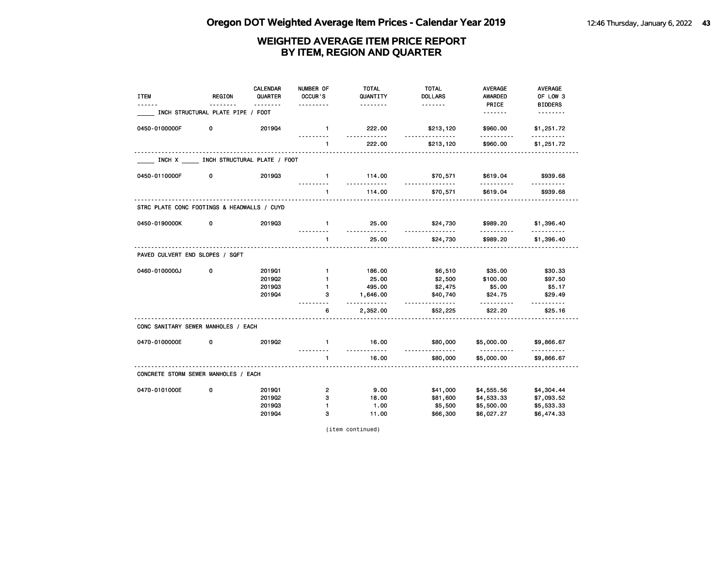| <b>ITEM</b>                                 | <b>REGION</b>                       | <b>CALENDAR</b><br>QUARTER<br><u>.</u> | NUMBER OF<br>OCCUR'S<br>. | <b>TOTAL</b><br>QUANTITY<br><u>.</u> | <b>TOTAL</b><br><b>DOLLARS</b><br><u>.</u> | <b>AVERAGE</b><br><b>AWARDED</b><br>PRICE | <b>AVERAGE</b><br>OF LOW 3 |
|---------------------------------------------|-------------------------------------|----------------------------------------|---------------------------|--------------------------------------|--------------------------------------------|-------------------------------------------|----------------------------|
|                                             | INCH STRUCTURAL PLATE PIPE / FOOT   |                                        |                           |                                      |                                            | .                                         | <b>BIDDERS</b><br><u>.</u> |
| 0450-0100000F                               | 0                                   | 201904                                 | $\mathbf{1}$              | 222.00<br><u>.</u>                   | \$213,120<br>.                             | \$960.00                                  | \$1,251.72                 |
|                                             |                                     |                                        | .<br>1                    | 222.00                               | \$213,120                                  | .<br>\$960.00                             | <u>.</u><br>\$1,251.72     |
|                                             | INCH X INCH STRUCTURAL PLATE / FOOT |                                        |                           |                                      |                                            |                                           |                            |
| 0450-0110000F                               | 0                                   | 201903                                 | $\mathbf{1}$              | 114.00<br><u>.</u>                   | \$70,571<br><u>.</u>                       | \$619.04<br>.                             | \$939.68                   |
|                                             |                                     |                                        | $\mathbf{1}$              | 114.00                               | \$70,571                                   | \$619.04                                  | \$939.68                   |
| STRC PLATE CONC FOOTINGS & HEADWALLS / CUYD |                                     |                                        |                           |                                      |                                            |                                           |                            |
| 0450-0190000K                               | 0                                   | 201903                                 | $\mathbf{1}$              | 25.00<br>.                           | \$24,730<br><u>------------</u>            | \$989.20                                  | \$1,396.40                 |
|                                             |                                     |                                        | $\mathbf{1}$              | 25.00                                | \$24,730                                   | \$989.20                                  | \$1,396.40                 |
| PAVED CULVERT END SLOPES / SQFT             |                                     |                                        |                           |                                      |                                            |                                           |                            |
| 0460-0100000J                               | 0                                   | 201901                                 | $\mathbf{1}$              | 186.00                               | \$6,510                                    | \$35.00                                   | \$30.33                    |
|                                             |                                     | 201902                                 | $\mathbf{1}$              | 25.00                                | \$2,500                                    | \$100.00                                  | \$97.50                    |
|                                             |                                     | 201903                                 | $\mathbf{1}$              | 495.00                               | \$2,475                                    | \$5.00                                    | \$5.17                     |
|                                             |                                     | 201904                                 | 3                         | 1,646.00<br>.                        | \$40,740<br><u>.</u>                       | \$24.75                                   | \$29.49                    |
|                                             |                                     |                                        | 6                         | 2,352.00                             | \$52,225                                   | \$22.20                                   | \$25.16                    |
| CONC SANITARY SEWER MANHOLES / EACH         |                                     |                                        |                           |                                      |                                            |                                           |                            |
| 0470-0100000E                               | 0                                   | 201902                                 | $\mathbf{1}$              | 16.00                                | \$80,000                                   | \$5,000.00                                | \$9,866.67                 |
|                                             |                                     |                                        | $\mathbf{1}$              | .<br>16.00                           | <u>.</u><br>\$80,000                       | <u>.</u><br>\$5,000.00                    | <u>.</u><br>\$9,866.67     |
| CONCRETE STORM SEWER MANHOLES / EACH        |                                     |                                        |                           |                                      |                                            |                                           |                            |
| 0470-0101000E                               | 0                                   | 201901                                 | $\overline{2}$            | 9.00                                 | \$41,000                                   | \$4,555.56                                | \$4,304.44                 |
|                                             |                                     | 2019Q2                                 | 3                         | 18.00                                | \$81,600                                   | \$4,533.33                                | \$7,093.52                 |
|                                             |                                     | 201903                                 | $\mathbf{1}$              | 1.00                                 | \$5,500                                    | \$5,500.00                                | \$5,533.33                 |
|                                             |                                     | 201904                                 | 3                         | 11.00                                | \$66,300                                   | \$6,027.27                                | \$6,474.33                 |

(item continued)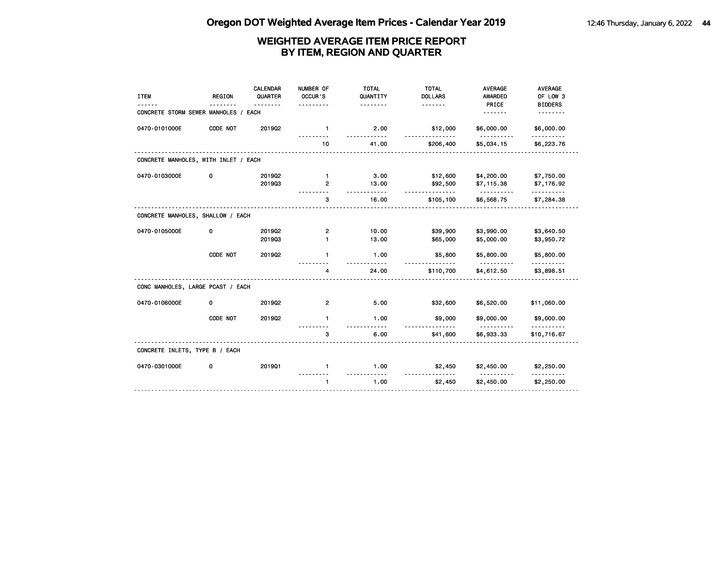| <b>ITEM</b>                          | <b>REGION</b> | CALENDAR<br>QUARTER<br><u>.</u> | NUMBER OF<br>OCCUR'S<br><u>.</u> | <b>TOTAL</b><br>QUANTITY<br>. | <b>TOTAL</b><br><b>DOLLARS</b><br><u>.</u> | <b>AVERAGE</b><br><b>AWARDED</b><br>PRICE | <b>AVERAGE</b><br>OF LOW 3<br><b>BIDDERS</b> |
|--------------------------------------|---------------|---------------------------------|----------------------------------|-------------------------------|--------------------------------------------|-------------------------------------------|----------------------------------------------|
| CONCRETE STORM SEWER MANHOLES /      |               | EACH                            |                                  |                               |                                            | .                                         |                                              |
| 0470-0101000E                        | CODE NOT      | 2019Q2                          | $\mathbf{1}$                     | 2.00                          | \$12,000                                   | \$6,000.00                                | \$6,000.00                                   |
|                                      |               |                                 | 10                               | 41.00                         | \$206,400                                  | \$5,034.15                                | \$6,223.76                                   |
| CONCRETE MANHOLES, WITH INLET / EACH |               |                                 |                                  |                               |                                            |                                           |                                              |
| 0470-0103000E                        | 0             | 201902                          | $\mathbf{1}$                     | 3.00                          | \$12,600                                   | \$4,200.00                                | \$7,750.00                                   |
|                                      |               | 201903                          | 2                                | 13.00<br>$- - - - -$          | \$92,500<br>.                              | \$7,115.38<br><u>.</u>                    | \$7,176.92<br>. <b>.</b> .                   |
|                                      |               |                                 | 3                                | 16.00                         | \$105,100                                  | \$6,568.75                                | \$7,284.38                                   |
| CONCRETE MANHOLES, SHALLOW / EACH    |               |                                 |                                  |                               |                                            |                                           |                                              |
| 0470-0105000E                        | 0             | 2019Q2                          | 2                                | 10.00                         | \$39,900                                   | \$3,990.00                                | \$3,640.50                                   |
|                                      |               | 201903                          | 1                                | 13.00                         | \$65,000                                   | \$5,000.00                                | \$3,950.72                                   |
|                                      | CODE NOT      | 2019Q2                          | 1                                | 1.00<br>$- - - -$             | \$5,800                                    | \$5,800.00<br><u>.</u>                    | \$5,800.00                                   |
|                                      |               |                                 | 4                                | 24.00                         | \$110,700                                  | \$4,612.50                                | \$3,898.51                                   |
| CONC MANHOLES, LARGE PCAST / EACH    |               |                                 |                                  |                               |                                            |                                           |                                              |
| 0470-0106000E                        | 0             | 2019Q2                          | $\overline{2}$                   | 5.00                          | \$32,600                                   | \$6,520.00                                | \$11,060.00                                  |
|                                      | CODE NOT      | 2019Q2                          | $\blacksquare$                   | 1.00                          | \$9,000                                    | \$9,000.00                                | \$9,000.00                                   |
|                                      |               |                                 | 3                                | 6.00                          | \$41,600                                   | \$6,933.33                                | \$10,716.67                                  |
| CONCRETE INLETS, TYPE B / EACH       |               |                                 |                                  |                               |                                            |                                           |                                              |
| 0470-0301000E                        | 0             | 201901                          | $\mathbf{1}$                     | 1.00                          | \$2,450                                    | \$2,450.00                                | \$2,250.00                                   |
|                                      |               |                                 | $\mathbf{1}$                     | 1.00                          | \$2,450                                    | \$2,450.00                                | \$2,250.00                                   |
|                                      |               |                                 |                                  |                               |                                            |                                           |                                              |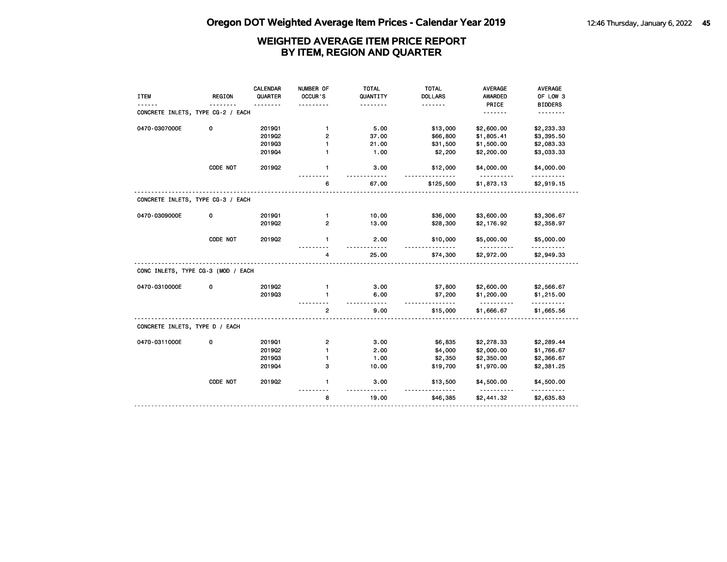|                                    |               | CALENDAR | NUMBER OF      | <b>TOTAL</b>      | <b>TOTAL</b>        | <b>AVERAGE</b>         | <b>AVERAGE</b>  |
|------------------------------------|---------------|----------|----------------|-------------------|---------------------|------------------------|-----------------|
| <b>ITEM</b>                        | <b>REGION</b> | QUARTER  | OCCUR'S        | QUANTITY          | <b>DOLLARS</b>      | AWARDED                | OF LOW 3        |
|                                    |               |          |                |                   | <u>.</u>            | PRICE                  | <b>BIDDERS</b>  |
| CONCRETE INLETS, TYPE CG-2 / EACH  |               |          |                |                   |                     | .                      |                 |
| 0470-0307000E                      | 0             | 201901   | $\mathbf{1}$   | 5.00              | \$13,000            | \$2,600.00             | \$2,233.33      |
|                                    |               | 2019Q2   | 2              | 37.00             | \$66,800            | \$1,805.41             | \$3,395.50      |
|                                    |               | 201903   | 1              | 21.00             | \$31,500            | \$1,500.00             | \$2,083.33      |
|                                    |               | 201904   | $\blacksquare$ | 1.00              | \$2,200             | \$2,200.00             | \$3,033.33      |
|                                    | CODE NOT      | 201902   | $\mathbf{1}$   | 3.00              | \$12,000            | \$4,000.00             | \$4,000.00      |
|                                    |               |          | 6              | 67.00             | \$125,500           | \$1,873.13             | \$2,919.15      |
| CONCRETE INLETS, TYPE CG-3 / EACH  |               |          |                |                   |                     |                        |                 |
| 0470-0309000E                      | 0             | 201901   | $\mathbf{1}$   | 10.00             | \$36,000            | \$3,600.00             | \$3,306.67      |
|                                    |               | 2019Q2   | $\overline{2}$ | 13.00             | \$28,300            | \$2,176.92             | \$2,358.97      |
|                                    | CODE NOT      | 201902   | 1              | 2.00              | \$10,000            | \$5,000.00<br><u>.</u> | \$5,000.00      |
|                                    |               |          | 4              | 25.00             | \$74,300            | \$2,972.00             | \$2,949.33      |
| CONC INLETS, TYPE CG-3 (MOD / EACH |               |          |                |                   |                     |                        |                 |
| 0470-0310000E                      | 0             | 201902   | $\mathbf{1}$   | 3.00              | \$7,800             | \$2,600.00             | \$2,566.67      |
|                                    |               | 201903   | 1              | 6.00<br>$- - - -$ | \$7,200<br><u>.</u> | \$1,200.00<br><u>.</u> | \$1,215.00<br>. |
|                                    |               |          | $\overline{2}$ | 9.00              | \$15,000            | \$1,666.67             | \$1,665.56      |
| CONCRETE INLETS, TYPE D / EACH     |               |          |                |                   |                     |                        |                 |
| 0470-0311000E                      | 0             | 201901   | $\mathbf{2}$   | 3.00              | \$6,835             | \$2,278.33             | \$2,289.44      |
|                                    |               | 2019Q2   | $\blacksquare$ | 2.00              | \$4,000             | \$2,000.00             | \$1,766.67      |
|                                    |               | 201903   | $\mathbf{1}$   | 1.00              | \$2,350             | \$2,350.00             | \$2,366.67      |
|                                    |               | 201904   | з              | 10.00             | \$19,700            | \$1,970.00             | \$2,381.25      |
|                                    | CODE NOT      | 2019Q2   | $\mathbf{1}$   | 3.00              | \$13,500            | \$4,500.00             | \$4,500.00      |
|                                    |               |          | 8              | 19.00             | \$46,385            | \$2,441.32             | \$2,635.83      |
|                                    |               |          |                |                   |                     |                        |                 |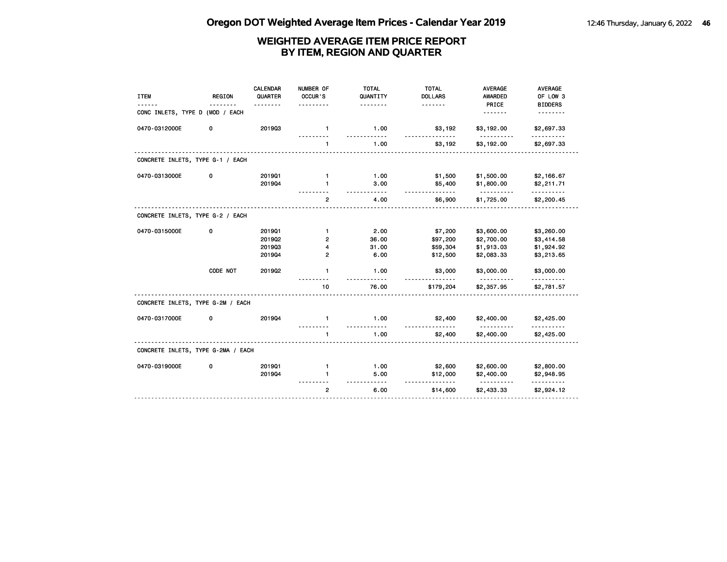| <b>ITEM</b>                        | <b>REGION</b> | <b>CALENDAR</b><br>QUARTER | NUMBER OF<br>OCCUR'S<br>$- - - -$ | <b>TOTAL</b><br>QUANTITY<br>. | <b>TOTAL</b><br><b>DOLLARS</b><br><u>.</u> | <b>AVERAGE</b><br><b>AWARDED</b><br>PRICE | <b>AVERAGE</b><br>OF LOW 3<br><b>BIDDERS</b> |
|------------------------------------|---------------|----------------------------|-----------------------------------|-------------------------------|--------------------------------------------|-------------------------------------------|----------------------------------------------|
| CONC INLETS, TYPE D (MOD / EACH    |               |                            |                                   |                               |                                            | .                                         |                                              |
| 0470-0312000E                      | 0             | 201903                     | $\mathbf{1}$                      | 1.00<br>$- - -$               | \$3,192                                    | \$3,192.00                                | \$2,697.33                                   |
|                                    |               |                            | $\mathbf{1}$                      | 1.00                          | \$3,192                                    | \$3,192.00                                | \$2,697.33                                   |
| CONCRETE INLETS, TYPE G-1 / EACH   |               |                            |                                   |                               |                                            |                                           |                                              |
| 0470-0313000E                      | 0             | 201901                     | $\mathbf{1}$                      | 1.00                          | \$1,500                                    | \$1,500.00                                | \$2,166.67                                   |
|                                    |               | 201904                     | 1                                 | 3.00<br>-----                 | \$5,400<br>.                               | \$1,800.00<br>.                           | \$2,211.71<br>.                              |
|                                    |               |                            | $\overline{2}$                    | 4.00                          | \$6,900                                    | \$1,725.00                                | \$2,200.45                                   |
| CONCRETE INLETS, TYPE G-2 / EACH   |               |                            |                                   |                               |                                            |                                           |                                              |
| 0470-0315000E                      | 0             | 201901                     | $\mathbf{1}$                      | 2.00                          | \$7,200                                    | \$3,600.00                                | \$3,260.00                                   |
|                                    |               | 201902                     | 2                                 | 36.00                         | \$97,200                                   | \$2,700.00                                | \$3,414.58                                   |
|                                    |               | 201903                     | 4                                 | 31.00                         | \$59,304                                   | \$1,913.03                                | \$1,924.92                                   |
|                                    |               | 201904                     | 2                                 | 6.00                          | \$12,500                                   | \$2,083.33                                | \$3,213.65                                   |
|                                    | CODE NOT      | 2019Q2                     | $\mathbf{1}$                      | 1.00                          | \$3,000                                    | \$3,000.00                                | \$3,000.00                                   |
|                                    |               |                            | 10                                | 76.00                         | \$179,204                                  | \$2,357.95                                | \$2,781.57                                   |
| CONCRETE INLETS, TYPE G-2M / EACH  |               |                            |                                   |                               |                                            |                                           |                                              |
| 0470-0317000E                      | 0             | 201904                     | $\mathbf{1}$                      | 1.00<br>.                     | \$2,400                                    | \$2,400.00<br><u>.</u>                    | \$2,425.00                                   |
|                                    |               |                            | 1                                 | 1.00                          | \$2,400                                    | \$2,400.00                                | \$2,425.00                                   |
| CONCRETE INLETS, TYPE G-2MA / EACH |               |                            |                                   |                               |                                            |                                           |                                              |
| 0470-0319000E                      | 0             | 201901                     | $\mathbf{1}$                      | 1.00                          | \$2,600                                    | \$2,600.00                                | \$2,800.00                                   |
|                                    |               | 201904                     | 1                                 | 5.00                          | \$12,000                                   | \$2,400.00<br>.                           | \$2,948.95<br>.                              |
|                                    |               |                            | $\overline{2}$                    | 6.00                          | \$14,600                                   | \$2,433.33                                | \$2,924.12                                   |
|                                    |               |                            |                                   |                               |                                            |                                           |                                              |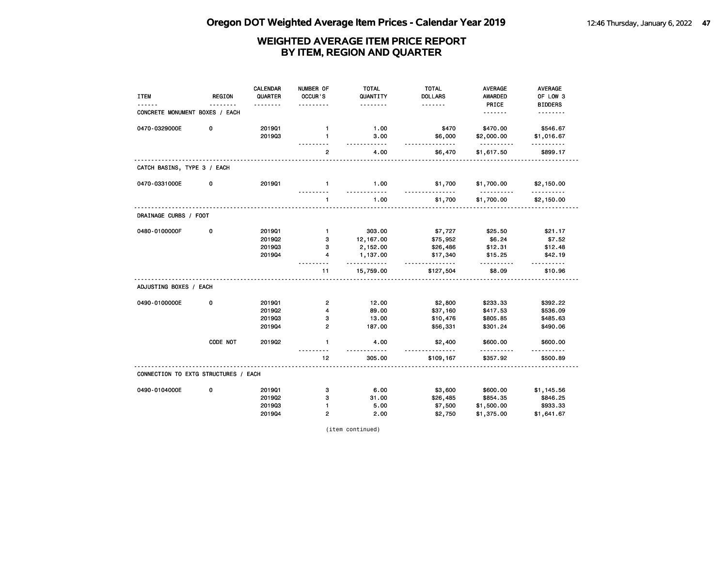| <b>ITEM</b>                          | <b>REGION</b> | <b>CALENDAR</b><br>QUARTER | NUMBER OF<br>OCCUR'S | <b>TOTAL</b><br>QUANTITY | <b>TOTAL</b><br><b>DOLLARS</b> | <b>AVERAGE</b><br><b>AWARDED</b> | <b>AVERAGE</b><br>OF LOW 3 |
|--------------------------------------|---------------|----------------------------|----------------------|--------------------------|--------------------------------|----------------------------------|----------------------------|
|                                      |               |                            |                      | .                        |                                | PRICE                            | <b>BIDDERS</b>             |
| CONCRETE MONUMENT BOXES / EACH       |               |                            |                      |                          |                                | <u>.</u>                         | .                          |
| 0470-0329000E                        | 0             | 201901                     | 1                    | 1.00                     | \$470                          | \$470.00                         | \$546.67                   |
|                                      |               | 201903                     | 1                    | 3.00<br>$- - - - -$      | \$6,000<br><u>.</u>            | \$2,000.00<br>.                  | \$1,016.67<br>.            |
|                                      |               |                            | $\mathbf{2}$         | 4.00                     | \$6,470                        | \$1,617.50                       | \$899.17                   |
| CATCH BASINS, TYPE 3 / EACH          |               |                            |                      |                          |                                |                                  |                            |
| 0470-0331000E                        | 0             | 201901                     | $\mathbf{1}$         | 1.00<br>.                | \$1,700                        | \$1,700.00<br><u>----------</u>  | \$2,150.00<br>.            |
|                                      |               |                            | 1                    | 1.00                     | \$1,700                        | \$1,700.00                       | \$2,150.00                 |
| DRAINAGE CURBS / FOOT                |               |                            |                      |                          |                                |                                  |                            |
| 0480-0100000F                        | 0             | 201901                     | $\mathbf{1}$         | 303.00                   | \$7,727                        | \$25.50                          | \$21.17                    |
|                                      |               | 201902                     | 3                    | 12,167.00                | \$75,952                       | \$6.24                           | \$7.52                     |
|                                      |               | 201903                     | 3                    | 2,152.00                 | \$26,486                       | \$12.31                          | \$12.48                    |
|                                      |               | 201904                     | 4                    | 1,137.00<br>- - - - -    | \$17,340<br><u>.</u>           | \$15.25                          | \$42.19<br><u>.</u>        |
|                                      |               |                            | 11                   | 15,759.00                | \$127,504                      | \$8.09                           | \$10.96                    |
| ADJUSTING BOXES / EACH               |               |                            |                      |                          |                                |                                  |                            |
| 0490-0100000E                        | 0             | 201901                     | $\mathbf{2}$         | 12.00                    | \$2,800                        | \$233.33                         | \$392.22                   |
|                                      |               | 201902                     | 4                    | 89.00                    | \$37,160                       | \$417.53                         | \$536.09                   |
|                                      |               | 201903                     | з                    | 13.00                    | \$10,476                       | \$805.85                         | \$485.63                   |
|                                      |               | 201904                     | $\overline{2}$       | 187.00                   | \$56,331                       | \$301.24                         | \$490.06                   |
|                                      | CODE NOT      | 2019Q2                     | $\mathbf{1}$         | 4.00<br>$- - - -$        | \$2,400                        | \$600.00<br>.                    | \$600.00<br><u>.</u>       |
|                                      |               |                            | 12                   | 305.00                   | \$109,167                      | \$357.92                         | \$500.89                   |
| CONNECTION TO EXTG STRUCTURES / EACH |               |                            |                      |                          |                                |                                  |                            |
| 0490-0104000E                        | 0             | 201901                     | з                    | 6.00                     | \$3,600                        | \$600.00                         | \$1,145.56                 |
|                                      |               | 2019Q2                     | 3                    | 31.00                    | \$26,485                       | \$854.35                         | \$846.25                   |
|                                      |               | 201903                     | 1                    | 5.00                     | \$7,500                        | \$1,500.00                       | \$933.33                   |
|                                      |               | 201904                     | 2                    | 2.00                     | \$2,750                        | \$1,375.00                       | \$1,641.67                 |

(item continued)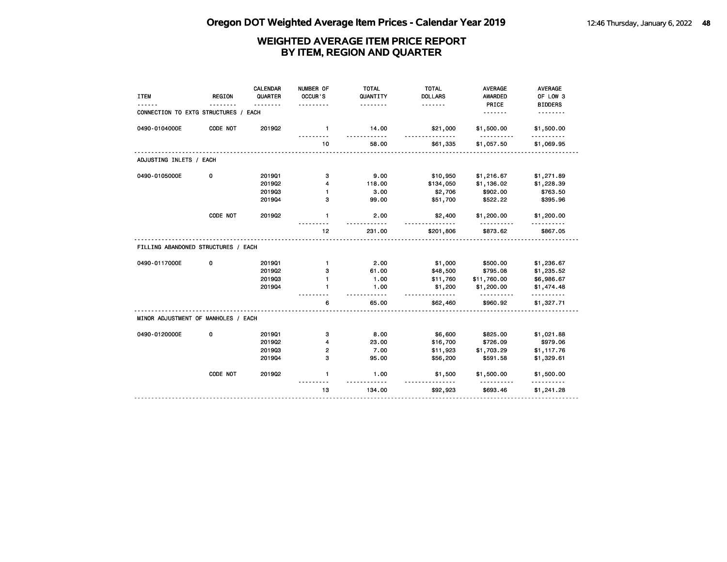| <b>ITEM</b>                         | <b>REGION</b> | <b>CALENDAR</b><br>QUARTER | NUMBER OF<br>OCCUR'S<br>. | <b>TOTAL</b><br>QUANTITY<br><u>.</u> | <b>TOTAL</b><br><b>DOLLARS</b> | <b>AVERAGE</b><br><b>AWARDED</b><br>PRICE | <b>AVERAGE</b><br>OF LOW 3<br><b>BIDDERS</b> |
|-------------------------------------|---------------|----------------------------|---------------------------|--------------------------------------|--------------------------------|-------------------------------------------|----------------------------------------------|
| CONNECTION TO EXTG STRUCTURES /     |               | EACH                       |                           |                                      |                                | <u>.</u>                                  | <u>.</u>                                     |
| 0490-0104000E                       | CODE NOT      | 2019Q2                     | $\mathbf{1}$              | 14.00<br>.                           | \$21,000<br><u>.</u>           | \$1,500.00                                | \$1,500.00<br>.                              |
|                                     |               |                            | 10                        | 58.00                                | \$61,335                       | <u>.</u><br>\$1,057.50                    | \$1,069.95                                   |
| ADJUSTING INLETS / EACH             |               |                            |                           |                                      |                                |                                           |                                              |
| 0490-0105000E                       | 0             | 201901                     | 3                         | 9.00                                 | \$10,950                       | \$1,216.67                                | \$1,271.89                                   |
|                                     |               | 2019Q2                     | 4                         | 118.00                               | \$134,050                      | \$1,136.02                                | \$1,228.39                                   |
|                                     |               | 201903                     | $\mathbf{1}$              | 3.00                                 | \$2,706                        | \$902.00                                  | \$763.50                                     |
|                                     |               | 201904                     | з                         | 99.00                                | \$51,700                       | \$522.22                                  | \$395.96                                     |
|                                     | CODE NOT      | 201902                     | $\mathbf{1}$              | 2.00                                 | \$2,400<br><u>.</u>            | \$1,200.00                                | \$1,200.00                                   |
|                                     |               |                            | 12 <sup>°</sup>           | 231.00                               | \$201,806                      | \$873.62                                  | \$867.05                                     |
| FILLING ABANDONED STRUCTURES / EACH |               |                            |                           |                                      |                                |                                           |                                              |
| 0490-0117000E                       | 0             | 201901                     | $\mathbf{1}$              | 2.00                                 | \$1,000                        | \$500.00                                  | \$1,236.67                                   |
|                                     |               | 2019Q2                     | з                         | 61.00                                | \$48,500                       | \$795.08                                  | \$1,235.52                                   |
|                                     |               | 201903                     | 1                         | 1.00                                 | \$11,760                       | \$11,760.00                               | \$6,986.67                                   |
|                                     |               | 201904                     | 1                         | 1.00<br>$- - - - -$                  | \$1,200<br>.                   | \$1,200.00<br><u>.</u>                    | \$1,474.48<br>.                              |
|                                     |               |                            | 6                         | 65.00                                | \$62,460                       | \$960.92                                  | \$1,327.71                                   |
| MINOR ADJUSTMENT OF MANHOLES / EACH |               |                            |                           |                                      |                                |                                           |                                              |
| 0490-0120000E                       | 0             | 201901                     | 3                         | 8.00                                 | \$6,600                        | \$825.00                                  | \$1,021.88                                   |
|                                     |               | 2019Q2                     | 4                         | 23.00                                | \$16,700                       | \$726.09                                  | \$979.06                                     |
|                                     |               | 201903                     | 2                         | 7.00                                 | \$11,923                       | \$1,703.29                                | \$1,117.76                                   |
|                                     |               | 201904                     | з                         | 95.00                                | \$56,200                       | \$591.58                                  | \$1,329.61                                   |
|                                     | CODE NOT      | 2019Q2                     | $\mathbf{1}$              | 1.00                                 | \$1,500                        | \$1,500.00                                | \$1,500.00<br>.                              |
|                                     |               |                            |                           |                                      |                                |                                           |                                              |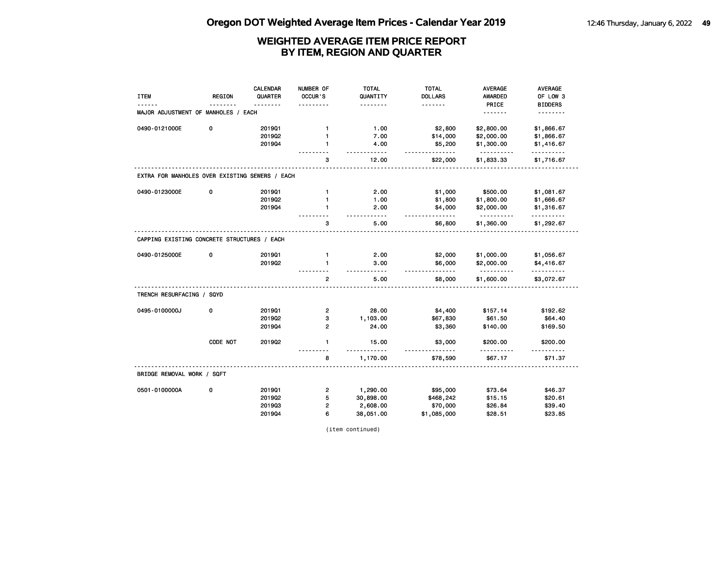|                                                |               | <b>CALENDAR</b> | NUMBER OF               | <b>TOTAL</b>                | <b>TOTAL</b>               | <b>AVERAGE</b>          | <b>AVERAGE</b>             |
|------------------------------------------------|---------------|-----------------|-------------------------|-----------------------------|----------------------------|-------------------------|----------------------------|
| <b>ITEM</b>                                    | <b>REGION</b> | QUARTER         | OCCUR'S                 | QUANTITY<br>- - - - - - - - | <b>DOLLARS</b><br><u>.</u> | <b>AWARDED</b><br>PRICE | OF LOW 3<br><b>BIDDERS</b> |
| MAJOR ADJUSTMENT OF MANHOLES / EACH            |               |                 |                         |                             |                            | <u>.</u>                |                            |
| 0490-0121000E                                  | 0             | 201901          | $\mathbf{1}$            | 1.00                        | \$2,800                    | \$2,800.00              | \$1,866.67                 |
|                                                |               | 201902          | 1                       | 7.00                        | \$14,000                   | \$2,000.00              | \$1,866.67                 |
|                                                |               | 201904          |                         | 4.00<br>$- - - - -$         | \$5,200<br>.               | \$1,300.00<br>.         | \$1,416.67<br>.            |
|                                                |               |                 | 3                       | 12.00                       | \$22,000                   | \$1,833.33              | \$1,716.67                 |
| EXTRA FOR MANHOLES OVER EXISTING SEWERS / EACH |               |                 |                         |                             |                            |                         |                            |
| 0490-0123000E                                  | 0             | 201901          | $\mathbf{1}$            | 2.00                        | \$1,000                    | \$500.00                | \$1,081.67                 |
|                                                |               | 201902          | $\mathbf{1}$            | 1.00                        | \$1,800                    | \$1,800.00              | \$1,666.67                 |
|                                                |               | 201904          | 1                       | 2.00<br>$- - - - -$         | \$4,000                    | \$2,000.00<br><u>.</u>  | \$1,316.67<br><u>.</u>     |
|                                                |               |                 | 3                       | 5.00                        | \$6,800                    | \$1,360.00              | \$1,292.67                 |
| CAPPING EXISTING CONCRETE STRUCTURES / EACH    |               |                 |                         |                             |                            |                         |                            |
| 0490-0125000E                                  | 0             | 201901          | $\mathbf{1}$            | 2.00                        | \$2,000                    | \$1,000.00              | \$1,056.67                 |
|                                                |               | 201902          | $\mathbf{1}$            | 3.00<br>.                   | \$6,000<br>.               | \$2,000.00<br>.         | \$4,416.67<br>.            |
|                                                |               |                 | $\overline{2}$          | 5.00                        | \$8,000                    | \$1,600.00              | \$3,072.67                 |
| TRENCH RESURFACING / SQYD                      |               |                 |                         |                             |                            |                         |                            |
| 0495-0100000J                                  | 0             | 201901          | $\overline{\mathbf{c}}$ | 28.00                       | \$4,400                    | \$157.14                | \$192.62                   |
|                                                |               | 201902          | з                       | 1,103.00                    | \$67,830                   | \$61.50                 | \$64.40                    |
|                                                |               | 201904          | $\overline{2}$          | 24.00                       | \$3,360                    | \$140.00                | \$169.50                   |
|                                                | CODE NOT      | 2019Q2          | $\mathbf{1}$            | 15.00<br>$- - -$            | \$3,000                    | \$200.00<br>.           | \$200.00                   |
|                                                |               |                 | 8                       | 1,170.00                    | \$78,590                   | \$67.17                 | \$71.37                    |
| BRIDGE REMOVAL WORK / SQFT                     |               |                 |                         |                             |                            |                         |                            |
| 0501-0100000A                                  | 0             | 201901          | $\overline{\mathbf{c}}$ | 1,290.00                    | \$95,000                   | \$73.64                 | \$46.37                    |
|                                                |               | 2019Q2          | 5                       | 30,898.00                   | \$468,242                  | \$15.15                 | \$20.61                    |
|                                                |               | 201903          | 2                       | 2,608.00                    | \$70,000                   | \$26.84                 | \$39.40                    |
|                                                |               | 201904          | 6                       | 38,051.00                   | \$1,085,000                | \$28.51                 | \$23.85                    |

(item continued)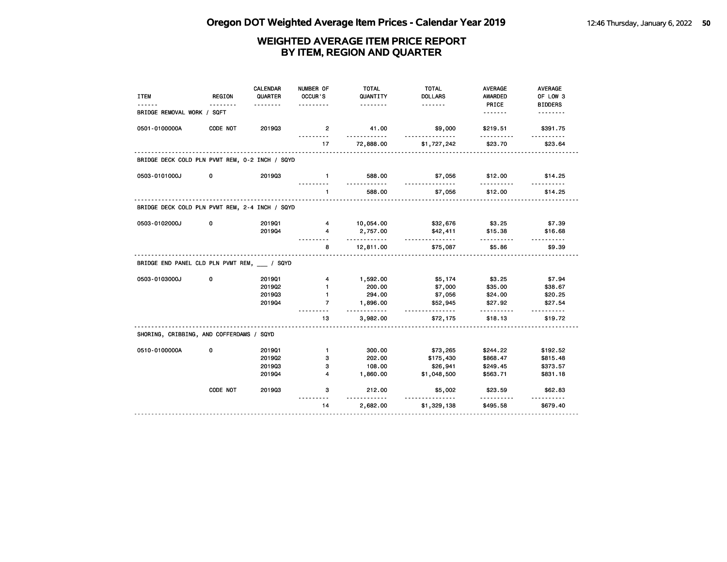| <b>ITEM</b>                                    | <b>REGION</b> | <b>CALENDAR</b><br>QUARTER | NUMBER OF<br>OCCUR'S    | <b>TOTAL</b><br>QUANTITY | <b>TOTAL</b><br><b>DOLLARS</b> | AVERAGE<br><b>AWARDED</b> | AVERAGE<br>OF LOW 3 |
|------------------------------------------------|---------------|----------------------------|-------------------------|--------------------------|--------------------------------|---------------------------|---------------------|
|                                                |               | <u>.</u>                   | .                       | <u>.</u>                 | <u>.</u>                       | PRICE                     | <b>BIDDERS</b>      |
| BRIDGE REMOVAL WORK / SQFT                     |               |                            |                         |                          |                                | <u>.</u>                  | <u>.</u>            |
| 0501-0100000A                                  | CODE NOT      | 201903                     | $\overline{2}$<br>.     | 41.00<br>.               | \$9,000<br>.                   | \$219.51<br>.             | \$391.75<br>.       |
|                                                |               |                            | 17<br>.                 | 72,888.00                | \$1,727,242                    | \$23.70                   | \$23.64             |
| BRIDGE DECK COLD PLN PVMT REM, 0-2 INCH / SQYD |               |                            |                         |                          |                                |                           |                     |
| 0503-0101000J                                  | 0             | 201903                     | $-1$                    | 588.00<br><u>.</u>       | \$7,056<br><u>.</u>            | \$12.00                   | \$14.25             |
|                                                |               |                            | $\mathbf{1}$            | 588.00                   | \$7,056                        | \$12.00                   | \$14.25             |
| BRIDGE DECK COLD PLN PVMT REM, 2-4 INCH / SQYD |               |                            |                         |                          |                                |                           |                     |
| 0503-0102000J                                  | 0             | 201901                     | $\overline{4}$          | 10,054.00                | \$32,676                       | \$3.25                    | \$7.39              |
|                                                |               | 201904                     | $\overline{\mathbf{4}}$ | 2,757.00                 | \$42,411                       | \$15.38                   | \$16.68             |
|                                                |               |                            | 8                       | .<br>12,811.00           | <u>.</u><br>\$75,087           | \$5.86                    | \$9.39              |
| BRIDGE END PANEL CLD PLN PVMT REM, / SQYD      |               |                            |                         |                          |                                |                           |                     |
| 0503-0103000J                                  | 0             | 201901                     | $\overline{4}$          | 1,592.00                 | \$5,174                        | \$3.25                    | \$7.94              |
|                                                |               | 201902                     | $\mathbf{1}$            | 200.00                   | \$7,000                        | \$35.00                   | \$38.67             |
|                                                |               | 201903                     | $\mathbf{1}$            | 294.00                   | \$7,056                        | \$24.00                   | \$20.25             |
|                                                |               | 201904                     | $\overline{7}$          | 1,896.00<br><u>.</u>     | \$52,945<br>.                  | \$27.92                   | \$27.54<br>.        |
|                                                |               |                            | 13<br>.                 | 3,982.00                 | \$72,175                       | \$18.13                   | \$19.72             |
| SHORING, CRIBBING, AND COFFERDAMS / SQYD       |               |                            |                         |                          |                                |                           |                     |
| 0510-0100000A                                  | 0             | 201901                     | $\mathbf{1}$            | 300.00                   | \$73,265                       | \$244.22                  | \$192.52            |
|                                                |               | 201902                     | 3                       | 202.00                   | \$175,430                      | \$868.47                  | \$815.48            |
|                                                |               | 201903                     | з                       | 108.00                   | \$26,941                       | \$249.45                  | \$373.57            |
|                                                |               | 201904                     | $\overline{\mathbf{4}}$ | 1,860.00                 | \$1,048,500                    | \$563.71                  | \$831.18            |
|                                                | CODE NOT      | 201903                     | 3                       | 212.00<br>.              | \$5,002<br><u>.</u>            | \$23.59<br><u>.</u>       | \$62.83<br><u>.</u> |
|                                                |               |                            | 14                      | 2,682.00                 | \$1,329,138                    | \$495.58                  | \$679.40            |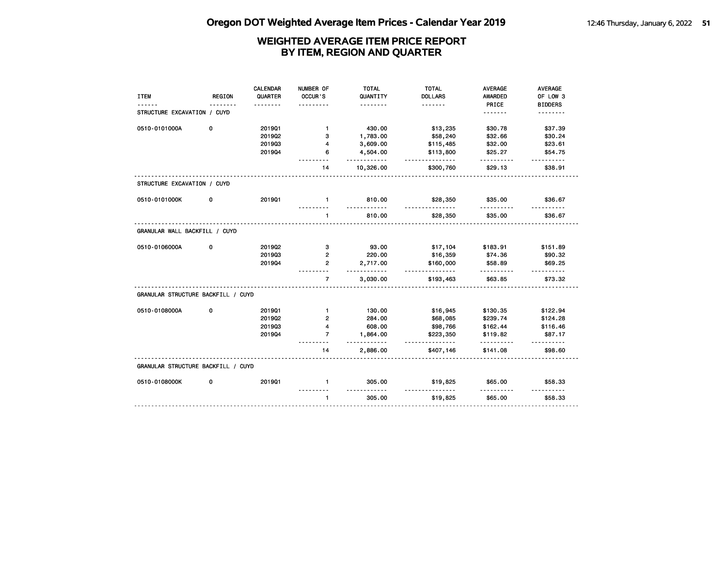|                                    |               | <b>CALENDAR</b> | NUMBER OF      | <b>TOTAL</b>   | <b>TOTAL</b>          | <b>AVERAGE</b> | AVERAGE             |
|------------------------------------|---------------|-----------------|----------------|----------------|-----------------------|----------------|---------------------|
| <b>ITEM</b>                        | <b>REGION</b> | QUARTER         | OCCUR'S        | QUANTITY       | <b>DOLLARS</b>        | AWARDED        | OF LOW 3            |
|                                    |               |                 |                | .              | <u>.</u>              | PRICE          | <b>BIDDERS</b>      |
| STRUCTURE EXCAVATION / CUYD        |               |                 |                |                |                       | .              |                     |
| 0510-0101000A                      | 0             | 201901          | $\mathbf{1}$   | 430.00         | \$13,235              | \$30.78        | \$37.39             |
|                                    |               | 2019Q2          | з              | 1,783.00       | \$58,240              | \$32.66        | \$30.24             |
|                                    |               | 201903          | 4              | 3,609.00       | \$115,485             | \$32.00        | \$23.61             |
|                                    |               | 201904          | 6              | 4,504.00       | \$113,800             | \$25.27        | \$54.75             |
|                                    |               |                 | 14             | .<br>10,326.00 | .<br>\$300,760        | .<br>\$29.13   | \$38.91             |
| STRUCTURE EXCAVATION / CUYD        |               |                 |                |                |                       |                |                     |
| 0510-0101000K                      | 0             | 201901          | $\blacksquare$ | 810.00         | \$28,350              | \$35.00        | \$36.67             |
|                                    |               |                 | $\mathbf{1}$   | 810.00         | \$28,350              | \$35.00        | \$36.67             |
| GRANULAR WALL BACKFILL / CUYD      |               |                 |                |                |                       |                |                     |
| 0510-0106000A                      | 0             | 201902          | 3              | 93.00          | \$17,104              | \$183.91       | \$151.89            |
|                                    |               | 201903          | $\overline{2}$ | 220.00         | \$16,359              | \$74.36        | \$90.32             |
|                                    |               | 201904          | $\overline{2}$ | 2,717.00<br>.  | \$160,000<br><u>.</u> | \$58.89        | \$69.25             |
|                                    |               |                 | $\overline{7}$ | 3,030.00       | \$193,463             | \$63.85        | \$73.32             |
| GRANULAR STRUCTURE BACKFILL / CUYD |               |                 |                |                |                       |                |                     |
| 0510-0108000A                      | 0             | 201901          | $\mathbf{1}$   | 130.00         | \$16,945              | \$130.35       | \$122.94            |
|                                    |               | 201902          | $\mathbf{2}$   | 284.00         | \$68,085              | \$239.74       | \$124.28            |
|                                    |               | 201903          | 4              | 608.00         | \$98,766              | \$162.44       | \$116.46            |
|                                    |               | 201904          | $\overline{7}$ | 1,864.00<br>.  | \$223,350<br>.        | \$119.82<br>.  | \$87.17<br><u>.</u> |
|                                    |               |                 | 14             | 2,886.00       | \$407,146             | \$141.08       | \$98.60             |
| GRANULAR STRUCTURE BACKFILL / CUYD |               |                 |                |                |                       |                |                     |
| 0510-0108000K                      | 0             | 201901          | $\mathbf{1}$   | 305.00         | \$19,825              | \$65.00        | \$58.33             |
|                                    |               |                 | $\mathbf{1}$   | 305.00         | \$19,825              | \$65.00        | \$58.33             |
|                                    |               |                 |                |                |                       |                |                     |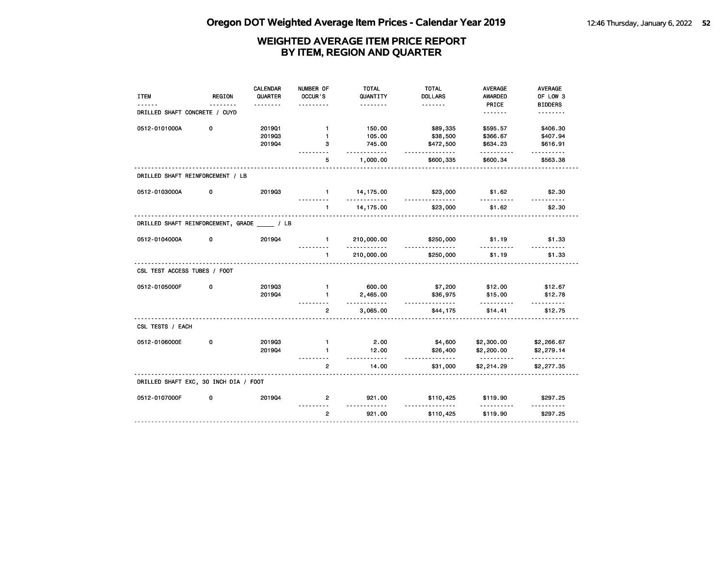| <b>ITEM</b><br>------                   | <b>REGION</b> | <b>CALENDAR</b><br>QUARTER<br>. | NUMBER OF<br>OCCUR'S | <b>TOTAL</b><br>QUANTITY<br>. | <b>TOTAL</b><br><b>DOLLARS</b><br>. | <b>AVERAGE</b><br>AWARDED<br>PRICE | AVERAGE<br>OF LOW 3<br><b>BIDDERS</b> |
|-----------------------------------------|---------------|---------------------------------|----------------------|-------------------------------|-------------------------------------|------------------------------------|---------------------------------------|
| DRILLED SHAFT CONCRETE / CUYD           |               |                                 |                      |                               |                                     | .                                  | <u>.</u>                              |
| 0512-0101000A                           | 0             | 201901                          | $\mathbf{1}$         | 150.00                        | \$89,335                            | \$595.57                           | \$406.30                              |
|                                         |               | 201903                          | $\mathbf{1}$         | 105.00                        | \$38,500                            | \$366.67                           | \$407.94                              |
|                                         |               | 201904                          | 3                    | 745.00<br>$- - - - - -$       | \$472,500<br>.                      | \$634.23                           | \$616.91<br><u>.</u>                  |
|                                         |               |                                 | 5                    | 1,000.00                      | \$600,335                           | \$600.34                           | \$563.38                              |
| DRILLED SHAFT REINFORCEMENT / LB        |               |                                 |                      |                               |                                     |                                    |                                       |
| 0512-0103000A                           | 0             | 201903                          | $\mathbf{1}$         | 14,175.00<br>.                | \$23,000<br><u>.</u>                | \$1.62                             | \$2.30                                |
|                                         |               |                                 | $\mathbf{1}$         | 14,175.00                     | \$23,000                            | \$1.62                             | \$2.30                                |
| DRILLED SHAFT REINFORCEMENT, GRADE / LB |               |                                 |                      |                               |                                     |                                    |                                       |
| 0512-0104000A                           | 0             | 201904                          | $\mathbf{1}$         | 210,000.00<br>.               | \$250,000<br>.                      | \$1.19<br>.                        | \$1.33                                |
|                                         |               |                                 | $\mathbf{1}$         | 210,000.00                    | \$250,000                           | \$1.19                             | \$1.33                                |
| CSL TEST ACCESS TUBES / FOOT            |               |                                 |                      |                               |                                     |                                    |                                       |
| 0512-0105000F                           | 0             | 201903                          | $\mathbf{1}$         | 600.00                        | \$7,200                             | \$12.00                            | \$12.67                               |
|                                         |               | 201904                          | $\mathbf{1}$         | 2,465.00<br>.                 | \$36,975<br><u>.</u>                | \$15.00<br>.                       | \$12.78                               |
|                                         |               |                                 | $\overline{2}$       | 3,065.00                      | \$44,175                            | \$14.41                            | \$12.75                               |
| CSL TESTS / EACH                        |               |                                 |                      |                               |                                     |                                    |                                       |
| 0512-0106000E                           | 0             | 201903                          | $\mathbf{1}$         | 2.00                          | \$4,600                             | \$2,300.00                         | \$2,266.67                            |
|                                         |               | 201904                          | $\mathbf{1}$         | 12.00<br>.                    | \$26,400<br><u>.</u>                | \$2,200.00<br><u>.</u>             | \$2,279.14<br>.                       |
|                                         |               |                                 | $\overline{2}$       | 14.00                         | \$31,000                            | \$2,214.29                         | \$2,277.35                            |
| DRILLED SHAFT EXC, 30 INCH DIA / FOOT   |               |                                 |                      |                               |                                     |                                    |                                       |
| 0512-0107000F                           | 0             | 201904                          | $\overline{2}$       | 921.00<br><u>----------</u>   | \$110,425<br>$- - - -$              | \$119.90                           | \$297.25                              |
|                                         |               |                                 | $\overline{2}$       | 921.00                        | \$110,425                           | \$119.90                           | \$297.25                              |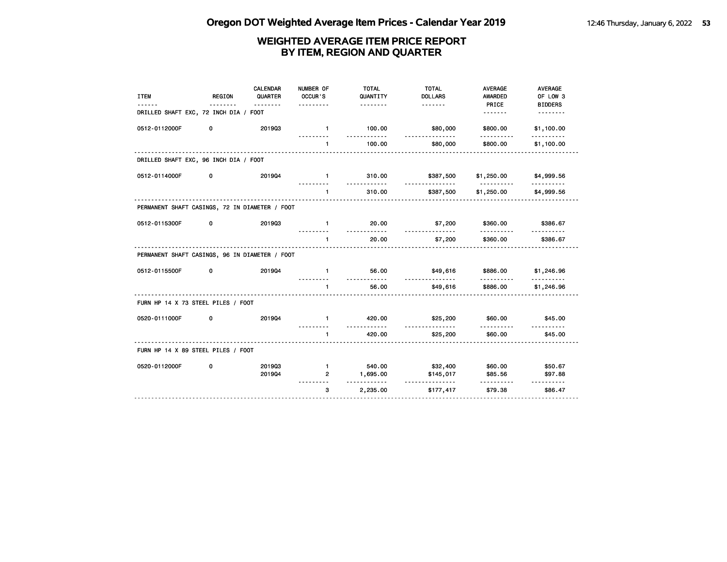| <b>ITEM</b>                                    | <b>REGION</b> | <b>CALENDAR</b><br>QUARTER | NUMBER OF<br>OCCUR'S<br>. | <b>TOTAL</b><br>QUANTITY<br><u>.</u> | <b>TOTAL</b><br><b>DOLLARS</b> | <b>AVERAGE</b><br>AWARDED<br>PRICE | <b>AVERAGE</b><br>OF LOW 3<br><b>BIDDERS</b> |
|------------------------------------------------|---------------|----------------------------|---------------------------|--------------------------------------|--------------------------------|------------------------------------|----------------------------------------------|
| DRILLED SHAFT EXC, 72 INCH DIA / FOOT          |               |                            |                           |                                      |                                | <u>.</u>                           | <u>.</u>                                     |
| 0512-0112000F                                  | 0             | 201903                     | $\mathbf{1}$              | 100.00<br>.                          | \$80,000                       | \$800.00<br>----------             | \$1,100.00                                   |
|                                                |               |                            | $\mathbf{1}$              | 100.00                               | <u>.</u><br>\$80,000           | \$800.00                           | \$1,100.00                                   |
| DRILLED SHAFT EXC, 96 INCH DIA / FOOT          |               |                            |                           |                                      |                                |                                    |                                              |
| 0512-0114000F                                  | 0             | 201904                     | $\mathbf{1}$              | 310.00                               | \$387,500                      | \$1,250.00                         | \$4,999.56                                   |
|                                                |               |                            | $\mathbf{1}$              | .<br>310.00                          | <u>.</u><br>\$387,500          | .<br>\$1,250.00                    | <u>.</u><br>\$4,999.56                       |
| PERMANENT SHAFT CASINGS, 72 IN DIAMETER / FOOT |               |                            |                           |                                      |                                |                                    |                                              |
| 0512-0115300F                                  | 0             | 201903                     | $\mathbf{1}$              | 20.00                                | \$7,200                        | \$360.00                           | \$386.67                                     |
|                                                |               |                            | $\mathbf{1}$              | 20.00                                | \$7,200                        | \$360.00                           | \$386.67                                     |
| PERMANENT SHAFT CASINGS, 96 IN DIAMETER / FOOT |               |                            | .                         |                                      |                                |                                    |                                              |
| 0512-0115500F                                  | 0             | 201904                     | $\mathbf{1}$              | 56.00                                | \$49,616                       | \$886.00                           | \$1,246.96                                   |
|                                                |               |                            | $\mathbf{1}$              | <u>.</u><br>56.00                    | \$49,616                       | \$886.00                           | \$1,246.96                                   |
| FURN HP 14 X 73 STEEL PILES / FOOT             |               |                            |                           |                                      |                                |                                    |                                              |
| 0520-0111000F                                  | 0             | 201904                     | $\mathbf{1}$              | 420.00                               | \$25,200                       | \$60.00                            | \$45.00                                      |
|                                                |               |                            | $\mathbf{1}$              | .<br>420.00                          | \$25,200                       | \$60.00                            | \$45.00                                      |
| FURN HP 14 X 89 STEEL PILES / FOOT             |               |                            |                           |                                      |                                |                                    |                                              |
| 0520-0112000F                                  | 0             | 201903                     | $\mathbf{1}$              | 540.00                               | \$32,400                       | \$60.00                            | \$50.67                                      |
|                                                |               | 201904                     | $\overline{2}$            | 1,695.00                             | \$145,017                      | \$85.56                            | \$97.88                                      |
|                                                |               |                            | 3                         | 2,235.00                             | \$177,417                      | \$79.38                            | \$86.47                                      |
|                                                |               |                            |                           |                                      |                                |                                    |                                              |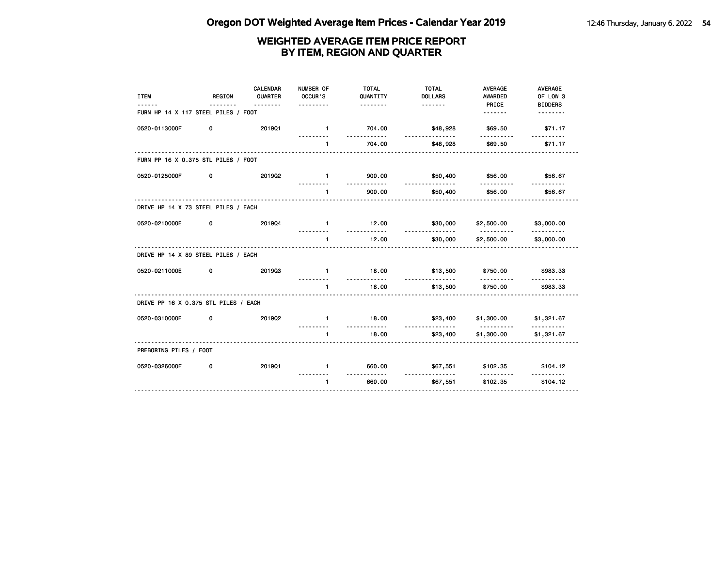| <b>ITEM</b>                          | <b>REGION</b> | CALENDAR<br>QUARTER<br>. | NUMBER OF<br>OCCUR'S<br>. | <b>TOTAL</b><br>QUANTITY<br><u>.</u> | <b>TOTAL</b><br><b>DOLLARS</b> | <b>AVERAGE</b><br><b>AWARDED</b><br>PRICE | <b>AVERAGE</b><br>OF LOW 3<br><b>BIDDERS</b> |
|--------------------------------------|---------------|--------------------------|---------------------------|--------------------------------------|--------------------------------|-------------------------------------------|----------------------------------------------|
| FURN HP 14 X 117 STEEL PILES / FOOT  |               |                          |                           |                                      |                                | .                                         |                                              |
| 0520-0113000F                        | 0             | 201901                   | $\blacksquare$            | 704.00<br>.                          | \$48,928<br><u>.</u>           | \$69.50                                   | \$71.17                                      |
|                                      |               |                          | $\mathbf{1}$              | 704.00                               | \$48,928                       | \$69.50                                   | \$71.17                                      |
| FURN PP 16 X 0.375 STL PILES / FOOT  |               |                          |                           |                                      |                                |                                           |                                              |
| 0520-0125000F                        | 0             | 201902                   | $\mathbf{1}$              | 900.00                               | \$50,400                       | \$56.00                                   | \$56.67                                      |
|                                      |               |                          | $\blacksquare$            | .<br>900.00                          | <u>.</u><br>\$50,400           | .<br>\$56.00                              | <u>.</u><br>\$56.67                          |
| DRIVE HP 14 X 73 STEEL PILES / EACH  |               |                          |                           |                                      |                                |                                           |                                              |
| 0520-0210000E                        | 0             | 201904                   | $\mathbf{1}$              | 12.00<br><u>.</u>                    | \$30,000                       | \$2,500.00                                | \$3,000.00                                   |
|                                      |               |                          | $\mathbf{1}$              | 12.00                                | .<br>\$30,000                  | <u>.</u><br>\$2,500.00                    | <u> - - - - - - - - -</u><br>\$3,000.00      |
| DRIVE HP 14 X 89 STEEL PILES / EACH  |               |                          |                           |                                      |                                |                                           |                                              |
| 0520-0211000E                        | 0             | 201903                   | $\mathbf{1}$              | 18.00                                | \$13,500                       | \$750.00                                  | \$983.33                                     |
|                                      |               |                          | $\blacksquare$            | .<br>18.00                           | .<br>\$13,500                  | .<br>\$750.00                             | \$983.33                                     |
| DRIVE PP 16 X 0.375 STL PILES / EACH |               |                          |                           |                                      |                                |                                           |                                              |
| 0520-0310000E                        | 0             | 201902                   | $\mathbf{1}$              | 18.00                                | \$23,400                       | \$1,300.00                                | \$1,321.67                                   |
|                                      |               |                          | $\mathbf{1}$              | .<br>18.00                           | <u>.</u><br>\$23,400           | <u>.</u><br>\$1,300.00                    | \$1,321.67                                   |
| PREBORING PILES / FOOT               |               |                          |                           |                                      |                                |                                           |                                              |
| 0520-0326000F                        | 0             | 201901                   | $\mathbf{1}$              | 660.00                               | \$67,551                       | \$102.35                                  | \$104.12                                     |
|                                      |               |                          | $\mathbf{1}$              | ----------<br>660.00                 | <u>.</u><br>\$67,551           | .<br>\$102.35                             | \$104.12                                     |
|                                      |               |                          |                           |                                      |                                |                                           |                                              |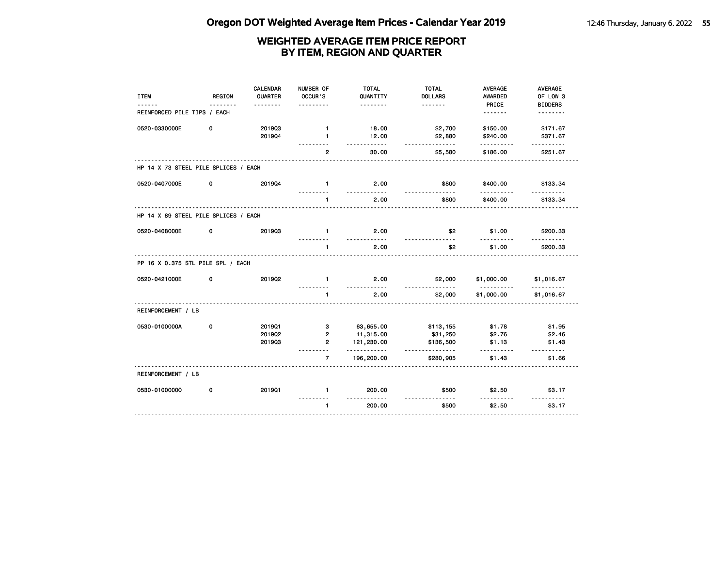| <b>ITEM</b>                          | <b>REGION</b> | <b>CALENDAR</b><br>QUARTER | NUMBER OF<br>OCCUR'S | <b>TOTAL</b><br>QUANTITY  | <b>TOTAL</b><br><b>DOLLARS</b> | <b>AVERAGE</b><br>AWARDED | AVERAGE<br>OF LOW 3  |
|--------------------------------------|---------------|----------------------------|----------------------|---------------------------|--------------------------------|---------------------------|----------------------|
|                                      |               |                            |                      | .                         | <u>.</u>                       | PRICE                     | <b>BIDDERS</b>       |
| REINFORCED PILE TIPS / EACH          |               |                            |                      |                           |                                | <u>.</u>                  | .                    |
| 0520-0330000E                        | 0             | 201903                     | $\mathbf{1}$         | 18.00                     | \$2,700                        | \$150.00                  | \$171.67             |
|                                      |               | 201904                     | 1<br>. <i>.</i>      | 12.00<br>.                | \$2,880<br>.                   | \$240.00<br>.             | \$371.67<br><u>.</u> |
|                                      |               |                            | $\overline{2}$       | 30.00                     | \$5,580                        | \$186.00                  | \$251.67             |
| HP 14 X 73 STEEL PILE SPLICES / EACH |               |                            |                      |                           |                                |                           |                      |
| 0520-0407000E                        | 0             | 201904                     | $\mathbf{1}$         | 2.00<br><u>.</u>          | \$800                          | \$400.00<br><u>.</u>      | \$133.34<br>.        |
|                                      |               |                            | 1                    | 2.00                      | \$800                          | \$400.00                  | \$133.34             |
| HP 14 X 89 STEEL PILE SPLICES / EACH |               |                            |                      |                           |                                |                           |                      |
| 0520-0408000E                        | 0             | 201903                     | $\blacksquare$       | 2.00                      | \$2                            | \$1.00                    | \$200.33             |
|                                      |               |                            | $\mathbf{1}$         | 2.00                      | \$2                            | \$1.00                    | \$200.33             |
| PP 16 X 0.375 STL PILE SPL / EACH    |               |                            |                      |                           |                                |                           |                      |
| 0520-0421000E                        | 0             | 2019Q2                     | $\mathbf{1}$         | 2.00<br>.                 | \$2,000                        | \$1,000.00                | \$1,016.67           |
|                                      |               |                            | $\mathbf{1}$         | 2.00                      | \$2,000                        | <u>.</u><br>\$1,000.00    | .<br>\$1,016.67      |
| REINFORCEMENT / LB                   |               |                            |                      |                           |                                |                           |                      |
| 0530-0100000A                        | 0             | 201901                     | 3                    | 63,655.00                 | \$113,155                      | \$1.78                    | \$1.95               |
|                                      |               | 201902                     | $\overline{2}$       | 11,315.00                 | \$31,250                       | \$2.76                    | \$2.46               |
|                                      |               | 201903                     | $\overline{2}$       | 121,230.00<br>$- - - - -$ | \$136,500<br>.                 | \$1.13<br>- - - - - -     | \$1.43<br>.          |
|                                      |               |                            | $\overline{7}$       | 196,200.00                | \$280,905                      | \$1.43                    | \$1.66               |
| REINFORCEMENT / LB                   |               |                            |                      |                           |                                |                           |                      |
| 0530-01000000                        | 0             | 201901                     | $\mathbf{1}$         | 200.00<br>. . <b>.</b>    | \$500                          | \$2.50                    | \$3.17<br>.          |
|                                      |               |                            | $\mathbf{1}$         | 200.00                    | $\frac{1}{2}$<br>\$500         | \$2.50                    | \$3.17               |
|                                      |               |                            |                      |                           |                                |                           |                      |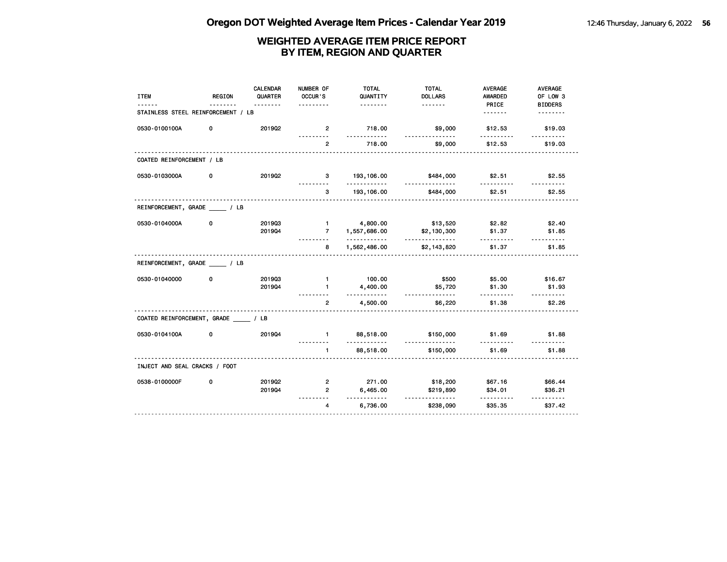| <b>ITEM</b>                        | <b>REGION</b> | <b>CALENDAR</b><br>QUARTER<br><u>.</u> | NUMBER OF<br>OCCUR'S<br>. | <b>TOTAL</b><br>QUANTITY<br><u>.</u> | <b>TOTAL</b><br><b>DOLLARS</b> | <b>AVERAGE</b><br><b>AWARDED</b><br>PRICE | <b>AVERAGE</b><br>OF LOW 3<br><b>BIDDERS</b> |
|------------------------------------|---------------|----------------------------------------|---------------------------|--------------------------------------|--------------------------------|-------------------------------------------|----------------------------------------------|
| STAINLESS STEEL REINFORCEMENT / LB |               |                                        |                           |                                      |                                | <u>.</u>                                  | <u>.</u>                                     |
| 0530-0100100A                      | 0             | 201902                                 | $\overline{2}$<br>.       | 718.00<br>.                          | \$9,000<br><u>.</u>            | \$12.53<br>.                              | \$19.03<br><u>.</u>                          |
|                                    |               |                                        | $\overline{2}$            | 718.00                               | \$9,000                        | \$12.53                                   | \$19.03                                      |
| COATED REINFORCEMENT / LB          |               |                                        |                           |                                      |                                |                                           |                                              |
| 0530-0103000A                      | 0             | 201902                                 | 3                         | 193,106.00<br>.                      | \$484,000<br><u>.</u>          | \$2.51<br>----------                      | \$2.55<br><u>.</u>                           |
|                                    |               |                                        | 3                         | 193,106.00                           | \$484,000                      | \$2.51                                    | \$2.55                                       |
| REINFORCEMENT, GRADE / LB          |               |                                        |                           |                                      |                                |                                           |                                              |
| 0530-0104000A                      | $\mathbf 0$   | 201903<br>201904                       | $-1$<br>$\overline{7}$    | 4,800.00<br>1,557,686.00             | \$13,520<br>\$2,130,300        | \$2.82<br>\$1.37                          | \$2.40<br>\$1.85                             |
|                                    |               |                                        | 8                         | .<br>1,562,486.00                    | .<br>\$2,143,820               | \$1.37                                    | \$1.85                                       |
| REINFORCEMENT, GRADE / LB          |               |                                        |                           |                                      |                                |                                           |                                              |
| 0530-01040000                      | 0             | 201903                                 | $\mathbf{1}$              | 100.00                               | \$500                          | \$5.00                                    | \$16.67                                      |
|                                    |               | 201904                                 | $\mathbf{1}$<br><u>.</u>  | 4,400.00<br>.                        | \$5,720<br><u>.</u>            | \$1.30<br>.                               | \$1.93<br><u>.</u>                           |
|                                    |               |                                        | $\overline{2}$            | 4,500.00                             | \$6,220                        | \$1.38                                    | \$2.26                                       |
| COATED REINFORCEMENT, GRADE / LB   |               |                                        |                           |                                      |                                |                                           |                                              |
| 0530-0104100A                      | 0             | 201904                                 | $\blacksquare$            | 88,518.00<br><u>.</u>                | \$150,000                      | \$1.69                                    | \$1.88<br><u>.</u>                           |
|                                    |               |                                        | $\mathbf{1}$              | 88,518.00                            | \$150,000                      | \$1.69                                    | \$1.88                                       |
| INJECT AND SEAL CRACKS / FOOT      |               |                                        |                           |                                      |                                |                                           |                                              |
| 0538-0100000F                      | 0             | 201902                                 | $\overline{2}$            | 271.00                               | \$18,200                       | \$67.16                                   | \$66.44                                      |
|                                    |               | 201904                                 | $\overline{2}$            | 6,465.00                             | \$219,890                      | \$34.01                                   | \$36.21                                      |
|                                    |               |                                        | $\overline{4}$            | . . <b>.</b><br>6,736.00             | <u>.</u><br>\$238,090          | .<br>\$35.35                              | <u>.</u><br>\$37.42                          |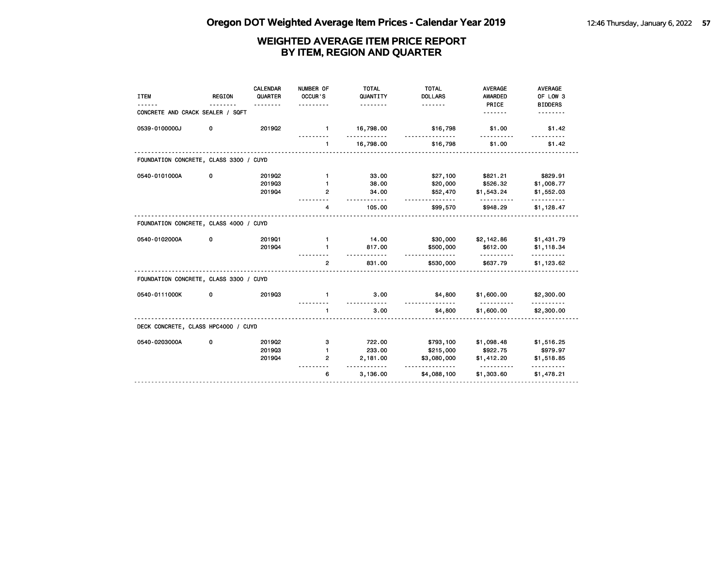| CONCRETE AND CRACK SEALER / SQFT<br>.<br>0539-0100000J<br>0<br>201902<br>16,798.00<br>\$16,798<br>$\blacksquare$<br>\$1.00<br>\$1.42<br>16,798.00<br>\$1.00<br>\$16,798<br>\$1.42<br>$\mathbf{1}$<br>FOUNDATION CONCRETE, CLASS 3300 / CUYD<br>0540-0101000A<br>0<br>2019Q2<br>\$821.21<br>\$829.91<br>$\mathbf{1}$<br>33.00<br>\$27,100<br>201903<br>38.00<br>\$20,000<br>\$526.32<br>\$1,008.77<br>$\mathbf{1}$<br>201904<br>34.00<br>2<br>\$52,470<br>\$1,543.24<br>\$1,552.03<br><u>.</u><br>.<br>105.00<br>\$948.29<br>\$1,128.47<br>4<br>\$99,570<br>FOUNDATION CONCRETE, CLASS 4000 / CUYD<br>0540-0102000A<br>0<br>201901<br>14.00<br>\$1,431.79<br>\$30,000<br>\$2,142.86<br>$\mathbf{1}$<br>201904<br>817.00<br>\$612.00<br>$\mathbf{1}$<br>\$500,000<br>\$1,118.34<br><u>.</u><br>831.00<br>\$637.79<br>$\overline{2}$<br>\$1,123.62<br>\$530,000<br>FOUNDATION CONCRETE, CLASS 3300 / CUYD<br>201903<br>3.00<br>0540-0111000K<br>\$4,800<br>\$1,600.00<br>0<br>\$2,300.00<br>$\mathbf{1}$<br>3.00<br>\$1,600.00<br>\$2,300.00<br>$\mathbf{1}$<br>\$4,800<br>DECK CONCRETE, CLASS HPC4000 / CUYD<br>0540-0203000A<br>2019Q2<br>722.00<br>\$793,100<br>\$1,098.48<br>\$1,516.25<br>0<br>з<br>201903<br>233.00<br>\$979.97<br>\$215,000<br>\$922.75<br>$\mathbf{1}$<br>2,181.00<br>\$3,080,000<br>201904<br>$\overline{2}$<br>\$1,412.20<br>\$1,518.85<br>.<br><u>.</u><br>.<br><u>.</u><br>6<br>3,136.00<br>\$4,088,100<br>\$1,303.60<br>\$1,478.21 | <b>ITEM</b> | <b>REGION</b> | CALENDAR<br>QUARTER<br>. | NUMBER OF<br>OCCUR'S | <b>TOTAL</b><br>QUANTITY<br>. | <b>TOTAL</b><br><b>DOLLARS</b><br><u>.</u> | <b>AVERAGE</b><br>AWARDED<br>PRICE | <b>AVERAGE</b><br>OF LOW 3<br><b>BIDDERS</b> |
|---------------------------------------------------------------------------------------------------------------------------------------------------------------------------------------------------------------------------------------------------------------------------------------------------------------------------------------------------------------------------------------------------------------------------------------------------------------------------------------------------------------------------------------------------------------------------------------------------------------------------------------------------------------------------------------------------------------------------------------------------------------------------------------------------------------------------------------------------------------------------------------------------------------------------------------------------------------------------------------------------------------------------------------------------------------------------------------------------------------------------------------------------------------------------------------------------------------------------------------------------------------------------------------------------------------------------------------------------------------------------------------------------------------------------------------------------------------|-------------|---------------|--------------------------|----------------------|-------------------------------|--------------------------------------------|------------------------------------|----------------------------------------------|
|                                                                                                                                                                                                                                                                                                                                                                                                                                                                                                                                                                                                                                                                                                                                                                                                                                                                                                                                                                                                                                                                                                                                                                                                                                                                                                                                                                                                                                                               |             |               |                          |                      |                               |                                            |                                    |                                              |
|                                                                                                                                                                                                                                                                                                                                                                                                                                                                                                                                                                                                                                                                                                                                                                                                                                                                                                                                                                                                                                                                                                                                                                                                                                                                                                                                                                                                                                                               |             |               |                          |                      |                               |                                            |                                    |                                              |
|                                                                                                                                                                                                                                                                                                                                                                                                                                                                                                                                                                                                                                                                                                                                                                                                                                                                                                                                                                                                                                                                                                                                                                                                                                                                                                                                                                                                                                                               |             |               |                          |                      |                               |                                            |                                    |                                              |
|                                                                                                                                                                                                                                                                                                                                                                                                                                                                                                                                                                                                                                                                                                                                                                                                                                                                                                                                                                                                                                                                                                                                                                                                                                                                                                                                                                                                                                                               |             |               |                          |                      |                               |                                            |                                    |                                              |
|                                                                                                                                                                                                                                                                                                                                                                                                                                                                                                                                                                                                                                                                                                                                                                                                                                                                                                                                                                                                                                                                                                                                                                                                                                                                                                                                                                                                                                                               |             |               |                          |                      |                               |                                            |                                    |                                              |
|                                                                                                                                                                                                                                                                                                                                                                                                                                                                                                                                                                                                                                                                                                                                                                                                                                                                                                                                                                                                                                                                                                                                                                                                                                                                                                                                                                                                                                                               |             |               |                          |                      |                               |                                            |                                    |                                              |
|                                                                                                                                                                                                                                                                                                                                                                                                                                                                                                                                                                                                                                                                                                                                                                                                                                                                                                                                                                                                                                                                                                                                                                                                                                                                                                                                                                                                                                                               |             |               |                          |                      |                               |                                            |                                    |                                              |
|                                                                                                                                                                                                                                                                                                                                                                                                                                                                                                                                                                                                                                                                                                                                                                                                                                                                                                                                                                                                                                                                                                                                                                                                                                                                                                                                                                                                                                                               |             |               |                          |                      |                               |                                            |                                    |                                              |
|                                                                                                                                                                                                                                                                                                                                                                                                                                                                                                                                                                                                                                                                                                                                                                                                                                                                                                                                                                                                                                                                                                                                                                                                                                                                                                                                                                                                                                                               |             |               |                          |                      |                               |                                            |                                    |                                              |
|                                                                                                                                                                                                                                                                                                                                                                                                                                                                                                                                                                                                                                                                                                                                                                                                                                                                                                                                                                                                                                                                                                                                                                                                                                                                                                                                                                                                                                                               |             |               |                          |                      |                               |                                            |                                    |                                              |
|                                                                                                                                                                                                                                                                                                                                                                                                                                                                                                                                                                                                                                                                                                                                                                                                                                                                                                                                                                                                                                                                                                                                                                                                                                                                                                                                                                                                                                                               |             |               |                          |                      |                               |                                            |                                    |                                              |
|                                                                                                                                                                                                                                                                                                                                                                                                                                                                                                                                                                                                                                                                                                                                                                                                                                                                                                                                                                                                                                                                                                                                                                                                                                                                                                                                                                                                                                                               |             |               |                          |                      |                               |                                            |                                    |                                              |
|                                                                                                                                                                                                                                                                                                                                                                                                                                                                                                                                                                                                                                                                                                                                                                                                                                                                                                                                                                                                                                                                                                                                                                                                                                                                                                                                                                                                                                                               |             |               |                          |                      |                               |                                            |                                    |                                              |
|                                                                                                                                                                                                                                                                                                                                                                                                                                                                                                                                                                                                                                                                                                                                                                                                                                                                                                                                                                                                                                                                                                                                                                                                                                                                                                                                                                                                                                                               |             |               |                          |                      |                               |                                            |                                    |                                              |
|                                                                                                                                                                                                                                                                                                                                                                                                                                                                                                                                                                                                                                                                                                                                                                                                                                                                                                                                                                                                                                                                                                                                                                                                                                                                                                                                                                                                                                                               |             |               |                          |                      |                               |                                            |                                    |                                              |
|                                                                                                                                                                                                                                                                                                                                                                                                                                                                                                                                                                                                                                                                                                                                                                                                                                                                                                                                                                                                                                                                                                                                                                                                                                                                                                                                                                                                                                                               |             |               |                          |                      |                               |                                            |                                    |                                              |
|                                                                                                                                                                                                                                                                                                                                                                                                                                                                                                                                                                                                                                                                                                                                                                                                                                                                                                                                                                                                                                                                                                                                                                                                                                                                                                                                                                                                                                                               |             |               |                          |                      |                               |                                            |                                    |                                              |
|                                                                                                                                                                                                                                                                                                                                                                                                                                                                                                                                                                                                                                                                                                                                                                                                                                                                                                                                                                                                                                                                                                                                                                                                                                                                                                                                                                                                                                                               |             |               |                          |                      |                               |                                            |                                    |                                              |
|                                                                                                                                                                                                                                                                                                                                                                                                                                                                                                                                                                                                                                                                                                                                                                                                                                                                                                                                                                                                                                                                                                                                                                                                                                                                                                                                                                                                                                                               |             |               |                          |                      |                               |                                            |                                    |                                              |
|                                                                                                                                                                                                                                                                                                                                                                                                                                                                                                                                                                                                                                                                                                                                                                                                                                                                                                                                                                                                                                                                                                                                                                                                                                                                                                                                                                                                                                                               |             |               |                          |                      |                               |                                            |                                    |                                              |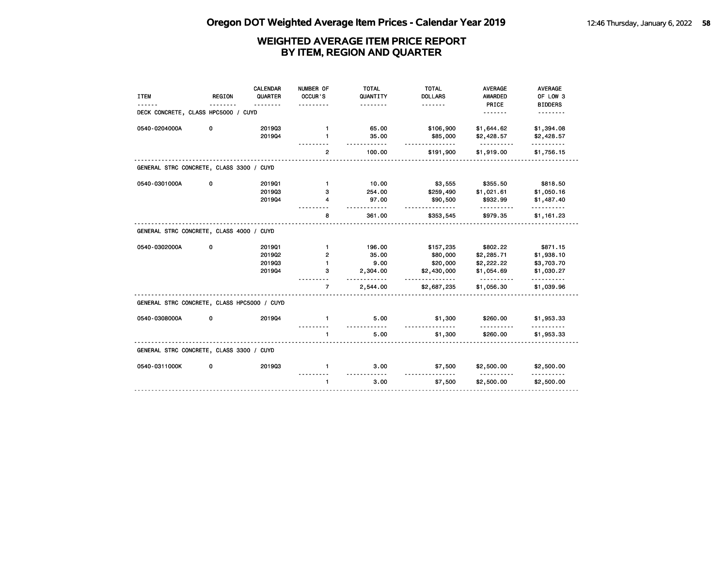| <b>ITEM</b>                                 | <b>REGION</b> | <b>CALENDAR</b><br>QUARTER | NUMBER OF<br>OCCUR'S<br>. | <b>TOTAL</b><br>QUANTITY<br>. | <b>TOTAL</b><br><b>DOLLARS</b><br><u>.</u> | <b>AVERAGE</b><br><b>AWARDED</b><br>PRICE | <b>AVERAGE</b><br>OF LOW 3<br><b>BIDDERS</b> |
|---------------------------------------------|---------------|----------------------------|---------------------------|-------------------------------|--------------------------------------------|-------------------------------------------|----------------------------------------------|
| DECK CONCRETE, CLASS HPC5000 / CUYD         |               |                            |                           |                               |                                            | .                                         |                                              |
| 0540-0204000A                               | 0             | 201903                     | $\mathbf{1}$              | 65.00                         | \$106,900                                  | \$1,644.62                                | \$1,394.08                                   |
|                                             |               | 201904                     | 1                         | 35.00                         | \$85,000<br><u>.</u>                       | \$2,428.57                                | \$2,428.57                                   |
|                                             |               |                            | $\overline{2}$            | 100.00                        | \$191,900                                  | \$1,919.00                                | \$1,756.15                                   |
| GENERAL STRC CONCRETE, CLASS 3300 / CUYD    |               |                            |                           |                               |                                            |                                           |                                              |
| 0540-0301000A                               | 0             | 201901                     | $\mathbf{1}$              | 10.00                         | \$3,555                                    | \$355.50                                  | \$818.50                                     |
|                                             |               | 201903                     | з                         | 254.00                        | \$259,490                                  | \$1,021.61                                | \$1,050.16                                   |
|                                             |               | 201904                     | 4                         | 97.00<br>$- - - - - -$        | \$90,500<br>.                              | \$932.99<br>----------                    | \$1,487.40<br><u> - - - - - - - - -</u>      |
|                                             |               |                            | 8                         | 361.00                        | \$353,545                                  | \$979.35                                  | \$1,161.23                                   |
| GENERAL STRC CONCRETE, CLASS 4000 / CUYD    |               |                            |                           |                               |                                            |                                           |                                              |
| 0540-0302000A                               | 0             | 201901                     | $\mathbf{1}$              | 196.00                        | \$157,235                                  | \$802.22                                  | \$871.15                                     |
|                                             |               | 2019Q2                     | 2                         | 35.00                         | \$80,000                                   | \$2,285.71                                | \$1,938.10                                   |
|                                             |               | 201903                     | 1                         | 9.00                          | \$20,000                                   | \$2,222.22                                | \$3,703.70                                   |
|                                             |               | 201904                     | з                         | 2,304.00                      | \$2,430,000                                | \$1,054.69<br><u>.</u>                    | \$1,030.27<br><u>.</u>                       |
|                                             |               |                            | $\overline{7}$            | 2,544.00                      | \$2,687,235                                | \$1,056.30                                | \$1,039.96                                   |
| GENERAL STRC CONCRETE, CLASS HPC5000 / CUYD |               |                            |                           |                               |                                            |                                           |                                              |
| 0540-0308000A                               | 0             | 201904                     | $\mathbf{1}$              | 5.00                          | \$1,300                                    | \$260.00                                  | \$1,953.33                                   |
|                                             |               |                            | 1                         | 5.00                          | \$1,300                                    | \$260.00                                  | \$1,953.33                                   |
| GENERAL STRC CONCRETE, CLASS 3300 / CUYD    |               |                            |                           |                               |                                            |                                           |                                              |
| 0540-0311000K                               | 0             | 201903                     | $\mathbf{1}$              | 3.00                          | \$7,500                                    | \$2,500.00                                | \$2,500.00                                   |
|                                             |               |                            | $\mathbf{1}$              | 3.00                          | \$7,500                                    | \$2,500.00                                | \$2,500.00                                   |
|                                             |               |                            |                           |                               |                                            |                                           |                                              |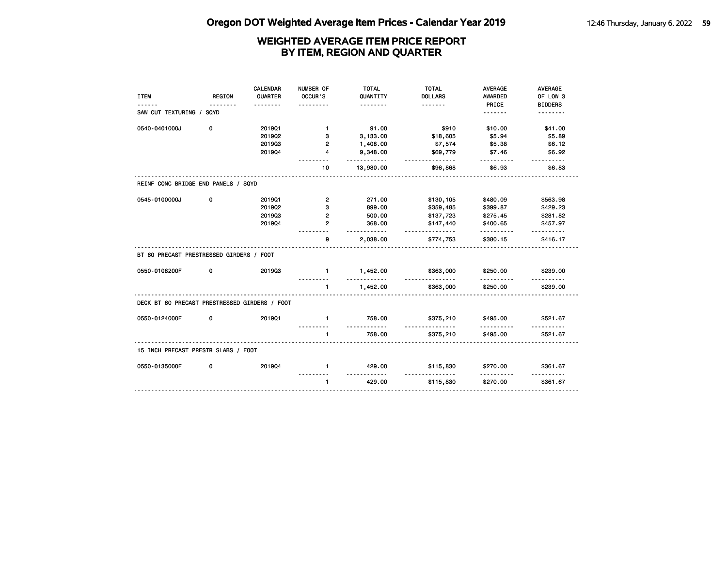| <b>ITEM</b>                                   | <b>REGION</b> | CALENDAR<br>QUARTER<br><u>.</u> | NUMBER OF<br>OCCUR'S | <b>TOTAL</b><br>QUANTITY<br>. | <b>TOTAL</b><br><b>DOLLARS</b><br><u>.</u> | <b>AVERAGE</b><br><b>AWARDED</b><br>PRICE | <b>AVERAGE</b><br>OF LOW 3<br><b>BIDDERS</b> |
|-----------------------------------------------|---------------|---------------------------------|----------------------|-------------------------------|--------------------------------------------|-------------------------------------------|----------------------------------------------|
| SAW CUT TEXTURING / SQYD                      |               |                                 |                      |                               |                                            | <u>.</u>                                  | .                                            |
| 0540-0401000J                                 | 0             | 201901                          | $\mathbf{1}$         | 91.00                         | \$910                                      | \$10.00                                   | \$41.00                                      |
|                                               |               | 2019Q2                          | 3                    | 3,133.00                      | \$18,605                                   | \$5.94                                    | \$5.89                                       |
|                                               |               | 201903                          | $\overline{2}$       | 1,408.00                      | \$7,574                                    | \$5.38                                    | \$6.12                                       |
|                                               |               | 201904                          | 4                    | 9,348.00<br><u>.</u>          | \$69,779<br><u>.</u>                       | \$7.46                                    | \$6.92                                       |
|                                               |               |                                 | 10                   | 13,980.00                     | \$96,868                                   | \$6.93                                    | \$6.83                                       |
| REINF CONC BRIDGE END PANELS / SQYD           |               |                                 |                      |                               |                                            |                                           |                                              |
| 0545-0100000J                                 | 0             | 201901                          | 2                    | 271.00                        | \$130,105                                  | \$480.09                                  | \$563.98                                     |
|                                               |               | 201902                          | 3                    | 899.00                        | \$359,485                                  | \$399.87                                  | \$429.23                                     |
|                                               |               | 201903                          | $\overline{2}$       | 500.00                        | \$137,723                                  | \$275.45                                  | \$281.82                                     |
|                                               |               | 201904                          | $\overline{2}$       | 368.00<br>.                   | \$147,440<br>.                             | \$400.65<br>.                             | \$457.97                                     |
|                                               |               |                                 | 9                    | 2,038.00                      | \$774,753                                  | \$380.15                                  | \$416.17                                     |
| BT 60 PRECAST PRESTRESSED GIRDERS / FOOT      |               |                                 |                      |                               |                                            |                                           |                                              |
| 0550-0108200F                                 | 0             | 201903                          | $\mathbf{1}$         | 1,452.00<br><u>.</u>          | \$363,000<br>.                             | \$250.00<br>.                             | \$239.00                                     |
|                                               |               |                                 | $\blacksquare$       | 1,452.00                      | \$363,000                                  | \$250.00                                  | \$239.00                                     |
| DECK BT 60 PRECAST PRESTRESSED GIRDERS / FOOT |               |                                 |                      |                               |                                            |                                           |                                              |
| 0550-0124000F                                 | 0             | 201901                          | $\blacksquare$       | 758.00<br>.                   | \$375,210<br><u>.</u>                      | \$495.00                                  | \$521.67                                     |
|                                               |               |                                 | $\blacksquare$       | 758.00                        | \$375,210                                  | \$495.00                                  | \$521.67                                     |
| 15 INCH PRECAST PRESTR SLABS / FOOT           |               |                                 |                      |                               |                                            |                                           |                                              |
| 0550-0135000F                                 | 0             | 201904                          | $\mathbf{1}$         | 429.00<br>. . <b>.</b>        | \$115,830<br><u>.</u>                      | \$270.00<br>.                             | \$361.67                                     |
|                                               |               |                                 | $\mathbf{1}$         | 429.00                        | \$115,830                                  | \$270.00                                  | \$361.67                                     |
|                                               |               |                                 |                      |                               |                                            |                                           |                                              |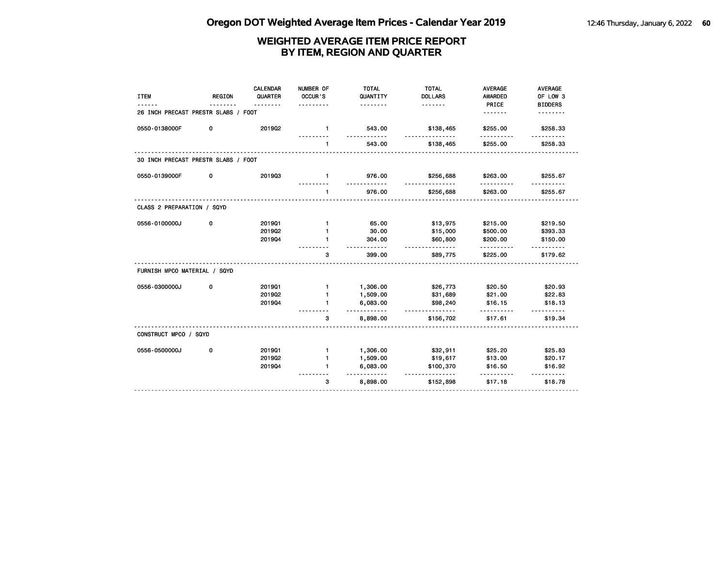| <b>ITEM</b>                         | <b>REGION</b> | CALENDAR<br>QUARTER | NUMBER OF<br>OCCUR'S | <b>TOTAL</b><br>QUANTITY | <b>TOTAL</b><br><b>DOLLARS</b> | <b>AVERAGE</b><br><b>AWARDED</b> | <b>AVERAGE</b><br>OF LOW 3 |
|-------------------------------------|---------------|---------------------|----------------------|--------------------------|--------------------------------|----------------------------------|----------------------------|
| 26 INCH PRECAST PRESTR SLABS / FOOT |               | <u>.</u>            |                      | .                        | <u>.</u>                       | PRICE<br>.                       | <b>BIDDERS</b>             |
| 0550-0138000F                       | 0             | 201902              | $\mathbf{1}$         | 543.00                   | \$138,465                      | \$255.00                         | \$258.33                   |
|                                     |               |                     | $\mathbf{1}$         | 543.00                   | \$138,465                      | \$255.00                         | \$258.33                   |
| 30 INCH PRECAST PRESTR SLABS / FOOT |               |                     |                      |                          |                                |                                  |                            |
| 0550-0139000F                       | 0             | 201903              | $\mathbf{1}$         | 976.00<br><u>.</u>       | \$256,688<br>------            | \$263.00                         | \$255.67                   |
|                                     |               |                     | $\mathbf{1}$         | 976.00                   | \$256,688                      | \$263.00                         | \$255.67                   |
| CLASS 2 PREPARATION / SQYD          |               |                     |                      |                          |                                |                                  |                            |
| 0556-0100000J                       | 0             | 201901              | $\mathbf{1}$         | 65.00                    | \$13,975                       | \$215.00                         | \$219.50                   |
|                                     |               | 2019Q2              |                      | 30.00                    | \$15,000                       | \$500.00                         | \$393.33                   |
|                                     |               | 201904              |                      | 304.00<br>.              | \$60,800<br>.                  | \$200.00<br>.                    | \$150.00<br><u>.</u>       |
|                                     |               |                     | 3                    | 399.00                   | \$89,775                       | \$225.00                         | \$179.62                   |
| FURNISH MPCO MATERIAL / SQYD        |               |                     |                      |                          |                                |                                  |                            |
| 0556-0300000J                       | 0             | 201901              | $\mathbf{1}$         | 1,306.00                 | \$26,773                       | \$20.50                          | \$20.93                    |
|                                     |               | 201902              | $\mathbf{1}$         | 1,509.00                 | \$31,689                       | \$21.00                          | \$22.83                    |
|                                     |               | 201904              | 1                    | 6,083.00<br>.            | \$98,240<br>.                  | \$16.15                          | \$18.13                    |
|                                     |               |                     | 3                    | 8,898.00                 | \$156,702                      | \$17.61                          | \$19.34                    |
| CONSTRUCT MPCO / SQYD               |               |                     |                      |                          |                                |                                  |                            |
| 0556-0500000J                       | 0             | 201901              | $\mathbf{1}$         | 1,306.00                 | \$32,911                       | \$25.20                          | \$25.83                    |
|                                     |               | 201902              | $\mathbf{1}$         | 1,509.00                 | \$19,617                       | \$13.00                          | \$20.17                    |
|                                     |               | 201904              | 1                    | 6,083.00<br><u>.</u>     | \$100,370<br>.                 | \$16.50                          | \$16.92<br>------          |
|                                     |               |                     | 3                    | 8,898.00                 | \$152,898                      | \$17.18                          | \$18.78                    |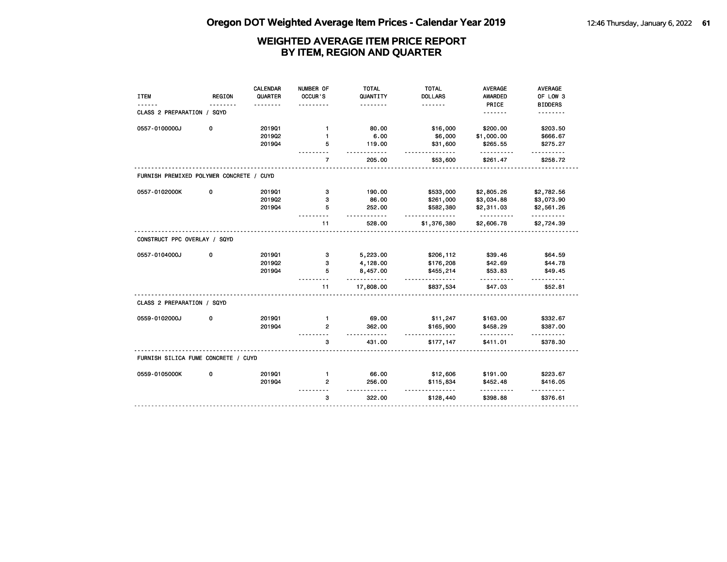|                                          |               | <b>CALENDAR</b> | NUMBER OF      | <b>TOTAL</b>                       | <b>TOTAL</b>          | <b>AVERAGE</b>         | <b>AVERAGE</b>       |
|------------------------------------------|---------------|-----------------|----------------|------------------------------------|-----------------------|------------------------|----------------------|
| <b>ITEM</b>                              | <b>REGION</b> | QUARTER         | OCCUR'S        | QUANTITY                           | <b>DOLLARS</b>        | <b>AWARDED</b>         | OF LOW 3             |
|                                          |               |                 | $- - - -$      | .                                  | <u>.</u>              | PRICE                  | <b>BIDDERS</b>       |
| CLASS 2 PREPARATION / SQYD               |               |                 |                |                                    |                       | .                      |                      |
| 0557-0100000J                            | 0             | 201901          | $\mathbf{1}$   | 80.00                              | \$16,000              | \$200.00               | \$203.50             |
|                                          |               | 201902          | 1              | 6.00                               | \$6,000               | \$1,000.00             | \$666.67             |
|                                          |               | 201904          | 5              | 119.00                             | \$31,600              | \$265.55               | \$275.27             |
|                                          |               |                 | $\overline{7}$ | $- - -$<br>205.00                  | $- - - -$<br>\$53,600 | .<br>\$261.47          | <u>.</u><br>\$258.72 |
| FURNISH PREMIXED POLYMER CONCRETE / CUYD |               |                 |                |                                    |                       |                        |                      |
| 0557-0102000K                            | 0             | 201901          | з              | 190.00                             | \$533,000             | \$2,805.26             | \$2,782.56           |
|                                          |               | 201902          | з              | 86.00                              | \$261,000             | \$3,034.88             | \$3,073.90           |
|                                          |               | 201904          | 5              | 252.00                             | \$582,380             | \$2,311.03             | \$2,561.26           |
|                                          |               |                 | 11             | $\cdots$<br>528.00                 | .<br>\$1,376,380      | <u>.</u><br>\$2,606.78 | .<br>\$2,724.39      |
| CONSTRUCT PPC OVERLAY / SQYD             |               |                 |                |                                    |                       |                        |                      |
| 0557-0104000J                            | 0             | 201901          | з              | 5,223.00                           | \$206,112             | \$39.46                | \$64.59              |
|                                          |               | 201902          | 3              | 4,128.00                           | \$176,208             | \$42.69                | \$44.78              |
|                                          |               | 201904          | 5              | 8,457.00<br>.                      | \$455,214<br>.        | \$53.83                | \$49.45              |
|                                          |               |                 | 11             | 17,808.00                          | \$837,534             | \$47.03                | \$52.81              |
| CLASS 2 PREPARATION / SQYD               |               |                 |                |                                    |                       |                        |                      |
| 0559-0102000J                            | 0             | 201901          | $\mathbf{1}$   | 69.00                              | \$11,247              | \$163.00               | \$332.67             |
|                                          |               | 201904          | $\overline{2}$ | 362.00                             | \$165,900             | \$458.29               | \$387.00             |
|                                          |               |                 | з              | $\overline{\phantom{a}}$<br>431.00 | <u>.</u><br>\$177,147 | .<br>\$411.01          | \$378.30             |
| FURNISH SILICA FUME CONCRETE / CUYD      |               |                 |                |                                    |                       |                        |                      |
| 0559-0105000K                            | 0             | 201901          | $\mathbf{1}$   | 66.00                              | \$12,606              | \$191.00               | \$223.67             |
|                                          |               | 201904          | $\mathbf{2}$   | 256.00                             | \$115,834             | \$452.48               | \$416.05             |
|                                          |               |                 | 3              | ----<br>322.00                     | \$128,440             | .<br>\$398.88          | \$376.61             |
|                                          |               |                 |                |                                    |                       |                        |                      |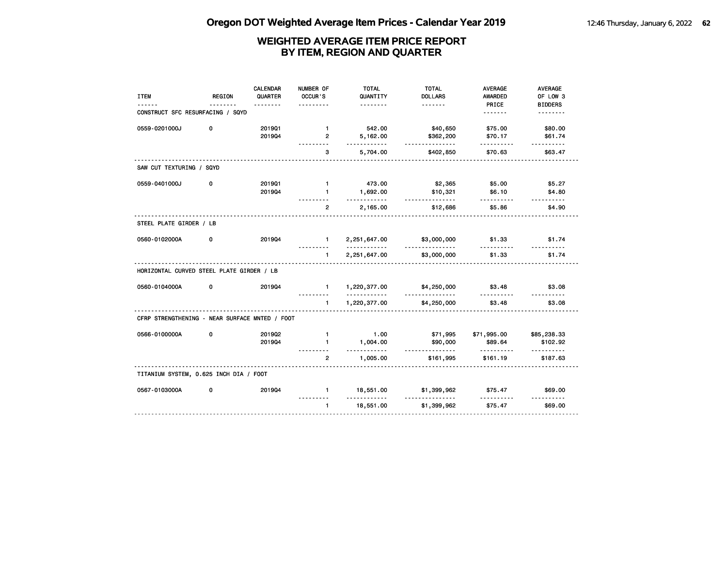| <b>ITEM</b>                                    | <b>REGION</b> | <b>CALENDAR</b><br>QUARTER | NUMBER OF<br>OCCUR'S           | <b>TOTAL</b><br>QUANTITY<br><u>.</u> | <b>TOTAL</b><br><b>DOLLARS</b> | <b>AVERAGE</b><br>AWARDED | <b>AVERAGE</b><br>OF LOW 3 |
|------------------------------------------------|---------------|----------------------------|--------------------------------|--------------------------------------|--------------------------------|---------------------------|----------------------------|
| CONSTRUCT SFC RESURFACING / SQYD               |               |                            |                                |                                      |                                | PRICE<br>.                | <b>BIDDERS</b><br><u>.</u> |
| 0559-0201000J                                  | 0             | 201901<br>201904           | $\mathbf{1}$<br>$\overline{2}$ | 542.00<br>5,162.00                   | \$40,650<br>\$362,200          | \$75.00<br>\$70.17        | \$80.00<br>\$61.74         |
|                                                |               |                            | 3                              | .<br>5,704.00                        | .<br>\$402,850                 | .<br>\$70.63              | <u>.</u><br>\$63.47        |
| SAW CUT TEXTURING / SQYD                       |               |                            |                                |                                      |                                |                           |                            |
| 0559-0401000J                                  | 0             | 201901<br>201904           | $\mathbf{1}$<br>$\mathbf{1}$   | 473.00<br>1,692.00                   | \$2,365<br>\$10,321            | \$5.00<br>\$6.10          | \$5.27<br>\$4.80           |
|                                                |               |                            | $\overline{2}$                 | .<br>2,165.00                        | .<br>\$12,686                  | <u>.</u><br>\$5.86        | .<br>\$4.90                |
| STEEL PLATE GIRDER / LB                        |               |                            |                                |                                      |                                |                           |                            |
| 0560-0102000A                                  | 0             | 201904                     | $1 -$                          | 2,251,647.00<br><u>.</u>             | \$3,000,000<br><u>.</u>        | \$1.33                    | \$1.74                     |
|                                                |               |                            | $\blacksquare$                 | 2,251,647.00                         | \$3,000,000                    | \$1.33                    | \$1.74                     |
| HORIZONTAL CURVED STEEL PLATE GIRDER / LB      |               |                            |                                |                                      |                                |                           |                            |
| 0560-0104000A                                  | 0             | 201904                     | $\mathbf{1}$                   | 1,220,377.00<br><u>.</u>             | \$4,250,000                    | \$3.48                    | \$3.08                     |
|                                                |               |                            | $\mathbf{1}$                   | 1,220,377.00                         | \$4,250,000                    | \$3.48                    | \$3.08                     |
| CFRP STRENGTHENING - NEAR SURFACE MNTED / FOOT |               |                            |                                |                                      |                                |                           |                            |
| 0566-0100000A                                  | 0             | 201902<br>201904           | $\mathbf{1}$<br>$\mathbf{1}$   | 1.00<br>1,004.00                     | \$71,995<br>\$90,000           | \$71,995.00<br>\$89.64    | \$85,238.33<br>\$102.92    |
|                                                |               |                            | $\mathbf{2}$                   | <u>.</u><br>1,005.00                 | <u>.</u><br>\$161,995          | .<br>\$161.19             | .<br>\$187.63              |
| TITANIUM SYSTEM, 0.625 INCH DIA / FOOT         |               |                            |                                |                                      |                                |                           |                            |
| 0567-0103000A                                  | 0             | 201904                     | $\mathbf{1}$                   | 18,551.00<br>.                       | \$1,399,962                    | \$75.47                   | \$69,00                    |
|                                                |               |                            | $\mathbf{1}$                   | 18,551.00                            | \$1,399,962                    | \$75.47                   | <u>.</u><br>\$69,00        |
|                                                |               |                            |                                |                                      |                                |                           |                            |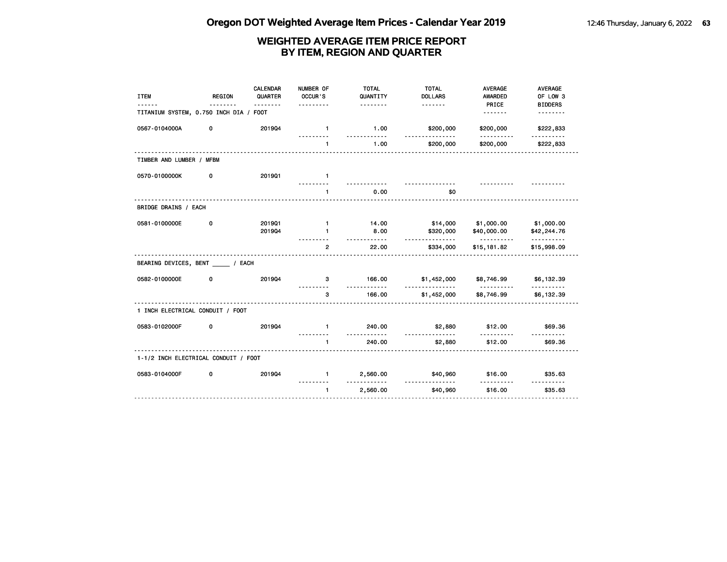| <b>ITEM</b>                            | <b>REGION</b> | <b>CALENDAR</b><br>QUARTER<br>. | NUMBER OF<br>OCCUR'S | <b>TOTAL</b><br>QUANTITY<br><u>.</u> | <b>TOTAL</b><br><b>DOLLARS</b> | <b>AVERAGE</b><br><b>AWARDED</b><br>PRICE | <b>AVERAGE</b><br>OF LOW 3<br><b>BIDDERS</b> |
|----------------------------------------|---------------|---------------------------------|----------------------|--------------------------------------|--------------------------------|-------------------------------------------|----------------------------------------------|
| TITANIUM SYSTEM, 0.750 INCH DIA / FOOT |               |                                 |                      |                                      |                                |                                           | <u>.</u>                                     |
| 0567-0104000A                          | 0             | 201904                          | $\mathbf{1}$         | 1.00<br>$- - - - -$                  | \$200,000                      | \$200,000                                 | \$222,833                                    |
|                                        |               |                                 | $\mathbf{1}$         | 1.00                                 | \$200,000                      | \$200,000                                 | \$222,833                                    |
| TIMBER AND LUMBER / MFBM               |               |                                 |                      |                                      |                                |                                           |                                              |
| 0570-0100000K                          | 0             | 201901                          | $\mathbf{1}$         |                                      |                                |                                           |                                              |
|                                        |               |                                 | <u>.</u><br>1        | 0.00                                 | \$0                            |                                           |                                              |
| BRIDGE DRAINS / EACH                   |               |                                 |                      |                                      |                                |                                           |                                              |
| 0581-0100000E                          | 0             | 201901<br>201904                | $\mathbf{1}$<br>1    | 14.00<br>8.00                        | \$14,000<br>\$320,000          | \$1,000.00<br>\$40,000.00                 | \$1,000.00<br>\$42,244.76                    |
|                                        |               |                                 | $\overline{2}$       | . <b>.</b><br>22.00                  | <u>.</u><br>\$334,000          | <u>.</u><br>\$15,181.82                   | <u>.</u><br>\$15,998.09                      |
| BEARING DEVICES, BENT / EACH           |               |                                 |                      |                                      |                                |                                           |                                              |
| 0582-0100000E                          | 0             | 201904                          | 3                    | 166.00<br>.                          | \$1,452,000                    | \$8,746.99<br>.                           | \$6,132.39                                   |
|                                        |               |                                 | 3                    | 166.00                               | <u>.</u><br>\$1,452,000        | \$8,746.99                                | .<br>\$6,132.39                              |
| 1 INCH ELECTRICAL CONDUIT / FOOT       |               |                                 |                      |                                      |                                |                                           |                                              |
| 0583-0102000F                          | 0             | 201904                          | $\blacksquare$       | 240.00                               | \$2,880                        | \$12.00                                   | \$69.36                                      |
|                                        |               |                                 | $\blacksquare$       | 240.00                               | \$2,880                        | \$12.00                                   | \$69.36                                      |
| 1-1/2 INCH ELECTRICAL CONDUIT / FOOT   |               |                                 |                      |                                      |                                |                                           |                                              |
| 0583-0104000F                          | 0             | 201904                          | $\mathbf{1}$         | 2,560.00                             | \$40,960                       | \$16.00                                   | \$35.63                                      |
|                                        |               |                                 | $\mathbf{1}$         | <u>---------</u><br>2,560.00         | .<br>\$40,960                  | .<br>\$16.00                              | <u>.</u><br>\$35.63                          |
|                                        |               |                                 |                      |                                      |                                |                                           |                                              |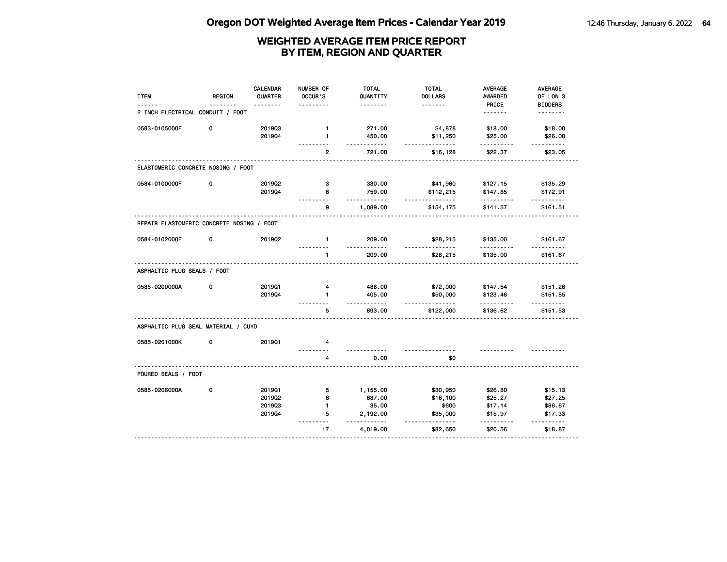| <b>ITEM</b>                               | <b>REGION</b> | <b>CALENDAR</b><br>QUARTER<br>. | NUMBER OF<br>OCCUR'S | <b>TOTAL</b><br>QUANTITY<br><u>.</u> | <b>TOTAL</b><br><b>DOLLARS</b><br>. | <b>AVERAGE</b><br><b>AWARDED</b><br>PRICE | AVERAGE<br>OF LOW 3<br><b>BIDDERS</b> |
|-------------------------------------------|---------------|---------------------------------|----------------------|--------------------------------------|-------------------------------------|-------------------------------------------|---------------------------------------|
| 2 INCH ELECTRICAL CONDUIT / FOOT          |               |                                 |                      |                                      |                                     | <u>.</u>                                  | <u>.</u>                              |
| 0583-0105000F                             | 0             | 201903                          | $\mathbf{1}$         | 271.00                               | \$4,878                             | \$18.00                                   | \$18.00                               |
|                                           |               | 201904                          | $\mathbf{1}$         | 450.00<br><u>.</u>                   | \$11,250<br><u>.</u>                | \$25.00                                   | \$26.08                               |
|                                           |               |                                 | $\overline{2}$       | 721.00                               | \$16,128                            | \$22.37                                   | \$23.05                               |
| ELASTOMERIC CONCRETE NOSING / FOOT        |               |                                 |                      |                                      |                                     |                                           |                                       |
| 0584-0100000F                             | 0             | 201902                          | 3                    | 330.00                               | \$41,960                            | \$127.15                                  | \$135.29                              |
|                                           |               | 201904                          | 6                    | 759.00<br>- - - - - - -              | \$112,215<br>.                      | \$147.85<br>.                             | \$172.91<br>.                         |
|                                           |               |                                 | 9                    | 1,089.00                             | \$154,175                           | \$141.57                                  | \$161.51                              |
| REPAIR ELASTOMERIC CONCRETE NOSING / FOOT |               |                                 |                      |                                      |                                     |                                           |                                       |
| 0584-0102000F                             | 0             | 201902                          | $\mathbf{1}$         | 209.00                               | \$28,215                            | \$135.00                                  | \$161.67                              |
|                                           |               |                                 | $\mathbf{1}$         | <u>.</u><br>209.00                   | \$28,215                            | <u>.</u><br>\$135.00                      | $- - - - - -$<br>\$161.67             |
| ASPHALTIC PLUG SEALS / FOOT               |               |                                 |                      |                                      |                                     |                                           |                                       |
| 0585-0200000A                             | 0             | 201901                          | 4                    | 488.00                               | \$72,000                            | \$147.54                                  | \$151.26                              |
|                                           |               | 201904                          | $\blacksquare$       | 405.00<br><u>.</u>                   | \$50,000<br><u>.</u>                | \$123.46                                  | \$151.85                              |
|                                           |               |                                 | 5                    | 893.00                               | \$122,000                           | .<br>\$136.62                             | $- - - - - -$<br>\$151.53             |
| ASPHALTIC PLUG SEAL MATERIAL / CUYD       |               |                                 |                      |                                      |                                     |                                           |                                       |
| 0585-0201000K                             | 0             | 201901                          | 4                    |                                      |                                     |                                           |                                       |
|                                           |               |                                 | 4                    | 0.00                                 | \$0                                 |                                           |                                       |
| POURED SEALS / FOOT                       |               |                                 |                      |                                      |                                     |                                           |                                       |
| 0585-0206000A                             | 0             | 201901                          | 5                    | 1,155.00                             | \$30,950                            | \$26.80                                   | \$15.13                               |
|                                           |               | 201902                          | 6                    | 637.00                               | \$16,100                            | \$25.27                                   | \$27.25                               |
|                                           |               | 201903                          | $\mathbf{1}$         | 35.00                                | \$600                               | \$17.14                                   | \$86.67                               |
|                                           |               | 201904                          | 5<br>- - -           | 2,192.00<br>$- - -$                  | \$35,000<br><u>.</u>                | \$15.97                                   | \$17.33                               |
|                                           |               |                                 | 17                   | 4,019.00                             | \$82,650                            | \$20.56                                   | \$18.87                               |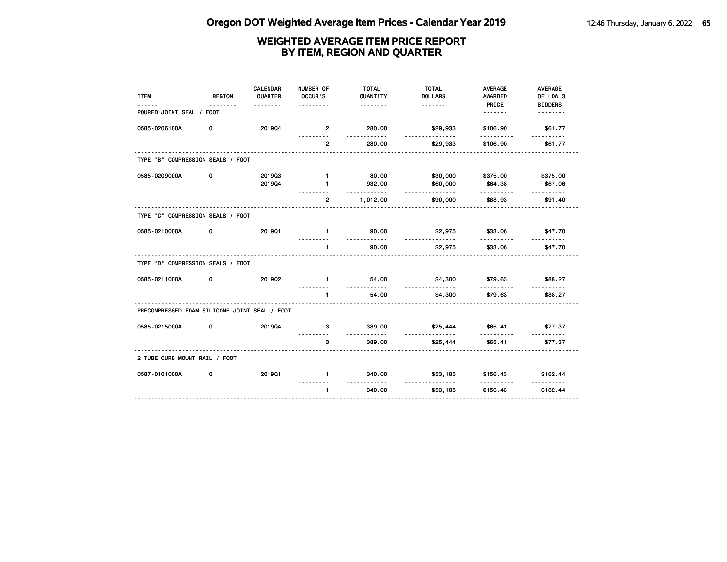| <b>ITEM</b>                                   | <b>REGION</b> | <b>CALENDAR</b><br>QUARTER | NUMBER OF<br>OCCUR'S | <b>TOTAL</b><br>QUANTITY | <b>TOTAL</b><br><b>DOLLARS</b>            | <b>AVERAGE</b><br><b>AWARDED</b> | <b>AVERAGE</b><br>OF LOW 3 |
|-----------------------------------------------|---------------|----------------------------|----------------------|--------------------------|-------------------------------------------|----------------------------------|----------------------------|
| POURED JOINT SEAL / FOOT                      |               | .                          | .                    | <u>.</u>                 |                                           | PRICE<br><u>.</u>                | <b>BIDDERS</b><br><u>.</u> |
|                                               |               |                            |                      |                          |                                           |                                  |                            |
| 0585-0206100A                                 | 0             | 201904                     | $\overline{2}$       | 280.00<br><u>.</u>       | \$29,933<br><u>.</u>                      | \$106.90<br>----------           | \$61.77<br><u>.</u>        |
|                                               |               |                            | $\overline{2}$       | 280.00                   | \$29,933                                  | \$106.90                         | \$61.77                    |
| TYPE "B" COMPRESSION SEALS / FOOT             |               |                            |                      |                          |                                           |                                  |                            |
| 0585-0209000A                                 | 0             | 201903                     | $\mathbf{1}$         | 80.00                    | \$30,000                                  | \$375.00                         | \$375.00                   |
|                                               |               | 201904                     | 1                    | 932.00<br>.              | \$60,000<br>.                             | \$64.38<br>.                     | \$67.06<br>.               |
|                                               |               |                            | $\overline{2}$       | 1,012.00                 | \$90,000                                  | \$88.93                          | \$91.40                    |
| TYPE "C" COMPRESSION SEALS / FOOT             |               |                            |                      |                          |                                           |                                  |                            |
| 0585-0210000A                                 | 0             | 201901                     | $\blacksquare$       | 90.00<br>. <b>.</b>      | \$2,975<br>.                              | \$33.06                          | \$47.70                    |
|                                               |               |                            | $\mathbf{1}$         | 90.00                    | \$2,975                                   | \$33.06                          | \$47.70                    |
| TYPE "D" COMPRESSION SEALS / FOOT             |               |                            |                      |                          |                                           |                                  |                            |
| 0585-0211000A                                 | 0             | 201902                     | $\mathbf{1}$         | 54.00<br>.               | \$4,300<br><u>.</u>                       | \$79.63<br>.                     | \$88.27<br>.               |
|                                               |               |                            |                      | 54.00                    | \$4,300                                   | \$79.63                          | \$88.27                    |
| PRECOMPRESSED FOAM SILICONE JOINT SEAL / FOOT |               |                            |                      |                          |                                           |                                  |                            |
| 0585-0215000A                                 | 0             | 201904                     | 3                    | 389.00<br>.              | \$25,444<br><u>.</u>                      | \$65.41<br>.                     | \$77.37                    |
|                                               |               |                            | 3                    | 389.00                   | \$25,444                                  | \$65.41                          | \$77.37                    |
| 2 TUBE CURB MOUNT RAIL / FOOT                 |               |                            |                      |                          |                                           |                                  |                            |
| 0587-0101000A                                 | 0             | 201901                     | $\mathbf{1}$         | 340.00<br>.              | \$53,185<br><u> - - - - - - - - - - -</u> | \$156.43<br>.                    | \$162.44<br><u>.</u>       |
|                                               |               |                            | $\mathbf{1}$         | 340.00                   | \$53,185                                  | \$156.43                         | \$162.44                   |
|                                               |               |                            |                      |                          |                                           |                                  |                            |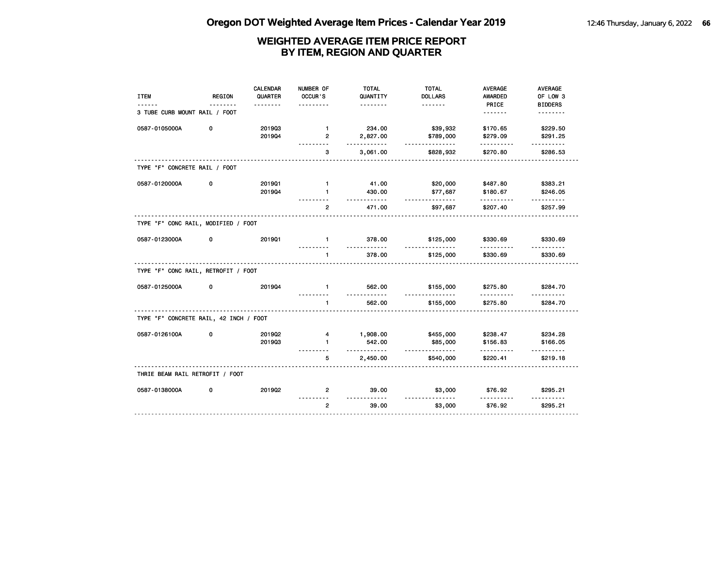| <b>ITEM</b>                            | <b>REGION</b> | CALENDAR<br>QUARTER | NUMBER OF<br>OCCUR'S           | <b>TOTAL</b><br>QUANTITY   | <b>TOTAL</b><br><b>DOLLARS</b>  | <b>AVERAGE</b><br>AWARDED | AVERAGE<br>OF LOW 3        |
|----------------------------------------|---------------|---------------------|--------------------------------|----------------------------|---------------------------------|---------------------------|----------------------------|
| 3 TUBE CURB MOUNT RAIL / FOOT          |               |                     |                                | .                          |                                 | PRICE                     | <b>BIDDERS</b><br><u>.</u> |
| 0587-0105000A                          | 0             | 201903<br>201904    | $\mathbf{1}$<br>$\overline{2}$ | 234.00<br>2,827.00         | \$39,932<br>\$789,000           | \$170.65<br>\$279.09      | \$229.50<br>\$291.25       |
|                                        |               |                     | .<br>3                         | .<br>3,061.00              | <u></u><br>\$828,932            | .<br>\$270.80             | .<br>\$286.53              |
| TYPE "F" CONCRETE RAIL / FOOT          |               |                     |                                |                            |                                 |                           |                            |
| 0587-0120000A                          | 0             | 201901<br>201904    | $\mathbf{1}$<br>$\mathbf{1}$   | 41.00<br>430.00<br>- - - - | \$20,000<br>\$77,687<br><u></u> | \$487.80<br>\$180.67      | \$383.21<br>\$246.05       |
|                                        |               |                     | $\overline{2}$                 | 471.00                     | \$97,687                        | .<br>\$207.40             | \$257.99                   |
| TYPE "F" CONC RAIL, MODIFIED / FOOT    |               |                     |                                |                            |                                 |                           |                            |
| 0587-0123000A                          | 0             | 201901              | $\mathbf{1}$                   | 378.00                     | \$125,000<br>.                  | \$330.69                  | \$330.69                   |
|                                        |               |                     | $\mathbf{1}$<br>.              | 378.00                     | \$125,000                       | \$330.69                  | \$330.69                   |
| TYPE "F" CONC RAIL, RETROFIT / FOOT    |               |                     |                                |                            |                                 |                           |                            |
| 0587-0125000A                          | 0             | 201904              | $\mathbf{1}$                   | 562.00                     | \$155,000<br><u>.</u>           | \$275.80                  | \$284.70                   |
|                                        |               |                     | $\mathbf{1}$                   | 562.00                     | \$155,000                       | \$275.80                  | \$284.70                   |
| TYPE "F" CONCRETE RAIL, 42 INCH / FOOT |               |                     |                                |                            |                                 |                           |                            |
| 0587-0126100A                          | 0             | 2019Q2              | 4                              | 1,908.00                   | \$455,000                       | \$238.47                  | \$234.28                   |
|                                        |               | 201903              | $\mathbf{1}$                   | 542.00<br>$- - -$          | \$85,000<br><u>.</u>            | \$156.83<br>.             | \$166.05<br><u>.</u>       |
|                                        |               |                     | 5                              | 2,450.00                   | \$540,000                       | \$220.41                  | \$219.18                   |
| THRIE BEAM RAIL RETROFIT / FOOT        |               |                     |                                |                            |                                 |                           |                            |
| 0587-0138000A                          | 0             | 201902              | $\mathbf{2}$                   | 39.00<br>.                 | \$3,000<br>.                    | \$76.92                   | \$295.21                   |
|                                        |               |                     | $\overline{2}$                 | 39.00                      | \$3,000                         | \$76.92                   | \$295.21                   |
|                                        |               |                     |                                |                            |                                 |                           |                            |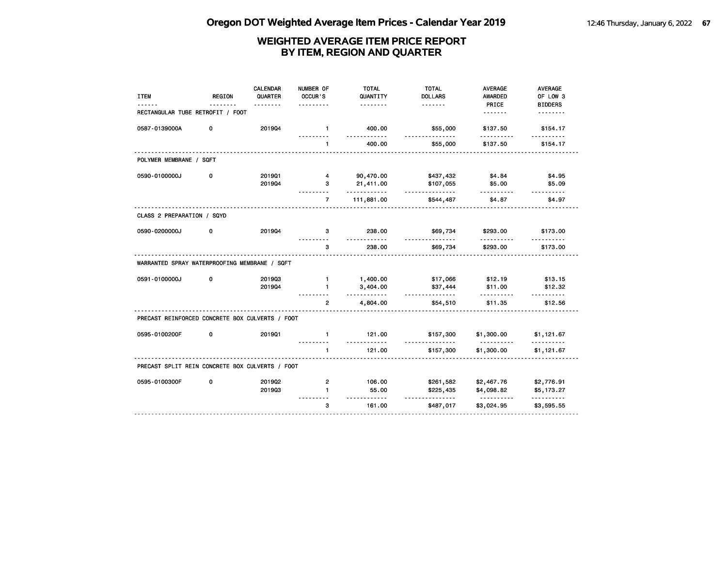| <b>ITEM</b>                                     | <b>REGION</b> | CALENDAR<br>QUARTER | NUMBER OF<br>OCCUR'S | <b>TOTAL</b><br>QUANTITY | <b>TOTAL</b><br><b>DOLLARS</b> | <b>AVERAGE</b><br><b>AWARDED</b> | <b>AVERAGE</b><br>OF LOW 3 |
|-------------------------------------------------|---------------|---------------------|----------------------|--------------------------|--------------------------------|----------------------------------|----------------------------|
|                                                 |               | <u>.</u>            |                      | .                        | <u>.</u>                       | PRICE                            | <b>BIDDERS</b>             |
| RECTANGULAR TUBE RETROFIT / FOOT                |               |                     |                      |                          |                                | <u>.</u>                         |                            |
| 0587-0139000A                                   | 0             | 201904              | $\mathbf{1}$<br>.    | 400.00<br>.              | \$55,000<br><u>.</u>           | \$137.50<br>.                    | \$154.17<br>.              |
|                                                 |               |                     | 1                    | 400.00                   | \$55,000                       | \$137.50                         | \$154.17                   |
| POLYMER MEMBRANE / SQFT                         |               |                     |                      |                          |                                |                                  |                            |
| 0590-0100000J                                   | 0             | 201901              | $\overline{4}$       | 90,470.00                | \$437,432                      | \$4.84                           | \$4.95                     |
|                                                 |               | 201904              | 3                    | 21,411.00                | \$107,055                      | \$5.00                           | \$5.09                     |
|                                                 |               |                     | $\overline{7}$       | <u>.</u><br>111,881.00   | <u>.</u><br>\$544,487          | \$4.87                           | .<br>\$4.97                |
| CLASS 2 PREPARATION / SQYD                      |               |                     |                      |                          |                                |                                  |                            |
| 0590-0200000J                                   | 0             | 201904              | 3                    | 238.00                   | \$69,734                       | \$293.00                         | \$173.00                   |
|                                                 |               |                     | 3                    | 238.00                   | \$69,734                       | \$293.00                         | \$173.00                   |
| WARRANTED SPRAY WATERPROOFING MEMBRANE / SQFT   |               |                     |                      |                          |                                |                                  |                            |
| 0591-0100000J                                   | 0             | 201903              | $\mathbf{1}$         | 1,400.00                 | \$17,066                       | \$12.19                          | \$13.15                    |
|                                                 |               | 201904              | $\mathbf{1}$         | 3,404.00<br>.            | \$37,444<br><u>.</u>           | \$11.00                          | \$12.32                    |
|                                                 |               |                     | $\overline{2}$       | 4,804.00                 | \$54,510                       | .<br>\$11.35                     | <u>.</u><br>\$12.56        |
| PRECAST REINFORCED CONCRETE BOX CULVERTS / FOOT |               |                     |                      |                          |                                |                                  |                            |
| 0595-0100200F                                   | 0             | 201901              | $\mathbf{1}$         | 121.00                   | \$157,300                      | \$1,300.00<br>.                  | \$1,121.67<br>.            |
|                                                 |               |                     | $\mathbf{1}$         | 121.00                   | \$157,300                      | \$1,300.00                       | \$1,121.67                 |
| PRECAST SPLIT REIN CONCRETE BOX CULVERTS / FOOT |               |                     |                      |                          |                                |                                  |                            |
| 0595-0100300F                                   | 0             | 201902              | 2                    | 106.00                   | \$261,582                      | \$2,467.76                       | \$2,776.91                 |
|                                                 |               | 201903              | $\blacksquare$       | 55.00                    | \$225,435                      | \$4,098.82                       | \$5,173.27                 |
|                                                 |               |                     | 3                    | <u>.</u><br>161.00       | .<br>\$487,017                 | .<br>\$3,024.95                  | .<br>\$3,595.55            |
|                                                 |               |                     |                      |                          |                                |                                  |                            |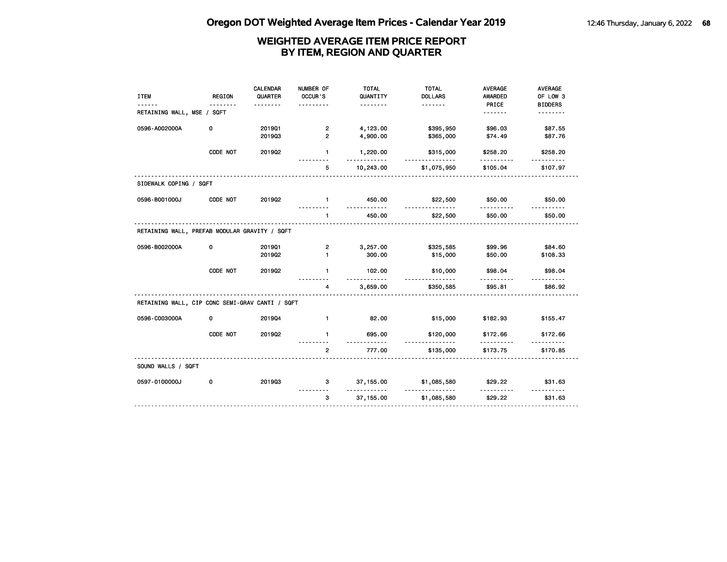|                                                 |               | <b>CALENDAR</b> | NUMBER OF      | <b>TOTAL</b>       | <b>TOTAL</b>     | <b>AVERAGE</b>      | AVERAGE        |
|-------------------------------------------------|---------------|-----------------|----------------|--------------------|------------------|---------------------|----------------|
| <b>ITEM</b>                                     | <b>REGION</b> | QUARTER         | OCCUR'S        | QUANTITY           | <b>DOLLARS</b>   | AWARDED             | OF LOW 3       |
|                                                 | .             | <u>.</u>        | .              | <u>.</u>           |                  | PRICE               | <b>BIDDERS</b> |
| RETAINING WALL, MSE / SQFT                      |               |                 |                |                    |                  | <u>.</u>            | <u>.</u>       |
| 0596-A002000A                                   | 0             | 201901          | $\overline{2}$ | 4,123.00           | \$395,950        | \$96.03             | \$87.55        |
|                                                 |               | 201903          | $\overline{2}$ | 4,900.00           | \$365,000        | \$74.49             | \$87.76        |
|                                                 |               |                 |                |                    |                  |                     |                |
|                                                 | CODE NOT      | 201902          | $\mathbf{1}$   | 1,220.00           | \$315,000        | \$258.20            | \$258.20       |
|                                                 |               |                 | .<br>5         | .<br>10,243.00     | .<br>\$1,075,950 | .<br>\$105.04       | \$107.97       |
| SIDEWALK COPING / SQFT                          |               |                 |                |                    |                  |                     |                |
| 0596-B001000J                                   | CODE NOT      | 201902          | $\blacksquare$ | 450.00<br>.        | \$22,500<br>.    | \$50.00<br><u>.</u> | \$50.00        |
|                                                 |               |                 | $\mathbf{1}$   | 450.00             | \$22,500         | \$50.00             | \$50.00        |
| RETAINING WALL, PREFAB MODULAR GRAVITY / SQFT   |               |                 |                |                    |                  |                     |                |
| 0596-B002000A                                   | 0             | 201901          | $\overline{2}$ | 3,257.00           | \$325,585        | \$99.96             | \$84.60        |
|                                                 |               | 2019Q2          | $\mathbf{1}$   | 300.00             | \$15,000         | \$50.00             | \$108.33       |
|                                                 |               |                 |                |                    |                  |                     |                |
|                                                 | CODE NOT      | 201902          | $\mathbf{1}$   | 102.00<br><u>.</u> | \$10,000<br>.    | \$98.04             | \$98.04        |
|                                                 |               |                 | 4<br><u>.</u>  | 3,659.00           | \$350,585        | \$95.81             | \$86.92        |
| RETAINING WALL, CIP CONC SEMI-GRAV CANTI / SQFT |               |                 |                |                    |                  |                     |                |
| 0596-C003000A                                   | 0             | 201904          | $\mathbf{1}$   | 82.00              | \$15,000         | \$182.93            | \$155.47       |
|                                                 | CODE NOT      | 201902          | $\mathbf{1}$   | 695.00<br>.        | \$120,000<br>.   | \$172.66<br>.       | \$172.66       |
|                                                 |               |                 | $\overline{2}$ | 777.00             | \$135,000        | \$173.75            | \$170.85       |
| SOUND WALLS / SQFT                              |               |                 |                |                    |                  |                     |                |
| 0597-0100000J                                   | 0             | 201903          | 3              | 37, 155.00<br>.    | \$1,085,580<br>. | \$29.22<br>.        | \$31.63<br>.   |
|                                                 |               |                 | 3              | 37,155.00          | \$1,085,580      | \$29.22             | \$31.63        |
|                                                 |               |                 |                |                    |                  |                     |                |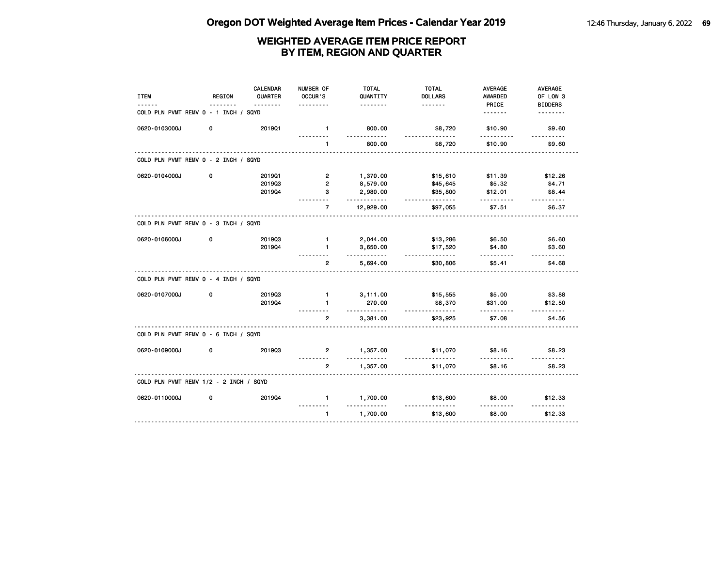| <b>ITEM</b>                            | REGION | <b>CALENDAR</b><br>QUARTER | NUMBER OF<br>OCCUR'S | <b>TOTAL</b><br>QUANTITY | <b>TOTAL</b><br><b>DOLLARS</b> | <b>AVERAGE</b><br><b>AWARDED</b> | AVERAGE<br>OF LOW 3        |
|----------------------------------------|--------|----------------------------|----------------------|--------------------------|--------------------------------|----------------------------------|----------------------------|
|                                        |        | <u>.</u>                   |                      | .                        |                                | PRICE<br><u>.</u>                | <b>BIDDERS</b><br><u>.</u> |
| COLD PLN PVMT REMV 0 - 1 INCH / SQYD   |        |                            |                      |                          |                                |                                  |                            |
| 0620-0103000J                          | 0      | 201901                     | $\mathbf{1}$<br>.    | 800.00<br>.              | \$8,720<br><u>.</u>            | \$10.90<br>.                     | \$9.60<br>.                |
|                                        |        |                            | $\mathbf{1}$         | 800.00                   | \$8,720                        | \$10.90                          | \$9.60                     |
| COLD PLN PVMT REMV 0 - 2 INCH / SQYD   |        |                            |                      |                          |                                |                                  |                            |
| 0620-0104000J                          | 0      | 2019Q1                     | $\overline{2}$       | 1,370.00                 | \$15,610                       | \$11.39                          | \$12.26                    |
|                                        |        | 201903                     | $\overline{2}$       | 8,579.00                 | \$45,645                       | \$5.32                           | \$4.71                     |
|                                        |        | 201904                     | 3<br>.               | 2,980.00<br>.            | \$35,800<br><u>.</u>           | \$12.01<br>.                     | \$8.44<br>$- - - - - -$    |
|                                        |        |                            | $\overline{7}$       | 12,929.00                | \$97,055                       | \$7.51                           | \$6.37                     |
| COLD PLN PVMT REMV 0 - 3 INCH / SQYD   |        |                            |                      |                          |                                |                                  |                            |
| 0620-0106000J                          | 0      | 201903                     | $\mathbf{1}$         | 2,044.00                 | \$13,286                       | \$6.50                           | \$6.60                     |
|                                        |        | 201904                     | $\mathbf{1}$         | 3,650.00<br>.            | \$17,520                       | \$4.80                           | \$3.60                     |
|                                        |        |                            | $\overline{2}$       | 5,694.00                 | <u>.</u><br>\$30,806           | .<br>\$5.41                      | 1.1.1.1.1<br>\$4.68        |
| COLD PLN PVMT REMV 0 - 4 INCH / SQYD   |        |                            |                      |                          |                                |                                  |                            |
| 0620-0107000J                          | 0      | 201903                     | $\mathbf{1}$         | 3,111.00                 | \$15,555                       | \$5.00                           | \$3.88                     |
|                                        |        | 201904                     | $\mathbf{1}$         | 270.00<br><u>.</u>       | \$8,370<br>.                   | \$31.00<br>.                     | \$12.50                    |
|                                        |        |                            | $\overline{2}$       | 3,381.00                 | \$23,925                       | \$7.08                           | $- - - - - -$<br>\$4.56    |
| COLD PLN PVMT REMV 0 - 6 INCH / SQYD   |        |                            |                      |                          |                                |                                  |                            |
| 0620-0109000J                          | 0      | 201903                     | $\mathbf{2}$         | 1,357.00<br><u>.</u>     | \$11,070<br>.                  | \$8.16                           | \$8.23<br><u>.</u>         |
|                                        |        |                            | $\overline{2}$       | 1,357.00                 | \$11,070                       | \$8.16                           | \$8.23                     |
| COLD PLN PVMT REMV 1/2 - 2 INCH / SQYD |        |                            |                      |                          |                                |                                  |                            |
| 0620-0110000J                          | 0      | 201904                     | $\mathbf{1}$         | 1,700.00                 | \$13,600                       | \$8.00                           | \$12.33                    |
|                                        |        |                            | $\mathbf{1}$         | 1,700.00                 | \$13,600                       | \$8.00                           | \$12.33                    |
|                                        |        |                            |                      |                          |                                |                                  |                            |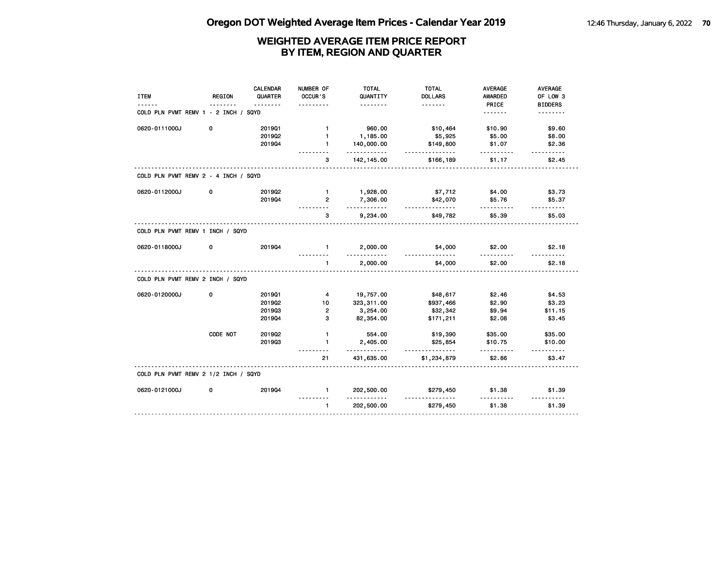| <b>ITEM</b>                          | REGION   | <b>CALENDAR</b><br>QUARTER | NUMBER OF<br>OCCUR'S    | <b>TOTAL</b><br>QUANTITY | <b>TOTAL</b><br><b>DOLLARS</b> | <b>AVERAGE</b><br>AWARDED | AVERAGE<br>OF LOW 3 |
|--------------------------------------|----------|----------------------------|-------------------------|--------------------------|--------------------------------|---------------------------|---------------------|
|                                      |          |                            |                         |                          | <u>.</u>                       | PRICE                     | <b>BIDDERS</b>      |
| COLD PLN PVMT REMV 1 - 2 INCH / SQYD |          |                            |                         |                          |                                | <u>.</u>                  | <u>.</u>            |
| 0620-0111000J                        | 0        | 201901                     | $\mathbf{1}$            | 960.00                   | \$10,464                       | \$10.90                   | \$9.60              |
|                                      |          | 201902                     | $\blacksquare$          | 1,185.00                 | \$5,925                        | \$5.00                    | \$8.00              |
|                                      |          | 201904                     | $\mathbf{1}$            | 140,000.00<br>.          | \$149,800<br><u>.</u>          | \$1.07                    | \$2.36              |
|                                      |          |                            | 3                       | 142, 145.00              | \$166,189                      | \$1.17                    | \$2.45              |
| COLD PLN PVMT REMV 2 - 4 INCH / SQYD |          |                            |                         |                          |                                |                           |                     |
| 0620-0112000J                        | 0        | 201902                     | $\mathbf{1}$            | 1,928.00                 | \$7,712                        | \$4.00                    | \$3.73              |
|                                      |          | 201904                     | $\overline{2}$          | 7,306.00<br>.            | \$42,070<br><u>.</u>           | \$5.76<br>.               | \$5.37<br>.         |
|                                      |          |                            | 3                       | 9,234.00                 | \$49,782                       | \$5.39                    | \$5.03              |
| COLD PLN PVMT REMV 1 INCH / SQYD     |          |                            |                         |                          |                                |                           |                     |
| 0620-0118000J                        | 0        | 201904                     | $\blacksquare$          | 2,000.00<br><u>.</u>     | \$4,000<br><u>.</u>            | \$2.00                    | \$2.18              |
|                                      |          |                            | $\blacksquare$          | 2,000.00                 | \$4,000                        | \$2.00                    | \$2.18              |
| COLD PLN PVMT REMV 2 INCH / SQYD     |          |                            |                         |                          |                                |                           |                     |
| 0620-0120000J                        | 0        | 201901                     | $\overline{\mathbf{4}}$ | 19,757.00                | \$48,617                       | \$2.46                    | \$4.53              |
|                                      |          | 2019Q2                     | 10                      | 323,311.00               | \$937,466                      | \$2.90                    | \$3.23              |
|                                      |          | 201903                     | $\overline{2}$          | 3,254.00                 | \$32,342                       | \$9.94                    | \$11.15             |
|                                      |          | 201904                     | 3                       | 82,354.00                | \$171,211                      | \$2.08                    | \$3.45              |
|                                      | CODE NOT | 2019Q2                     | $\mathbf{1}$            | 554.00                   | \$19,390                       | \$35.00                   | \$35.00             |
|                                      |          | 201903                     | $\mathbf{1}$            | 2,405.00<br>. <b>.</b> . | \$25,854<br>.                  | \$10.75<br>.              | \$10.00<br>.        |
|                                      |          |                            | 21                      | 431,635.00               | \$1,234,879                    | \$2.86                    | \$3.47              |
| COLD PLN PVMT REMV 2 1/2 INCH / SQYD |          |                            |                         |                          |                                |                           |                     |
| 0620-0121000J                        | 0        | 201904                     | $\mathbf{1}$            | 202,500.00<br><u>.</u>   | \$279,450<br><u>.</u>          | \$1.38<br>.               | \$1.39<br><u>.</u>  |
|                                      |          |                            | $\mathbf{1}$            | 202,500.00               | \$279,450                      | \$1.38                    | \$1.39              |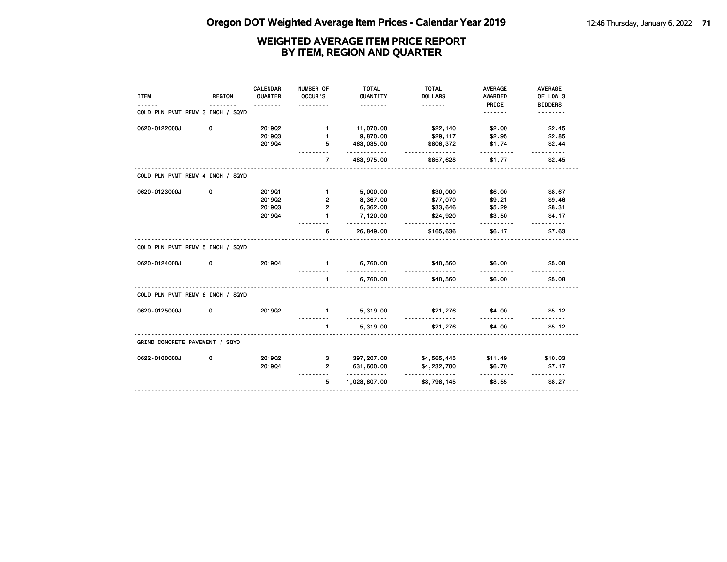|                                  |               | <b>CALENDAR</b> | NUMBER OF      | <b>TOTAL</b>         | <b>TOTAL</b>               | <b>AVERAGE</b>          | AVERAGE                    |
|----------------------------------|---------------|-----------------|----------------|----------------------|----------------------------|-------------------------|----------------------------|
| <b>ITEM</b>                      | <b>REGION</b> | QUARTER         | OCCUR'S        | QUANTITY<br><u>.</u> | <b>DOLLARS</b><br><u>.</u> | <b>AWARDED</b><br>PRICE | OF LOW 3                   |
| COLD PLN PVMT REMV 3 INCH / SQYD |               |                 |                |                      |                            | .                       | <b>BIDDERS</b><br><u>.</u> |
| 0620-0122000J                    | 0             | 2019Q2          | $\mathbf{1}$   | 11,070.00            | \$22,140                   | \$2.00                  | \$2.45                     |
|                                  |               | 201903          | $\mathbf{1}$   | 9,870.00             | \$29,117                   | \$2.95                  | \$2.85                     |
|                                  |               | 201904          | 5              | 463,035.00<br>.      | \$806,372<br><u>.</u>      | \$1.74<br><u>.</u>      | \$2.44<br>.                |
|                                  |               |                 | $\overline{7}$ | 483,975.00           | \$857,628                  | \$1.77                  | \$2.45                     |
| COLD PLN PVMT REMV 4 INCH / SQYD |               |                 |                |                      |                            |                         |                            |
| 0620-0123000J                    | 0             | 201901          | $\mathbf{1}$   | 5,000.00             | \$30,000                   | \$6.00                  | \$8.67                     |
|                                  |               | 2019Q2          | $\overline{2}$ | 8,367.00             | \$77,070                   | \$9.21                  | \$9.46                     |
|                                  |               | 201903          | $\overline{2}$ | 6,362.00             | \$33,646                   | \$5.29                  | \$8.31                     |
|                                  |               | 201904          | 1              | 7,120.00<br>.        | \$24,920<br><u>.</u>       | \$3.50<br>.             | \$4.17<br><u>.</u>         |
|                                  |               |                 | 6              | 26,849.00            | \$165,636                  | \$6.17                  | \$7.63                     |
| COLD PLN PVMT REMV 5 INCH / SQYD |               |                 |                |                      |                            |                         |                            |
| 0620-0124000J                    | 0             | 201904          | $\mathbf{1}$   | 6,760.00<br>.        | \$40,560<br><u>.</u>       | \$6.00<br>.             | \$5.08                     |
|                                  |               |                 | $\blacksquare$ | 6,760.00             | \$40,560                   | \$6.00                  | \$5.08                     |
| COLD PLN PVMT REMV 6 INCH / SQYD |               |                 |                |                      |                            |                         |                            |
| 0620-0125000J                    | 0             | 201902          | $\mathbf{1}$   | 5,319.00<br><u>.</u> | \$21,276                   | \$4.00                  | \$5.12                     |
|                                  |               |                 | $\blacksquare$ | 5,319.00             | \$21,276                   | \$4.00                  | \$5.12                     |
| GRIND CONCRETE PAVEMENT / SQYD   |               |                 |                |                      |                            |                         |                            |
| 0622-0100000J                    | 0             | 201902          | 3              | 397,207.00           | \$4,565,445                | \$11.49                 | \$10.03                    |
|                                  |               | 201904          | $\overline{2}$ | 631,600.00<br>.      | \$4,232,700                | \$6.70<br>.             | \$7.17<br>.                |
|                                  |               |                 | 5              | 1,028,807.00         | \$8,798,145                | \$8.55                  | \$8.27                     |
|                                  |               |                 |                |                      |                            |                         |                            |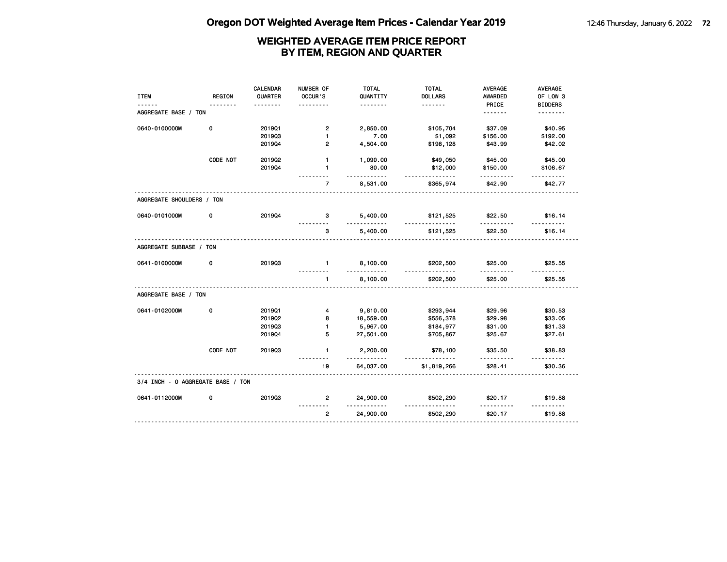| <b>ITEM</b><br>------             | <b>REGION</b><br>. | <b>CALENDAR</b><br>QUARTER<br><u>.</u> | NUMBER OF<br>OCCUR'S | <b>TOTAL</b><br>QUANTITY<br>. | <b>TOTAL</b><br><b>DOLLARS</b><br>. | <b>AVERAGE</b><br>AWARDED<br>PRICE | AVERAGE<br>OF LOW 3<br><b>BIDDERS</b> |
|-----------------------------------|--------------------|----------------------------------------|----------------------|-------------------------------|-------------------------------------|------------------------------------|---------------------------------------|
| AGGREGATE BASE / TON              |                    |                                        |                      |                               |                                     | <u>.</u>                           | <u>.</u>                              |
| 0640-0100000M                     | 0                  | 201901                                 | $\overline{2}$       | 2,850.00                      | \$105,704                           | \$37.09                            | \$40.95                               |
|                                   |                    | 201903                                 | $\mathbf{1}$         | 7.00                          | \$1,092                             | \$156.00                           | \$192.00                              |
|                                   |                    | 201904                                 | $\overline{2}$       | 4,504.00                      | \$198,128                           | \$43.99                            | \$42.02                               |
|                                   | CODE NOT           | 2019Q2                                 | $\mathbf{1}$         | 1,090.00                      | \$49,050                            | \$45.00                            | \$45.00                               |
|                                   |                    | 201904                                 | $\mathbf{1}$         | 80.00<br><u>.</u>             | \$12,000<br><u>.</u>                | \$150.00<br>.                      | \$106.67                              |
|                                   |                    |                                        | $\overline{7}$       | 8,531.00                      | \$365,974                           | \$42.90                            | \$42.77                               |
| AGGREGATE SHOULDERS / TON         |                    |                                        |                      |                               |                                     |                                    |                                       |
| 0640-0101000M                     | 0                  | 201904                                 | 3                    | 5,400.00                      | \$121,525<br><u>.</u>               | \$22.50                            | \$16.14                               |
|                                   |                    |                                        | 3                    | 5,400.00                      | \$121,525                           | \$22.50                            | \$16.14                               |
| AGGREGATE SUBBASE / TON           |                    |                                        |                      |                               |                                     |                                    |                                       |
| 0641-0100000M                     | 0                  | 201903                                 | $\blacksquare$       | 8,100.00<br>.                 | \$202,500<br><u>.</u>               | \$25.00                            | \$25.55                               |
|                                   |                    |                                        | $\mathbf{1}$         | 8,100.00                      | \$202,500                           | \$25.00                            | \$25.55                               |
| AGGREGATE BASE / TON              |                    |                                        |                      |                               |                                     |                                    |                                       |
| 0641-0102000M                     | 0                  | 201901                                 | 4                    | 9,810.00                      | \$293,944                           | \$29.96                            | \$30.53                               |
|                                   |                    | 2019Q2                                 | 8                    | 18,559.00                     | \$556,378                           | \$29.98                            | \$33.05                               |
|                                   |                    | 201903                                 | $\mathbf{1}$         | 5,967.00                      | \$184,977                           | \$31.00                            | \$31.33                               |
|                                   |                    | 201904                                 | 5                    | 27,501.00                     | \$705,867                           | \$25.67                            | \$27.61                               |
|                                   | CODE NOT           | 201903                                 | $\mathbf{1}$         | 2,200.00                      | \$78,100<br>.                       | \$35.50                            | \$38.83<br>$- - - - - -$              |
|                                   |                    |                                        | 19                   | 64,037.00                     | \$1,819,266                         | \$28.41                            | \$30.36                               |
| 3/4 INCH - 0 AGGREGATE BASE / TON |                    |                                        |                      |                               |                                     |                                    |                                       |
| 0641-0112000M                     | 0                  | 201903                                 | $\mathbf{2}$         | 24,900.00                     | \$502,290                           | \$20.17                            | \$19.88                               |
|                                   |                    |                                        | $\overline{2}$       | 24,900.00                     | \$502,290                           | \$20.17                            | \$19.88                               |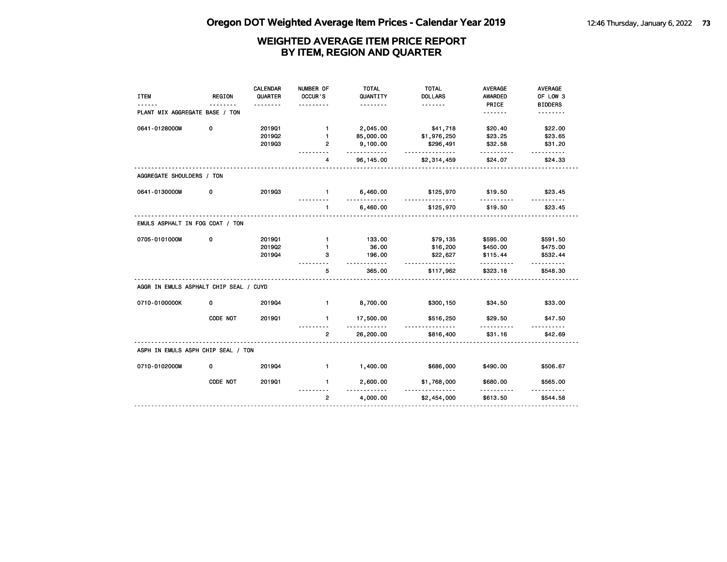|                                        |               | <b>CALENDAR</b> | NUMBER OF      | <b>TOTAL</b>       | <b>TOTAL</b>                      | <b>AVERAGE</b> | AVERAGE        |
|----------------------------------------|---------------|-----------------|----------------|--------------------|-----------------------------------|----------------|----------------|
| <b>ITEM</b>                            | <b>REGION</b> | QUARTER         | OCCUR'S        | QUANTITY           | <b>DOLLARS</b>                    | <b>AWARDED</b> | OF LOW 3       |
|                                        |               | <u>.</u>        |                | <u>.</u>           | <u>.</u>                          | PRICE          | <b>BIDDERS</b> |
| PLANT MIX AGGREGATE BASE / TON         |               |                 |                |                    |                                   | <u>.</u>       | <u>.</u>       |
| 0641-0128000M                          | 0             | 201901          | $\mathbf{1}$   | 2,045.00           | \$41,718                          | \$20.40        | \$22.00        |
|                                        |               | 201902          | $\mathbf{1}$   | 85,000.00          | \$1,976,250                       | \$23.25        | \$23.65        |
|                                        |               | 201903          | $\overline{2}$ | 9,100.00<br>.      | \$296,491<br>.                    | \$32.58<br>.   | \$31.20<br>.   |
|                                        |               |                 | 4              | 96, 145.00         | \$2,314,459                       | \$24.07        | \$24.33        |
| AGGREGATE SHOULDERS / TON              |               |                 |                |                    |                                   |                |                |
| 0641-0130000M                          | 0             | 201903          | $\blacksquare$ | 6,460.00           | \$125,970                         | \$19.50        | \$23.45        |
|                                        |               |                 | $\mathbf{1}$   | 6,460.00           | \$125,970                         | \$19.50        | \$23.45        |
| EMULS ASPHALT IN FOG COAT / TON        |               |                 |                |                    |                                   |                |                |
| 0705-0101000M                          | 0             | 201901          | $\mathbf{1}$   | 133.00             | \$79,135                          | \$595.00       | \$591.50       |
|                                        |               | 2019Q2          | $\mathbf{1}$   | 36.00              | \$16,200                          | \$450.00       | \$475.00       |
|                                        |               | 201904          | 3              | 196.00<br>.        | \$22,627<br><u>.</u>              | \$115.44<br>.  | \$532.44       |
|                                        |               |                 | 5              | 365.00             | \$117,962                         | \$323.18       | \$548.30       |
| AGGR IN EMULS ASPHALT CHIP SEAL / CUYD |               |                 |                |                    |                                   |                |                |
| 0710-0100000K                          | 0             | 201904          | $\mathbf{1}$   | 8,700.00           | \$300,150                         | \$34.50        | \$33.00        |
|                                        | CODE NOT      | 201901          | $\mathbf{1}$   | 17,500.00<br>----- | \$516,250                         | \$29.50<br>.   | \$47.50        |
|                                        |               |                 | $\overline{2}$ | 26,200.00          | \$816,400                         | \$31.16        | \$42.69        |
| ASPH IN EMULS ASPH CHIP SEAL / TON     |               |                 |                |                    |                                   |                |                |
| 0710-0102000M                          | 0             | 201904          | $\blacksquare$ | 1,400.00           | \$686,000                         | \$490.00       | \$506.67       |
|                                        | CODE NOT      | 201901          | $\mathbf{1}$   | 2,600.00           | \$1,768,000<br><u>-----------</u> | \$680.00<br>.  | \$565.00       |
|                                        |               |                 | $\overline{2}$ | 4,000.00           | \$2,454,000                       | \$613.50       | \$544.58       |
|                                        |               |                 |                |                    |                                   |                |                |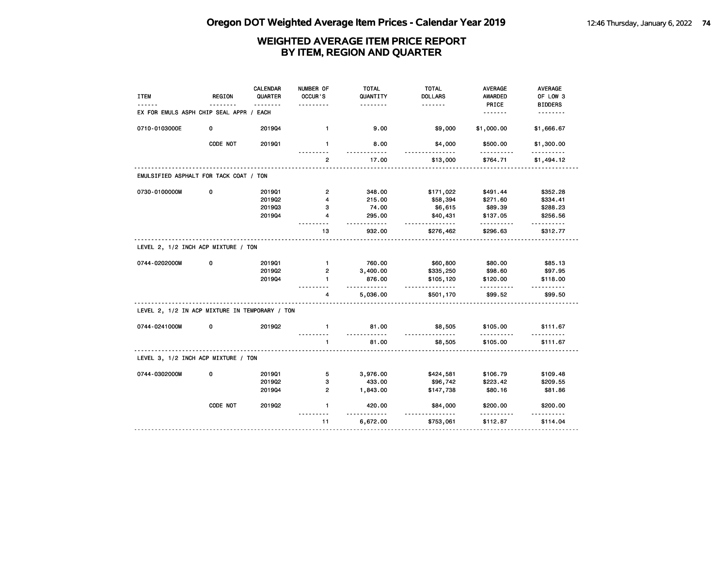| <b>ITEM</b>                                    | <b>REGION</b> | <b>CALENDAR</b><br>QUARTER | NUMBER OF<br>OCCUR'S | <b>TOTAL</b><br>QUANTITY<br>. | <b>TOTAL</b><br><b>DOLLARS</b><br>. | <b>AVERAGE</b><br><b>AWARDED</b> | AVERAGE<br>OF LOW 3        |
|------------------------------------------------|---------------|----------------------------|----------------------|-------------------------------|-------------------------------------|----------------------------------|----------------------------|
| EX FOR EMULS ASPH CHIP SEAL APPR /             |               | EACH                       |                      |                               |                                     | PRICE<br><u>.</u>                | <b>BIDDERS</b><br><u>.</u> |
| 0710-0103000E                                  | 0             | 201904                     | $\mathbf{1}$         | 9.00                          | \$9,000                             | \$1,000.00                       | \$1,666.67                 |
|                                                | CODE NOT      | 201901                     | $\mathbf{1}$         | 8.00                          | \$4,000                             | \$500.00                         | \$1,300.00<br>.            |
|                                                |               |                            | $\overline{2}$       | 17.00                         | \$13,000                            | \$764.71                         | \$1,494.12                 |
| EMULSIFIED ASPHALT FOR TACK COAT / TON         |               |                            |                      |                               |                                     |                                  |                            |
| 0730-0100000M                                  | 0             | 201901                     | $\overline{2}$       | 348.00                        | \$171,022                           | \$491.44                         | \$352.28                   |
|                                                |               | 2019Q2                     | 4                    | 215.00                        | \$58,394                            | \$271.60                         | \$334.41                   |
|                                                |               | 201903                     | з                    | 74.00                         | \$6,615                             | \$89.39                          | \$288.23                   |
|                                                |               | 201904                     | 4                    | 295.00                        | \$40,431                            | \$137.05                         | \$256.56                   |
|                                                |               |                            | 13                   | 932.00                        | \$276,462                           | \$296.63                         | ------<br>\$312.77         |
| LEVEL 2, 1/2 INCH ACP MIXTURE / TON            |               |                            |                      |                               |                                     |                                  |                            |
| 0744-0202000M                                  | 0             | 201901                     | $\mathbf{1}$         | 760.00                        | \$60,800                            | \$80.00                          | \$85.13                    |
|                                                |               | 201902                     | $\overline{2}$       | 3,400.00                      | \$335,250                           | \$98.60                          | \$97.95                    |
|                                                |               | 201904                     | $\mathbf{1}$         | 876.00<br>.                   | \$105,120<br><u>.</u>               | \$120.00<br>.                    | \$118.00                   |
|                                                |               |                            | 4                    | 5,036.00                      | \$501,170                           | \$99.52                          | \$99.50                    |
| LEVEL 2, 1/2 IN ACP MIXTURE IN TEMPORARY / TON |               |                            |                      |                               |                                     |                                  |                            |
| 0744-0241000M                                  | 0             | 201902                     | $\mathbf{1}$         | 81.00<br>.                    | \$8,505                             | \$105.00<br>.                    | \$111.67                   |
|                                                |               |                            | 1                    | 81.00                         | \$8,505                             | \$105.00                         | \$111.67                   |
| LEVEL 3, 1/2 INCH ACP MIXTURE / TON            |               |                            |                      |                               |                                     |                                  |                            |
| 0744-0302000M                                  | 0             | 2019Q1                     | 5                    | 3,976.00                      | \$424,581                           | \$106.79                         | \$109.48                   |
|                                                |               | 201902                     | 3                    | 433.00                        | \$96,742                            | \$223.42                         | \$209.55                   |
|                                                |               | 201904                     | $\overline{2}$       | 1,843.00                      | \$147,738                           | \$80.16                          | \$81.86                    |
|                                                | CODE NOT      | 2019Q2                     | $\mathbf{1}$         | 420.00                        | \$84,000                            | \$200.00                         | \$200.00                   |
|                                                |               |                            | 11                   | 6,672.00                      | \$753,061                           | \$112.87                         | \$114.04                   |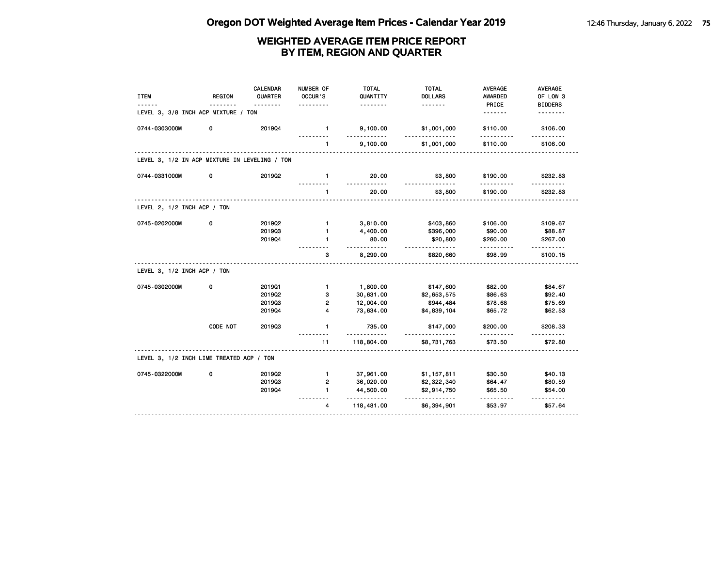| <b>ITEM</b>                                   | <b>REGION</b> | <b>CALENDAR</b><br>QUARTER | NUMBER OF<br>OCCUR'S | <b>TOTAL</b><br>QUANTITY | <b>TOTAL</b><br><b>DOLLARS</b> | <b>AVERAGE</b><br><b>AWARDED</b> | <b>AVERAGE</b><br>OF LOW 3 |
|-----------------------------------------------|---------------|----------------------------|----------------------|--------------------------|--------------------------------|----------------------------------|----------------------------|
| LEVEL 3, 3/8 INCH ACP MIXTURE / TON           |               |                            |                      | .                        | <u>.</u>                       | PRICE<br><u>.</u>                | <b>BIDDERS</b><br>.        |
| 0744-0303000M                                 | 0             | 201904                     | $\mathbf{1}$         | 9,100.00<br>$- - -$      | \$1,001,000<br>.               | \$110.00<br>.                    | \$106.00<br>$- - - - - -$  |
|                                               |               |                            | $\mathbf{1}$         | 9,100.00                 | \$1,001,000                    | \$110.00                         | \$106.00                   |
| LEVEL 3, 1/2 IN ACP MIXTURE IN LEVELING / TON |               |                            |                      |                          |                                |                                  |                            |
| 0744-0331000M                                 | 0             | 2019Q2                     | $\mathbf{1}$         | 20.00                    | \$3,800                        | \$190.00                         | \$232.83                   |
|                                               |               |                            | $\mathbf{1}$         | 20.00                    | \$3,800                        | \$190.00                         | \$232.83                   |
| LEVEL 2, 1/2 INCH ACP / TON                   |               |                            |                      |                          |                                |                                  |                            |
| 0745-0202000M                                 | 0             | 2019Q2                     | $\mathbf{1}$         | 3,810.00                 | \$403,860                      | \$106.00                         | \$109.67                   |
|                                               |               | 201903                     | $\mathbf{1}$         | 4,400.00                 | \$396,000                      | \$90.00                          | \$88.87                    |
|                                               |               | 201904                     | 1                    | 80.00<br><u>.</u>        | \$20,800<br>.                  | \$260.00                         | \$267.00                   |
|                                               |               |                            | 3                    | 8,290.00                 | \$820,660                      | \$98.99                          | \$100.15                   |
| LEVEL 3, 1/2 INCH ACP / TON                   |               |                            |                      |                          |                                |                                  |                            |
| 0745-0302000M                                 | 0             | 201901                     | $\mathbf{1}$         | 1,800.00                 | \$147,600                      | \$82.00                          | \$84.67                    |
|                                               |               | 2019Q2                     | з                    | 30,631.00                | \$2,653,575                    | \$86.63                          | \$92.40                    |
|                                               |               | 201903                     | 2                    | 12,004.00                | \$944,484                      | \$78.68                          | \$75.69                    |
|                                               |               | 201904                     | 4                    | 73,634.00                | \$4,839,104                    | \$65.72                          | \$62.53                    |
|                                               | CODE NOT      | 201903                     | $\mathbf{1}$         | 735.00                   | \$147,000                      | \$200.00                         | \$208.33<br><u>.</u>       |
|                                               |               |                            | 11                   | 118,804.00               | \$8,731,763                    | \$73.50                          | \$72.80                    |
| LEVEL 3, 1/2 INCH LIME TREATED ACP / TON      |               |                            |                      |                          |                                |                                  |                            |
| 0745-0322000M                                 | 0             | 2019Q2                     | $\mathbf{1}$         | 37,961.00                | \$1,157,811                    | \$30.50                          | \$40.13                    |
|                                               |               | 201903                     | 2                    | 36,020.00                | \$2,322,340                    | \$64.47                          | \$80.59                    |
|                                               |               | 201904                     | $\mathbf{1}$         | 44,500.00<br>.           | \$2,914,750<br><u>.</u>        | \$65.50                          | \$54.00                    |
|                                               |               |                            | 4                    | 118,481.00               | \$6,394,901                    | \$53.97                          | \$57.64                    |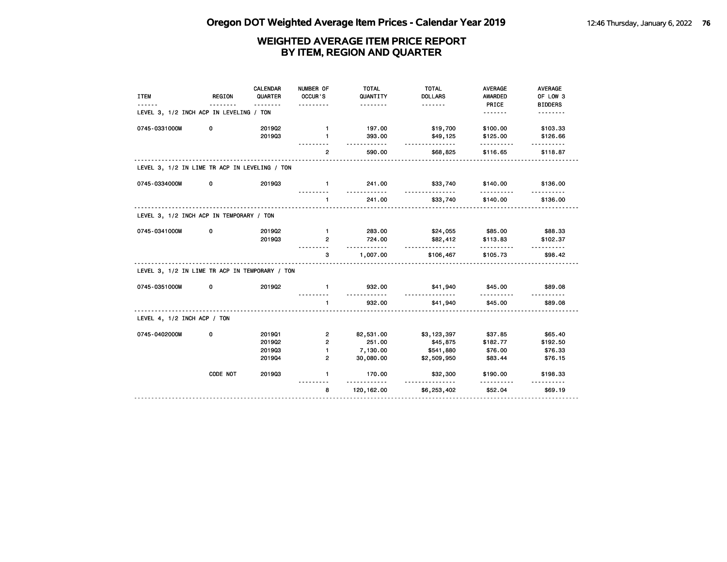| <b>ITEM</b>                                    | <b>REGION</b> | <b>CALENDAR</b><br>QUARTER | NUMBER OF<br>OCCUR'S | <b>TOTAL</b><br>QUANTITY    | <b>TOTAL</b><br><b>DOLLARS</b> | <b>AVERAGE</b><br><b>AWARDED</b> | <b>AVERAGE</b><br>OF LOW 3 |
|------------------------------------------------|---------------|----------------------------|----------------------|-----------------------------|--------------------------------|----------------------------------|----------------------------|
| LEVEL 3, 1/2 INCH ACP IN LEVELING / TON        |               |                            | .                    | .                           | <u>.</u>                       | PRICE<br><u>.</u>                | <b>BIDDERS</b><br>.        |
| 0745-0331000M                                  | 0             | 201902                     | $\mathbf{1}$         | 197.00                      | \$19,700                       | \$100.00                         | \$103.33                   |
|                                                |               | 201903                     | $\mathbf{1}$         | 393.00<br>.                 | \$49,125<br><u>.</u>           | \$125.00<br><u>.</u>             | \$126.66                   |
|                                                |               |                            | $\overline{2}$       | 590.00                      | \$68,825                       | \$116.65                         | \$118.87                   |
| LEVEL 3, 1/2 IN LIME TR ACP IN LEVELING / TON  |               |                            |                      |                             |                                |                                  |                            |
| 0745-0334000M                                  | 0             | 201903                     | $\mathbf{1}$         | 241.00<br>.                 | \$33,740<br><u>.</u>           | \$140.00<br><u>.</u>             | \$136.00                   |
|                                                |               |                            | $\mathbf{1}$         | 241.00                      | \$33,740                       | \$140.00                         | \$136.00                   |
| LEVEL 3, 1/2 INCH ACP IN TEMPORARY / TON       |               |                            |                      |                             |                                |                                  |                            |
| 0745-0341000M                                  | 0             | 201902                     | $\blacksquare$       | 283.00                      | \$24,055                       | \$85.00                          | \$88.33                    |
|                                                |               | 201903                     | $\overline{2}$       | 724.00<br><u>----------</u> | \$82,412<br><u>.</u>           | \$113.83<br>.                    | \$102.37                   |
|                                                |               |                            | 3                    | 1,007.00                    | \$106,467                      | \$105.73                         | \$98.42                    |
| LEVEL 3, 1/2 IN LIME TR ACP IN TEMPORARY / TON |               |                            |                      |                             |                                |                                  |                            |
| 0745-0351000M                                  | 0             | 201902                     | $\mathbf{1}$         | 932.00<br>.                 | \$41,940<br><u>.</u>           | \$45.00<br>.                     | \$89.08                    |
|                                                |               |                            | $\mathbf{1}$         | 932.00                      | \$41,940                       | \$45.00                          | \$89.08                    |
| LEVEL 4, 1/2 INCH ACP / TON                    |               |                            |                      |                             |                                |                                  |                            |
| 0745-0402000M                                  | 0             | 201901                     | $\overline{2}$       | 82,531.00                   | \$3,123,397                    | \$37.85                          | \$65.40                    |
|                                                |               | 2019Q2                     | $\overline{2}$       | 251.00                      | \$45,875                       | \$182.77                         | \$192.50                   |
|                                                |               | 201903                     | $\mathbf{1}$         | 7,130.00                    | \$541,880                      | \$76.00                          | \$76.33                    |
|                                                |               | 201904                     | $\overline{2}$       | 30,080.00                   | \$2,509,950                    | \$83.44                          | \$76.15                    |
|                                                | CODE NOT      | 201903                     | $\mathbf{1}$         | 170.00<br>.                 | \$32,300<br><u>----------</u>  | \$190.00                         | \$198.33                   |
|                                                |               |                            | 8                    | 120, 162.00                 | \$6,253,402                    | \$52.04                          | \$69.19                    |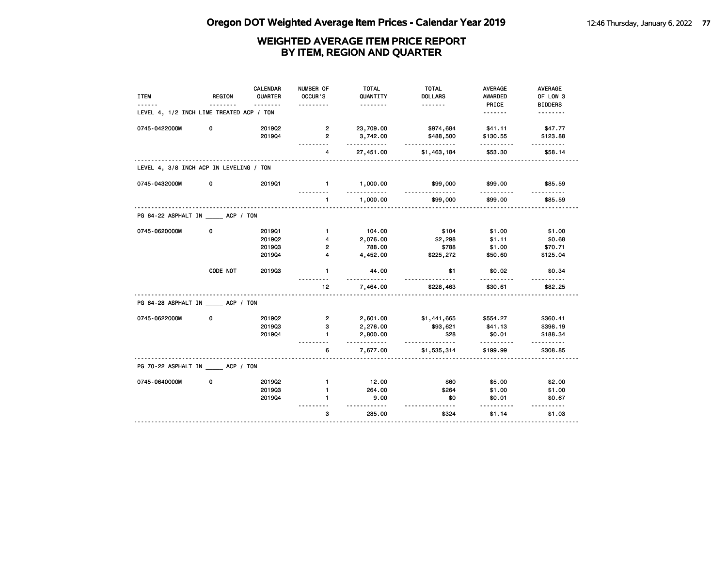| <b>ITEM</b>                              | <b>REGION</b> | <b>CALENDAR</b><br>QUARTER | NUMBER OF<br>OCCUR'S | <b>TOTAL</b><br>QUANTITY<br>. | <b>TOTAL</b><br><b>DOLLARS</b><br>. | AVERAGE<br><b>AWARDED</b><br>PRICE | AVERAGE<br>OF LOW 3        |
|------------------------------------------|---------------|----------------------------|----------------------|-------------------------------|-------------------------------------|------------------------------------|----------------------------|
| LEVEL 4, 1/2 INCH LIME TREATED ACP / TON |               |                            |                      |                               |                                     | <u>.</u>                           | <b>BIDDERS</b><br><u>.</u> |
| 0745-0422000M                            | 0             | 2019Q2<br>201904           | 2<br>$\overline{2}$  | 23,709.00<br>3,742.00         | \$974,684<br>\$488,500              | \$41.11<br>\$130.55                | \$47.77<br>\$123.88        |
|                                          |               |                            | 4                    | .<br>27,451.00                | .<br>\$1,463,184                    | .<br>\$53.30                       | .<br>\$58.14               |
| LEVEL 4, 3/8 INCH ACP IN LEVELING / TON  |               |                            |                      |                               |                                     |                                    |                            |
| 0745-0432000M                            | 0             | 201901                     | $\blacksquare$<br>.  | 1,000.00<br>.                 | \$99,000<br><u>.</u>                | \$99.00<br>.                       | \$85.59<br>.               |
|                                          |               |                            | $\mathbf{1}$         | 1,000.00                      | \$99,000                            | \$99.00                            | \$85.59                    |
| PG 64-22 ASPHALT IN ACP / TON            |               |                            |                      |                               |                                     |                                    |                            |
| 0745-0620000M                            | 0             | 201901                     | $\mathbf{1}$         | 104.00                        | \$104                               | \$1.00                             | \$1.00                     |
|                                          |               | 2019Q2                     | 4                    | 2,076.00                      | \$2,298                             | \$1.11                             | \$0.68                     |
|                                          |               | 201903                     | 2                    | 788.00                        | \$788                               | \$1.00                             | \$70.71                    |
|                                          |               | 201904                     | 4                    | 4,452.00                      | \$225,272                           | \$50.60                            | \$125.04                   |
|                                          | CODE NOT      | 201903                     | $\mathbf{1}$         | 44.00                         | \$1                                 | \$0.02                             | \$0.34                     |
|                                          |               |                            | 12                   | 7,464.00                      | \$228,463                           | \$30.61                            | \$82.25                    |
| PG 64-28 ASPHALT IN _____ ACP / TON      |               |                            |                      |                               |                                     |                                    |                            |
| 0745-0622000M                            | 0             | 201902                     | 2                    | 2,601.00                      | \$1,441,665                         | \$554.27                           | \$360.41                   |
|                                          |               | 201903                     | 3                    | 2,276.00                      | \$93,621                            | \$41.13                            | \$398.19                   |
|                                          |               | 201904                     | $\mathbf{1}$         | 2,800.00<br>.                 | \$28<br><u>.</u>                    | \$0.01                             | \$188.34<br>------         |
|                                          |               |                            | 6                    | 7,677.00                      | \$1,535,314                         | \$199.99                           | \$308.85                   |
| PG 70-22 ASPHALT IN ACP / TON            |               |                            |                      |                               |                                     |                                    |                            |
| 0745-0640000M                            | 0             | 201902                     | $\mathbf{1}$         | 12.00                         | \$60                                | \$5.00                             | \$2.00                     |
|                                          |               | 201903                     | $\mathbf{1}$         | 264.00                        | \$264                               | \$1.00                             | \$1.00                     |
|                                          |               | 201904                     | 1.                   | 9.00<br>.                     | \$0<br>$- - - -$                    | \$0.01                             | \$0.67                     |
|                                          |               |                            | 3                    | 285.00                        | \$324                               | \$1.14                             | \$1.03                     |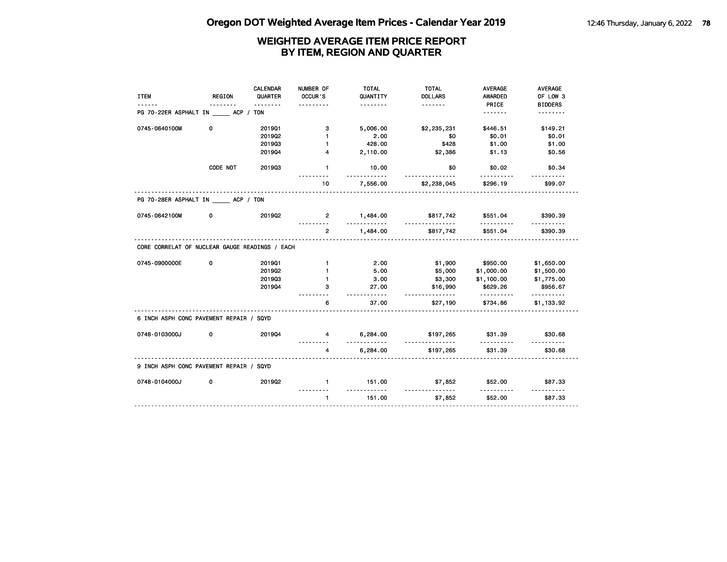|                                                |               | <b>CALENDAR</b> | NUMBER OF      | <b>TOTAL</b>      | <b>TOTAL</b>                  | <b>AVERAGE</b>       | <b>AVERAGE</b>             |
|------------------------------------------------|---------------|-----------------|----------------|-------------------|-------------------------------|----------------------|----------------------------|
| <b>ITEM</b>                                    | <b>REGION</b> | QUARTER         | OCCUR'S        | QUANTITY          | <b>DOLLARS</b>                | <b>AWARDED</b>       | OF LOW 3                   |
| PG 70-22ER ASPHALT IN ACP / TON                |               | <u>.</u>        |                |                   | <u>.</u>                      | PRICE<br><u>.</u>    | <b>BIDDERS</b><br><u>.</u> |
|                                                |               |                 |                |                   |                               |                      |                            |
| 0745-0640100M                                  | 0             | 201901          | з              | 5,006.00          | \$2,235,231                   | \$446.51             | \$149.21                   |
|                                                |               | 201902          | $\mathbf{1}$   | 2.00              | \$0                           | \$0.01               | \$0.01                     |
|                                                |               | 201903          | $\mathbf{1}$   | 428.00            | \$428                         | \$1.00               | \$1.00                     |
|                                                |               | 201904          | 4              | 2,110.00          | \$2,386                       | \$1.13               | \$0.56                     |
|                                                | CODE NOT      | 201903          | $\mathbf{1}$   | 10.00             | \$0                           | \$0.02               | \$0.34                     |
|                                                |               |                 | 10             | 7,556.00          | \$2,238,045                   | \$296.19             | \$99.07                    |
| PG 70-28ER ASPHALT IN ACP / TON                |               |                 |                |                   |                               |                      |                            |
| 0745-0642100M                                  | 0             | 2019Q2          | $\overline{2}$ | 1,484.00<br>.     | \$817,742<br>.                | \$551.04<br>.        | \$390.39                   |
|                                                |               |                 | $\overline{2}$ | 1,484.00          | \$817,742                     | \$551.04             | \$390.39                   |
| CORE CORRELAT OF NUCLEAR GAUGE READINGS / EACH |               |                 |                |                   |                               |                      |                            |
| 0745-0900000E                                  | 0             | 201901          | $\mathbf{1}$   | 2.00              | \$1,900                       | \$950.00             | \$1,650.00                 |
|                                                |               | 201902          | $\mathbf{1}$   | 5.00              | \$5,000                       | \$1,000.00           | \$1,500.00                 |
|                                                |               | 201903          | 1              | 3.00              | \$3,300                       | \$1,100.00           | \$1,775.00                 |
|                                                |               | 201904          | 3              | 27.00<br><u>.</u> | \$16,990<br><u>.</u>          | \$629.26<br><u>.</u> | \$956.67<br>.              |
|                                                |               |                 | 6              | 37.00             | \$27,190                      | \$734.86             | \$1,133.92                 |
| 6 INCH ASPH CONC PAVEMENT REPAIR / SQYD        |               |                 |                |                   |                               |                      |                            |
| 0748-0103000J                                  | 0             | 201904          | 4              | 6,284.00<br>.     | \$197,265<br><u>.</u>         | \$31.39<br><u>.</u>  | \$30.68<br>.               |
|                                                |               |                 | 4              | 6,284.00          | \$197,265                     | \$31.39              | \$30.68                    |
| 9 INCH ASPH CONC PAVEMENT REPAIR / SQYD        |               |                 |                |                   |                               |                      |                            |
| 0748-0104000J                                  | 0             | 2019Q2          | $\mathbf{1}$   | 151.00<br>.       | \$7,852<br><u>-----------</u> | \$52.00              | \$87.33                    |
|                                                |               |                 | $\mathbf{1}$   | 151.00            | \$7,852                       | \$52.00              | \$87.33                    |
|                                                |               |                 |                |                   |                               |                      |                            |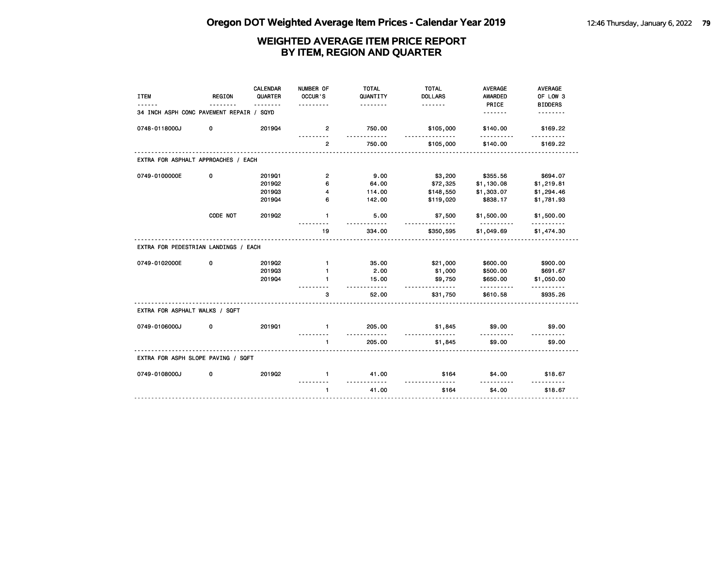| <b>ITEM</b>                              | <b>REGION</b> | <b>CALENDAR</b><br>QUARTER<br><u>.</u> | NUMBER OF<br>OCCUR'S<br>. | <b>TOTAL</b><br>QUANTITY<br><u>.</u>  | <b>TOTAL</b><br><b>DOLLARS</b><br><u>.</u> | <b>AVERAGE</b><br><b>AWARDED</b><br>PRICE | <b>AVERAGE</b><br>OF LOW 3 |
|------------------------------------------|---------------|----------------------------------------|---------------------------|---------------------------------------|--------------------------------------------|-------------------------------------------|----------------------------|
| 34 INCH ASPH CONC PAVEMENT REPAIR / SQYD |               |                                        |                           |                                       |                                            | <u>.</u>                                  | <b>BIDDERS</b><br>.        |
| 0748-0118000J                            | 0             | 201904                                 | 2                         | 750.00                                | \$105,000                                  | \$140.00                                  | \$169.22                   |
|                                          |               |                                        | $\overline{2}$            | 750.00                                | \$105,000                                  | \$140.00                                  | \$169.22                   |
| EXTRA FOR ASPHALT APPROACHES / EACH      |               |                                        |                           |                                       |                                            |                                           |                            |
| 0749-0100000E                            | 0             | 201901                                 | $\mathbf{2}$              | 9.00                                  | \$3,200                                    | \$355.56                                  | \$694.07                   |
|                                          |               | 201902                                 | 6                         | 64.00                                 | \$72,325                                   | \$1,130.08                                | \$1,219.81                 |
|                                          |               | 201903                                 | 4                         | 114.00                                | \$148,550                                  | \$1,303.07                                | \$1,294.46                 |
|                                          |               | 201904                                 | 6                         | 142.00                                | \$119,020                                  | \$838.17                                  | \$1,781.93                 |
|                                          | CODE NOT      | 201902                                 | $\mathbf{1}$              | 5.00                                  | \$7,500<br>---------                       | \$1,500.00                                | \$1,500.00                 |
|                                          |               |                                        | 19                        | 334.00                                | \$350,595                                  | \$1,049.69                                | \$1,474.30                 |
| EXTRA FOR PEDESTRIAN LANDINGS / EACH     |               |                                        |                           |                                       |                                            |                                           |                            |
| 0749-0102000E                            | 0             | 2019Q2                                 | $\mathbf{1}$              | 35.00                                 | \$21,000                                   | \$600.00                                  | \$900.00                   |
|                                          |               | 201903                                 | $\mathbf{1}$              | 2.00                                  | \$1,000                                    | \$500.00                                  | \$691.67                   |
|                                          |               | 201904                                 | $\blacksquare$            | 15.00<br>.                            | \$9,750<br><u>-----------</u>              | \$650.00<br>.                             | \$1,050.00<br>.            |
|                                          |               |                                        | 3                         | 52.00                                 | \$31,750                                   | \$610.58                                  | \$935.26                   |
| EXTRA FOR ASPHALT WALKS / SQFT           |               |                                        |                           |                                       |                                            |                                           |                            |
| 0749-0106000J                            | 0             | 201901                                 | $\mathbf{1}$              | 205.00                                | \$1,845                                    | \$9.00                                    | \$9.00                     |
|                                          |               |                                        | $\blacksquare$            | <u> - - - - - - - - - -</u><br>205.00 | .<br>\$1,845                               | \$9.00                                    | \$9.00                     |
| EXTRA FOR ASPH SLOPE PAVING / SQFT       |               |                                        |                           |                                       |                                            |                                           |                            |
| 0749-0108000J                            | 0             | 2019Q2                                 | $\mathbf{1}$              | 41.00                                 | \$164                                      | \$4.00                                    | \$18.67                    |
|                                          |               |                                        | $\blacksquare$            | <u>.</u><br>41.00                     | <u>.</u><br>\$164                          | \$4.00                                    | \$18.67                    |
|                                          |               |                                        |                           |                                       |                                            |                                           |                            |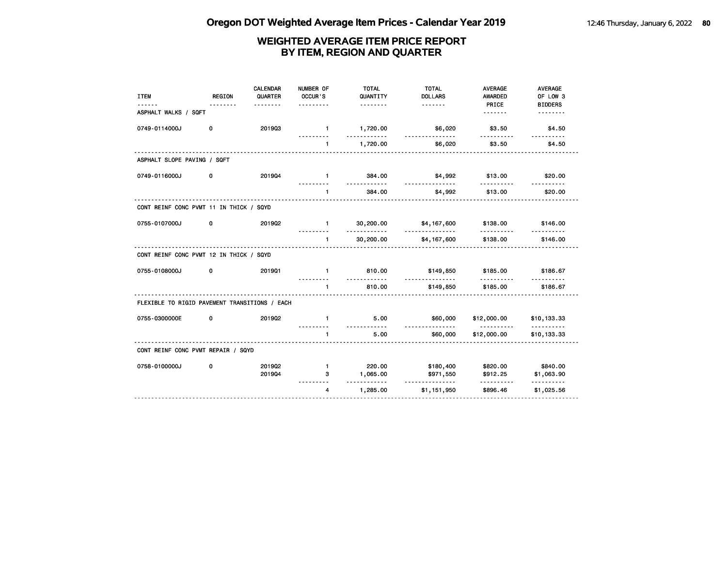| <b>ITEM</b>                                   | REGION | <b>CALENDAR</b><br>QUARTER<br><u>.</u> | NUMBER OF<br>OCCUR'S<br>.        | <b>TOTAL</b><br>QUANTITY<br><u>.</u> | <b>TOTAL</b><br><b>DOLLARS</b> | <b>AVERAGE</b><br><b>AWARDED</b><br>PRICE | <b>AVERAGE</b><br>OF LOW 3<br><b>BIDDERS</b> |
|-----------------------------------------------|--------|----------------------------------------|----------------------------------|--------------------------------------|--------------------------------|-------------------------------------------|----------------------------------------------|
| ASPHALT WALKS / SQFT                          |        |                                        |                                  |                                      |                                | .                                         |                                              |
| 0749-0114000J                                 | 0      | 201903                                 | $\blacksquare$                   | 1,720.00<br>.                        | \$6,020<br>.                   | \$3.50<br>.                               | \$4.50<br>.                                  |
|                                               |        |                                        | $\blacksquare$                   | 1,720.00                             | \$6,020                        | \$3.50                                    | \$4.50                                       |
| ASPHALT SLOPE PAVING / SQFT                   |        |                                        |                                  |                                      |                                |                                           |                                              |
| 0749-0116000J                                 | 0      | 201904                                 | $\mathbf{1}$                     | 384.00                               | \$4,992<br><u>.</u>            | \$13.00                                   | \$20.00                                      |
|                                               |        |                                        | <u>---------</u><br>$\mathbf{1}$ | <u>.</u><br>384.00                   | \$4,992                        | <u>.</u><br>\$13.00                       | <u>.</u><br>\$20.00                          |
| CONT REINF CONC PVMT 11 IN THICK / SQYD       |        | .                                      |                                  |                                      |                                |                                           |                                              |
| 0755-0107000J                                 | 0      | 201902                                 | $-1$                             | 30,200.00                            | \$4,167,600                    | \$138.00                                  | \$146.00                                     |
|                                               |        |                                        | $\mathbf{1}$                     | .<br>30,200.00                       | <u>.</u><br>\$4,167,600        | \$138.00                                  | \$146.00                                     |
| CONT REINF CONC PVMT 12 IN THICK / SQYD       |        |                                        |                                  |                                      |                                |                                           |                                              |
| 0755-0108000J                                 | 0      | 201901                                 | $\mathbf{1}$                     | 810.00<br>.                          | \$149,850                      | \$185.00                                  | \$186.67                                     |
|                                               |        |                                        | $\mathbf{1}$                     | 810.00                               | <u>.</u><br>\$149,850          | .<br>\$185.00                             | \$186.67                                     |
| FLEXIBLE TO RIGID PAVEMENT TRANSITIONS / EACH |        |                                        |                                  |                                      |                                |                                           |                                              |
| 0755-0300000E                                 | 0      | 201902                                 | $\mathbf{1}$                     | 5.00                                 | \$60,000                       | \$12,000.00                               | \$10,133.33                                  |
|                                               |        |                                        | $\blacksquare$                   | <u>.</u><br>5.00                     | <u>.</u><br>\$60,000           | .<br>\$12,000.00                          | .<br>\$10,133.33                             |
| CONT REINF CONC PVMT REPAIR / SQYD            |        |                                        |                                  |                                      |                                |                                           |                                              |
| 0758-0100000J                                 | 0      | 201902                                 | $\blacksquare$                   | 220.00                               | \$180,400                      | \$820.00                                  | \$840.00                                     |
|                                               |        | 201904                                 | 3                                | 1,065.00                             | \$971,550                      | \$912.25                                  | \$1,063.90                                   |
|                                               |        |                                        | 4                                | .<br>1,285.00                        | <u>.</u><br>\$1,151,950        | .<br>\$896.46                             | <u>.</u><br>\$1,025.56                       |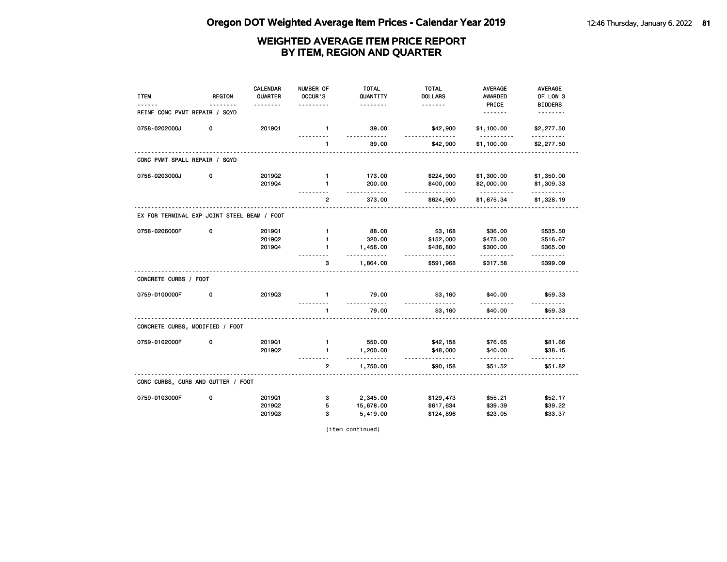| <b>ITEM</b>                                 | <b>REGION</b> | <b>CALENDAR</b><br>QUARTER | NUMBER OF<br>OCCUR'S | <b>TOTAL</b><br>QUANTITY | <b>TOTAL</b><br><b>DOLLARS</b> | <b>AVERAGE</b><br>AWARDED | <b>AVERAGE</b><br>OF LOW 3 |
|---------------------------------------------|---------------|----------------------------|----------------------|--------------------------|--------------------------------|---------------------------|----------------------------|
|                                             |               |                            |                      | .                        | <u>.</u>                       | PRICE                     | <b>BIDDERS</b>             |
| REINF CONC PVMT REPAIR / SQYD               |               |                            |                      |                          |                                | <u>.</u>                  | <u>.</u>                   |
| 0758-0202000J                               | 0             | 201901                     | $\mathbf{1}$         | 39.00<br><u></u>         | \$42,900<br>.                  | \$1,100.00<br>.           | \$2,277.50<br><u>.</u>     |
|                                             |               |                            | 1                    | 39.00                    | \$42,900                       | \$1,100.00                | \$2,277.50                 |
| CONC PVMT SPALL REPAIR / SQYD               |               |                            |                      |                          |                                |                           |                            |
| 0758-0203000J                               | 0             | 2019Q2                     | $\mathbf{1}$         | 173.00                   | \$224,900                      | \$1,300.00                | \$1,350.00                 |
|                                             |               | 201904                     | $\mathbf{1}$         | 200.00<br>.              | \$400,000<br>.                 | \$2,000.00<br><u>.</u>    | \$1,309.33<br>.            |
|                                             |               |                            | $\overline{2}$       | 373.00                   | \$624,900                      | \$1,675.34                | \$1,328.19                 |
| EX FOR TERMINAL EXP JOINT STEEL BEAM / FOOT |               |                            |                      |                          |                                |                           |                            |
| 0758-0206000F                               | 0             | 201901                     | $\mathbf{1}$         | 88.00                    | \$3,168                        | \$36.00                   | \$535.50                   |
|                                             |               | 201902                     | 1                    | 320.00                   | \$152,000                      | \$475.00                  | \$516.67                   |
|                                             |               | 201904                     | $\mathbf{1}$         | 1,456.00<br><u>.</u>     | \$436,800<br><u>.</u>          | \$300.00<br>.             | \$365.00                   |
|                                             |               |                            | 3                    | 1,864.00                 | \$591,968                      | \$317.58                  | \$399.09                   |
| CONCRETE CURBS / FOOT                       |               |                            |                      |                          |                                |                           |                            |
| 0759-0100000F                               | 0             | 201903                     | $\mathbf{1}$         | 79.00                    | \$3,160                        | \$40.00                   | \$59.33                    |
|                                             |               |                            | $\mathbf{1}$         | 79.00                    | \$3,160                        | \$40.00                   | \$59.33                    |
| CONCRETE CURBS, MODIFIED / FOOT             |               |                            |                      |                          |                                |                           |                            |
| 0759-0102000F                               | 0             | 201901                     | $\mathbf{1}$         | 550.00                   | \$42,158                       | \$76.65                   | \$81.66                    |
|                                             |               | 201902                     | 1                    | 1,200.00<br><u></u>      | \$48,000<br>.                  | \$40.00<br>.              | \$38.15<br>.               |
|                                             |               |                            | $\overline{2}$       | 1,750.00                 | \$90,158                       | \$51.52                   | \$51.82                    |
| CONC CURBS, CURB AND GUTTER / FOOT          |               |                            |                      |                          |                                |                           |                            |
| 0759-0103000F                               | 0             | 201901                     | з                    | 2,345.00                 | \$129,473                      | \$55.21                   | \$52.17                    |
|                                             |               | 201902                     | 5                    | 15,678.00                | \$617,634                      | \$39.39                   | \$39.22                    |
|                                             |               | 201903                     | 3                    | 5,419.00                 | \$124,896                      | \$23.05                   | \$33.37                    |

(item continued)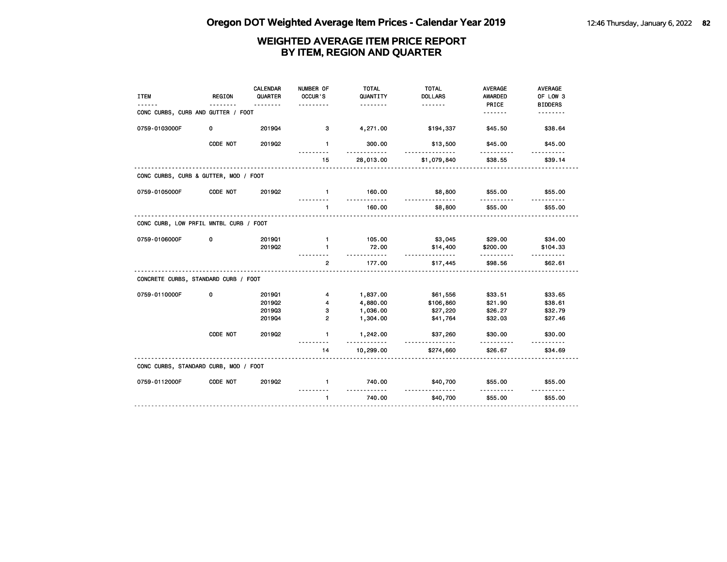|                                        |               | <b>CALENDAR</b> | NUMBER OF      | <b>TOTAL</b>          | <b>TOTAL</b>          | <b>AVERAGE</b> | <b>AVERAGE</b>      |
|----------------------------------------|---------------|-----------------|----------------|-----------------------|-----------------------|----------------|---------------------|
| <b>ITEM</b>                            | <b>REGION</b> | QUARTER         | OCCUR'S        | QUANTITY              | <b>DOLLARS</b>        | <b>AWARDED</b> | OF LOW 3            |
|                                        |               | .               |                | .                     | <u>.</u>              | PRICE          | <b>BIDDERS</b>      |
| CONC CURBS, CURB AND GUTTER / FOOT     |               |                 |                |                       |                       | <u>.</u>       | <u>.</u>            |
| 0759-0103000F                          | 0             | 201904          | 3              | 4,271.00              | \$194,337             | \$45.50        | \$38.64             |
|                                        | CODE NOT      | 201902          | $\mathbf{1}$   | 300.00<br>$- - -$     | \$13,500<br>.         | \$45.00<br>.   | \$45.00             |
|                                        |               |                 | 15             | 28,013.00             | \$1,079,840           | \$38.55        | \$39.14             |
| CONC CURBS, CURB & GUTTER, MOD / FOOT  |               |                 |                |                       |                       |                |                     |
| 0759-0105000F                          | CODE NOT      | 201902          | $\blacksquare$ | 160.00<br>.           | \$8,800               | \$55.00        | \$55.00             |
|                                        |               |                 | $\mathbf{1}$   | 160.00                | \$8,800               | \$55.00        | \$55.00             |
| CONC CURB, LOW PRFIL MNTBL CURB / FOOT |               |                 |                |                       |                       |                |                     |
| 0759-0106000F                          | 0             | 201901          | $\mathbf{1}$   | 105.00                | \$3,045               | \$29.00        | \$34.00             |
|                                        |               | 201902          | $\mathbf{1}$   | 72.00                 | \$14,400              | \$200.00       | \$104.33            |
|                                        |               |                 | $\mathbf{2}$   | .<br>177.00           | .<br>\$17,445         | .<br>\$98.56   | <u>.</u><br>\$62.61 |
| CONCRETE CURBS, STANDARD CURB / FOOT   |               |                 |                |                       |                       |                |                     |
| 0759-0110000F                          | 0             | 201901          | 4              | 1,837.00              | \$61,556              | \$33.51        | \$33.65             |
|                                        |               | 201902          | 4              | 4,880.00              | \$106,860             | \$21.90        | \$38.61             |
|                                        |               | 201903          | 3              | 1,036.00              | \$27,220              | \$26.27        | \$32.79             |
|                                        |               | 201904          | $\overline{2}$ | 1,304.00              | \$41,764              | \$32.03        | \$27.46             |
|                                        | CODE NOT      | 2019Q2          | $\mathbf{1}$   | 1,242.00              | \$37,260              | \$30.00        | \$30.00             |
|                                        |               |                 | 14             | <u>.</u><br>10,299.00 | <u>.</u><br>\$274,660 | .<br>\$26.67   | <u>.</u><br>\$34.69 |
| CONC CURBS, STANDARD CURB, MOD / FOOT  |               |                 |                |                       |                       |                |                     |
| 0759-0112000F                          | CODE NOT      | 201902          | $\mathbf{1}$   | 740.00                | \$40,700              | \$55.00        | \$55.00             |
|                                        |               |                 | $\mathbf{1}$   | 740.00                | \$40,700              | \$55.00        | \$55.00             |
|                                        |               |                 |                |                       |                       |                |                     |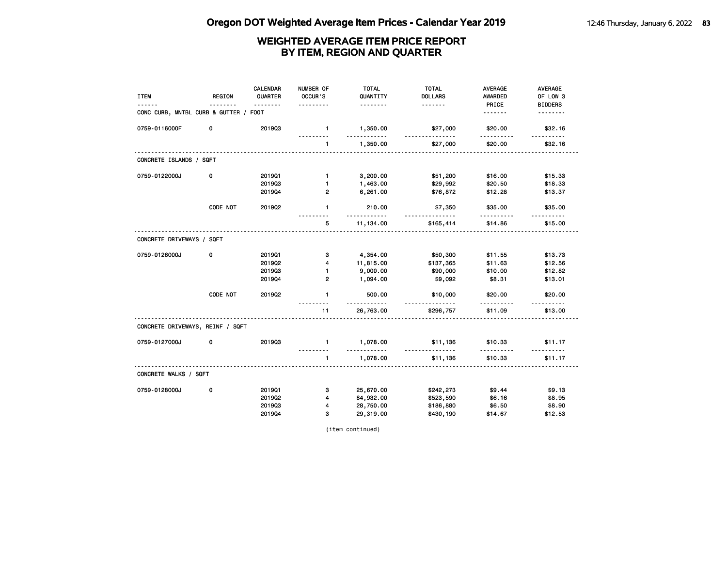| <b>ITEM</b>                           | <b>REGION</b> | <b>CALENDAR</b><br>QUARTER | NUMBER OF<br>OCCUR'S     | <b>TOTAL</b><br>QUANTITY | <b>TOTAL</b><br><b>DOLLARS</b> | <b>AVERAGE</b><br><b>AWARDED</b> | <b>AVERAGE</b><br>OF LOW 3 |
|---------------------------------------|---------------|----------------------------|--------------------------|--------------------------|--------------------------------|----------------------------------|----------------------------|
| CONC CURB, MNTBL CURB & GUTTER / FOOT |               | .                          |                          | .                        | .                              | PRICE<br><u>.</u>                | <b>BIDDERS</b><br><u>.</u> |
| 0759-0116000F                         | 0             | 201903                     | $\mathbf{1}$             | 1,350.00                 | \$27,000                       | \$20.00                          | \$32.16                    |
|                                       |               |                            | $\mathbf{1}$             | .<br>1,350.00            | <u></u><br>\$27,000            | .<br>\$20.00                     | \$32.16                    |
| CONCRETE ISLANDS / SQFT               |               |                            |                          |                          |                                |                                  |                            |
| 0759-0122000J                         | 0             | 201901                     | $\mathbf{1}$             | 3,200.00                 | \$51,200                       | \$16.00                          | \$15.33                    |
|                                       |               | 201903                     | 1                        | 1,463.00                 | \$29,992                       | \$20.50                          | \$18.33                    |
|                                       |               | 201904                     | $\overline{2}$           | 6,261.00                 | \$76,872                       | \$12.28                          | \$13.37                    |
|                                       | CODE NOT      | 201902                     | $\mathbf{1}$             | 210.00<br>.              | \$7,350<br><u>.</u>            | \$35.00<br>.                     | \$35.00<br><u>.</u>        |
|                                       |               |                            | 5                        | 11,134.00                | \$165,414                      | \$14.86                          | \$15.00                    |
| CONCRETE DRIVEWAYS / SQFT             |               |                            |                          |                          |                                |                                  |                            |
| 0759-0126000J                         | 0             | 201901                     | з                        | 4,354.00                 | \$50,300                       | \$11.55                          | \$13.73                    |
|                                       |               | 2019Q2                     | $\overline{\mathbf{4}}$  | 11,815.00                | \$137,365                      | \$11.63                          | \$12.56                    |
|                                       |               | 201903                     | $\mathbf{1}$             | 9,000.00                 | \$90,000                       | \$10.00                          | \$12.82                    |
|                                       |               | 201904                     | $\overline{2}$           | 1,094.00                 | \$9,092                        | \$8.31                           | \$13.01                    |
|                                       | CODE NOT      | 201902                     | $\mathbf{1}$             | 500.00                   | \$10,000<br>.                  | \$20.00                          | \$20.00                    |
|                                       |               |                            | 11                       | 26,763.00                | \$296,757                      | \$11.09                          | \$13.00                    |
| CONCRETE DRIVEWAYS, REINF / SQFT      |               |                            |                          |                          |                                |                                  |                            |
| 0759-0127000J                         | 0             | 201903                     | $\mathbf{1}$<br><u>.</u> | 1,078.00<br><u>.</u>     | \$11,136<br><u>.</u>           | \$10.33<br>.                     | \$11.17                    |
|                                       |               |                            | $\mathbf{1}$             | 1,078.00                 | \$11,136                       | \$10.33                          | .<br>\$11.17               |
| CONCRETE WALKS / SQFT                 |               |                            |                          |                          |                                |                                  |                            |
| 0759-0128000J                         | 0             | 201901                     | з                        | 25,670.00                | \$242,273                      | \$9.44                           | \$9.13                     |
|                                       |               | 2019Q2                     | 4                        | 84,932.00                | \$523,590                      | \$6.16                           | \$8.95                     |
|                                       |               | 201903                     | 4                        | 28,750.00                | \$186,880                      | \$6.50                           | \$8.90                     |
|                                       |               | 201904                     | 3                        | 29,319.00                | \$430,190                      | \$14.67                          | \$12.53                    |

(item continued)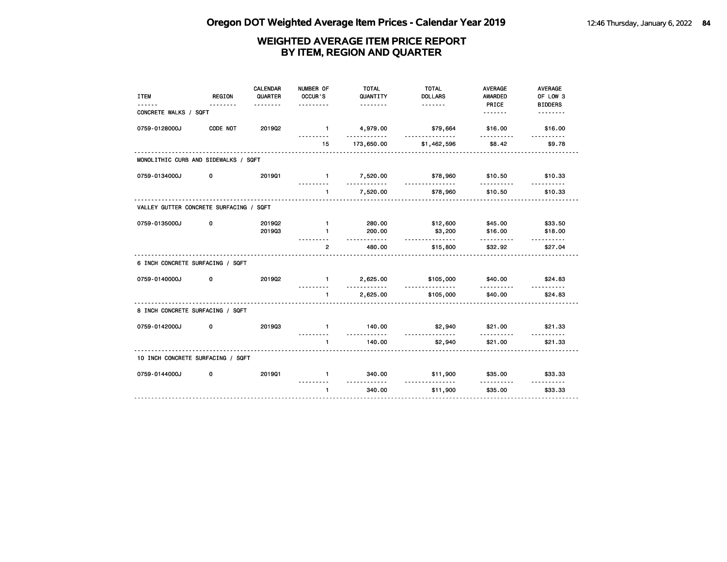| <b>ITEM</b>                             | REGION   | <b>CALENDAR</b><br>QUARTER<br><u>.</u> | NUMBER OF<br>OCCUR'S<br>.      | <b>TOTAL</b><br>QUANTITY<br><u>.</u> | <b>TOTAL</b><br><b>DOLLARS</b> | <b>AVERAGE</b><br><b>AWARDED</b><br>PRICE | <b>AVERAGE</b><br>OF LOW 3<br><b>BIDDERS</b> |
|-----------------------------------------|----------|----------------------------------------|--------------------------------|--------------------------------------|--------------------------------|-------------------------------------------|----------------------------------------------|
| CONCRETE WALKS / SQFT                   |          |                                        |                                |                                      |                                | <u>.</u>                                  | <u>.</u>                                     |
| 0759-0128000J                           | CODE NOT | 2019Q2                                 | $\blacksquare$                 | 4,979.00<br>. . <b>.</b>             | \$79,664<br>.                  | \$16.00<br>.                              | \$16.00<br>.                                 |
|                                         |          |                                        | 15                             | 173,650.00                           | \$1,462,596                    | \$8.42                                    | \$9.78                                       |
| MONOLITHIC CURB AND SIDEWALKS / SQFT    |          |                                        |                                |                                      |                                |                                           |                                              |
| 0759-0134000J                           | 0        | 201901                                 | $1 -$                          | 7,520.00<br>.                        | \$78,960<br>.                  | \$10.50                                   | \$10.33                                      |
|                                         |          |                                        | ---------<br>$\mathbf 1$       | 7,520.00                             | \$78,960                       | .<br>\$10.50                              | <u>.</u><br>\$10.33                          |
| VALLEY GUTTER CONCRETE SURFACING / SQFT |          |                                        |                                |                                      |                                |                                           |                                              |
| 0759-0135000J                           | 0        | 201902<br>201903                       | $\blacksquare$<br>$\mathbf{1}$ | 280.00<br>200.00                     | \$12,600<br>\$3,200            | \$45.00<br>\$16.00                        | \$33.50<br>\$18.00                           |
|                                         |          |                                        | $\overline{2}$                 | <u>.</u><br>480.00                   | .<br>\$15,800                  | .<br>\$32.92                              | <u>.</u><br>\$27.04                          |
| 6 INCH CONCRETE SURFACING / SQFT        |          |                                        |                                |                                      |                                |                                           |                                              |
| 0759-0140000J                           | 0        | 201902                                 | $1 -$                          | 2,625.00<br>.                        | \$105,000<br><u>.</u>          | \$40.00<br>.                              | \$24.83                                      |
|                                         |          |                                        | $\mathbf{1}$                   | 2,625.00                             | \$105,000                      | \$40.00                                   | \$24.83                                      |
| 8 INCH CONCRETE SURFACING / SQFT        |          |                                        |                                |                                      |                                |                                           |                                              |
| 0759-0142000J                           | 0        | 201903                                 | $\mathbf{1}$                   | 140.00<br><u>.</u>                   | \$2,940<br>.                   | \$21.00                                   | \$21.33                                      |
|                                         |          |                                        | $\blacksquare$                 | 140.00                               | \$2,940                        | \$21.00                                   | \$21.33                                      |
| 10 INCH CONCRETE SURFACING / SQFT       |          |                                        |                                |                                      |                                |                                           |                                              |
| 0759-0144000J                           | 0        | 201901                                 | $\mathbf{1}$                   | 340.00<br>.                          | \$11,900<br><u>.</u>           | \$35.00<br><u>.</u>                       | \$33.33<br><u>.</u>                          |
|                                         |          |                                        | $\mathbf{1}$                   | 340.00                               | \$11,900                       | \$35.00                                   | \$33.33                                      |
|                                         |          |                                        |                                |                                      |                                |                                           |                                              |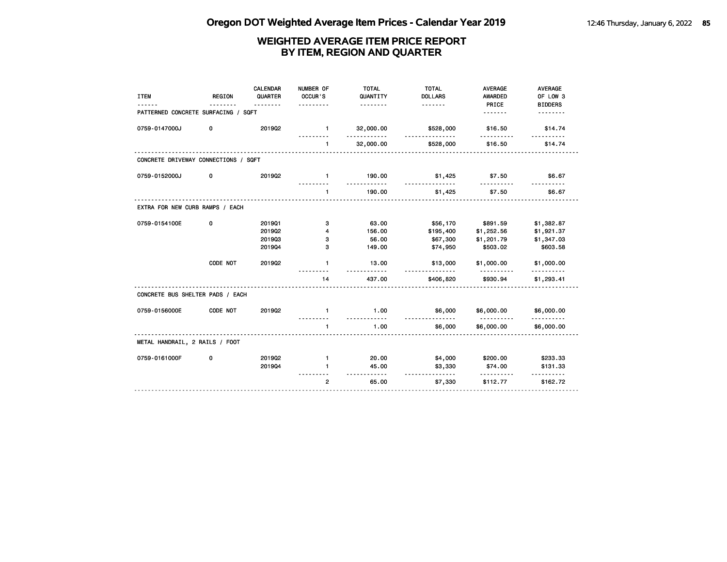| <b>ITEM</b>                          | <b>REGION</b> | CALENDAR<br>QUARTER<br><u>.</u> | NUMBER OF<br>OCCUR'S | <b>TOTAL</b><br>QUANTITY<br>. | <b>TOTAL</b><br><b>DOLLARS</b><br><u>.</u> | <b>AVERAGE</b><br><b>AWARDED</b><br>PRICE | <b>AVERAGE</b><br>OF LOW 3<br><b>BIDDERS</b> |
|--------------------------------------|---------------|---------------------------------|----------------------|-------------------------------|--------------------------------------------|-------------------------------------------|----------------------------------------------|
| PATTERNED CONCRETE SURFACING / SQFT  |               |                                 |                      |                               |                                            | .                                         |                                              |
| 0759-0147000J                        | 0             | 2019Q2                          | $\mathbf{1}$         | 32,000.00                     | \$528,000                                  | \$16.50                                   | \$14.74                                      |
|                                      |               |                                 | $\mathbf{1}$         | 32,000.00                     | \$528,000                                  | \$16.50                                   | \$14.74                                      |
| CONCRETE DRIVEWAY CONNECTIONS / SQFT |               |                                 |                      |                               |                                            |                                           |                                              |
| 0759-0152000J                        | 0             | 2019Q2                          | $\mathbf{1}$         | 190.00<br><u>.</u>            | \$1,425                                    | \$7.50                                    | \$6.67                                       |
|                                      |               |                                 | $\mathbf{1}$         | 190.00                        | \$1,425                                    | \$7.50                                    | \$6.67                                       |
| EXTRA FOR NEW CURB RAMPS / EACH      |               |                                 |                      |                               |                                            |                                           |                                              |
| 0759-0154100E                        | 0             | 201901                          | з                    | 63.00                         | \$56,170                                   | \$891.59                                  | \$1,382.87                                   |
|                                      |               | 2019Q2                          | 4                    | 156.00                        | \$195,400                                  | \$1,252.56                                | \$1,921.37                                   |
|                                      |               | 201903                          | з                    | 56.00                         | \$67,300                                   | \$1,201.79                                | \$1,347.03                                   |
|                                      |               | 201904                          | з                    | 149.00                        | \$74,950                                   | \$503.02                                  | \$603.58                                     |
|                                      | CODE NOT      | 2019Q2                          | $\mathbf{1}$         | 13.00                         | \$13,000                                   | \$1,000.00<br>.                           | \$1,000.00                                   |
|                                      |               |                                 | 14                   | 437.00                        | \$406,820                                  | \$930.94                                  | \$1,293.41                                   |
| CONCRETE BUS SHELTER PADS / EACH     |               |                                 |                      |                               |                                            |                                           |                                              |
| 0759-0156000E                        | CODE NOT      | 201902                          | $\blacksquare$       | 1.00                          | \$6,000                                    | \$6,000.00<br><u>.</u>                    | \$6,000.00                                   |
|                                      |               |                                 | $\mathbf{1}$         | 1.00                          | \$6,000                                    | \$6,000.00                                | \$6,000.00                                   |
| METAL HANDRAIL, 2 RAILS / FOOT       |               |                                 |                      |                               |                                            |                                           |                                              |
| 0759-0161000F                        | 0             | 2019Q2                          | $\mathbf{1}$         | 20.00                         | \$4,000                                    | \$200.00                                  | \$233.33                                     |
|                                      |               | 201904                          | $\blacksquare$       | 45.00<br>.                    | \$3,330<br><u>.</u>                        | \$74.00<br><u>.</u>                       | \$131.33                                     |
|                                      |               |                                 | $\overline{2}$       | 65.00                         | \$7,330                                    | \$112.77                                  | \$162.72                                     |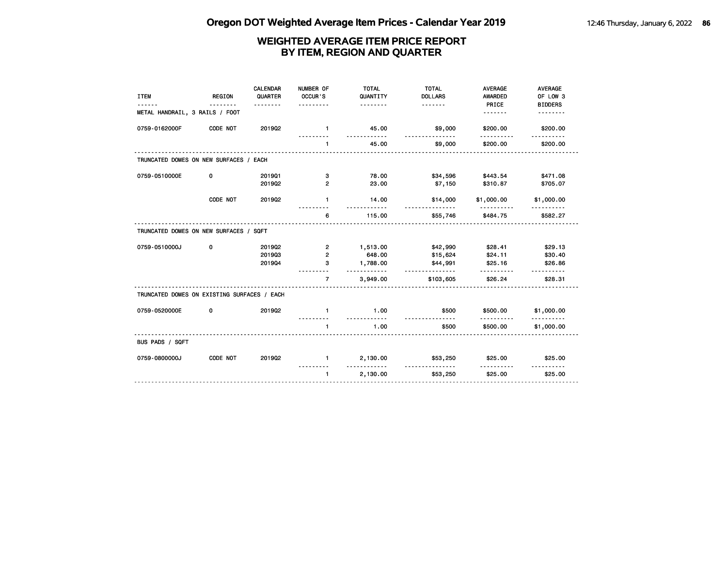| <b>ITEM</b>                                 | <b>REGION</b> | <b>CALENDAR</b><br>QUARTER<br>. | NUMBER OF<br>OCCUR'S<br>. | <b>TOTAL</b><br>QUANTITY<br><u>.</u> | <b>TOTAL</b><br><b>DOLLARS</b><br><u>.</u> | <b>AVERAGE</b><br>AWARDED<br>PRICE | <b>AVERAGE</b><br>OF LOW 3 |
|---------------------------------------------|---------------|---------------------------------|---------------------------|--------------------------------------|--------------------------------------------|------------------------------------|----------------------------|
| METAL HANDRAIL, 3 RAILS / FOOT              |               |                                 |                           |                                      |                                            | <u>.</u>                           | <b>BIDDERS</b>             |
| 0759-0162000F                               | CODE NOT      | 201902                          | $\blacksquare$            | 45.00                                | \$9,000                                    | \$200.00                           | \$200.00                   |
|                                             |               |                                 | $\mathbf{1}$              | 45.00                                | \$9,000                                    | \$200.00                           | \$200.00                   |
| TRUNCATED DOMES ON NEW SURFACES / EACH      |               |                                 |                           |                                      |                                            |                                    |                            |
| 0759-0510000E                               | 0             | 201901                          | з                         | 78.00                                | \$34,596                                   | \$443.54                           | \$471.08                   |
|                                             |               | 2019Q2                          | $\mathbf{2}$              | 23.00                                | \$7,150                                    | \$310.87                           | \$705.07                   |
|                                             | CODE NOT      | 201902                          | $\mathbf{1}$              | 14.00                                | \$14,000<br>--------                       | \$1,000.00                         | \$1,000.00                 |
|                                             |               |                                 | 6                         | 115.00                               | \$55,746                                   | \$484.75                           | \$582.27                   |
| TRUNCATED DOMES ON NEW SURFACES / SQFT      |               |                                 |                           |                                      |                                            |                                    |                            |
| 0759-0510000J                               | 0             | 201902                          | $\overline{2}$            | 1,513.00                             | \$42,990                                   | \$28.41                            | \$29.13                    |
|                                             |               | 201903                          | $\overline{2}$            | 648.00                               | \$15,624                                   | \$24.11                            | \$30.40                    |
|                                             |               | 201904                          | з                         | 1,788.00<br>. <b>.</b> .             | \$44,991<br><u>.</u>                       | \$25.16                            | \$26.86                    |
|                                             |               |                                 | $\overline{7}$            | 3,949.00                             | \$103,605                                  | \$26.24                            | \$28.31                    |
| TRUNCATED DOMES ON EXISTING SURFACES / EACH |               |                                 |                           |                                      |                                            |                                    |                            |
| 0759-0520000E                               | 0             | 201902                          | $\mathbf{1}$              | 1.00<br><u>.</u>                     | \$500                                      | \$500.00                           | \$1,000.00                 |
|                                             |               |                                 | $\mathbf{1}$              | 1.00                                 | \$500                                      | \$500.00                           | \$1,000.00                 |
| BUS PADS / SQFT                             |               |                                 |                           |                                      |                                            |                                    |                            |
| 0759-0800000J                               | CODE NOT      | 201902                          | $\mathbf{1}$              | 2,130.00<br><u>.</u>                 | \$53,250<br>.                              | \$25.00<br>.                       | \$25.00<br>.               |
|                                             |               |                                 | $\mathbf{1}$              | 2,130.00                             | \$53,250                                   | \$25.00                            | \$25.00                    |
|                                             |               |                                 |                           |                                      |                                            |                                    |                            |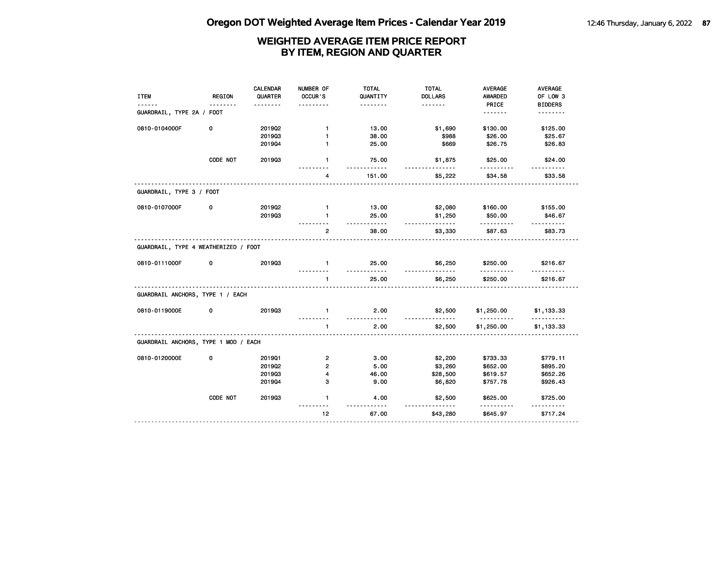| <b>ITEM</b>                                                                                                | <b>REGION</b> | <b>CALENDAR</b><br>QUARTER | NUMBER OF<br>OCCUR'S | <b>TOTAL</b><br>QUANTITY<br>. | <b>TOTAL</b><br><b>DOLLARS</b><br>. | AVERAGE<br><b>AWARDED</b><br>PRICE | AVERAGE<br>OF LOW 3<br><b>BIDDERS</b> |
|------------------------------------------------------------------------------------------------------------|---------------|----------------------------|----------------------|-------------------------------|-------------------------------------|------------------------------------|---------------------------------------|
| GUARDRAIL, TYPE 2A / FOOT                                                                                  |               |                            |                      |                               |                                     | <u>.</u>                           | .                                     |
| 0810-0104000F                                                                                              | 0             | 2019Q2                     | $\mathbf{1}$         | 13.00                         | \$1,690                             | \$130.00                           | \$125.00                              |
|                                                                                                            |               | 201903                     | $\mathbf{1}$         | 38.00                         | \$988                               | \$26.00                            | \$25.67                               |
|                                                                                                            |               | 201904                     | $\mathbf{1}$         | 25.00                         | \$669                               | \$26.75                            | \$26.83                               |
|                                                                                                            | CODE NOT      | 201903                     | $\mathbf{1}$         | 75.00                         | \$1,875                             | \$25.00                            | \$24.00                               |
|                                                                                                            |               |                            | 4                    | 151.00                        | \$5,222                             | \$34.58                            | \$33.58                               |
| GUARDRAIL, TYPE 3 / FOOT                                                                                   |               |                            |                      |                               |                                     |                                    |                                       |
| 0810-0107000F                                                                                              | 0             | 201902                     | $\mathbf{1}$         | 13.00                         | \$2,080                             | \$160.00                           | \$155.00                              |
|                                                                                                            |               | 201903                     | $\mathbf{1}$         | 25.00<br>.                    | \$1,250                             | \$50.00                            | \$46.67                               |
|                                                                                                            |               |                            | $\mathbf{2}$         | 38.00                         | \$3,330                             | \$87.63                            | \$83.73                               |
| GUARDRAIL, TYPE 4 WEATHERIZED / FOOT                                                                       |               |                            |                      |                               |                                     |                                    |                                       |
| 0810-0111000F                                                                                              | 0             | 201903                     | $\mathbf{1}$         | 25.00                         | \$6,250                             | \$250.00                           | \$216.67                              |
|                                                                                                            |               |                            |                      |                               |                                     |                                    |                                       |
|                                                                                                            |               |                            | $\mathbf{1}$         | 25.00                         | \$6,250                             | \$250.00                           | \$216.67                              |
|                                                                                                            |               |                            |                      |                               |                                     |                                    |                                       |
|                                                                                                            | 0             | 201903                     | $\mathbf{1}$         | 2.00                          | \$2,500                             | \$1,250.00                         | \$1,133.33                            |
|                                                                                                            |               |                            | $\mathbf{1}$         | $- - - - -$<br>2.00           | \$2,500                             | <u>.</u><br>\$1,250.00             | \$1,133.33                            |
|                                                                                                            |               |                            |                      |                               |                                     |                                    |                                       |
|                                                                                                            | 0             | 201901                     | $\overline{2}$       | 3.00                          | \$2,200                             | \$733.33                           | \$779.11                              |
|                                                                                                            |               | 2019Q2                     | $\overline{2}$       | 5.00                          | \$3,260                             | \$652.00                           | \$895.20                              |
|                                                                                                            |               | 201903                     | 4                    | 46.00                         | \$28,500                            | \$619.57                           | \$652.26                              |
| GUARDRAIL ANCHORS, TYPE 1 / EACH<br>0810-0119000E<br>GUARDRAIL ANCHORS, TYPE 1 MOD / EACH<br>0810-0120000E |               | 201904                     | з                    | 9.00                          | \$6,820                             | \$757.78                           | \$926.43                              |
|                                                                                                            | CODE NOT      | 201903                     | $\mathbf{1}$         | 4.00                          | \$2,500                             | \$625.00                           | \$725.00                              |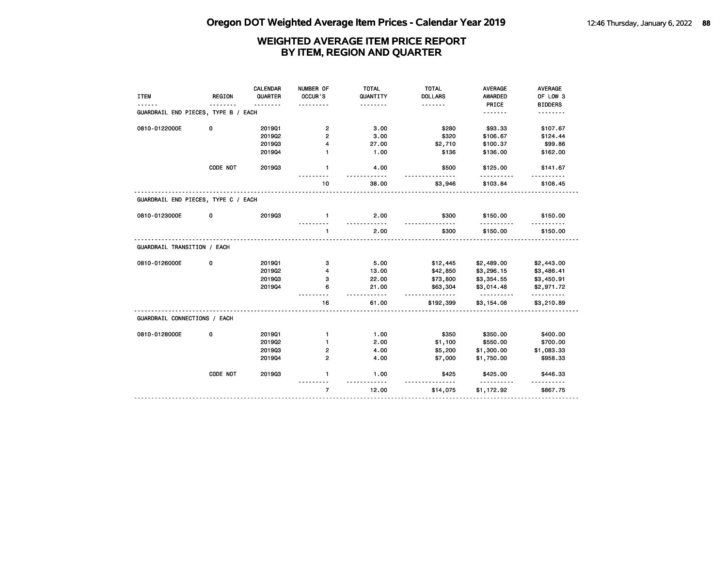|                                     |               | CALENDAR | NUMBER OF      | <b>TOTAL</b>       | <b>TOTAL</b>         | <b>AVERAGE</b>         | AVERAGE         |
|-------------------------------------|---------------|----------|----------------|--------------------|----------------------|------------------------|-----------------|
| <b>ITEM</b>                         | <b>REGION</b> | QUARTER  | OCCUR'S        | QUANTITY           | <b>DOLLARS</b>       | <b>AWARDED</b>         | OF LOW 3        |
|                                     |               |          |                | .                  | <u>.</u>             | PRICE                  | <b>BIDDERS</b>  |
| GUARDRAIL END PIECES, TYPE B / EACH |               |          |                |                    |                      | <u>.</u>               | .               |
| 0810-0122000E                       | 0             | 201901   | $\mathbf{2}$   | 3.00               | \$280                | \$93.33                | \$107.67        |
|                                     |               | 2019Q2   | $\overline{2}$ | 3.00               | \$320                | \$106.67               | \$124.44        |
|                                     |               | 201903   | 4              | 27.00              | \$2,710              | \$100.37               | \$99.86         |
|                                     |               | 201904   | 1              | 1.00               | \$136                | \$136.00               | \$162.00        |
|                                     | CODE NOT      | 201903   | $\mathbf{1}$   | 4.00<br>$- - - -$  | \$500                | \$125.00<br><u>.</u>   | \$141.67        |
|                                     |               |          | 10             | 38.00              | \$3,946              | \$103.84               | \$108.45        |
| GUARDRAIL END PIECES, TYPE C / EACH |               |          |                |                    |                      |                        |                 |
| 0810-0123000E                       | 0             | 201903   | $\mathbf{1}$   | 2.00               | \$300                | \$150.00               | \$150.00        |
|                                     |               |          | $\mathbf{1}$   | 2.00               | \$300                | \$150.00               | \$150.00        |
| GUARDRAIL TRANSITION / EACH         |               |          |                |                    |                      |                        |                 |
| 0810-0126000E                       | 0             | 201901   | з              | 5.00               | \$12,445             | \$2,489.00             | \$2,443.00      |
|                                     |               | 201902   | 4              | 13.00              | \$42,850             | \$3,296.15             | \$3,486.41      |
|                                     |               | 201903   | з              | 22.00              | \$73,800             | \$3,354.55             | \$3,450.91      |
|                                     |               | 201904   | 6              | 21.00<br>- - - - - | \$63,304<br><u>.</u> | \$3,014.48<br><u>.</u> | \$2,971.72      |
|                                     |               |          | 16             | 61.00              | \$192,399            | \$3,154.08             | .<br>\$3,210.89 |
| GUARDRAIL CONNECTIONS / EACH        |               |          |                |                    |                      |                        |                 |
| 0810-0128000E                       | 0             | 201901   | $\mathbf{1}$   | 1.00               | \$350                | \$350.00               | \$400.00        |
|                                     |               | 2019Q2   | 1              | 2.00               | \$1,100              | \$550.00               | \$700.00        |
|                                     |               | 201903   | 2              | 4.00               | \$5,200              | \$1,300.00             | \$1,083.33      |
|                                     |               | 201904   | $\overline{2}$ | 4.00               | \$7,000              | \$1,750.00             | \$958.33        |
|                                     | CODE NOT      | 201903   | $\mathbf{1}$   | 1.00               | \$425                | \$425.00               | \$446.33        |
|                                     |               |          | $\overline{7}$ | 12.00              | \$14,075             | \$1,172.92             | \$867.75        |
|                                     |               |          |                |                    |                      |                        |                 |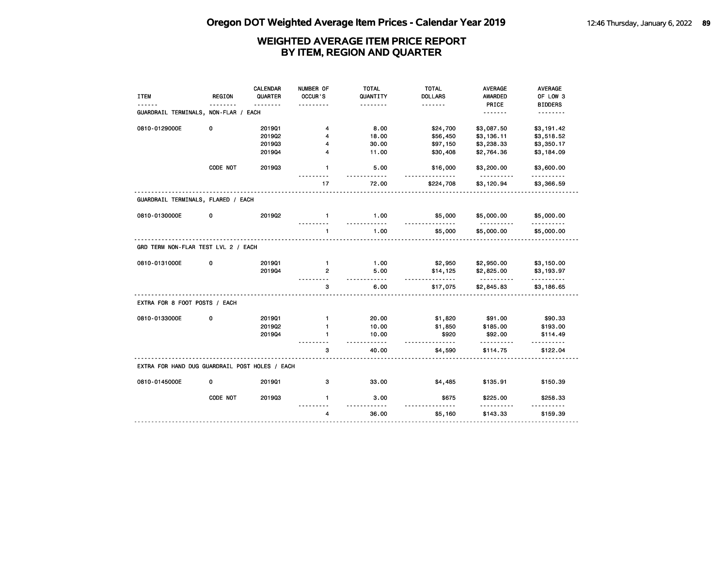| <b>ITEM</b>                                    | <b>REGION</b> | CALENDAR<br>QUARTER | NUMBER OF<br>OCCUR'S | <b>TOTAL</b><br>QUANTITY | <b>TOTAL</b><br><b>DOLLARS</b> | AVERAGE<br>AWARDED     | AVERAGE<br>OF LOW 3        |
|------------------------------------------------|---------------|---------------------|----------------------|--------------------------|--------------------------------|------------------------|----------------------------|
| GUARDRAIL TERMINALS, NON-FLAR / EACH           | .             | <u>.</u>            |                      | .                        | <u>.</u>                       | PRICE<br><u>.</u>      | <b>BIDDERS</b><br><u>.</u> |
| 0810-0129000E                                  | 0             | 201901              | 4                    | 8.00                     | \$24,700                       | \$3,087.50             | \$3,191.42                 |
|                                                |               | 2019Q2              | 4                    | 18.00                    | \$56,450                       | \$3,136.11             | \$3,518.52                 |
|                                                |               | 201903              | 4                    | 30.00                    | \$97,150                       | \$3,238.33             | \$3,350.17                 |
|                                                |               | 201904              | 4                    | 11.00                    | \$30,408                       | \$2,764.36             | \$3,184.09                 |
|                                                | CODE NOT      | 201903              | $\mathbf{1}$         | 5.00<br>.                | \$16,000<br><u>.</u>           | \$3,200.00<br><u>.</u> | \$3,600.00<br>.            |
|                                                |               |                     | 17                   | 72.00                    | \$224,708                      | \$3,120.94             | \$3,366.59                 |
| GUARDRAIL TERMINALS, FLARED / EACH             |               |                     |                      |                          |                                |                        |                            |
| 0810-0130000E                                  | 0             | 201902              | $\mathbf{1}$         | 1.00<br>.                | \$5,000                        | \$5,000.00             | \$5,000.00                 |
|                                                |               |                     | $\mathbf{1}$         | 1.00                     | \$5,000                        | \$5,000.00             | \$5,000.00                 |
| GRD TERM NON-FLAR TEST LVL 2 / EACH            |               |                     |                      |                          |                                |                        |                            |
| 0810-0131000E                                  | 0             | 201901              | $\blacksquare$       | 1.00                     | \$2,950                        | \$2,950.00             | \$3,150.00                 |
|                                                |               | 201904              | $\overline{2}$       | 5.00<br>$- - -$          | \$14,125<br><u>.</u>           | \$2,825.00<br><u>.</u> | \$3,193.97<br>.            |
|                                                |               |                     | 3                    | 6.00                     | \$17,075                       | \$2,845.83             | \$3,186.65                 |
| EXTRA FOR 8 FOOT POSTS / EACH                  |               |                     |                      |                          |                                |                        |                            |
| 0810-0133000E                                  | 0             | 201901              | $\mathbf{1}$         | 20.00                    | \$1,820                        | \$91.00                | \$90.33                    |
|                                                |               | 201902              | $\mathbf{1}$         | 10.00                    | \$1,850                        | \$185.00               | \$193.00                   |
|                                                |               | 201904              | 1                    | 10.00<br>$- - - - -$     | \$920<br>.                     | \$92.00<br>.           | \$114.49<br>$- - - - - -$  |
|                                                |               |                     | 3                    | 40.00                    | \$4,590                        | \$114.75               | \$122.04                   |
| EXTRA FOR HAND DUG GUARDRAIL POST HOLES / EACH |               |                     |                      |                          |                                |                        |                            |
| 0810-0145000E                                  | 0             | 201901              | 3                    | 33.00                    | \$4,485                        | \$135.91               | \$150.39                   |
|                                                | CODE NOT      | 201903              | $\mathbf{1}$         | 3.00                     | \$675                          | \$225.00               | \$258.33                   |
|                                                |               |                     |                      |                          |                                |                        |                            |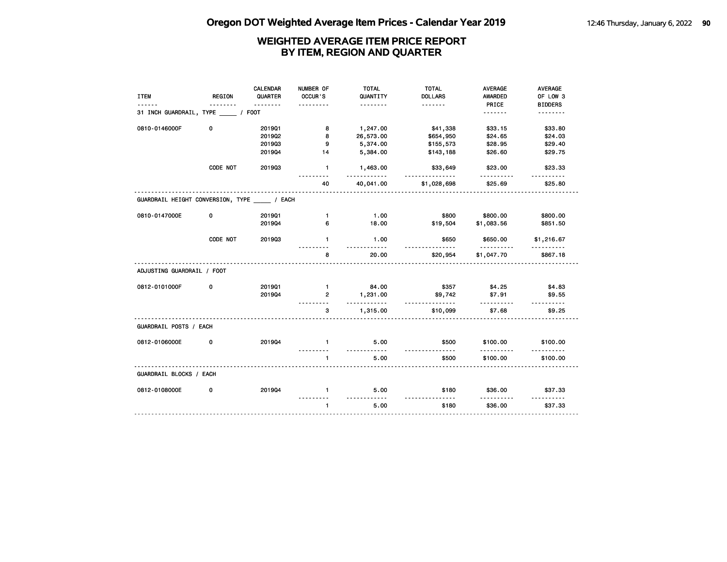|                                          |          | CALENDAR | NUMBER OF      | <b>TOTAL</b>     | <b>TOTAL</b>                   | <b>AVERAGE</b> | AVERAGE                     |
|------------------------------------------|----------|----------|----------------|------------------|--------------------------------|----------------|-----------------------------|
| <b>ITEM</b>                              | REGION   | QUARTER  | OCCUR'S        | QUANTITY         | <b>DOLLARS</b>                 | AWARDED        | OF LOW 3                    |
|                                          | <u>.</u> | <u>.</u> | .              | <u>.</u>         |                                | PRICE          | <b>BIDDERS</b>              |
| 31 INCH GUARDRAIL, TYPE _____ / FOOT     |          |          |                |                  |                                |                | <u>.</u>                    |
| 0810-0146000F                            | 0        | 201901   | 8              | 1,247.00         | \$41,338                       | \$33.15        | \$33.80                     |
|                                          |          | 201902   | 8              | 26,573.00        | \$654,950                      | \$24.65        | \$24.03                     |
|                                          |          | 201903   | 9              | 5,374.00         | \$155,573                      | \$28.95        | \$29.40                     |
|                                          |          | 201904   | 14             | 5,384.00         | \$143,188                      | \$26.60        | \$29.75                     |
|                                          | CODE NOT | 201903   | $\blacksquare$ | 1,463.00<br>.    | \$33,649<br><u>-----------</u> | \$23.00        | \$23.33<br><u>---------</u> |
|                                          |          |          | 40             | 40,041.00        | \$1,028,698                    | \$25.69        | \$25.80                     |
| GUARDRAIL HEIGHT CONVERSION, TYPE / EACH |          |          |                |                  |                                |                |                             |
| 0810-0147000E                            | 0        | 201901   | $\mathbf{1}$   | 1.00             | \$800                          | \$800.00       | \$800.00                    |
|                                          |          | 201904   | 6              | 18.00            | \$19,504                       | \$1,083.56     | \$851.50                    |
|                                          |          |          |                |                  |                                |                |                             |
|                                          | CODE NOT | 201903   | $\mathbf{1}$   | 1.00<br>.        | \$650                          | \$650.00       | \$1,216.67                  |
|                                          |          |          | 8              | 20.00            | \$20,954                       | \$1,047.70     | \$867.18                    |
| ADJUSTING GUARDRAIL / FOOT               |          |          |                |                  |                                |                |                             |
| 0812-0101000F                            | 0        | 201901   | $\mathbf{1}$   | 84.00            | \$357                          | \$4.25         | \$4.83                      |
|                                          |          | 201904   | $\overline{2}$ | 1,231.00<br>.    | \$9,742                        | \$7.91<br>.    | \$9.55                      |
|                                          |          |          | 3              | 1,315.00         | .<br>\$10,099                  | \$7.68         | \$9.25                      |
| GUARDRAIL POSTS / EACH                   |          |          |                |                  |                                |                |                             |
| 0812-0106000E                            | 0        | 201904   | $\mathbf{1}$   | 5.00             | \$500                          | \$100.00       | \$100.00                    |
|                                          |          |          | $\mathbf{1}$   | <u>.</u><br>5.00 | \$500                          | \$100.00       | \$100.00                    |
| GUARDRAIL BLOCKS / EACH                  |          |          |                |                  |                                |                |                             |
|                                          |          |          |                |                  |                                |                |                             |
| 0812-0108000E                            | 0        | 201904   | $\mathbf{1}$   | 5.00             | \$180                          | \$36.00        | \$37.33                     |
|                                          |          |          | $\mathbf{1}$   | <u></u><br>5.00  | <u>.</u><br>\$180              | \$36.00        | .<br>\$37.33                |
|                                          |          |          |                |                  |                                |                |                             |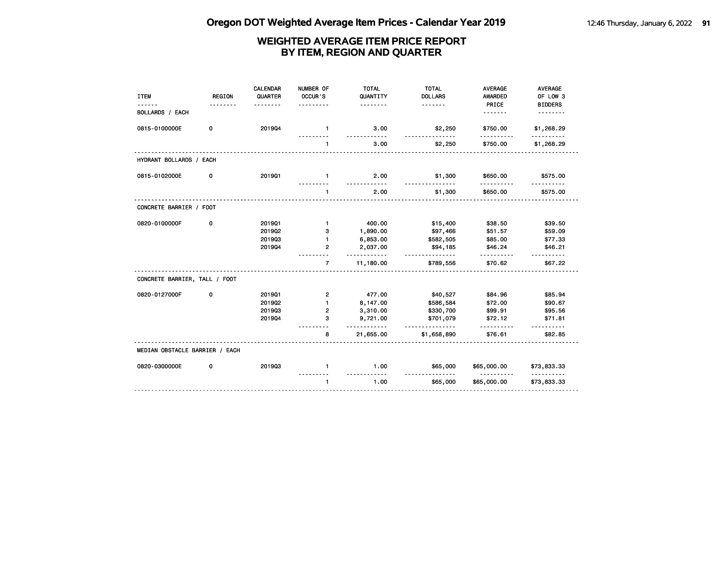| <b>ITEM</b>                    | <b>REGION</b> | <b>CALENDAR</b><br>QUARTER | NUMBER OF<br>OCCUR'S | <b>TOTAL</b><br>QUANTITY<br>. | <b>TOTAL</b><br><b>DOLLARS</b> | <b>AVERAGE</b><br><b>AWARDED</b><br>PRICE | <b>AVERAGE</b><br>OF LOW 3<br><b>BIDDERS</b> |
|--------------------------------|---------------|----------------------------|----------------------|-------------------------------|--------------------------------|-------------------------------------------|----------------------------------------------|
| <b>BOLLARDS / EACH</b>         |               |                            |                      |                               |                                | .                                         | <u>.</u>                                     |
| 0815-0100000E                  | 0             | 201904                     | $\mathbf{1}$         | 3.00<br>a a a a a             | \$2,250                        | \$750.00                                  | \$1,268.29                                   |
|                                |               |                            | $\mathbf{1}$         | 3.00                          | \$2,250                        | \$750.00                                  | \$1,268.29                                   |
| HYDRANT BOLLARDS / EACH        |               |                            |                      |                               |                                |                                           |                                              |
| 0815-0102000E                  | 0             | 201901                     | $\mathbf{1}$         | 2.00                          | \$1,300                        | \$650.00                                  | \$575.00                                     |
|                                |               |                            | $\mathbf{1}$         | <u>.</u><br>2.00              | <u>.</u><br>\$1,300            | .<br>\$650.00                             | \$575.00                                     |
| CONCRETE BARRIER / FOOT        |               |                            |                      |                               |                                |                                           |                                              |
| 0820-0100000F                  | 0             | 201901                     | $\mathbf{1}$         | 400.00                        | \$15,400                       | \$38.50                                   | \$39.50                                      |
|                                |               | 201902                     | з                    | 1,890.00                      | \$97,466                       | \$51.57                                   | \$59.09                                      |
|                                |               | 201903                     | $\mathbf{1}$         | 6,853.00                      | \$582,505                      | \$85.00                                   | \$77.33                                      |
|                                |               | 201904                     | $\overline{2}$       | 2,037.00<br>.                 | \$94,185<br><u>.</u>           | \$46.24<br>.                              | \$46.21                                      |
|                                |               |                            | $\overline{7}$       | 11,180.00                     | \$789,556                      | \$70.62                                   | \$67.22                                      |
| CONCRETE BARRIER, TALL / FOOT  |               |                            |                      |                               |                                |                                           |                                              |
| 0820-0127000F                  | 0             | 201901                     | $\overline{2}$       | 477.00                        | \$40,527                       | \$84.96                                   | \$85.94                                      |
|                                |               | 2019Q2                     | $\mathbf{1}$         | 8,147.00                      | \$586,584                      | \$72.00                                   | \$90.67                                      |
|                                |               | 201903                     | $\overline{2}$       | 3,310.00                      | \$330,700                      | \$99.91                                   | \$95.56                                      |
|                                |               | 201904                     | 3                    | 9,721.00<br>.                 | \$701,079<br>.                 | \$72.12<br>.                              | \$71.81<br>.                                 |
|                                |               |                            | 8                    | 21,655.00                     | \$1,658,890                    | \$76.61                                   | \$82.85                                      |
| MEDIAN OBSTACLE BARRIER / EACH |               |                            |                      |                               |                                |                                           |                                              |
| 0820-0300000E                  | 0             | 201903                     | $\mathbf{1}$         | 1.00<br><u>.</u>              | \$65,000                       | \$65,000.00                               | \$73,833.33                                  |
|                                |               |                            | $\mathbf{1}$         | 1.00                          | . <b>.</b> .<br>\$65,000       | .<br>\$65,000.00                          | <u>.</u><br>\$73,833.33                      |
|                                |               |                            |                      |                               |                                |                                           |                                              |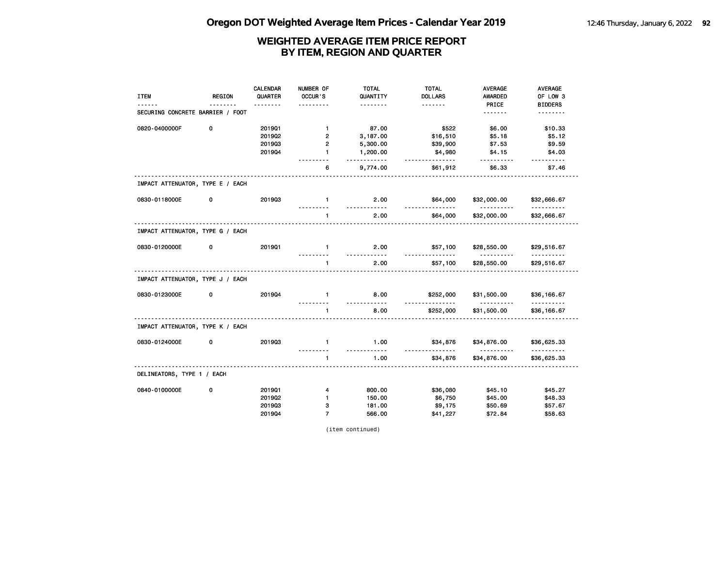| <b>ITEM</b>                      | REGION | CALENDAR<br>QUARTER | NUMBER OF<br>OCCUR'S | <b>TOTAL</b><br>QUANTITY | <b>TOTAL</b><br><b>DOLLARS</b> | <b>AVERAGE</b><br>AWARDED | <b>AVERAGE</b><br>OF LOW 3 |
|----------------------------------|--------|---------------------|----------------------|--------------------------|--------------------------------|---------------------------|----------------------------|
|                                  |        |                     |                      |                          | <u>.</u>                       | PRICE                     | <b>BIDDERS</b>             |
| SECURING CONCRETE BARRIER / FOOT |        |                     |                      |                          |                                | .                         | .                          |
| 0820-0400000F                    | 0      | 201901              | $\mathbf{1}$         | 87.00                    | \$522                          | \$6.00                    | \$10.33                    |
|                                  |        | 201902              | $\overline{2}$       | 3,187.00                 | \$16,510                       | \$5.18                    | \$5.12                     |
|                                  |        | 201903              | $\overline{2}$       | 5,300.00                 | \$39,900                       | \$7.53                    | \$9.59                     |
|                                  |        | 201904              | $\mathbf{1}$         | 1,200.00<br><u>.</u>     | \$4,980<br><u>.</u>            | \$4.15                    | \$4.03                     |
|                                  |        |                     | 6                    | 9,774.00                 | \$61,912                       | \$6.33                    | \$7.46                     |
| IMPACT ATTENUATOR, TYPE E / EACH |        |                     |                      |                          |                                |                           |                            |
| 0830-0118000E                    | 0      | 201903              | $\mathbf{1}$<br>.    | 2.00<br><u>.</u>         | \$64,000<br><u>.</u>           | \$32,000.00<br>.          | \$32,666.67<br><u>.</u>    |
|                                  |        |                     | $\mathbf{1}$         | 2.00                     | \$64,000                       | \$32,000.00               | \$32,666.67                |
| IMPACT ATTENUATOR, TYPE G / EACH |        |                     |                      |                          |                                |                           |                            |
| 0830-0120000E                    | 0      | 201901              | $\blacksquare$       | 2.00                     | \$57,100                       | \$28,550.00               | \$29,516.67                |
|                                  |        |                     | $\mathbf{1}$         | <u>.</u><br>2.00         | \$57,100                       | <u>.</u><br>\$28,550.00   | <u>.</u><br>\$29,516.67    |
| IMPACT ATTENUATOR, TYPE J / EACH |        |                     |                      |                          |                                |                           |                            |
| 0830-0123000E                    | 0      | 201904              | $\mathbf{1}$         | 8.00                     | \$252,000                      | \$31,500.00               | \$36,166.67                |
|                                  |        |                     | $\mathbf{1}$         | <u>.</u><br>8.00         | .<br>\$252,000                 | .<br>\$31,500.00          | <u>.</u><br>\$36,166.67    |
| IMPACT ATTENUATOR, TYPE K / EACH |        |                     |                      |                          |                                |                           |                            |
| 0830-0124000E                    | 0      | 201903              | $\mathbf{1}$         | 1.00                     | \$34,876                       | \$34,876.00               | \$36,625.33                |
|                                  |        |                     | 1                    | .<br>1.00                | <u>.</u><br>\$34,876           | .<br>\$34,876.00          | .<br>\$36,625.33           |
| DELINEATORS, TYPE 1 / EACH       |        |                     |                      |                          |                                |                           |                            |
| 0840-0100000E                    | 0      | 201901              | 4                    | 800.00                   | \$36,080                       | \$45.10                   | \$45.27                    |
|                                  |        | 201902              | 1                    | 150.00                   | \$6,750                        | \$45.00                   | \$48.33                    |
|                                  |        | 201903              | з                    | 181.00                   | \$9,175                        | \$50.69                   | \$57.67                    |
|                                  |        | 201904              | $\overline{7}$       | 566.00                   | \$41,227                       | \$72.84                   | \$58.63                    |

(item continued)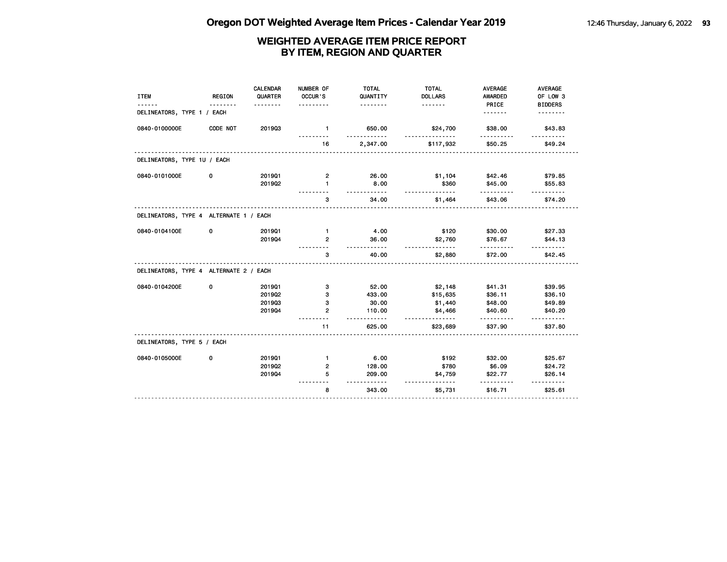|                                        |               | <b>CALENDAR</b> | NUMBER OF      | <b>TOTAL</b>   | <b>TOTAL</b>   | <b>AVERAGE</b> | AVERAGE                  |
|----------------------------------------|---------------|-----------------|----------------|----------------|----------------|----------------|--------------------------|
| <b>ITEM</b>                            | <b>REGION</b> | QUARTER         | OCCUR'S        | QUANTITY       | <b>DOLLARS</b> | <b>AWARDED</b> | OF LOW 3                 |
|                                        |               |                 |                | .              | <u>.</u>       | PRICE          | <b>BIDDERS</b>           |
| DELINEATORS, TYPE 1 / EACH             |               |                 |                |                |                | <u>.</u>       |                          |
| 0840-0100000E                          | CODE NOT      | 201903          | $\mathbf{1}$   | 650.00         | \$24,700       | \$38.00        | \$43.83                  |
|                                        |               |                 | 16             | 2,347.00       | \$117,932      | \$50.25        | \$49.24                  |
| DELINEATORS, TYPE 1U / EACH            |               |                 |                |                |                |                |                          |
| 0840-0101000E                          | 0             | 201901          | 2              | 26.00          | \$1,104        | \$42.46        | \$79.85                  |
|                                        |               | 201902          | $\mathbf{1}$   | 8.00           | \$360          | \$45.00        | \$55.83                  |
|                                        |               |                 | 3              | .<br>34.00     | .<br>\$1,464   | \$43.06        | $- - - - - -$<br>\$74.20 |
| DELINEATORS, TYPE 4 ALTERNATE 1 / EACH |               |                 |                |                |                |                |                          |
| 0840-0104100E                          | 0             | 201901          | $\mathbf{1}$   | 4.00           | \$120          | \$30.00        | \$27.33                  |
|                                        |               | 201904          | $\overline{2}$ | 36.00          | \$2,760        | \$76.67        | \$44.13                  |
|                                        |               |                 | 3              | -----<br>40.00 | \$2,880        | \$72.00        | \$42.45                  |
| DELINEATORS, TYPE 4 ALTERNATE 2 / EACH |               |                 |                |                |                |                |                          |
| 0840-0104200E                          | 0             | 201901          | 3              | 52.00          | \$2,148        | \$41.31        | \$39.95                  |
|                                        |               | 2019Q2          | 3              | 433.00         | \$15,635       | \$36.11        | \$36.10                  |
|                                        |               | 201903          | з              | 30.00          | \$1,440        | \$48.00        | \$49.89                  |
|                                        |               | 201904          | $\mathbf{2}$   | 110.00<br>.    | \$4,466        | \$40.60<br>.   | \$40.20                  |
|                                        |               |                 | 11             | 625.00         | \$23,689       | \$37.90        | \$37.80                  |
| DELINEATORS, TYPE 5 / EACH             |               |                 |                |                |                |                |                          |
| 0840-0105000E                          | 0             | 201901          | $\mathbf{1}$   | 6.00           | \$192          | \$32.00        | \$25.67                  |
|                                        |               | 201902          | 2              | 128.00         | \$780          | \$6.09         | \$24.72                  |
|                                        |               | 201904          | 5              | 209.00         | \$4,759        | \$22.77        | \$26.14                  |
|                                        |               |                 | 8              | 343.00         | \$5,731        | \$16.71        | \$25.61                  |
|                                        |               |                 |                |                |                |                |                          |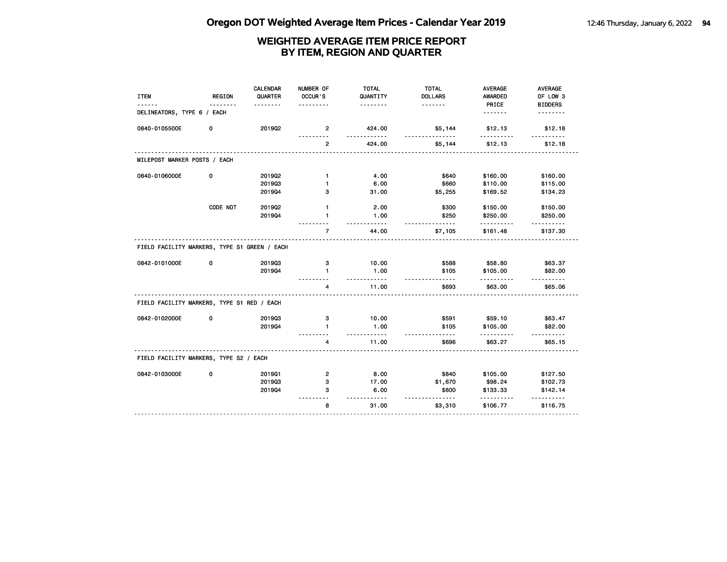| <b>ITEM</b>                                  | <b>REGION</b> | <b>CALENDAR</b><br>QUARTER | NUMBER OF<br>OCCUR'S    | <b>TOTAL</b><br>QUANTITY | <b>TOTAL</b><br><b>DOLLARS</b> | <b>AVERAGE</b><br>AWARDED | AVERAGE<br>OF LOW 3        |
|----------------------------------------------|---------------|----------------------------|-------------------------|--------------------------|--------------------------------|---------------------------|----------------------------|
| DELINEATORS, TYPE 6 / EACH                   |               |                            |                         | .                        | .                              | PRICE<br><u>.</u>         | <b>BIDDERS</b><br><u>.</u> |
| 0840-0105500E                                | 0             | 2019Q2                     | $\mathbf{2}$            | 424.00                   | \$5,144                        | \$12.13                   | \$12.18                    |
|                                              |               |                            |                         | .                        |                                | .                         |                            |
|                                              |               |                            | 2                       | 424.00                   | \$5,144                        | \$12.13                   | \$12.18                    |
| MILEPOST MARKER POSTS / EACH                 |               |                            |                         |                          |                                |                           |                            |
| 0840-0106000E                                | 0             | 2019Q2                     | $\mathbf{1}$            | 4.00                     | \$640                          | \$160.00                  | \$160.00                   |
|                                              |               | 201903                     | $\mathbf{1}$            | 6.00                     | \$660                          | \$110.00                  | \$115.00                   |
|                                              |               | 201904                     | 3                       | 31.00                    | \$5,255                        | \$169.52                  | \$134.23                   |
|                                              | CODE NOT      | 2019Q2                     | $\mathbf{1}$            | 2.00                     | \$300                          | \$150.00                  | \$150.00                   |
|                                              |               | 201904                     | $\mathbf{1}$            | 1.00                     | \$250                          | \$250.00                  | \$250.00                   |
|                                              |               |                            | $\overline{7}$          | 44.00                    | \$7,105                        | \$161.48                  | \$137.30                   |
| FIELD FACILITY MARKERS, TYPE S1 GREEN / EACH |               |                            |                         |                          |                                |                           |                            |
| 0842-0101000E                                | 0             | 201903                     | з                       | 10.00                    | \$588                          | \$58.80                   | \$63.37                    |
|                                              |               | 201904                     | $\mathbf{1}$            | 1.00<br>$\cdots$         | \$105                          | \$105.00                  | \$82.00                    |
|                                              |               |                            | 4                       | 11.00                    | \$693                          | \$63.00                   | <u>.</u><br>\$65.06        |
| FIELD FACILITY MARKERS, TYPE S1 RED / EACH   |               |                            |                         |                          |                                |                           |                            |
| 0842-0102000E                                | 0             | 201903                     | з                       | 10.00                    | \$591                          | \$59.10                   | \$63.47                    |
|                                              |               | 201904                     | 1                       | 1.00                     | \$105                          | \$105.00                  | \$82.00                    |
|                                              |               |                            | 4                       | $\cdots$<br>11.00        | \$696                          | \$63.27                   | .<br>\$65.15               |
| FIELD FACILITY MARKERS, TYPE S2 / EACH       |               |                            |                         |                          |                                |                           |                            |
| 0842-0103000E                                | 0             | 201901                     | $\overline{\mathbf{c}}$ | 8.00                     | \$840                          | \$105.00                  | \$127.50                   |
|                                              |               | 201903                     | 3                       | 17.00                    | \$1,670                        | \$98.24                   | \$102.73                   |
|                                              |               | 201904                     | з                       | 6.00<br>.                | \$800<br>.                     | \$133.33                  | \$142.14                   |
|                                              |               |                            | 8                       | 31.00                    | \$3,310                        | \$106.77                  | .<br>\$116.75              |
|                                              |               |                            |                         |                          |                                |                           |                            |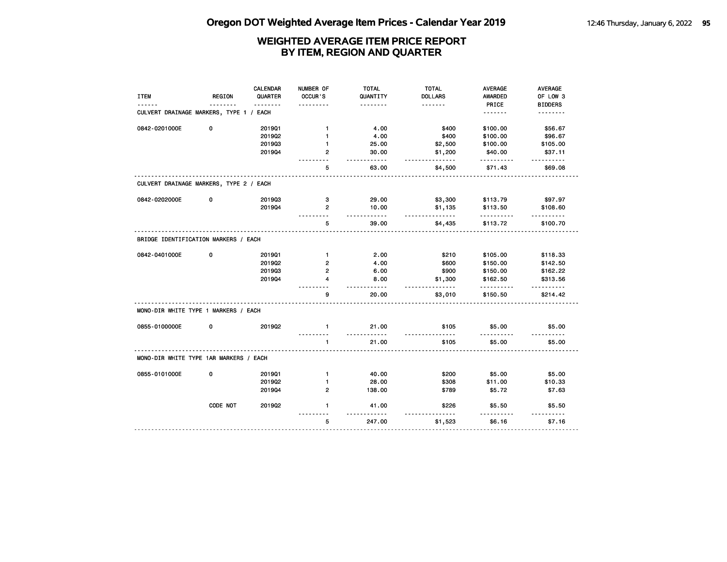|                                         |          | <b>CALENDAR</b> | NUMBER OF      | <b>TOTAL</b>      | <b>TOTAL</b>   | <b>AVERAGE</b>      | AVERAGE             |
|-----------------------------------------|----------|-----------------|----------------|-------------------|----------------|---------------------|---------------------|
| <b>ITEM</b>                             | REGION   | QUARTER         | OCCUR'S        | QUANTITY          | <b>DOLLARS</b> | <b>AWARDED</b>      | OF LOW 3            |
|                                         |          | <u>.</u>        |                | .                 | <u>.</u>       | PRICE               | <b>BIDDERS</b>      |
| CULVERT DRAINAGE MARKERS, TYPE 1 / EACH |          |                 |                |                   |                | <u>.</u>            | .                   |
| 0842-0201000E                           | 0        | 2019Q1          | $\mathbf{1}$   | 4.00              | \$400          | \$100.00            | \$56.67             |
|                                         |          | 201902          | $\mathbf{1}$   | 4.00              | \$400          | \$100.00            | \$96.67             |
|                                         |          | 201903          | $\blacksquare$ | 25.00             | \$2,500        | \$100.00            | \$105.00            |
|                                         |          | 201904          | 2              | 30.00<br>.        | \$1,200<br>.   | \$40.00<br><u>.</u> | \$37.11<br><u>.</u> |
|                                         |          |                 | 5              | 63.00             | \$4,500        | \$71.43             | \$69.08             |
| CULVERT DRAINAGE MARKERS, TYPE 2 / EACH |          |                 |                |                   |                |                     |                     |
| 0842-0202000E                           | 0        | 201903          | з              | 29.00             | \$3,300        | \$113.79            | \$97.97             |
|                                         |          | 201904          | $\overline{2}$ | 10.00             | \$1,135        | \$113.50            | \$108.60            |
|                                         |          |                 | 5              | .<br>39.00        | .<br>\$4,435   | .<br>\$113.72       | \$100.70            |
| BRIDGE IDENTIFICATION MARKERS / EACH    |          |                 |                |                   |                |                     |                     |
| 0842-0401000E                           | 0        | 201901          | $\mathbf{1}$   | 2.00              | \$210          | \$105.00            | \$118.33            |
|                                         |          | 2019Q2          | 2              | 4.00              | \$600          | \$150.00            | \$142.50            |
|                                         |          | 201903          | $\mathbf{2}$   | 6.00              | \$900          | \$150.00            | \$162.22            |
|                                         |          | 201904          | 4              | 8.00              | \$1,300        | \$162.50            | \$313.56            |
|                                         |          |                 | g              | <u>.</u><br>20.00 | .<br>\$3,010   | .<br>\$150.50       | .<br>\$214.42       |
| MONO-DIR WHITE TYPE 1 MARKERS / EACH    |          |                 |                |                   |                |                     |                     |
| 0855-0100000E                           | 0        | 201902          | $\mathbf{1}$   | 21.00<br>.        | \$105          | \$5.00              | \$5.00              |
|                                         |          |                 | $\blacksquare$ | 21.00             | \$105          | $- - - -$<br>\$5.00 | \$5.00              |
| MONO-DIR WHITE TYPE 1AR MARKERS / EACH  |          |                 |                |                   |                |                     |                     |
| 0855-0101000E                           | 0        | 201901          | $\mathbf{1}$   | 40.00             | \$200          | \$5.00              | \$5.00              |
|                                         |          | 201902          | 1              | 28.00             | \$308          | \$11.00             | \$10.33             |
|                                         |          | 201904          | $\mathbf{2}$   | 138.00            | \$789          | \$5.72              | \$7.63              |
|                                         | CODE NOT | 2019Q2          | 1              | 41.00             | \$226          | \$5.50              | \$5.50              |
|                                         |          |                 | 5              | 247.00            | \$1,523        | \$6.16              | \$7.16              |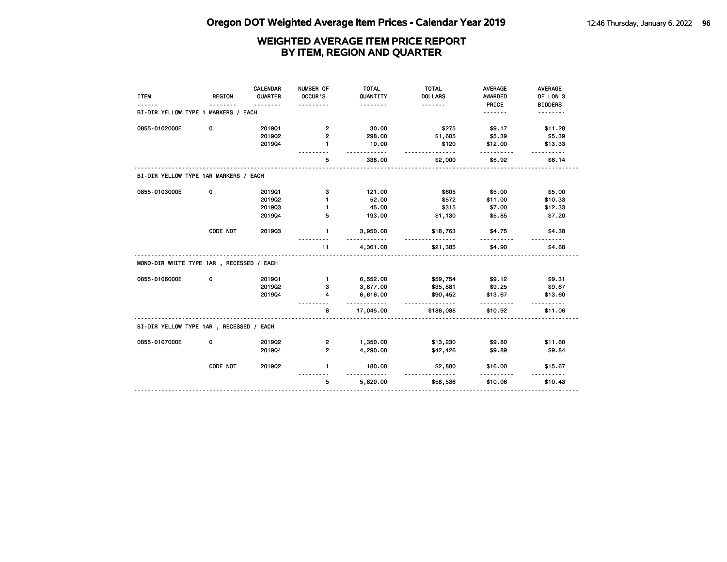| <b>ITEM</b>                              | <b>REGION</b> | <b>CALENDAR</b><br>QUARTER | NUMBER OF<br>OCCUR'S    | <b>TOTAL</b><br>QUANTITY<br>. | <b>TOTAL</b><br><b>DOLLARS</b><br>. | <b>AVERAGE</b><br>AWARDED<br>PRICE | <b>AVERAGE</b><br>OF LOW 3<br><b>BIDDERS</b> |
|------------------------------------------|---------------|----------------------------|-------------------------|-------------------------------|-------------------------------------|------------------------------------|----------------------------------------------|
| BI-DIR YELLOW TYPE 1 MARKERS / EACH      |               |                            |                         |                               |                                     | .                                  | .                                            |
| 0855-0102000E                            | 0             | 201901                     | $\mathbf{2}$            | 30.00                         | \$275                               | \$9.17                             | \$11.28                                      |
|                                          |               | 201902                     | $\overline{2}$          | 298.00                        | \$1,605                             | \$5.39                             | \$5.39                                       |
|                                          |               | 201904                     | 1                       | 10.00                         | \$120                               | \$12.00                            | \$13.33                                      |
|                                          |               |                            | 5                       | 338.00                        | \$2,000                             | \$5.92                             | \$6.14                                       |
| BI-DIR YELLOW TYPE 1AR MARKERS / EACH    |               |                            |                         |                               |                                     |                                    |                                              |
| 0855-0103000E                            | 0             | 201901                     | з                       | 121.00                        | \$605                               | \$5.00                             | \$5.00                                       |
|                                          |               | 2019Q2                     | 1                       | 52.00                         | \$572                               | \$11.00                            | \$10.33                                      |
|                                          |               | 201903                     | 1                       | 45.00                         | \$315                               | \$7.00                             | \$12.33                                      |
|                                          |               | 201904                     | 5                       | 193.00                        | \$1,130                             | \$5.85                             | \$7.20                                       |
|                                          | CODE NOT      | 201903                     | 1                       | 3,950.00<br>.                 | \$18,763<br>.                       | \$4.75                             | \$4.38                                       |
|                                          |               |                            | 11                      | 4,361.00                      | \$21,385                            | \$4.90                             | \$4.68                                       |
| MONO-DIR WHITE TYPE 1AR, RECESSED / EACH |               |                            |                         |                               |                                     |                                    |                                              |
| 0855-0106000E                            | 0             | 201901                     | $\mathbf{1}$            | 6,552.00                      | \$59,754                            | \$9.12                             | \$9.31                                       |
|                                          |               | 2019Q2                     | 3                       | 3,877.00                      | \$35,881                            | \$9.25                             | \$9.67                                       |
|                                          |               | 201904                     | 4                       | 6,616.00<br><u>.</u>          | \$90,452<br>.                       | \$13.67                            | \$13.60                                      |
|                                          |               |                            | 8                       | 17,045.00                     | \$186,088                           | \$10.92                            | \$11.06                                      |
| BI-DIR YELLOW TYPE 1AR, RECESSED / EACH  |               |                            |                         |                               |                                     |                                    |                                              |
| 0855-0107000E                            | 0             | 201902                     | $\overline{\mathbf{c}}$ | 1,350.00                      | \$13,230                            | \$9.80                             | \$11.60                                      |
|                                          |               | 201904                     | $\overline{2}$          | 4,290.00                      | \$42,426                            | \$9.89                             | \$9.84                                       |
|                                          | CODE NOT      | 2019Q2                     | $\mathbf{1}$            | 180.00                        | \$2,880                             | \$16.00                            | \$15.67                                      |
|                                          |               |                            | 5                       | 5,820.00                      | \$58,536                            | \$10.06                            | \$10.43                                      |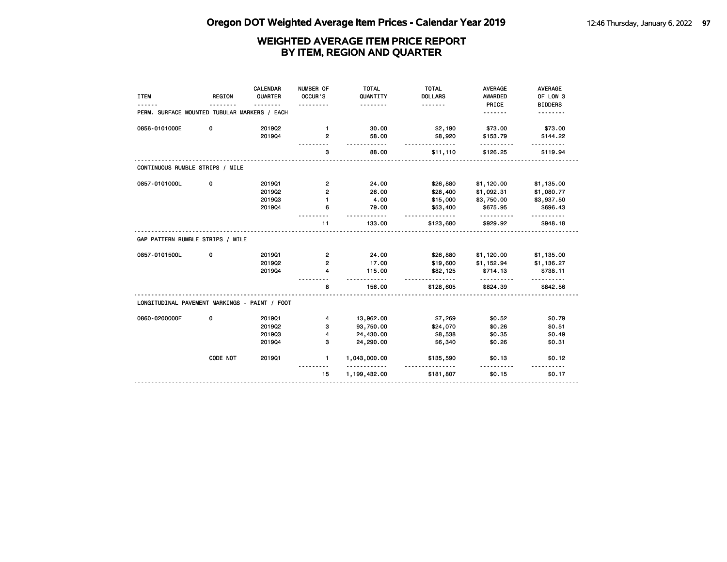| <b>ITEM</b>                                   | <b>REGION</b> | CALENDAR<br>QUARTER | NUMBER OF<br>OCCUR'S<br>. | <b>TOTAL</b><br>QUANTITY<br><u>.</u> | <b>TOTAL</b><br><b>DOLLARS</b><br><u>.</u> | <b>AVERAGE</b><br>AWARDED<br>PRICE | <b>AVERAGE</b><br>OF LOW 3<br><b>BIDDERS</b> |
|-----------------------------------------------|---------------|---------------------|---------------------------|--------------------------------------|--------------------------------------------|------------------------------------|----------------------------------------------|
| PERM. SURFACE MOUNTED TUBULAR MARKERS / EACH  |               |                     |                           |                                      |                                            | .                                  |                                              |
| 0856-0101000E                                 | 0             | 201902              | $\mathbf{1}$              | 30.00                                | \$2,190                                    | \$73.00                            | \$73.00                                      |
|                                               |               | 201904              | $\overline{2}$            | 58.00<br><u></u>                     | \$8,920<br><u>.</u>                        | \$153.79                           | \$144.22                                     |
|                                               |               |                     | 3                         | 88.00                                | \$11,110                                   | \$126.25                           | \$119.94                                     |
| CONTINUOUS RUMBLE STRIPS / MILE               |               |                     |                           |                                      |                                            |                                    |                                              |
| 0857-0101000L                                 | 0             | 201901              | $\overline{\mathbf{c}}$   | 24.00                                | \$26,880                                   | \$1,120.00                         | \$1,135.00                                   |
|                                               |               | 2019Q2              | 2                         | 26.00                                | \$28,400                                   | \$1,092.31                         | \$1,080.77                                   |
|                                               |               | 201903              | $\mathbf{1}$              | 4.00                                 | \$15,000                                   | \$3,750.00                         | \$3,937.50                                   |
|                                               |               | 201904              | 6                         | 79.00                                | \$53,400<br><u>.</u>                       | \$675.95                           | \$696.43                                     |
|                                               |               |                     | 11                        | 133.00                               | \$123,680                                  | \$929.92                           | \$948.18                                     |
| GAP PATTERN RUMBLE STRIPS / MILE              |               |                     |                           |                                      |                                            |                                    |                                              |
| 0857-0101500L                                 | 0             | 201901              | 2                         | 24.00                                | \$26,880                                   | \$1,120.00                         | \$1,135.00                                   |
|                                               |               | 201902              | $\overline{2}$            | 17.00                                | \$19,600                                   | \$1,152.94                         | \$1,136.27                                   |
|                                               |               | 201904              | 4                         | 115.00                               | \$82,125<br><u>---------</u>               | \$714.13                           | \$738.11                                     |
|                                               |               |                     | 8                         | 156.00                               | \$128,605                                  | \$824.39                           | \$842.56                                     |
| LONGITUDINAL PAVEMENT MARKINGS - PAINT / FOOT |               |                     |                           |                                      |                                            |                                    |                                              |
| 0860-0200000F                                 | 0             | 201901              | 4                         | 13,962.00                            | \$7,269                                    | \$0.52                             | \$0.79                                       |
|                                               |               | 2019Q2              | з                         | 93,750.00                            | \$24,070                                   | \$0.26                             | \$0.51                                       |
|                                               |               | 201903              | 4                         | 24,430.00                            | \$8,538                                    | \$0.35                             | \$0.49                                       |
|                                               |               | 201904              | з                         | 24,290.00                            | \$6,340                                    | \$0.26                             | \$0.31                                       |
|                                               | CODE NOT      | 201901              | $\mathbf{1}$              | 1,043,000.00                         | \$135,590                                  | \$0.13                             | \$0.12                                       |
|                                               |               |                     | 15                        | 1,199,432.00                         | \$181,807                                  | \$0.15                             | \$0.17                                       |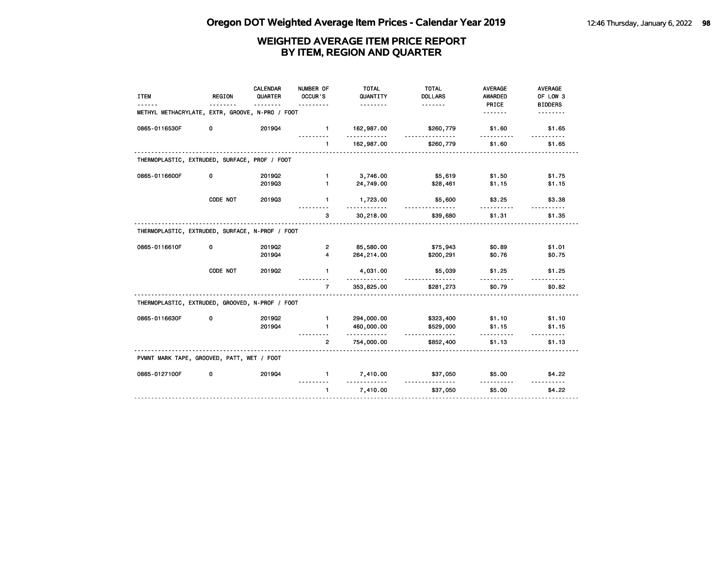| <b>ITEM</b>                                     | REGION   | <b>CALENDAR</b><br>QUARTER | NUMBER OF<br>OCCUR'S | <b>TOTAL</b><br>QUANTITY<br><u>.</u> | <b>TOTAL</b><br><b>DOLLARS</b><br>. | <b>AVERAGE</b><br><b>AWARDED</b><br>PRICE | <b>AVERAGE</b><br>OF LOW 3<br><b>BIDDERS</b> |
|-------------------------------------------------|----------|----------------------------|----------------------|--------------------------------------|-------------------------------------|-------------------------------------------|----------------------------------------------|
| METHYL METHACRYLATE, EXTR, GROOVE, N-PRO / FOOT |          |                            |                      |                                      |                                     | .                                         | .                                            |
| 0865-0116530F                                   | 0        | 201904                     | $\mathbf{1}$         | 162,987.00<br>. <b>.</b>             | \$260,779                           | \$1.60                                    | \$1.65                                       |
|                                                 |          |                            | $\blacksquare$       | 162,987.00                           | \$260,779                           | \$1.60                                    | \$1.65                                       |
| THERMOPLASTIC, EXTRUDED, SURFACE, PROF / FOOT   |          |                            |                      |                                      |                                     |                                           |                                              |
| 0865-0116600F                                   | 0        | 201902                     | $\mathbf{1}$         | 3,746.00                             | \$5,619                             | \$1.50                                    | \$1.75                                       |
|                                                 |          | 201903                     | $\blacksquare$       | 24,749.00                            | \$28,461                            | \$1.15                                    | \$1.15                                       |
|                                                 | CODE NOT | 201903                     | $\mathbf{1}$         | 1,723.00                             | \$5,600<br><u>.</u>                 | \$3.25                                    | \$3.38                                       |
|                                                 |          |                            | 3                    | 30,218.00                            | \$39,680                            | \$1.31                                    | \$1.35                                       |
| THERMOPLASTIC, EXTRUDED, SURFACE, N-PROF / FOOT |          |                            |                      |                                      |                                     |                                           |                                              |
| 0865-0116610F                                   | 0        | 2019Q2                     | 2                    | 85,580.00                            | \$75,943                            | \$0.89                                    | \$1.01                                       |
|                                                 |          | 201904                     | 4                    | 264,214.00                           | \$200,291                           | \$0.76                                    | \$0.75                                       |
|                                                 | CODE NOT | 201902                     | $\mathbf{1}$         | 4,031.00                             | \$5,039                             | \$1.25                                    | \$1.25                                       |
|                                                 |          |                            | $\overline{7}$       | 353,825.00                           | \$281,273                           | \$0.79                                    | \$0.82                                       |
| THERMOPLASTIC, EXTRUDED, GROOVED, N-PROF / FOOT |          |                            |                      |                                      |                                     |                                           |                                              |
| 0865-0116630F                                   | 0        | 201902                     | $\mathbf{1}$         | 294,000.00                           | \$323,400                           | \$1.10                                    | \$1.10                                       |
|                                                 |          | 201904                     | $\mathbf{1}$         | 460,000.00<br><u>.</u>               | \$529,000<br><u>.</u>               | \$1.15                                    | \$1.15                                       |
|                                                 |          |                            | $\overline{2}$       | 754,000.00                           | \$852,400                           | \$1.13                                    | \$1.13                                       |
| PVMNT MARK TAPE, GROOVED, PATT, WET / FOOT      |          |                            |                      |                                      |                                     |                                           |                                              |
| 0865-0127100F                                   | 0        | 201904                     | $\mathbf{1}$         | 7,410.00                             | \$37,050                            | \$5.00                                    | \$4.22                                       |
|                                                 |          |                            | $\mathbf{1}$         | 7,410.00                             | \$37,050                            | \$5.00                                    | \$4.22                                       |
|                                                 |          |                            |                      |                                      |                                     |                                           |                                              |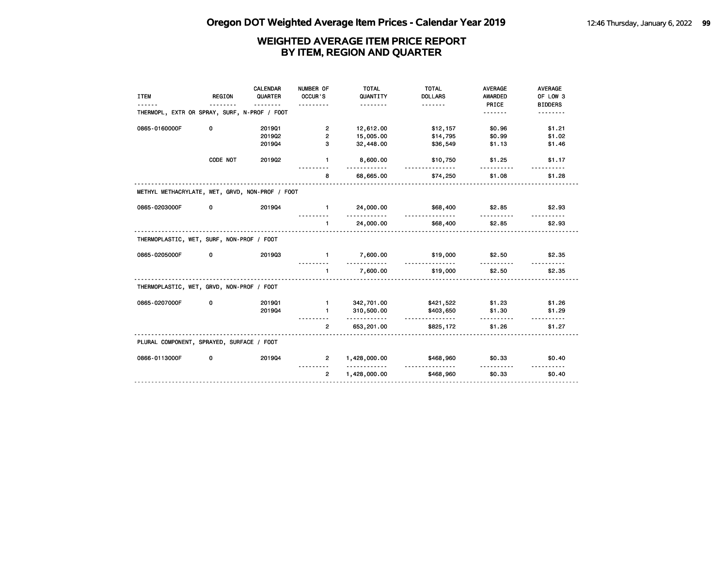| <b>ITEM</b>                                     | REGION   | <b>CALENDAR</b><br>QUARTER | NUMBER OF<br>OCCUR'S<br>. | <b>TOTAL</b><br>QUANTITY<br><u>.</u> | <b>TOTAL</b><br><b>DOLLARS</b><br><u>.</u> | <b>AVERAGE</b><br><b>AWARDED</b><br>PRICE | <b>AVERAGE</b><br>OF LOW 3<br><b>BIDDERS</b> |
|-------------------------------------------------|----------|----------------------------|---------------------------|--------------------------------------|--------------------------------------------|-------------------------------------------|----------------------------------------------|
| THERMOPL, EXTR OR SPRAY, SURF, N-PROF / FOOT    |          |                            |                           |                                      |                                            | .                                         |                                              |
| 0865-0160000F                                   | 0        | 201901                     | $\overline{\mathbf{2}}$   | 12,612.00                            | \$12,157                                   | \$0.96                                    | \$1.21                                       |
|                                                 |          | 2019Q2                     | $\overline{\mathbf{c}}$   | 15,005.00                            | \$14,795                                   | \$0.99                                    | \$1.02                                       |
|                                                 |          | 201904                     | з                         | 32,448.00                            | \$36,549                                   | \$1.13                                    | \$1.46                                       |
|                                                 | CODE NOT | 201902                     | $\mathbf{1}$              | 8,600.00<br>.                        | \$10,750                                   | \$1.25                                    | \$1.17                                       |
|                                                 |          |                            | 8                         | 68,665.00                            | \$74,250                                   | \$1.08                                    | \$1.28                                       |
| METHYL METHACRYLATE, WET, GRVD, NON-PROF / FOOT |          |                            |                           |                                      |                                            |                                           |                                              |
| 0865-0203000F                                   | 0        | 201904                     | $\blacksquare$            | 24,000.00<br>.                       | \$68,400                                   | \$2.85                                    | \$2.93                                       |
|                                                 |          |                            | $\mathbf{1}$<br>.         | 24,000.00                            | \$68,400                                   | \$2.85                                    | \$2.93                                       |
| THERMOPLASTIC, WET, SURF, NON-PROF / FOOT       |          |                            |                           |                                      |                                            |                                           |                                              |
| 0865-0205000F                                   | 0        | 201903                     | $\mathbf{1}$              | 7,600.00                             | \$19,000<br>.                              | \$2.50                                    | \$2.35                                       |
|                                                 |          |                            | $\mathbf{1}$<br>.         | 7,600.00                             | \$19,000                                   | \$2.50                                    | \$2.35                                       |
| THERMOPLASTIC, WET, GRVD, NON-PROF / FOOT       |          |                            |                           |                                      |                                            |                                           |                                              |
| 0865-0207000F                                   | 0        | 201901                     | $\blacksquare$            | 342,701.00                           | \$421,522                                  | \$1.23                                    | \$1.26                                       |
|                                                 |          | 201904                     | $\mathbf{1}$              | 310,500.00<br>.                      | \$403,650<br><u>.</u>                      | \$1.30                                    | \$1.29                                       |
|                                                 |          |                            | $\overline{2}$            | 653,201.00                           | \$825,172                                  | \$1.26                                    | \$1.27                                       |
| PLURAL COMPONENT, SPRAYED, SURFACE / FOOT       |          |                            |                           |                                      |                                            |                                           |                                              |
| 0866-0113000F                                   | 0        | 201904                     | $\overline{2}$            | 1,428,000.00<br>.                    | \$468,960<br><u>.</u>                      | \$0.33<br>.                               | \$0.40                                       |
|                                                 |          |                            | $\overline{2}$            | 1,428,000.00                         | \$468,960                                  | \$0.33                                    | \$0.40                                       |
|                                                 |          |                            |                           |                                      |                                            |                                           |                                              |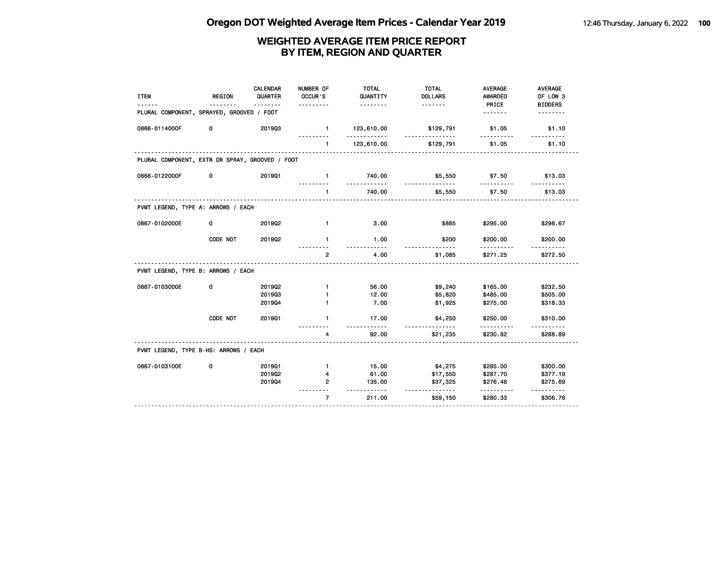| <b>ITEM</b>                                     | <b>REGION</b> | <b>CALENDAR</b><br>QUARTER<br>$\frac{1}{2}$ | NUMBER OF<br>OCCUR'S<br>. | <b>TOTAL</b><br>QUANTITY<br><u>.</u> | <b>TOTAL</b><br><b>DOLLARS</b><br><u>.</u> | <b>AVERAGE</b><br><b>AWARDED</b><br>PRICE | AVERAGE<br>OF LOW 3<br><b>BIDDERS</b> |
|-------------------------------------------------|---------------|---------------------------------------------|---------------------------|--------------------------------------|--------------------------------------------|-------------------------------------------|---------------------------------------|
| PLURAL COMPONENT, SPRAYED, GROOVED / FOOT       |               |                                             |                           |                                      |                                            | .                                         | .                                     |
| 0866-0114000F                                   | 0             | 201903                                      | $\mathbf{1}$              | 123,610.00<br>. <b>.</b>             | \$129,791                                  | \$1.05                                    | \$1.10                                |
|                                                 |               |                                             | $\mathbf{1}$              | 123,610.00                           | \$129,791                                  | \$1.05                                    | \$1.10                                |
| PLURAL COMPONENT, EXTR OR SPRAY, GROOVED / FOOT |               |                                             |                           |                                      |                                            |                                           |                                       |
| 0866-0122000F                                   | 0             | 201901                                      | $\mathbf{1}$              | 740.00                               | \$5,550                                    | \$7.50                                    | \$13.03                               |
|                                                 |               |                                             | $\mathbf{1}$              | 740.00                               | \$5,550                                    | \$7.50                                    | \$13.03                               |
| PVMT LEGEND, TYPE A: ARROWS / EACH              |               |                                             |                           |                                      |                                            |                                           |                                       |
| 0867-0102000E                                   | 0             | 2019Q2                                      | $\mathbf{1}$              | 3.00                                 | \$885                                      | \$295.00                                  | \$296.67                              |
|                                                 | CODE NOT      | 201902                                      | 1                         | 1.00<br>$- - - - -$                  | \$200<br>$- - -$                           | \$200.00<br>.                             | \$200.00<br>.                         |
|                                                 |               |                                             | $\mathbf{2}$              | 4.00                                 | \$1,085                                    | \$271.25                                  | \$272.50                              |
| PVMT LEGEND, TYPE B: ARROWS / EACH              |               |                                             |                           |                                      |                                            |                                           |                                       |
| 0867-0103000E                                   | 0             | 2019Q2                                      | $\mathbf{1}$              | 56.00                                | \$9,240                                    | \$165.00                                  | \$232.50                              |
|                                                 |               | 201903<br>201904                            | 1                         | 12.00<br>7.00                        | \$5,820<br>\$1,925                         | \$485.00<br>\$275.00                      | \$505.00<br>\$318.33                  |
|                                                 |               |                                             |                           |                                      |                                            |                                           |                                       |
|                                                 | CODE NOT      | 201901                                      | $\mathbf{1}$              | 17.00<br>.                           | \$4,250                                    | \$250.00                                  | \$310.00                              |
|                                                 |               |                                             | 4                         | 92.00                                | \$21,235                                   | \$230.82                                  | \$288.89                              |
| PVMT LEGEND, TYPE B-HS: ARROWS / EACH           |               |                                             |                           |                                      |                                            |                                           |                                       |
| 0867-0103100E                                   | 0             | 201901                                      | $\mathbf{1}$              | 15.00                                | \$4,275                                    | \$285.00                                  | \$300.00                              |
|                                                 |               | 201902                                      | 4                         | 61.00                                | \$17,550                                   | \$287.70                                  | \$377.19                              |
|                                                 |               | 201904                                      | 2                         | 135.00<br><u>.</u>                   | \$37,325                                   | \$276.48<br><u>.</u>                      | \$275.69                              |
|                                                 |               |                                             | $\overline{7}$            | 211.00                               | \$59,150                                   | \$280.33                                  | \$306.76                              |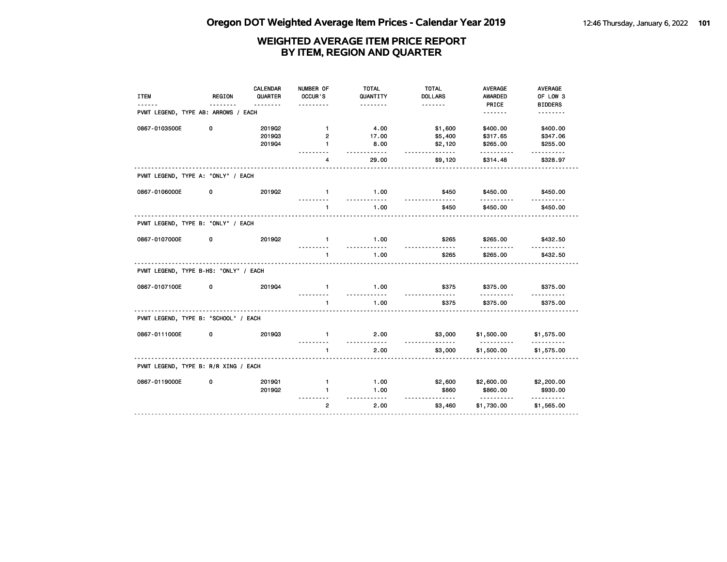| <b>ITEM</b>                           | <b>REGION</b> | CALENDAR<br>QUARTER | NUMBER OF<br>OCCUR'S | <b>TOTAL</b><br>QUANTITY  | <b>TOTAL</b><br><b>DOLLARS</b> | <b>AVERAGE</b><br><b>AWARDED</b> | AVERAGE<br>OF LOW 3    |
|---------------------------------------|---------------|---------------------|----------------------|---------------------------|--------------------------------|----------------------------------|------------------------|
|                                       |               | .                   |                      | .                         | <u>.</u>                       | PRICE                            | <b>BIDDERS</b>         |
| PVMT LEGEND, TYPE AB: ARROWS / EACH   |               |                     |                      |                           |                                | <u>.</u>                         | <u>.</u>               |
| 0867-0103500E                         | 0             | 201902              | $\mathbf{1}$         | 4.00                      | \$1,600                        | \$400.00                         | \$400.00               |
|                                       |               | 201903              | $\overline{2}$       | 17.00                     | \$5,400                        | \$317.65                         | \$347.06               |
|                                       |               | 201904              | $\mathbf{1}$         | 8.00<br>$- - - - - -$     | \$2,120<br>.                   | \$265.00<br>.                    | \$255.00<br><u>.</u>   |
|                                       |               |                     | 4                    | 29.00                     | \$9,120                        | \$314.48                         | \$328.97               |
| PVMT LEGEND, TYPE A: "ONLY" / EACH    |               |                     |                      |                           |                                |                                  |                        |
| 0867-0106000E                         | 0             | 201902              | $\mathbf{1}$         | 1.00<br><u>.</u>          | \$450                          | \$450.00                         | \$450.00               |
|                                       |               |                     | $\mathbf{1}$         | 1.00                      | \$450                          | \$450.00                         | \$450.00               |
| PVMT LEGEND, TYPE B: "ONLY" / EACH    |               |                     |                      |                           |                                |                                  |                        |
| 0867-0107000E                         | 0             | 201902              | $\mathbf{1}$         | 1.00<br><u>----------</u> | \$265                          | \$265.00                         | \$432.50               |
|                                       |               |                     | $\mathbf{1}$         | 1.00                      | \$265                          | \$265.00                         | \$432.50               |
| PVMT LEGEND, TYPE B-HS: "ONLY" / EACH |               |                     |                      |                           |                                |                                  |                        |
| 0867-0107100E                         | 0             | 201904              | $\mathbf{1}$         | 1.00<br><u>.</u>          | \$375                          | \$375.00<br>.                    | \$375.00               |
|                                       |               |                     | $\mathbf{1}$         | 1.00                      | \$375                          | \$375.00                         | \$375.00               |
| PVMT LEGEND, TYPE B: "SCHOOL" / EACH  |               |                     |                      |                           |                                |                                  |                        |
| 0867-0111000E                         | 0             | 201903              | $\mathbf{1}$         | 2.00<br><u>.</u>          | \$3,000<br><u>-----------</u>  | \$1,500.00<br><u>.</u>           | \$1,575.00<br><u>.</u> |
|                                       |               |                     | $\mathbf{1}$         | 2.00                      | \$3,000                        | \$1,500.00                       | \$1,575.00             |
| PVMT LEGEND, TYPE B: R/R XING / EACH  |               |                     |                      |                           |                                |                                  |                        |
| 0867-0119000E                         | 0             | 201901              | $\mathbf{1}$         | 1.00                      | \$2,600                        | \$2,600.00                       | \$2,200.00             |
|                                       |               | 201902              | 1                    | 1.00<br>$- - - - -$       | \$860<br><u>.</u>              | \$860.00<br>.                    | \$930.00<br>.          |
|                                       |               |                     | $\overline{2}$       | 2.00                      | \$3,460                        | \$1,730.00                       | \$1,565.00             |
|                                       |               |                     |                      |                           |                                |                                  |                        |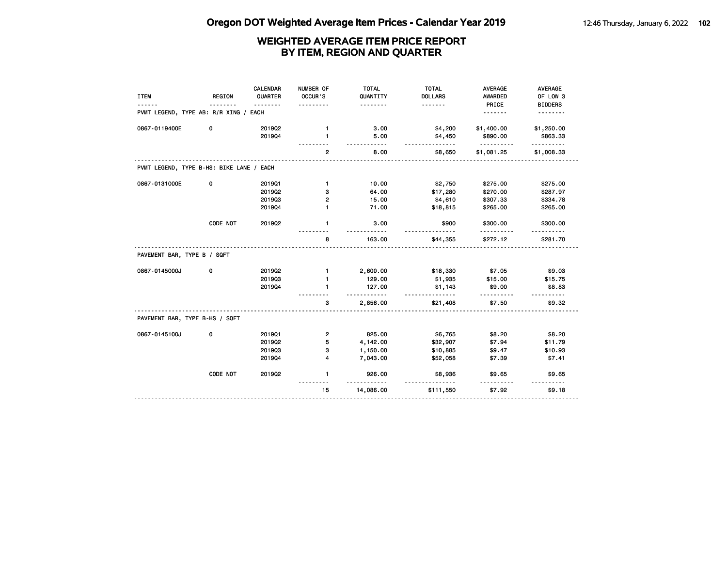| <b>ITEM</b>                              | <b>REGION</b><br><u>.</u> | <b>CALENDAR</b><br>QUARTER<br><u>.</u> | NUMBER OF<br>OCCUR'S<br>. | <b>TOTAL</b><br>QUANTITY<br><u>.</u> | <b>TOTAL</b><br><b>DOLLARS</b><br><u>.</u> | <b>AVERAGE</b><br>AWARDED<br>PRICE | <b>AVERAGE</b><br>OF LOW 3<br><b>BIDDERS</b> |
|------------------------------------------|---------------------------|----------------------------------------|---------------------------|--------------------------------------|--------------------------------------------|------------------------------------|----------------------------------------------|
| PVMT LEGEND, TYPE AB: R/R XING / EACH    |                           |                                        |                           |                                      |                                            | <u>.</u>                           | .                                            |
| 0867-0119400E                            | 0                         | 201902                                 | $\mathbf{1}$              | 3.00                                 | \$4,200                                    | \$1,400.00                         | \$1,250.00                                   |
|                                          |                           | 201904                                 | $\mathbf{1}$              | 5.00<br>$- - - - -$                  | \$4,450<br><u>.</u>                        | \$890.00<br><u>.</u>               | \$863.33<br>.                                |
|                                          |                           |                                        | $\overline{2}$            | 8.00                                 | \$8,650                                    | \$1,081.25                         | \$1,008.33                                   |
| PVMT LEGEND, TYPE B-HS: BIKE LANE / EACH |                           |                                        |                           |                                      |                                            |                                    |                                              |
| 0867-0131000E                            | 0                         | 201901                                 | $\mathbf{1}$              | 10.00                                | \$2,750                                    | \$275.00                           | \$275.00                                     |
|                                          |                           | 201902                                 | з                         | 64.00                                | \$17,280                                   | \$270.00                           | \$287.97                                     |
|                                          |                           | 201903                                 | 2                         | 15.00                                | \$4,610                                    | \$307.33                           | \$334.78                                     |
|                                          |                           | 201904                                 | 1                         | 71.00                                | \$18,815                                   | \$265.00                           | \$265.00                                     |
|                                          | CODE NOT                  | 201902                                 | $\mathbf{1}$              | 3.00                                 | \$900                                      | \$300.00                           | \$300.00                                     |
|                                          |                           |                                        | 8                         | 163.00                               | \$44,355                                   | \$272.12                           | \$281.70                                     |
| PAVEMENT BAR, TYPE B / SQFT              |                           |                                        |                           |                                      |                                            |                                    |                                              |
| 0867-0145000J                            | 0                         | 2019Q2                                 | $\mathbf{1}$              | 2,600.00                             | \$18,330                                   | \$7.05                             | \$9.03                                       |
|                                          |                           | 201903                                 | $\mathbf{1}$              | 129.00                               | \$1,935                                    | \$15.00                            | \$15.75                                      |
|                                          |                           | 201904                                 | 1                         | 127.00<br>.                          | \$1,143<br>----------                      | \$9.00<br>.                        | \$8.83<br><u>.</u>                           |
|                                          |                           |                                        | 3                         | 2,856.00                             | \$21,408                                   | \$7.50                             | \$9.32                                       |
| PAVEMENT BAR, TYPE B-HS / SQFT           |                           |                                        |                           |                                      |                                            |                                    |                                              |
| 0867-0145100J                            | 0                         | 201901                                 | $\overline{2}$            | 825.00                               | \$6,765                                    | \$8.20                             | \$8.20                                       |
|                                          |                           | 201902                                 | 5                         | 4,142.00                             | \$32,907                                   | \$7.94                             | \$11.79                                      |
|                                          |                           | 201903                                 | з                         | 1,150.00                             | \$10,885                                   | \$9.47                             | \$10.93                                      |
|                                          |                           | 201904                                 | 4                         | 7,043.00                             | \$52,058                                   | \$7.39                             | \$7.41                                       |
|                                          | CODE NOT                  | 2019Q2                                 | $\mathbf{1}$              | 926.00                               | \$8,936                                    | \$9.65                             | \$9.65                                       |
|                                          |                           |                                        | 15                        | 14,086.00                            | <u>.</u><br>\$111,550                      | \$7.92                             | \$9.18                                       |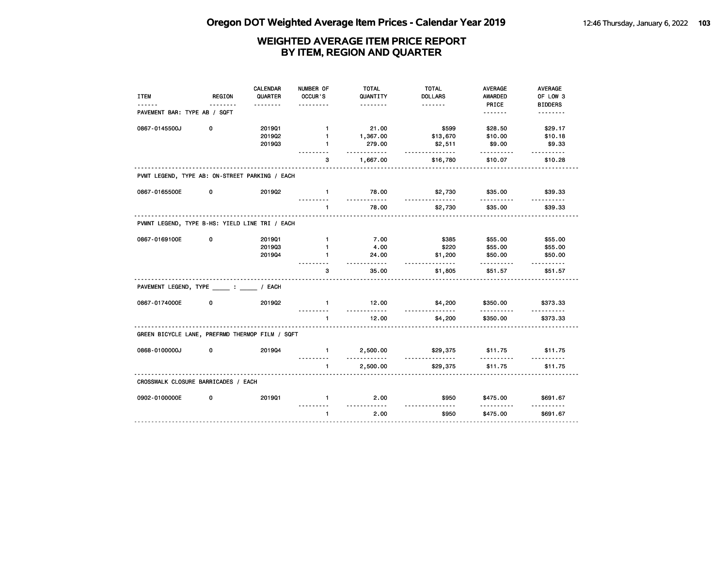|                                                 |               | <b>CALENDAR</b> | NUMBER OF      | <b>TOTAL</b>         | <b>TOTAL</b>               | <b>AVERAGE</b>   | AVERAGE                    |
|-------------------------------------------------|---------------|-----------------|----------------|----------------------|----------------------------|------------------|----------------------------|
| <b>ITEM</b>                                     | <b>REGION</b> | QUARTER         | OCCUR'S        | QUANTITY<br><u>.</u> | <b>DOLLARS</b><br><u>.</u> | AWARDED<br>PRICE | OF LOW 3<br><b>BIDDERS</b> |
| PAVEMENT BAR: TYPE AB / SQFT                    |               |                 |                |                      |                            | <u>.</u>         | <u>.</u>                   |
| 0867-0145500J                                   | 0             | 201901          | $\mathbf{1}$   | 21.00                | \$599                      | \$28.50          | \$29.17                    |
|                                                 |               | 2019Q2          | $\mathbf{1}$   | 1,367.00             | \$13,670                   | \$10.00          | \$10.18                    |
|                                                 |               | 201903          | $\blacksquare$ | 279.00<br>.          | \$2,511<br><u>.</u>        | \$9.00           | \$9.33<br>.                |
|                                                 |               |                 | 3              | 1,667.00             | \$16,780                   | \$10.07          | \$10.28                    |
| PVMT LEGEND, TYPE AB: ON-STREET PARKING / EACH  |               |                 |                |                      |                            |                  |                            |
| 0867-0165500E                                   | 0             | 2019Q2          | $\mathbf{1}$   | 78.00<br>.           | \$2,730<br>.               | \$35.00          | \$39.33                    |
|                                                 |               |                 | $\blacksquare$ | 78.00                | \$2,730                    | \$35.00          | \$39.33                    |
| PVMNT LEGEND, TYPE B-HS: YIELD LINE TRI / EACH  |               |                 |                |                      |                            |                  |                            |
| 0867-0169100E                                   | 0             | 201901          | $\mathbf{1}$   | 7.00                 | \$385                      | \$55.00          | \$55.00                    |
|                                                 |               | 201903          | 1              | 4.00                 | \$220                      | \$55.00          | \$55.00                    |
|                                                 |               | 201904          | 1              | 24.00<br>.           | \$1,200<br>.               | \$50.00<br>.     | \$50.00<br>.               |
|                                                 |               |                 | 3              | 35.00                | \$1,805                    | \$51.57          | \$51.57                    |
| PAVEMENT LEGEND, TYPE : / EACH                  |               |                 |                |                      |                            |                  |                            |
| 0867-0174000E                                   | 0             | 201902          | $\mathbf{1}$   | 12.00<br>.           | \$4,200                    | \$350.00<br>.    | \$373.33<br>.              |
|                                                 |               |                 | 1              | 12.00                | \$4,200                    | \$350.00         | \$373.33                   |
| GREEN BICYCLE LANE, PREFRMD THERMOP FILM / SQFT |               |                 |                |                      |                            |                  |                            |
| 0868-0100000J                                   | 0             | 201904          | $\mathbf{1}$   | 2,500.00             | \$29,375<br><u>.</u>       | \$11.75          | \$11.75                    |
|                                                 |               |                 | $\mathbf{1}$   | 2,500.00             | \$29,375                   | \$11.75          | .<br>\$11.75               |
| CROSSWALK CLOSURE BARRICADES / EACH             |               |                 |                |                      |                            |                  |                            |
| 0902-0100000E                                   | 0             | 201901          | $\mathbf{1}$   | 2.00<br>.            | \$950                      | \$475.00         | \$691.67                   |
|                                                 |               |                 | $\mathbf{1}$   | 2.00                 | \$950                      | \$475.00         | \$691.67                   |
|                                                 |               |                 |                |                      |                            |                  |                            |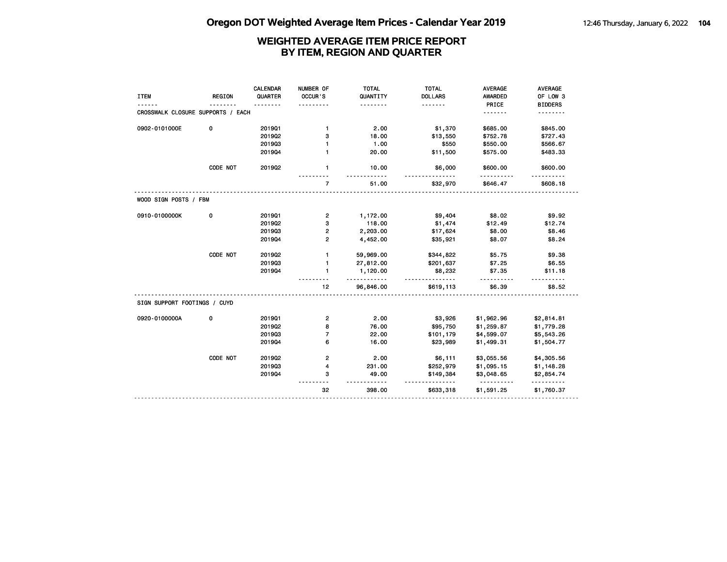| <b>ITEM</b>                       | <b>REGION</b> | CALENDAR<br>QUARTER | NUMBER OF<br>OCCUR'S | <b>TOTAL</b><br>QUANTITY | <b>TOTAL</b><br><b>DOLLARS</b> | <b>AVERAGE</b><br><b>AWARDED</b> | <b>AVERAGE</b><br>OF LOW 3 |
|-----------------------------------|---------------|---------------------|----------------------|--------------------------|--------------------------------|----------------------------------|----------------------------|
|                                   |               |                     |                      | .                        | .                              | PRICE                            | <b>BIDDERS</b>             |
| CROSSWALK CLOSURE SUPPORTS / EACH |               |                     |                      |                          |                                | <u>.</u>                         | .                          |
| 0902-0101000E                     | 0             | 201901              | $\mathbf{1}$         | 2.00                     | \$1,370                        | \$685.00                         | \$845.00                   |
|                                   |               | 2019Q2              | 3                    | 18.00                    | \$13,550                       | \$752.78                         | \$727.43                   |
|                                   |               | 201903              | $\mathbf{1}$         | 1.00                     | \$550                          | \$550.00                         | \$566.67                   |
|                                   |               | 201904              | $\mathbf{1}$         | 20.00                    | \$11,500                       | \$575.00                         | \$483.33                   |
|                                   | CODE NOT      | 201902              | 1                    | 10.00<br>.               | \$6,000                        | \$600.00<br>.                    | \$600.00                   |
|                                   |               |                     | $\overline{7}$       | 51.00                    | \$32,970                       | \$646.47                         | \$608.18                   |
| WOOD SIGN POSTS / FBM             |               |                     |                      |                          |                                |                                  |                            |
| 0910-0100000K                     | 0             | 201901              | $\overline{2}$       | 1,172.00                 | \$9,404                        | \$8.02                           | \$9.92                     |
|                                   |               | 2019Q2              | 3                    | 118.00                   | \$1,474                        | \$12.49                          | \$12.74                    |
|                                   |               | 201903              | 2                    | 2,203.00                 | \$17,624                       | \$8.00                           | \$8.46                     |
|                                   |               | 201904              | $\overline{2}$       | 4,452.00                 | \$35,921                       | \$8.07                           | \$8.24                     |
|                                   | CODE NOT      | 2019Q2              | $\mathbf{1}$         | 59,969.00                | \$344,822                      | \$5.75                           | \$9.38                     |
|                                   |               | 201903              | $\mathbf{1}$         | 27,812.00                | \$201,637                      | \$7.25                           | \$6.55                     |
|                                   |               | 201904              | $\mathbf{1}$         | 1,120.00<br>.            | \$8,232<br>.                   | \$7.35                           | \$11.18                    |
|                                   |               |                     | 12                   | 96,846.00                | \$619,113                      | \$6.39                           | \$8.52                     |
| SIGN SUPPORT FOOTINGS / CUYD      |               |                     |                      |                          |                                |                                  |                            |
| 0920-0100000A                     | 0             | 201901              | $\mathbf{2}$         | 2.00                     | \$3,926                        | \$1,962.96                       | \$2,814.81                 |
|                                   |               | 201902              | 8                    | 76.00                    | \$95,750                       | \$1,259.87                       | \$1,779.28                 |
|                                   |               | 201903              | $\overline{7}$       | 22.00                    | \$101,179                      | \$4,599.07                       | \$5,543.26                 |
|                                   |               | 201904              | 6                    | 16.00                    | \$23,989                       | \$1,499.31                       | \$1,504.77                 |
|                                   | CODE NOT      | 2019Q2              | $\overline{2}$       | 2.00                     | \$6,111                        | \$3,055.56                       | \$4,305.56                 |
|                                   |               | 201903              | 4                    | 231.00                   | \$252,979                      | \$1,095.15                       | \$1,148.28                 |
|                                   |               | 201904              | 3                    | 49.00                    | \$149,384                      | \$3,048.65<br><u>.</u>           | \$2,854.74                 |
|                                   |               |                     | 32                   | 398.00                   | \$633,318                      | \$1,591.25                       | \$1,760.37                 |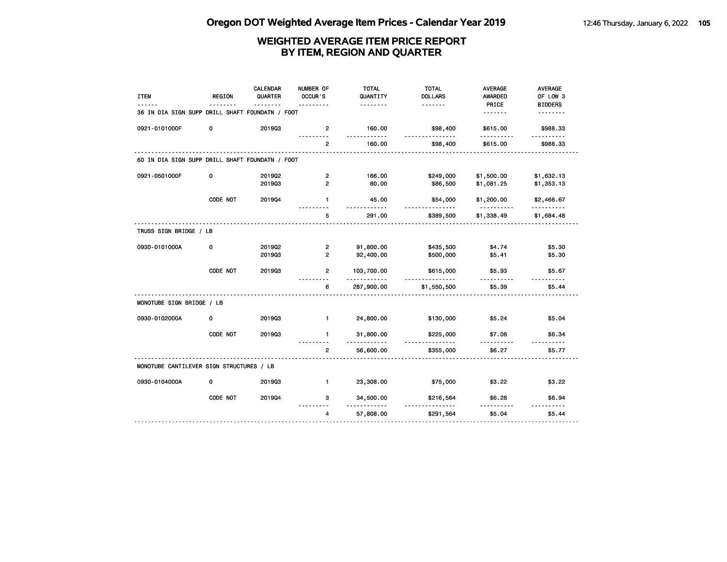| PRICE<br><u>.</u><br>.<br>36 IN DIA SIGN SUPP DRILL SHAFT FOUNDATN / FOOT<br><u>.</u><br>0921-0101000F<br>201903<br>\$615.00<br>0<br>$\overline{2}$<br>160.00<br>\$98,400<br>.<br>.<br>.<br>.<br><u>.</u><br>160.00<br>\$98,400<br>\$615.00<br>$\overline{2}$<br>60 IN DIA SIGN SUPP DRILL SHAFT FOUNDATN / FOOT<br>0921-0501000F<br>0<br>201902<br>$\overline{2}$<br>166.00<br>\$249,000<br>\$1,500.00<br>$\overline{2}$<br>80.00<br>201903<br>\$86,500<br>\$1,081.25 | <b>ITEM</b> | <b>REGION</b> | <b>CALENDAR</b><br>QUARTER | NUMBER OF<br>OCCUR'S | <b>TOTAL</b><br>QUANTITY | <b>TOTAL</b><br><b>DOLLARS</b> | <b>AVERAGE</b><br><b>AWARDED</b> | AVERAGE<br>OF LOW 3 |
|------------------------------------------------------------------------------------------------------------------------------------------------------------------------------------------------------------------------------------------------------------------------------------------------------------------------------------------------------------------------------------------------------------------------------------------------------------------------|-------------|---------------|----------------------------|----------------------|--------------------------|--------------------------------|----------------------------------|---------------------|
|                                                                                                                                                                                                                                                                                                                                                                                                                                                                        |             |               |                            |                      |                          |                                |                                  | <b>BIDDERS</b>      |
|                                                                                                                                                                                                                                                                                                                                                                                                                                                                        |             |               |                            |                      |                          |                                |                                  | <u>.</u>            |
|                                                                                                                                                                                                                                                                                                                                                                                                                                                                        |             |               |                            |                      |                          |                                |                                  | \$988.33            |
|                                                                                                                                                                                                                                                                                                                                                                                                                                                                        |             |               |                            |                      |                          |                                |                                  | \$988.33            |
|                                                                                                                                                                                                                                                                                                                                                                                                                                                                        |             |               |                            |                      |                          |                                |                                  |                     |
|                                                                                                                                                                                                                                                                                                                                                                                                                                                                        |             |               |                            |                      |                          |                                |                                  | \$1,632.13          |
|                                                                                                                                                                                                                                                                                                                                                                                                                                                                        |             |               |                            |                      |                          |                                |                                  | \$1,353.13          |
| CODE NOT<br>201904<br>$\mathbf{1}$<br>45.00<br>\$54,000<br>\$1,200.00<br><u>.</u><br><u>.</u>                                                                                                                                                                                                                                                                                                                                                                          |             |               |                            |                      |                          |                                |                                  | \$2,466.67          |
| 5<br>291.00<br>\$1,338.49<br>\$389,500                                                                                                                                                                                                                                                                                                                                                                                                                                 |             |               |                            |                      |                          |                                |                                  | \$1,684.48          |
| TRUSS SIGN BRIDGE / LB                                                                                                                                                                                                                                                                                                                                                                                                                                                 |             |               |                            |                      |                          |                                |                                  |                     |
| 0930-0101000A<br>0<br>2019Q2<br>$\overline{2}$<br>91,800.00<br>\$435,500<br>\$4.74                                                                                                                                                                                                                                                                                                                                                                                     |             |               |                            |                      |                          |                                |                                  | \$5.30              |
| $\overline{2}$<br>92,400.00<br>201903<br>\$500,000<br>\$5.41                                                                                                                                                                                                                                                                                                                                                                                                           |             |               |                            |                      |                          |                                |                                  | \$5.30              |
| CODE NOT<br>201903<br>$\overline{2}$<br>103,700.00<br>\$615,000<br>\$5.93<br>.<br>.                                                                                                                                                                                                                                                                                                                                                                                    |             |               |                            |                      |                          |                                |                                  | \$5.67              |
| 6<br>287,900.00<br>\$5.39<br>\$1,550,500                                                                                                                                                                                                                                                                                                                                                                                                                               |             |               |                            |                      |                          |                                |                                  | \$5.44              |
| MONOTUBE SIGN BRIDGE / LB                                                                                                                                                                                                                                                                                                                                                                                                                                              |             |               |                            |                      |                          |                                |                                  |                     |
| 0930-0102000A<br>201903<br>$\mathbf{1}$<br>24,800.00<br>0<br>\$130,000<br>\$5.24                                                                                                                                                                                                                                                                                                                                                                                       |             |               |                            |                      |                          |                                |                                  | \$5.04              |
| CODE NOT<br>201903<br>$\mathbf{1}$<br>31,800.00<br>\$7.08<br>\$225,000<br>.<br><u>.</u>                                                                                                                                                                                                                                                                                                                                                                                |             |               |                            |                      |                          |                                |                                  | \$6.34              |
| 56,600.00<br>\$6.27<br>$\overline{2}$<br>\$355,000                                                                                                                                                                                                                                                                                                                                                                                                                     |             |               |                            |                      |                          |                                |                                  | \$5.77              |
| MONOTUBE CANTILEVER SIGN STRUCTURES / LB                                                                                                                                                                                                                                                                                                                                                                                                                               |             |               |                            |                      |                          |                                |                                  |                     |
| 0930-0104000A<br>0<br>201903<br>$\blacksquare$<br>23,308.00<br>\$75,000<br>\$3.22                                                                                                                                                                                                                                                                                                                                                                                      |             |               |                            |                      |                          |                                |                                  | \$3.22              |
| CODE NOT<br>201904<br>3<br>34,500.00<br>\$216,564<br>\$6.28<br>.<br>.                                                                                                                                                                                                                                                                                                                                                                                                  |             |               |                            |                      |                          |                                |                                  | \$6.94              |
| \$5.04<br>57,808.00<br>$\overline{4}$<br>\$291,564                                                                                                                                                                                                                                                                                                                                                                                                                     |             |               |                            |                      |                          |                                |                                  | \$5.44              |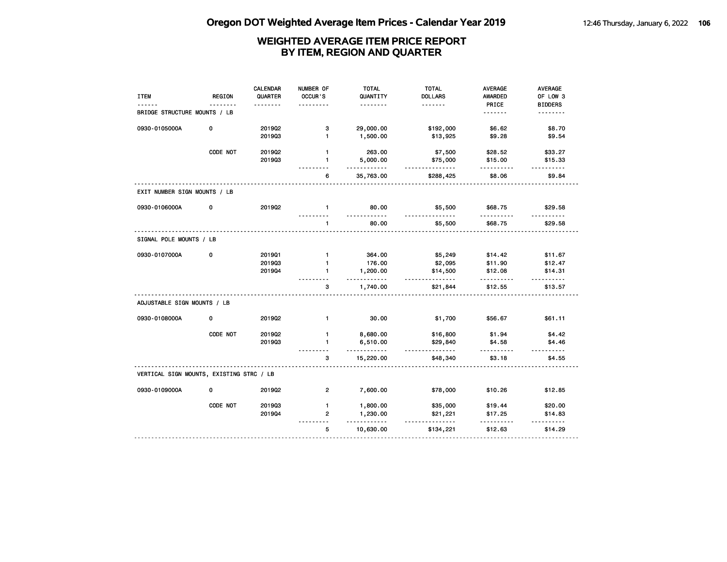| <b>ITEM</b>                              | <b>REGION</b> | <b>CALENDAR</b><br>QUARTER<br>. | NUMBER OF<br>OCCUR'S     | <b>TOTAL</b><br>QUANTITY<br><u>.</u> | <b>TOTAL</b><br><b>DOLLARS</b><br>. | <b>AVERAGE</b><br><b>AWARDED</b> | AVERAGE<br>OF LOW 3                                                                                                    |
|------------------------------------------|---------------|---------------------------------|--------------------------|--------------------------------------|-------------------------------------|----------------------------------|------------------------------------------------------------------------------------------------------------------------|
| BRIDGE STRUCTURE MOUNTS / LB             |               |                                 |                          |                                      |                                     | PRICE<br><u>.</u>                | <b>BIDDERS</b><br><u>.</u>                                                                                             |
| 0930-0105000A                            | 0             | 2019Q2                          | з                        | 29,000.00                            | \$192,000                           | \$6.62                           | \$8.70                                                                                                                 |
|                                          |               | 201903                          | $\blacksquare$           | 1,500.00                             | \$13,925                            | \$9.28                           | \$9.54                                                                                                                 |
|                                          | CODE NOT      | 201902                          | $\mathbf{1}$             | 263.00                               | \$7,500                             | \$28.52                          | \$33.27                                                                                                                |
|                                          |               | 201903                          | 1<br>.                   | 5,000.00<br>.                        | \$75,000<br>.                       | \$15.00<br>.                     | \$15.33<br>.                                                                                                           |
|                                          |               |                                 | 6                        | 35,763.00                            | \$288,425                           | \$8.06                           | \$9.84                                                                                                                 |
| EXIT NUMBER SIGN MOUNTS / LB             |               |                                 |                          |                                      |                                     |                                  |                                                                                                                        |
| 0930-0106000A                            | 0             | 201902                          | $\mathbf{1}$<br><u>.</u> | 80.00<br><u>.</u>                    | \$5,500<br><u>.</u>                 | \$68.75<br>.                     | \$29.58<br><u>.</u>                                                                                                    |
|                                          |               |                                 | $\mathbf{1}$             | 80.00                                | \$5,500                             | \$68.75                          | \$29.58                                                                                                                |
| SIGNAL POLE MOUNTS / LB                  |               |                                 |                          |                                      |                                     |                                  |                                                                                                                        |
| 0930-0107000A                            | 0             | 2019Q1                          | $\mathbf{1}$             | 364.00                               | \$5,249                             | \$14.42                          | \$11.67                                                                                                                |
|                                          |               | 201903                          | $\mathbf{1}$             | 176.00                               | \$2,095                             | \$11.90                          | \$12.47                                                                                                                |
|                                          |               | 201904                          | $\mathbf{1}$             | 1,200.00<br>.                        | \$14,500<br>.                       | \$12.08<br>.                     | \$14.31                                                                                                                |
|                                          |               | .                               | 3                        | 1,740.00                             | \$21,844                            | \$12.55                          | \$13.57                                                                                                                |
| ADJUSTABLE SIGN MOUNTS / LB              |               |                                 |                          |                                      |                                     |                                  |                                                                                                                        |
| 0930-0108000A                            | 0             | 201902                          | $\mathbf{1}$             | 30.00                                | \$1,700                             | \$56.67                          | \$61.11                                                                                                                |
|                                          | CODE NOT      | 201902                          | 1                        | 8,680.00                             | \$16,800                            | \$1.94                           | \$4.42                                                                                                                 |
|                                          |               | 201903                          | $\mathbf{1}$             | 6,510.00<br>.                        | \$29,840<br><u>.</u>                | \$4.58<br><u>.</u>               | \$4.46<br>.                                                                                                            |
|                                          |               |                                 | 3                        | 15,220.00                            | \$48,340                            | \$3.18                           | \$4.55                                                                                                                 |
| VERTICAL SIGN MOUNTS, EXISTING STRC / LB |               |                                 |                          |                                      |                                     |                                  |                                                                                                                        |
| 0930-0109000A                            | 0             | 201902                          | $\overline{2}$           | 7,600.00                             | \$78,000                            | \$10.26                          | \$12.85                                                                                                                |
|                                          | CODE NOT      | 201903                          | $\mathbf{1}$             | 1,800.00                             | \$35,000                            | \$19.44                          | \$20.00                                                                                                                |
|                                          |               | 201904                          | $\overline{2}$<br>----   | 1,230.00<br>$- - - -$                | \$21,221<br>.                       | \$17.25                          | \$14.83<br>$\begin{array}{cccccccccc} \bullet & \bullet & \bullet & \bullet & \bullet & \bullet & \bullet \end{array}$ |
|                                          |               |                                 | 5                        | 10,630.00                            | \$134,221                           | \$12.63                          | \$14.29                                                                                                                |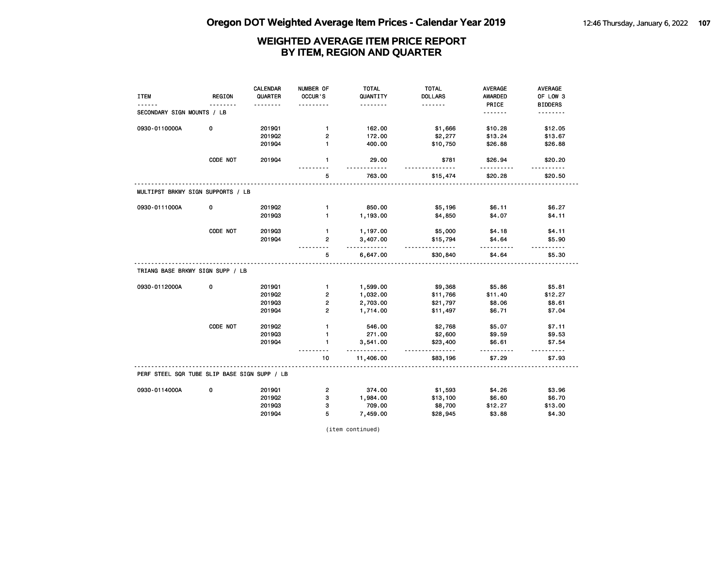|                                              |               | <b>CALENDAR</b> | NUMBER OF      | <b>TOTAL</b>         | <b>TOTAL</b>         | <b>AVERAGE</b> | <b>AVERAGE</b> |
|----------------------------------------------|---------------|-----------------|----------------|----------------------|----------------------|----------------|----------------|
| <b>ITEM</b>                                  | <b>REGION</b> | QUARTER         | OCCUR'S        | QUANTITY             | <b>DOLLARS</b>       | AWARDED        | OF LOW 3       |
|                                              |               |                 |                | .                    | <u>.</u>             | PRICE          | <b>BIDDERS</b> |
| SECONDARY SIGN MOUNTS / LB                   |               |                 |                |                      |                      | <u>.</u>       | <u>.</u>       |
| 0930-0110000A                                | 0             | 201901          | $\mathbf{1}$   | 162.00               | \$1,666              | \$10.28        | \$12.05        |
|                                              |               | 2019Q2          | $\overline{2}$ | 172.00               | \$2,277              | \$13.24        | \$13.67        |
|                                              |               | 201904          | $\blacksquare$ | 400.00               | \$10,750             | \$26.88        | \$26.88        |
|                                              | CODE NOT      | 201904          | $\mathbf{1}$   | 29.00                | \$781                | \$26.94        | \$20.20        |
|                                              |               |                 | 5              | 763.00               | \$15,474             | \$20.28        | \$20.50        |
| MULTIPST BRKWY SIGN SUPPORTS / LB            |               |                 |                |                      |                      |                |                |
| 0930-0111000A                                | 0             | 2019Q2          | $\mathbf{1}$   | 850.00               | \$5,196              | \$6.11         | \$6.27         |
|                                              |               | 201903          | $\mathbf{1}$   | 1,193.00             | \$4,850              | \$4.07         | \$4.11         |
|                                              | CODE NOT      | 201903          | $\mathbf{1}$   | 1,197.00             | \$5,000              | \$4.18         | \$4.11         |
|                                              |               | 201904          | $\overline{2}$ | 3,407.00<br><u>.</u> | \$15,794<br><u>.</u> | \$4.64<br>.    | \$5.90         |
|                                              |               |                 | 5              | 6,647.00             | \$30,840             | \$4.64         | \$5.30         |
| TRIANG BASE BRKWY SIGN SUPP / LB             |               |                 |                |                      |                      |                |                |
| 0930-0112000A                                | 0             | 201901          | $\blacksquare$ | 1,599.00             | \$9,368              | \$5.86         | \$5.81         |
|                                              |               | 2019Q2          | $\overline{2}$ | 1,032.00             | \$11,766             | \$11.40        | \$12.27        |
|                                              |               | 201903          | $\overline{2}$ | 2,703.00             | \$21,797             | \$8.06         | \$8.61         |
|                                              |               | 201904          | $\overline{2}$ | 1,714.00             | \$11,497             | \$6.71         | \$7.04         |
|                                              | CODE NOT      | 2019Q2          | $\mathbf{1}$   | 546.00               | \$2,768              | \$5.07         | \$7.11         |
|                                              |               | 201903          | $\mathbf{1}$   | 271.00               | \$2,600              | \$9.59         | \$9.53         |
|                                              |               | 201904          | $\mathbf{1}$   | 3,541.00<br>.        | \$23,400<br>.        | \$6.61<br>.    | \$7.54<br>.    |
|                                              |               |                 | 10             | 11,406.00            | \$83,196             | \$7.29         | \$7.93         |
| PERF STEEL SQR TUBE SLIP BASE SIGN SUPP / LB |               |                 |                |                      |                      |                |                |
| 0930-0114000A                                | 0             | 201901          | 2              | 374.00               | \$1,593              | \$4.26         | \$3.96         |
|                                              |               | 2019Q2          | 3              | 1,984.00             | \$13,100             | \$6.60         | \$6.70         |
|                                              |               | 201903          | з              | 709.00               | \$8,700              | \$12.27        | \$13.00        |
|                                              |               | 201904          | 5              | 7,459.00             | \$28,945             | \$3.88         | \$4.30         |

(item continued)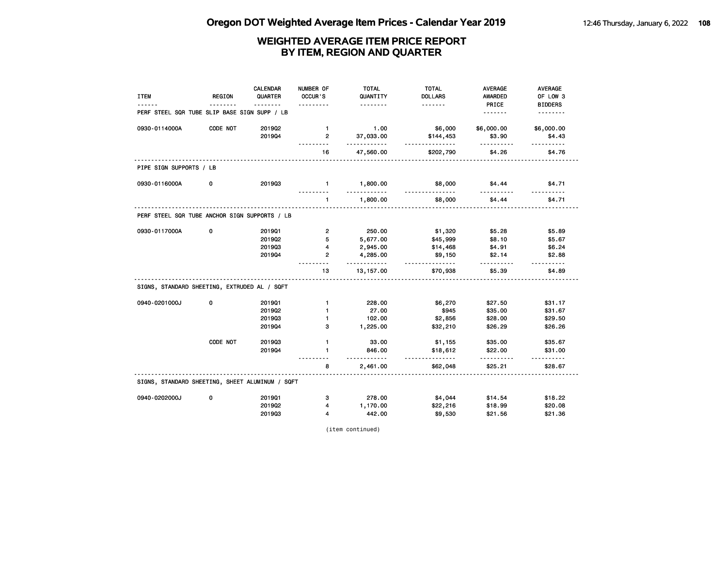|                                                 |               | <b>CALENDAR</b> | NUMBER OF      | <b>TOTAL</b>         | <b>TOTAL</b>        | <b>AVERAGE</b> | <b>AVERAGE</b>     |
|-------------------------------------------------|---------------|-----------------|----------------|----------------------|---------------------|----------------|--------------------|
| <b>ITEM</b>                                     | <b>REGION</b> | QUARTER         | OCCUR'S        | QUANTITY             | <b>DOLLARS</b>      | <b>AWARDED</b> | OF LOW 3           |
|                                                 |               |                 |                | .                    | <u>.</u>            | PRICE          | <b>BIDDERS</b>     |
| PERF STEEL SQR TUBE SLIP BASE SIGN SUPP / LB    |               |                 |                |                      |                     |                | .                  |
| 0930-0114000A                                   | CODE NOT      | 2019Q2          | $\mathbf{1}$   | 1.00                 | \$6,000             | \$6,000.00     | \$6,000.00         |
|                                                 |               | 201904          | $\overline{2}$ | 37,033.00<br>.       | \$144,453<br>.      | \$3.90<br>.    | \$4.43<br>.        |
|                                                 |               |                 | 16             | 47,560.00            | \$202,790           | \$4.26         | \$4.76             |
| PIPE SIGN SUPPORTS / LB                         |               |                 |                |                      |                     |                |                    |
| 0930-0116000A                                   | 0             | 201903          | $\blacksquare$ | 1,800.00<br>.        | \$8,000<br><u>.</u> | \$4.44         | \$4.71<br><u>.</u> |
|                                                 |               |                 | $\mathbf{1}$   | 1,800.00             | \$8,000             | \$4.44         | \$4.71             |
| PERF STEEL SQR TUBE ANCHOR SIGN SUPPORTS / LB   |               |                 |                |                      |                     |                |                    |
| 0930-0117000A                                   | 0             | 201901          | $\overline{2}$ | 250.00               | \$1,320             | \$5.28         | \$5.89             |
|                                                 |               | 201902          | 5              | 5,677.00             | \$45,999            | \$8.10         | \$5.67             |
|                                                 |               | 201903          | 4              | 2,945.00             | \$14,468            | \$4.91         | \$6.24             |
|                                                 |               | 201904          | $\overline{2}$ | 4,285.00<br><u>.</u> | \$9,150<br>.        | \$2.14<br>.    | \$2.88<br><u>.</u> |
|                                                 |               |                 | 13             | 13, 157.00           | \$70,938            | \$5.39         | \$4.89             |
| SIGNS, STANDARD SHEETING, EXTRUDED AL / SQFT    |               |                 |                |                      |                     |                |                    |
| 0940-0201000J                                   | $\mathbf 0$   | 201901          | $\mathbf{1}$   | 228.00               | \$6,270             | \$27.50        | \$31.17            |
|                                                 |               | 201902          | $\mathbf{1}$   | 27.00                | \$945               | \$35.00        | \$31.67            |
|                                                 |               | 201903          | $\blacksquare$ | 102.00               | \$2,856             | \$28.00        | \$29.50            |
|                                                 |               | 201904          | з              | 1,225.00             | \$32,210            | \$26.29        | \$26.26            |
|                                                 | CODE NOT      | 201903          | $\mathbf{1}$   | 33.00                | \$1,155             | \$35.00        | \$35.67            |
|                                                 |               | 201904          | $\mathbf{1}$   | 846.00<br>$- - -$    | \$18,612<br>.       | \$22.00<br>.   | \$31.00<br>.       |
|                                                 |               |                 | 8              | 2,461.00             | \$62,048            | \$25.21        | \$28.67            |
| SIGNS, STANDARD SHEETING, SHEET ALUMINUM / SQFT |               |                 |                |                      |                     |                |                    |
| 0940-0202000J                                   | 0             | 201901          | з              | 278.00               | \$4,044             | \$14.54        | \$18.22            |
|                                                 |               | 2019Q2          | 4              | 1,170.00             | \$22,216            | \$18.99        | \$20.08            |
|                                                 |               | 201903          | 4              | 442.00               | \$9,530             | \$21.56        | \$21.36            |

(item continued)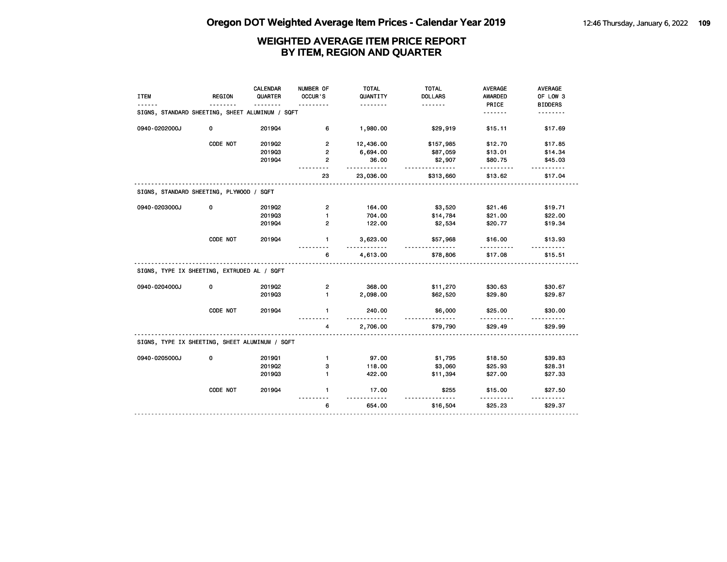|                                                 |               | <b>CALENDAR</b> | NUMBER OF      | <b>TOTAL</b> | <b>TOTAL</b>        | <b>AVERAGE</b> | <b>AVERAGE</b> |
|-------------------------------------------------|---------------|-----------------|----------------|--------------|---------------------|----------------|----------------|
| <b>ITEM</b>                                     | <b>REGION</b> | QUARTER         | OCCUR'S        | QUANTITY     | <b>DOLLARS</b>      | <b>AWARDED</b> | OF LOW 3       |
|                                                 |               |                 |                | .            | .                   | PRICE          | <b>BIDDERS</b> |
| SIGNS, STANDARD SHEETING, SHEET ALUMINUM / SQFT |               |                 |                |              |                     | <u>.</u>       | <u>.</u>       |
| 0940-0202000J                                   | 0             | 201904          | 6              | 1,980.00     | \$29,919            | \$15.11        | \$17.69        |
|                                                 | CODE NOT      | 2019Q2          | $\overline{2}$ | 12,436.00    | \$157,985           | \$12.70        | \$17.85        |
|                                                 |               | 201903          | $\overline{2}$ | 6,694.00     | \$87,059            | \$13.01        | \$14.34        |
|                                                 |               | 201904          | $\overline{2}$ | 36.00<br>.   | \$2,907<br><u>.</u> | \$80.75        | \$45.03        |
|                                                 |               |                 | 23             | 23,036.00    | \$313,660           | \$13.62        | \$17.04        |
| SIGNS, STANDARD SHEETING, PLYWOOD / SQFT        |               |                 |                |              |                     |                |                |
| 0940-0203000J                                   | 0             | 201902          | $\overline{2}$ | 164.00       | \$3,520             | \$21.46        | \$19.71        |
|                                                 |               | 201903          | $\mathbf{1}$   | 704.00       | \$14,784            | \$21.00        | \$22.00        |
|                                                 |               | 201904          | 2              | 122.00       | \$2,534             | \$20.77        | \$19.34        |
|                                                 | CODE NOT      | 201904          | $\mathbf{1}$   | 3,623.00     | \$57,968            | \$16.00        | \$13.93        |
|                                                 |               |                 | 6              | 4,613.00     | \$78,806            | \$17.08        | \$15.51        |
| SIGNS, TYPE IX SHEETING, EXTRUDED AL / SQFT     |               |                 |                |              |                     |                |                |
| 0940-0204000J                                   | 0             | 2019Q2          | $\overline{2}$ | 368.00       | \$11,270            | \$30.63        | \$30.67        |
|                                                 |               | 201903          | $\mathbf{1}$   | 2,098.00     | \$62,520            | \$29.80        | \$29.87        |
|                                                 | CODE NOT      | 201904          | $\mathbf{1}$   | 240.00<br>.  | \$6,000             | \$25.00        | \$30.00        |
|                                                 |               |                 | 4              | 2,706.00     | \$79,790            | \$29.49        | \$29.99        |
| SIGNS, TYPE IX SHEETING, SHEET ALUMINUM / SQFT  |               |                 |                |              |                     |                |                |
| 0940-0205000J                                   | 0             | 201901          | $\mathbf{1}$   | 97.00        | \$1,795             | \$18.50        | \$39.83        |
|                                                 |               | 201902          | з              | 118.00       | \$3,060             | \$25.93        | \$28.31        |
|                                                 |               | 201903          | $\blacksquare$ | 422.00       | \$11,394            | \$27.00        | \$27.33        |
|                                                 | CODE NOT      | 201904          | $\mathbf{1}$   | 17.00<br>.   | \$255<br><u>.</u>   | \$15.00        | \$27.50<br>.   |
|                                                 |               |                 | 6              | 654.00       | \$16,504            | \$25.23        | \$29.37        |
|                                                 |               |                 |                |              |                     |                |                |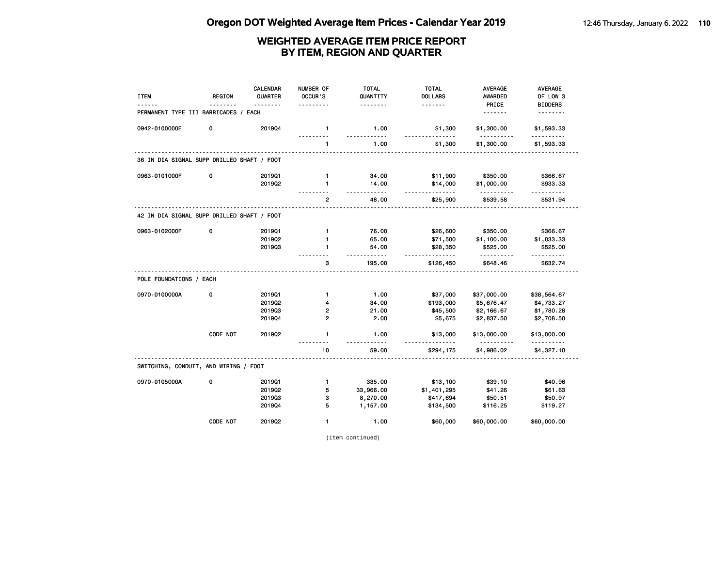| <b>ITEM</b>                                | <b>REGION</b> | <b>CALENDAR</b><br>QUARTER<br>------- | NUMBER OF<br>OCCUR'S | <b>TOTAL</b><br>QUANTITY<br>. | <b>TOTAL</b><br><b>DOLLARS</b><br>. | <b>AVERAGE</b><br><b>AWARDED</b> | <b>AVERAGE</b><br>OF LOW 3 |
|--------------------------------------------|---------------|---------------------------------------|----------------------|-------------------------------|-------------------------------------|----------------------------------|----------------------------|
| PERMANENT TYPE III BARRICADES / EACH       |               |                                       |                      |                               |                                     | PRICE<br><u>.</u>                | <b>BIDDERS</b><br><u>.</u> |
| 0942-0100000E                              | 0             | 201904                                | $\mathbf{1}$         | 1.00<br>.                     | \$1,300<br><u>.</u>                 | \$1,300.00<br>.                  | \$1,593.33<br>.            |
|                                            |               |                                       | $\mathbf{1}$         | 1.00                          | \$1,300                             | \$1,300.00                       | \$1,593.33                 |
| 36 IN DIA SIGNAL SUPP DRILLED SHAFT / FOOT |               |                                       |                      |                               |                                     |                                  |                            |
| 0963-0101000F                              | 0             | 201901                                | $\mathbf{1}$         | 34.00                         | \$11,900                            | \$350.00                         | \$366.67                   |
|                                            |               | 201902                                | 1                    | 14.00<br>.                    | \$14,000<br>.                       | \$1,000.00<br>.                  | \$933.33<br><u>.</u>       |
|                                            |               |                                       | $\mathbf{2}$         | 48.00                         | \$25,900                            | \$539.58                         | \$531.94                   |
| 42 IN DIA SIGNAL SUPP DRILLED SHAFT / FOOT |               |                                       |                      |                               |                                     |                                  |                            |
| 0963-0102000F                              | 0             | 201901                                | $\mathbf{1}$         | 76.00                         | \$26,600                            | \$350.00                         | \$366.67                   |
|                                            |               | 2019Q2                                | $\mathbf{1}$         | 65.00                         | \$71,500                            | \$1,100.00                       | \$1,033.33                 |
|                                            |               | 201903                                | 1                    | 54.00                         | \$28,350<br><u>.</u>                | \$525.00<br>.                    | \$525.00<br><u>.</u>       |
|                                            |               |                                       | 3                    | 195.00                        | \$126,450                           | \$648.46                         | \$632.74                   |
| POLE FOUNDATIONS / EACH                    |               |                                       |                      |                               |                                     |                                  |                            |
| 0970-0100000A                              | 0             | 201901                                | $\mathbf{1}$         | 1.00                          | \$37,000                            | \$37,000.00                      | \$38,564.67                |
|                                            |               | 201902                                | 4                    | 34.00                         | \$193,000                           | \$5,676.47                       | \$4,733.27                 |
|                                            |               | 201903                                | 2                    | 21.00                         | \$45,500                            | \$2,166.67                       | \$1,780.28                 |
|                                            |               | 201904                                | $\mathbf{2}$         | 2.00                          | \$5,675                             | \$2,837.50                       | \$2,708.50                 |
|                                            | CODE NOT      | 201902                                | $\mathbf{1}$         | 1.00<br>.                     | \$13,000                            | \$13,000.00<br><u>.</u>          | \$13,000.00                |
|                                            |               |                                       | 10                   | 59.00                         | \$294,175                           | \$4,986.02                       | \$4,327.10                 |
| SWITCHING, CONDUIT, AND WIRING / FOOT      |               |                                       |                      |                               |                                     |                                  |                            |
| 0970-0105000A                              | 0             | 201901                                | $\mathbf{1}$         | 335.00                        | \$13,100                            | \$39.10                          | \$40.96                    |
|                                            |               | 2019Q2                                | 5                    | 33,966.00                     | \$1,401,295                         | \$41.26                          | \$61.63                    |
|                                            |               | 201903                                | 3                    | 8,270.00                      | \$417,694                           | \$50.51                          | \$50.97                    |
|                                            |               | 201904                                | 5                    | 1,157.00                      | \$134,500                           | \$116.25                         | \$119.27                   |
|                                            | CODE NOT      | 2019Q2                                | $\mathbf{1}$         | 1.00                          | \$60,000                            | \$60,000.00                      | \$60,000.00                |

(item continued)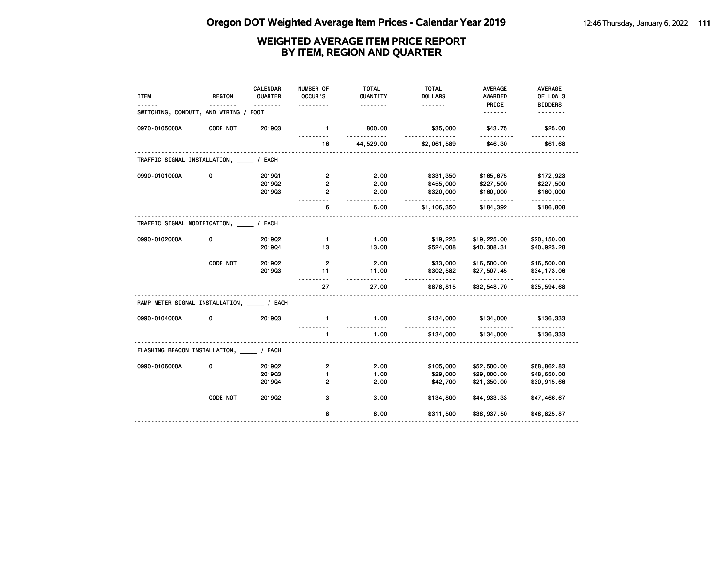| <b>ITEM</b>                                  | <b>REGION</b> | <b>CALENDAR</b><br>QUARTER | NUMBER OF<br>OCCUR'S | <b>TOTAL</b><br>QUANTITY | <b>TOTAL</b><br><b>DOLLARS</b> | <b>AVERAGE</b><br><b>AWARDED</b> | <b>AVERAGE</b><br>OF LOW 3 |
|----------------------------------------------|---------------|----------------------------|----------------------|--------------------------|--------------------------------|----------------------------------|----------------------------|
|                                              |               | <u>.</u>                   | .                    | .                        | <u>.</u>                       | PRICE                            | <b>BIDDERS</b>             |
| SWITCHING, CONDUIT, AND WIRING /             |               | <b>FOOT</b>                |                      |                          |                                | <u>.</u>                         |                            |
| 0970-0105000A                                | CODE NOT      | 201903                     | $\mathbf{1}$         | 800.00<br><u>.</u>       | \$35,000<br>.                  | \$43.75<br>.                     | \$25.00<br>.               |
|                                              |               |                            | 16                   | 44,529.00                | \$2,061,589                    | \$46.30                          | \$61.68                    |
| TRAFFIC SIGNAL INSTALLATION, _______ / EACH  |               |                            |                      |                          |                                |                                  |                            |
| 0990-0101000A                                | 0             | 201901                     | $\overline{2}$       | 2.00                     | \$331,350                      | \$165,675                        | \$172,923                  |
|                                              |               | 2019Q2                     | 2                    | 2.00                     | \$455,000                      | \$227,500                        | \$227,500                  |
|                                              |               | 201903                     | $\overline{2}$       | 2.00                     | \$320,000                      | \$160,000                        | \$160,000                  |
|                                              |               |                            | -------<br>6         | .<br>6.00                | .<br>\$1,106,350               | .<br>\$184,392                   | .<br>\$186,808             |
| TRAFFIC SIGNAL MODIFICATION, / EACH          |               |                            |                      |                          |                                |                                  |                            |
| 0990-0102000A                                | 0             | 2019Q2                     | $\mathbf{1}$         | 1.00                     | \$19,225                       | \$19,225.00                      | \$20,150.00                |
|                                              |               | 201904                     | 13                   | 13.00                    | \$524,008                      | \$40,308.31                      | \$40,923.28                |
|                                              | CODE NOT      | 2019Q2                     | $\overline{2}$       | 2.00                     | \$33,000                       | \$16,500.00                      | \$16,500.00                |
|                                              |               | 201903                     | 11                   | 11.00                    | \$302,582                      | \$27,507.45                      | \$34,173.06                |
|                                              |               |                            | $\sim$ $\sim$<br>27  | 27.00                    | .<br>\$878,815                 | \$32,548.70                      | .<br>\$35,594.68           |
| RAMP METER SIGNAL INSTALLATION, _____ / EACH |               |                            |                      |                          |                                |                                  |                            |
| 0990-0104000A                                | 0             | 201903                     | 1                    | 1.00<br><u></u>          | \$134,000<br>.                 | \$134,000<br><u>.</u>            | \$136,333<br>.             |
|                                              |               |                            | 1                    | 1.00                     | \$134,000                      | \$134,000                        | \$136,333                  |
| FLASHING BEACON INSTALLATION, _____ / EACH   |               |                            |                      |                          |                                |                                  |                            |
| 0990-0106000A                                | 0             | 2019Q2                     | $\overline{2}$       | 2.00                     | \$105,000                      | \$52,500.00                      | \$68,862.83                |
|                                              |               | 201903                     | 1                    | 1.00                     | \$29,000                       | \$29,000.00                      | \$48,650.00                |
|                                              |               | 201904                     | $\mathbf{2}$         | 2.00                     | \$42,700                       | \$21,350.00                      | \$30,915.66                |
|                                              | CODE NOT      | 201902                     | 3                    | 3.00                     | \$134,800                      | \$44,933.33                      | \$47,466.67                |
|                                              |               |                            | 8                    | 8.00                     | \$311,500                      | \$38,937.50                      | \$48,825.87                |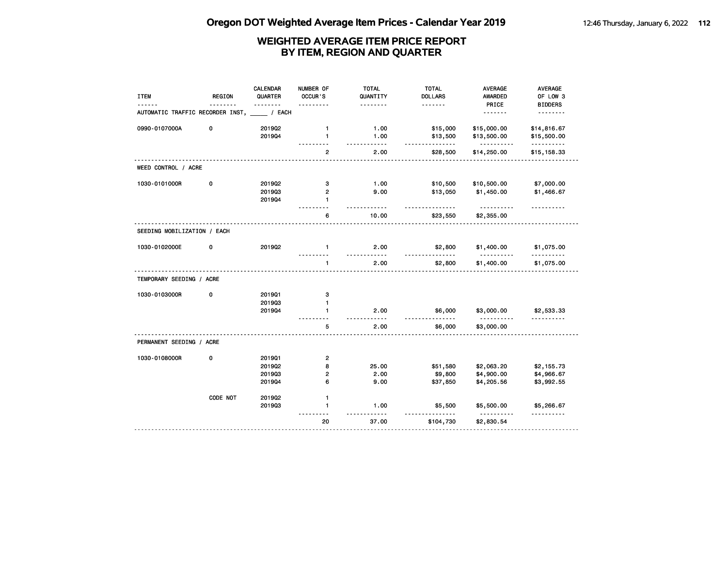| <b>ITEM</b>                                   | <b>REGION</b> | <b>CALENDAR</b><br>QUARTER | NUMBER OF<br>OCCUR'S | <b>TOTAL</b><br>QUANTITY | <b>TOTAL</b><br><b>DOLLARS</b> | AVERAGE<br>AWARDED     | AVERAGE<br>OF LOW 3 |
|-----------------------------------------------|---------------|----------------------------|----------------------|--------------------------|--------------------------------|------------------------|---------------------|
|                                               |               |                            |                      | .                        | .                              | PRICE                  | <b>BIDDERS</b>      |
| AUTOMATIC TRAFFIC RECORDER INST, _____ / EACH |               |                            |                      |                          |                                | <u>.</u>               | .                   |
| 0990-0107000A                                 | 0             | 2019Q2                     | $\mathbf{1}$         | 1.00                     | \$15,000                       | \$15,000.00            | \$14,816.67         |
|                                               |               | 201904                     | 1                    | 1.00<br>$- - -$          | \$13,500<br><u>.</u>           | \$13,500.00<br>.       | \$15,500.00<br>.    |
|                                               |               |                            | $\overline{2}$       | 2.00                     | \$28,500                       | \$14,250.00            | \$15,158.33         |
| WEED CONTROL / ACRE                           |               |                            |                      |                          |                                |                        |                     |
| 1030-0101000R                                 | 0             | 201902                     | з                    | 1.00                     | \$10,500                       | \$10,500.00            | \$7,000.00          |
|                                               |               | 201903                     | $\overline{2}$       | 9.00                     | \$13,050                       | \$1,450.00             | \$1,466.67          |
|                                               |               | 201904                     | $\mathbf{1}$         |                          |                                | .                      |                     |
|                                               |               |                            | 6                    | 10.00                    | \$23,550                       | \$2,355.00             |                     |
| SEEDING MOBILIZATION / EACH                   |               |                            |                      |                          |                                |                        |                     |
| 1030-0102000E                                 | 0             | 2019Q2                     | $\mathbf{1}$         | 2.00                     | \$2,800                        | \$1,400.00             | \$1,075.00          |
|                                               |               |                            | $\mathbf{1}$         | 2.00                     | \$2,800                        | \$1,400.00             | \$1,075.00          |
| TEMPORARY SEEDING / ACRE                      |               |                            |                      |                          |                                |                        |                     |
| 1030-0103000R                                 | 0             | 201901                     | з                    |                          |                                |                        |                     |
|                                               |               | 201903                     | $\mathbf{1}$         |                          |                                |                        |                     |
|                                               |               | 201904                     | $\mathbf{1}$         | 2.00                     | \$6,000                        | \$3,000.00<br>.        | \$2,533.33          |
|                                               |               |                            | 5                    | 2.00                     | \$6,000                        | \$3,000.00             |                     |
| PERMANENT SEEDING / ACRE                      |               |                            |                      |                          |                                |                        |                     |
| 1030-0108000R                                 | 0             | 201901                     | $\overline{2}$       |                          |                                |                        |                     |
|                                               |               | 201902                     | 8                    | 25.00                    | \$51,580                       | \$2,063.20             | \$2,155.73          |
|                                               |               | 201903                     | $\overline{2}$       | 2.00                     | \$9,800                        | \$4,900.00             | \$4,966.67          |
|                                               |               | 201904                     | 6                    | 9.00                     | \$37,850                       | \$4,205.56             | \$3,992.55          |
|                                               | CODE NOT      | 201902                     | $\mathbf{1}$         |                          |                                |                        |                     |
|                                               |               | 201903                     | $\mathbf{1}$         | 1.00                     | \$5,500                        | \$5,500.00<br><u>.</u> | \$5,266.67<br>.     |
|                                               |               |                            | 20                   | 37.00                    | \$104,730                      | \$2,830.54             |                     |
|                                               |               |                            |                      |                          |                                |                        |                     |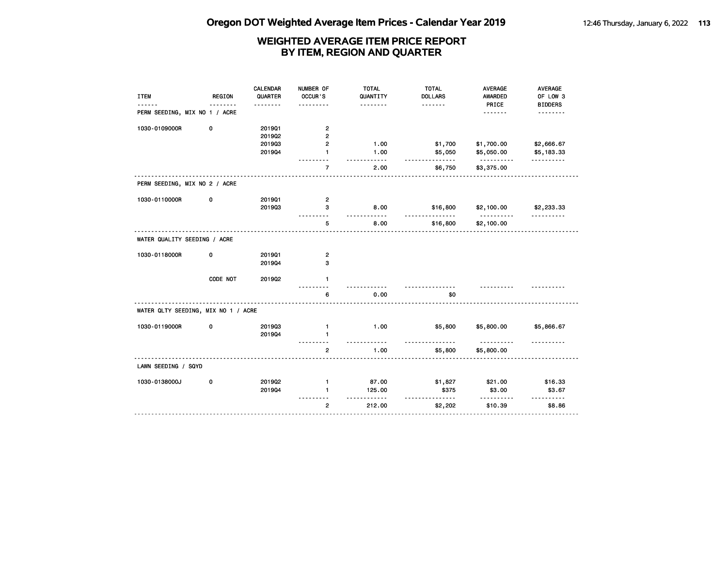| <b>ITEM</b>                         | <b>REGION</b> | <b>CALENDAR</b><br>QUARTER | NUMBER OF<br>OCCUR'S           | <b>TOTAL</b><br>QUANTITY     | <b>TOTAL</b><br><b>DOLLARS</b> | AVERAGE<br>AWARDED       | AVERAGE<br>OF LOW 3        |
|-------------------------------------|---------------|----------------------------|--------------------------------|------------------------------|--------------------------------|--------------------------|----------------------------|
| PERM SEEDING, MIX NO 1 / ACRE       |               | .                          | $- - - -$                      | .                            | <u>.</u>                       | PRICE<br>.               | <b>BIDDERS</b><br>-------- |
| 1030-0109000R                       | 0             | 201901<br>201902           | $\mathbf{2}$<br>2              |                              |                                |                          |                            |
|                                     |               | 201903<br>201904           | $\mathbf{2}$<br>$\blacksquare$ | 1.00<br>1.00                 | \$1,700<br>\$5,050             | \$1,700.00<br>\$5,050.00 | \$2,666.67<br>\$5,183.33   |
|                                     |               |                            | $\overline{7}$                 | $- - - -$<br>2.00            | ------<br>\$6,750              | .<br>\$3,375.00          | .                          |
| PERM SEEDING, MIX NO 2 / ACRE       |               |                            |                                |                              |                                |                          |                            |
| 1030-0110000R                       | 0             | 201901<br>201903           | 2<br>3                         | 8.00                         | \$16,800                       | \$2,100.00               | \$2,233.33                 |
|                                     |               |                            | $- - -$<br>5                   | $- - -$<br>8.00              | $- - -$<br>\$16,800            | <u>.</u><br>\$2,100.00   | <u>.</u>                   |
| WATER QUALITY SEEDING / ACRE        |               |                            |                                |                              |                                |                          |                            |
| 1030-0118000R                       | 0             | 201901<br>201904           | $\mathbf{2}$<br>3              |                              |                                |                          |                            |
|                                     | CODE NOT      | 201902                     | $\mathbf{1}$                   |                              |                                |                          |                            |
|                                     |               |                            | 6                              | 0.00                         | \$0                            |                          |                            |
| WATER QLTY SEEDING, MIX NO 1 / ACRE |               |                            |                                |                              |                                |                          |                            |
| 1030-0119000R                       | 0             | 201903<br>201904           | $\mathbf{1}$<br>1              | 1.00<br>$\sim$ $\sim$ $\sim$ | \$5,800                        | \$5,800.00<br>.          | \$5,866.67                 |
|                                     |               |                            | $\overline{\mathbf{c}}$        | 1.00                         | \$5,800                        | \$5,800.00               |                            |
| LAWN SEEDING / SQYD                 |               |                            |                                |                              |                                |                          |                            |
| 1030-0138000J                       | 0             | 2019Q2<br>201904           | $\mathbf{1}$<br>$\mathbf{1}$   | 87.00<br>125.00              | \$1,827<br>\$375               | \$21.00<br>\$3.00        | \$16.33<br>\$3.67          |
|                                     |               |                            | $\overline{2}$                 | $- - - - - -$<br>212.00      | .<br>\$2,202                   | \$10.39                  | .<br>\$8.86                |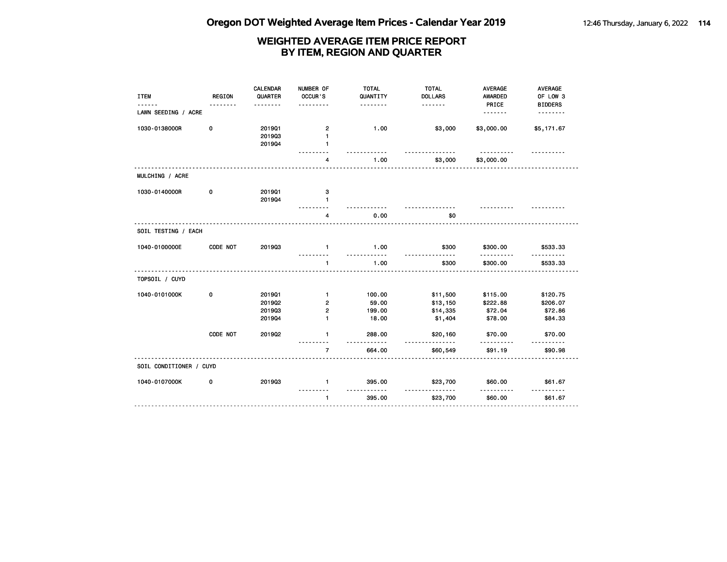| <b>ITEM</b>             | <b>REGION</b><br>----- | <b>CALENDAR</b><br>QUARTER           | NUMBER OF<br>OCCUR'S<br>.                               | <b>TOTAL</b><br>QUANTITY<br>.      | <b>TOTAL</b><br><b>DOLLARS</b><br>.         | <b>AVERAGE</b><br><b>AWARDED</b><br>PRICE  | AVERAGE<br>OF LOW 3<br><b>BIDDERS</b>      |
|-------------------------|------------------------|--------------------------------------|---------------------------------------------------------|------------------------------------|---------------------------------------------|--------------------------------------------|--------------------------------------------|
| LAWN SEEDING / ACRE     |                        |                                      |                                                         |                                    |                                             | <u>.</u>                                   | .                                          |
| 1030-0138000R           | 0                      | 201901<br>201903<br>201904           | $\overline{\mathbf{c}}$<br>$\mathbf{1}$<br>$\mathbf{1}$ | 1.00                               | \$3,000                                     | \$3,000.00                                 | \$5,171.67                                 |
|                         |                        |                                      | 4                                                       | 1.00                               | \$3,000                                     | \$3,000.00                                 |                                            |
| MULCHING / ACRE         |                        |                                      |                                                         |                                    |                                             |                                            |                                            |
| 1030-0140000R           | 0                      | 201901<br>201904                     | з<br>1                                                  |                                    |                                             |                                            |                                            |
|                         |                        |                                      | 4                                                       | 0.00                               | \$0                                         |                                            |                                            |
| SOIL TESTING / EACH     |                        |                                      |                                                         |                                    |                                             |                                            |                                            |
| 1040-0100000E           | CODE NOT               | 201903                               | $\mathbf{1}$                                            | 1.00<br>.                          | \$300<br>$- - -$                            | \$300.00<br>$- - - - - -$                  | \$533.33                                   |
|                         |                        |                                      | 1                                                       | 1.00                               | \$300                                       | \$300.00                                   | \$533.33                                   |
| TOPSOIL / CUYD          |                        |                                      |                                                         |                                    |                                             |                                            |                                            |
| 1040-0101000K           | 0                      | 201901<br>2019Q2<br>201903<br>201904 | $\mathbf{1}$<br>2<br>2<br>$\mathbf{1}$                  | 100.00<br>59.00<br>199.00<br>18.00 | \$11,500<br>\$13,150<br>\$14,335<br>\$1,404 | \$115.00<br>\$222.88<br>\$72.04<br>\$78.00 | \$120.75<br>\$206.07<br>\$72.86<br>\$84.33 |
|                         | CODE NOT               | 2019Q2                               | $\mathbf{1}$                                            | 288.00<br>$- - - -$                | \$20,160<br>$- - -$                         | \$70.00<br>.                               | \$70.00<br><u>.</u>                        |
|                         |                        |                                      | $\overline{7}$                                          | 664.00                             | \$60,549                                    | \$91.19                                    | \$90.98                                    |
| SOIL CONDITIONER / CUYD |                        |                                      |                                                         |                                    |                                             |                                            |                                            |
| 1040-0107000K           | 0                      | 201903                               | $\mathbf{1}$                                            | 395.00                             | \$23,700                                    | \$60.00                                    | \$61.67                                    |
|                         |                        |                                      | $\mathbf{1}$                                            | 395.00                             | \$23,700                                    | \$60.00                                    | \$61.67                                    |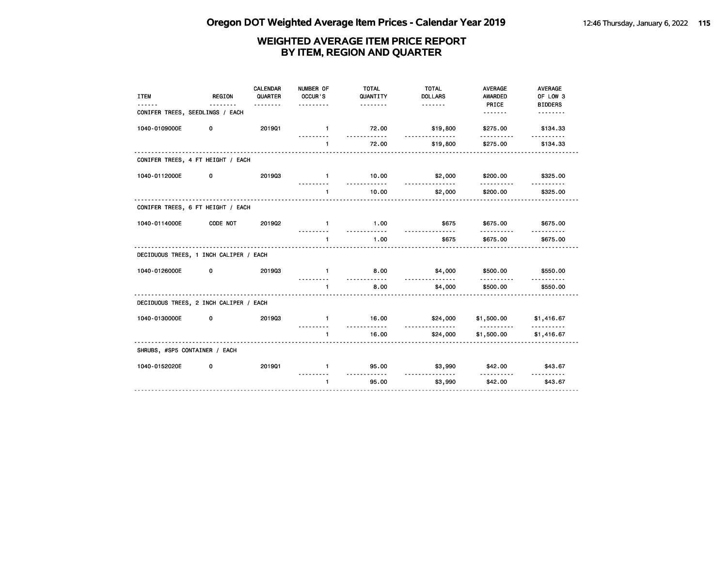| <b>ITEM</b>                            | <b>REGION</b> | CALENDAR<br>QUARTER<br><u>.</u> | NUMBER OF<br>OCCUR'S<br>. | <b>TOTAL</b><br>QUANTITY<br><u>.</u> | <b>TOTAL</b><br><b>DOLLARS</b> | <b>AVERAGE</b><br>AWARDED<br>PRICE | AVERAGE<br>OF LOW 3<br><b>BIDDERS</b> |
|----------------------------------------|---------------|---------------------------------|---------------------------|--------------------------------------|--------------------------------|------------------------------------|---------------------------------------|
| CONIFER TREES, SEEDLINGS / EACH        |               |                                 |                           |                                      |                                | <u>.</u>                           | <u>.</u>                              |
| 1040-0109000E                          | 0             | 201901                          | $\blacksquare$            | 72.00<br>. <b>.</b>                  | \$19,800<br><u>.</u>           | \$275.00                           | \$134.33                              |
|                                        |               |                                 | $\mathbf{1}$              | 72.00                                | \$19,800                       | \$275.00                           | \$134.33                              |
| CONIFER TREES, 4 FT HEIGHT / EACH      |               |                                 |                           |                                      |                                |                                    |                                       |
| 1040-0112000E                          | 0             | 201903                          | $\mathbf{1}$              | 10.00<br><u>.</u>                    | \$2,000                        | \$200.00                           | \$325.00                              |
|                                        |               |                                 | $\blacksquare$            | 10.00                                | .<br>\$2,000                   | <u>.</u><br>\$200.00               | .<br>\$325.00                         |
| CONIFER TREES, 6 FT HEIGHT / EACH      |               |                                 |                           |                                      |                                |                                    |                                       |
| 1040-0114000E                          | CODE NOT      | 201902                          | $\mathbf{1}$              | 1.00                                 | \$675                          | \$675.00                           | \$675.00                              |
|                                        |               |                                 | ---------<br>$\mathbf{1}$ | <u>.</u><br>1.00                     | <u>.</u><br>\$675              | .<br>\$675.00                      | \$675.00                              |
| DECIDUOUS TREES, 1 INCH CALIPER / EACH |               |                                 |                           |                                      |                                |                                    |                                       |
| 1040-0126000E                          | 0             | 201903                          | $\mathbf{1}$              | 8.00                                 | \$4,000                        | \$500.00                           | \$550.00                              |
|                                        |               |                                 | $\mathbf{1}$<br><b>.</b>  | .<br>8.00                            | \$4,000                        | .<br>\$500.00                      | \$550.00                              |
| DECIDUOUS TREES, 2 INCH CALIPER / EACH |               |                                 |                           |                                      |                                |                                    |                                       |
| 1040-0130000E                          | 0             | 201903                          | $\mathbf{1}$              | 16.00                                | \$24,000                       | \$1,500.00                         | \$1,416.67                            |
|                                        |               |                                 | $\mathbf{1}$              | .<br>16.00                           | <u>.</u><br>\$24,000           | <u>.</u><br>\$1,500.00             | \$1,416.67                            |
| SHRUBS, #SP5 CONTAINER / EACH          |               |                                 |                           |                                      |                                |                                    |                                       |
| 1040-0152020E                          | 0             | 201901                          | $\mathbf{1}$              | 95.00                                | \$3,990                        | \$42.00                            | \$43.67                               |
|                                        |               |                                 | $\mathbf{1}$              | .<br>95.00                           | <u>.</u><br>\$3,990            | .<br>\$42.00                       | <u>.</u><br>\$43.67                   |
|                                        |               |                                 |                           |                                      |                                |                                    |                                       |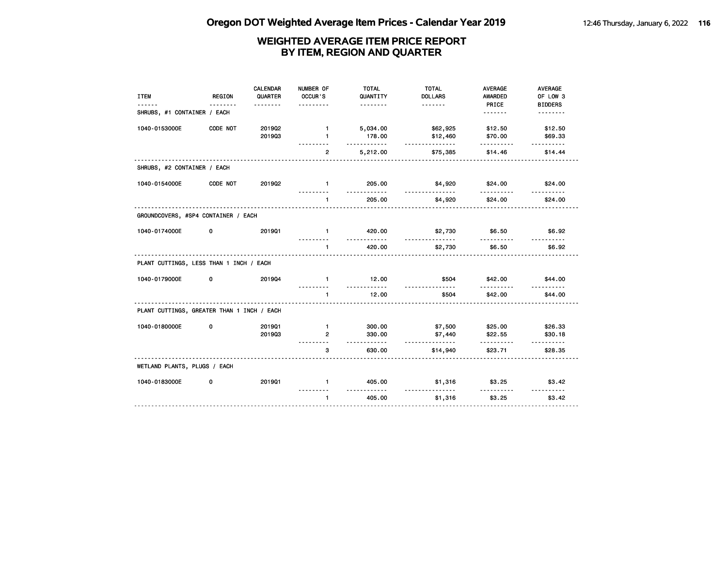| <b>ITEM</b>                                | <b>REGION</b> | CALENDAR<br>QUARTER<br><u>.</u> | NUMBER OF<br>OCCUR'S<br>.    | <b>TOTAL</b><br>QUANTITY<br><u>.</u> | <b>TOTAL</b><br><b>DOLLARS</b><br><u>.</u> | <b>AVERAGE</b><br>AWARDED<br>PRICE | AVERAGE<br>OF LOW 3<br><b>BIDDERS</b> |
|--------------------------------------------|---------------|---------------------------------|------------------------------|--------------------------------------|--------------------------------------------|------------------------------------|---------------------------------------|
| SHRUBS, #1 CONTAINER / EACH                |               |                                 |                              |                                      |                                            | <u>.</u>                           | .                                     |
| 1040-0153000E                              | CODE NOT      | 2019Q2<br>201903                | $\mathbf{1}$<br>$\mathbf{1}$ | 5,034.00<br>178.00<br>.              | \$62,925<br>\$12,460<br><u>.</u>           | \$12.50<br>\$70.00<br>.            | \$12.50<br>\$69.33<br>.               |
|                                            |               |                                 | $\mathbf{2}$                 | 5,212.00                             | \$75,385                                   | \$14.46                            | \$14.44                               |
| SHRUBS, #2 CONTAINER / EACH                |               |                                 |                              |                                      |                                            |                                    |                                       |
| 1040-0154000E                              | CODE NOT      | 201902                          | $\mathbf{1}$                 | 205.00                               | \$4,920<br><u>.</u>                        | \$24.00                            | \$24,00                               |
|                                            |               |                                 | $\mathbf{1}$                 | 205.00                               | \$4,920                                    | \$24.00                            | \$24.00                               |
| GROUNDCOVERS, #SP4 CONTAINER / EACH        |               |                                 |                              |                                      |                                            |                                    |                                       |
| 1040-0174000E                              | 0             | 201901                          | $\mathbf{1}$                 | 420.00<br>.                          | \$2,730<br><u>.</u>                        | \$6.50<br>.                        | \$6.92<br><u>.</u>                    |
|                                            |               |                                 | $\mathbf{1}$                 | 420.00                               | \$2,730                                    | \$6.50                             | \$6.92                                |
| PLANT CUTTINGS, LESS THAN 1 INCH / EACH    |               |                                 |                              |                                      |                                            |                                    |                                       |
| 1040-0179000E                              | 0             | 201904                          | $\mathbf{1}$                 | 12.00<br>.                           | \$504                                      | \$42.00                            | \$44.00                               |
|                                            |               |                                 | $\mathbf{1}$                 | 12.00                                | \$504                                      | \$42.00                            | \$44.00                               |
| PLANT CUTTINGS, GREATER THAN 1 INCH / EACH |               |                                 |                              |                                      |                                            |                                    |                                       |
| 1040-0180000E                              | 0             | 201901                          | $\mathbf{1}$                 | 300.00                               | \$7,500                                    | \$25.00                            | \$26.33                               |
|                                            |               | 201903                          | $\overline{2}$               | 330.00                               | \$7,440                                    | \$22.55                            | \$30.18                               |
|                                            |               |                                 | .<br>3                       | .<br>630.00                          | <u>.</u><br>\$14,940                       | .<br>\$23.71                       | <u>.</u><br>\$28.35                   |
| WETLAND PLANTS, PLUGS / EACH               |               |                                 |                              |                                      |                                            |                                    |                                       |
| 1040-0183000E                              | 0             | 201901                          | $\mathbf{1}$                 | 405.00<br><u>.</u>                   | \$1,316                                    | \$3.25                             | \$3.42                                |
|                                            |               |                                 | $\mathbf{1}$                 | 405.00                               | \$1,316                                    | \$3.25                             | \$3.42                                |
|                                            |               |                                 |                              |                                      |                                            |                                    |                                       |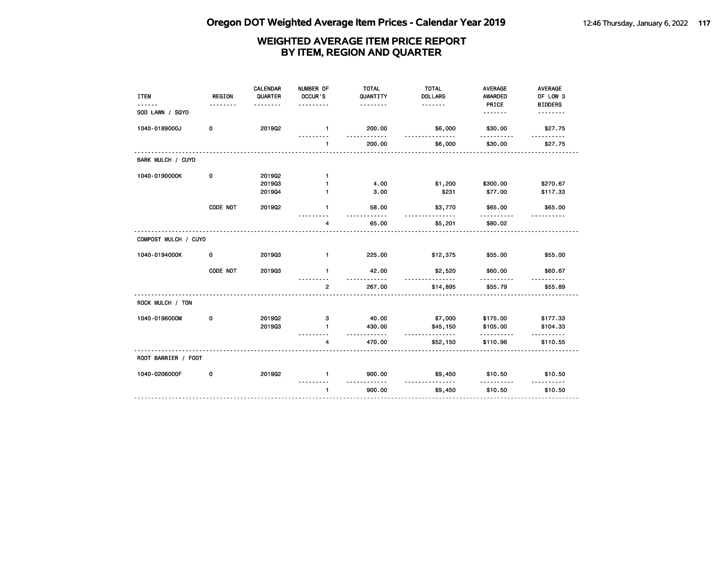| <b>ITEM</b>          | <b>REGION</b> | <b>CALENDAR</b><br>QUARTER | NUMBER OF<br>OCCUR'S | <b>TOTAL</b><br>QUANTITY<br>. | <b>TOTAL</b><br><b>DOLLARS</b><br>. | AVERAGE<br><b>AWARDED</b><br>PRICE | AVERAGE<br>OF LOW 3<br><b>BIDDERS</b> |
|----------------------|---------------|----------------------------|----------------------|-------------------------------|-------------------------------------|------------------------------------|---------------------------------------|
| SOD LAWN / SQYD      |               | -------                    | .                    |                               |                                     | . <b>.</b>                         | .                                     |
| 1040-0189000J        | 0             | 2019Q2                     | $\mathbf{1}$         | 200.00                        | \$6,000                             | \$30.00                            | \$27.75                               |
|                      |               |                            | $\mathbf{1}$         | 200.00                        | \$6,000                             | \$30.00                            | \$27.75                               |
| BARK MULCH / CUYD    |               |                            |                      |                               |                                     |                                    |                                       |
| 1040-0190000K        | 0             | 201902                     | $\mathbf{1}$         |                               |                                     |                                    |                                       |
|                      |               | 201903                     | 1                    | 4.00                          | \$1,200                             | \$300.00                           | \$270.67                              |
|                      |               | 201904                     | 1                    | 3.00                          | \$231                               | \$77.00                            | \$117.33                              |
|                      | CODE NOT      | 201902                     | $\mathbf{1}$         | 58.00                         | \$3,770<br>.                        | \$65.00                            | \$65.00                               |
|                      |               |                            | 4                    | 65.00                         | \$5,201                             | \$80.02                            |                                       |
| COMPOST MULCH / CUYD |               |                            |                      |                               |                                     |                                    |                                       |
| 1040-0194000K        | 0             | 201903                     | $\mathbf{1}$         | 225.00                        | \$12,375                            | \$55.00                            | \$55.00                               |
|                      | CODE NOT      | 201903                     | $\mathbf{1}$         | 42.00                         | \$2,520                             | \$60.00                            | \$60.67                               |
|                      |               |                            | $\overline{2}$       | 267.00                        | \$14,895                            | \$55.79                            | \$55.89                               |
| ROCK MULCH / TON     |               |                            |                      |                               |                                     |                                    |                                       |
| 1040-0196000M        | 0             | 201902                     | з                    | 40.00                         | \$7,000                             | \$175.00                           | \$177.33                              |
|                      |               | 201903                     | $\blacksquare$       | 430.00<br>$- - - - - -$       | \$45,150<br><u>.</u>                | \$105.00<br>.                      | \$104.33<br>.                         |
|                      |               |                            | 4                    | 470.00                        | \$52,150                            | \$110.96                           | \$110.55                              |
| ROOT BARRIER / FOOT  |               |                            |                      |                               |                                     |                                    |                                       |
| 1040-0206000F        | 0             | 201902                     | $\mathbf{1}$         | 900.00                        | \$9,450                             | \$10.50                            | \$10.50                               |
|                      |               |                            | $\blacksquare$       | <u>.</u><br>900.00            | .<br>\$9,450                        | \$10.50                            | \$10.50                               |
|                      |               |                            |                      |                               |                                     |                                    |                                       |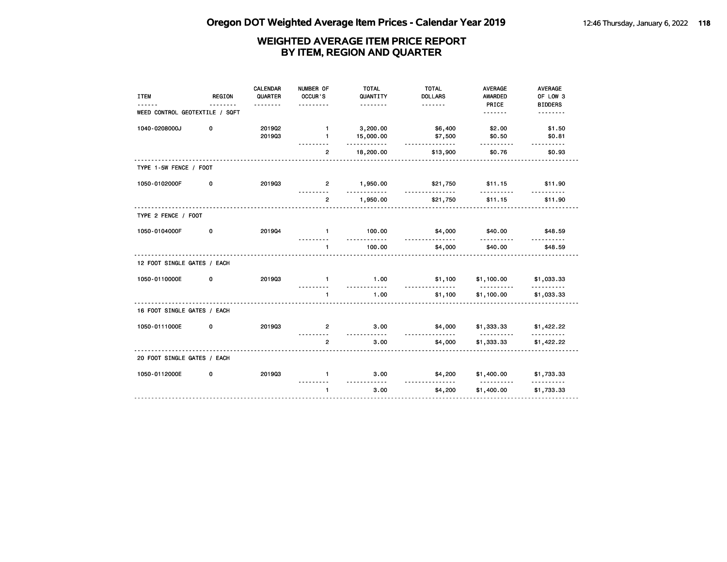| <b>ITEM</b>                    | REGION | <b>CALENDAR</b><br>QUARTER | NUMBER OF<br>OCCUR'S         | <b>TOTAL</b><br>QUANTITY  | <b>TOTAL</b><br><b>DOLLARS</b> | <b>AVERAGE</b><br><b>AWARDED</b>          | AVERAGE<br>OF LOW 3        |
|--------------------------------|--------|----------------------------|------------------------------|---------------------------|--------------------------------|-------------------------------------------|----------------------------|
| WEED CONTROL GEOTEXTILE / SQFT |        | .                          | .                            | .                         | <u>.</u>                       | PRICE<br><u>.</u>                         | <b>BIDDERS</b><br>-------- |
| 1040-0208000J                  | 0      | 2019Q2<br>201903           | $\mathbf{1}$<br>$\mathbf{1}$ | 3,200.00<br>15,000.00     | \$6,400<br>\$7,500             | \$2.00<br>\$0.50                          | \$1.50<br>\$0.81           |
|                                |        |                            | $\overline{2}$               | .<br>18,200.00            | .<br>\$13,900                  | .<br>\$0.76                               | <u>.</u><br>\$0.93         |
| TYPE 1-5W FENCE / FOOT         |        |                            |                              |                           |                                |                                           |                            |
| 1050-0102000F                  | 0      | 201903                     | $\overline{2}$               | 1,950.00                  | \$21,750                       | \$11.15                                   | \$11.90                    |
|                                |        |                            | .<br>$\overline{2}$          | .<br>1,950.00             | <u>.</u><br>\$21,750           | .<br>\$11.15                              | <u>.</u><br>\$11.90        |
| TYPE 2 FENCE / FOOT            |        |                            |                              |                           |                                |                                           |                            |
| 1050-0104000F                  | 0      | 201904                     | $\blacksquare$               | 100.00                    | \$4,000<br><u>.</u>            | \$40.00                                   | \$48.59                    |
|                                |        |                            | $\mathbf{1}$                 | 100.00                    | \$4,000                        | \$40.00                                   | \$48.59                    |
| 12 FOOT SINGLE GATES / EACH    |        |                            |                              |                           |                                |                                           |                            |
| 1050-0110000E                  | 0      | 201903                     | $\mathbf{1}$                 | 1.00<br><u>----------</u> | \$1,100<br>.                   | \$1,100.00<br><u>----------</u>           | \$1,033.33<br>.            |
|                                |        |                            | $\mathbf{1}$                 | 1.00                      | \$1,100                        | \$1,100.00                                | \$1,033.33                 |
| 16 FOOT SINGLE GATES / EACH    |        |                            |                              |                           |                                |                                           |                            |
| 1050-0111000E                  | 0      | 201903                     | $\mathbf{2}$<br>.            | 3.00<br>.                 | \$4,000<br>.                   | \$1,333.33<br><u> - - - - - - - - - -</u> | \$1,422.22                 |
|                                |        |                            | $\overline{2}$               | 3.00                      | \$4,000                        | \$1,333.33                                | \$1,422.22                 |
| 20 FOOT SINGLE GATES / EACH    |        |                            |                              |                           |                                |                                           |                            |
| 1050-0112000E                  | 0      | 201903                     | $\mathbf{1}$                 | 3.00                      | \$4,200                        | \$1,400.00                                | \$1,733.33                 |
|                                |        |                            | $\mathbf{1}$                 | 3.00                      | \$4,200                        | \$1,400.00                                | \$1,733.33                 |
|                                |        |                            |                              |                           |                                |                                           |                            |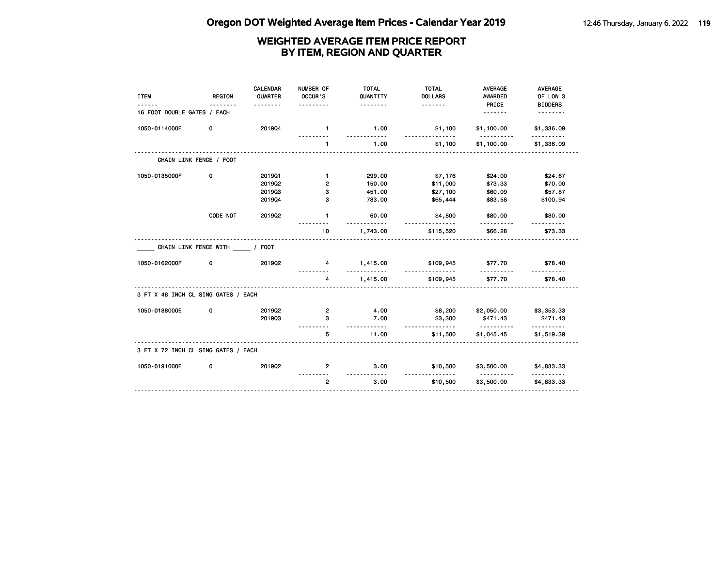| <b>ITEM</b>                         | <b>REGION</b><br>.           | <b>CALENDAR</b><br>QUARTER<br>. | NUMBER OF<br>OCCUR'S<br>. | <b>TOTAL</b><br>QUANTITY<br><u>.</u> | <b>TOTAL</b><br><b>DOLLARS</b> | <b>AVERAGE</b><br><b>AWARDED</b><br>PRICE | <b>AVERAGE</b><br>OF LOW 3<br><b>BIDDERS</b> |
|-------------------------------------|------------------------------|---------------------------------|---------------------------|--------------------------------------|--------------------------------|-------------------------------------------|----------------------------------------------|
| 16 FOOT DOUBLE GATES / EACH         |                              |                                 |                           |                                      |                                |                                           | <u>.</u>                                     |
| 1050-0114000E                       | 0                            | 201904                          | $\blacksquare$            | 1.00                                 | \$1,100                        | \$1,100.00<br>.                           | \$1,336.09                                   |
|                                     |                              |                                 | $\mathbf{1}$              | 1.00                                 | \$1,100                        | \$1,100.00                                | \$1,336.09                                   |
|                                     | CHAIN LINK FENCE / FOOT      |                                 |                           |                                      |                                |                                           |                                              |
| 1050-0135000F                       | 0                            | 201901                          | $\mathbf{1}$              | 299.00                               | \$7,176                        | \$24.00                                   | \$24.67                                      |
|                                     |                              | 2019Q2                          | $\overline{2}$            | 150.00                               | \$11,000                       | \$73.33                                   | \$70.00                                      |
|                                     |                              | 201903                          | з                         | 451.00                               | \$27,100                       | \$60.09                                   | \$57.87                                      |
|                                     |                              | 201904                          | 3                         | 783.00                               | \$65,444                       | \$83.58                                   | \$100.94                                     |
|                                     | CODE NOT                     | 201902                          | $\mathbf{1}$              | 60.00<br>.                           | \$4,800<br>.                   | \$80.00<br>.                              | \$80.00                                      |
|                                     |                              |                                 | 10                        | 1,743.00                             | \$115,520                      | \$66.28                                   | \$73.33                                      |
|                                     | CHAIN LINK FENCE WITH / FOOT |                                 |                           |                                      |                                |                                           |                                              |
| 1050-0162000F                       | 0                            | 201902                          | 4                         | 1,415.00<br><u></u>                  | \$109,945<br>.                 | \$77.70<br><u>.</u>                       | \$78.40                                      |
|                                     |                              |                                 | 4                         | 1,415.00                             | \$109,945                      | \$77.70                                   | \$78.40                                      |
| 3 FT X 48 INCH CL SING GATES / EACH |                              |                                 |                           |                                      |                                |                                           |                                              |
| 1050-0188000E                       | 0                            | 201902                          | $\overline{2}$            | 4.00                                 | \$8,200                        | \$2,050.00                                | \$3,353.33                                   |
|                                     |                              | 201903                          | з                         | 7.00<br>$- - - - -$                  | \$3,300<br>.                   | \$471.43<br><u>.</u>                      | \$471.43<br>.                                |
|                                     |                              |                                 | 5                         | 11.00                                | \$11,500                       | \$1,045.45                                | \$1,519.39                                   |
| 3 FT X 72 INCH CL SING GATES / EACH |                              |                                 |                           |                                      |                                |                                           |                                              |
| 1050-0191000E                       | 0                            | 201902                          | 2                         | 3.00<br><u>---------</u>             | \$10,500<br><u>.</u>           | \$3,500.00                                | \$4,833.33                                   |
|                                     |                              |                                 | $\overline{2}$            | 3.00                                 | \$10,500                       | <u>.</u><br>\$3,500.00                    | <u>.</u><br>\$4,833.33                       |
|                                     |                              |                                 |                           |                                      |                                |                                           |                                              |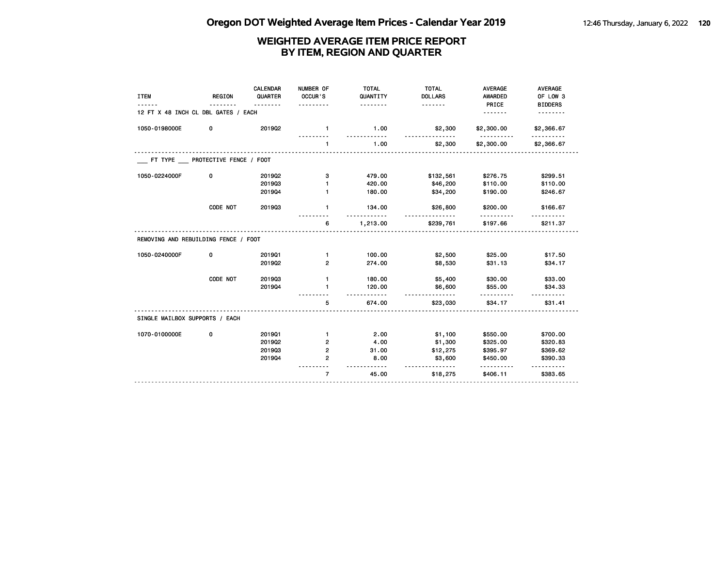| <b>ITEM</b>                          | <b>REGION</b> | CALENDAR<br>QUARTER<br>. | NUMBER OF<br>OCCUR'S | <b>TOTAL</b><br>QUANTITY<br>. | <b>TOTAL</b><br><b>DOLLARS</b><br><u>.</u> | <b>AVERAGE</b><br><b>AWARDED</b><br>PRICE | <b>AVERAGE</b><br>OF LOW 3<br><b>BIDDERS</b> |
|--------------------------------------|---------------|--------------------------|----------------------|-------------------------------|--------------------------------------------|-------------------------------------------|----------------------------------------------|
| 12 FT X 48 INCH CL DBL GATES / EACH  |               |                          |                      |                               |                                            | <u>.</u>                                  | .                                            |
| 1050-0198000E                        | 0             | 201902                   | $\mathbf{1}$         | 1.00                          | \$2,300                                    | \$2,300.00                                | \$2,366.67                                   |
|                                      |               |                          | $\mathbf{1}$         | 1.00                          | \$2,300                                    | \$2,300.00                                | \$2,366.67                                   |
| FT TYPE PROTECTIVE FENCE / FOOT      |               |                          |                      |                               |                                            |                                           |                                              |
| 1050-0224000F                        | 0             | 2019Q2                   | з                    | 479.00                        | \$132,561                                  | \$276.75                                  | \$299.51                                     |
|                                      |               | 201903                   |                      | 420.00                        | \$46,200                                   | \$110.00                                  | \$110.00                                     |
|                                      |               | 201904                   | $\mathbf{1}$         | 180.00                        | \$34,200                                   | \$190.00                                  | \$246.67                                     |
|                                      | CODE NOT      | 201903                   | $\mathbf{1}$         | 134.00                        | \$26,800                                   | \$200.00                                  | \$166.67                                     |
|                                      |               |                          | 6                    | 1,213.00                      | \$239,761                                  | \$197.66                                  | \$211.37                                     |
| REMOVING AND REBUILDING FENCE / FOOT |               |                          |                      |                               |                                            |                                           |                                              |
| 1050-0240000F                        | 0             | 201901                   | $\mathbf{1}$         | 100.00                        | \$2,500                                    | \$25.00                                   | \$17.50                                      |
|                                      |               | 201902                   | $\overline{2}$       | 274.00                        | \$8,530                                    | \$31.13                                   | \$34.17                                      |
|                                      | CODE NOT      | 201903                   | $\mathbf{1}$         | 180.00                        | \$5,400                                    | \$30.00                                   | \$33.00                                      |
|                                      |               | 201904                   | 1                    | 120.00                        | \$6,600                                    | \$55.00                                   | \$34.33                                      |
|                                      |               |                          | 5                    | 674.00                        | \$23,030                                   | \$34.17                                   | \$31.41                                      |
| SINGLE MAILBOX SUPPORTS / EACH       |               |                          |                      |                               |                                            |                                           |                                              |
| 1070-0100000E                        | 0             | 201901                   | $\mathbf{1}$         | 2.00                          | \$1,100                                    | \$550.00                                  | \$700.00                                     |
|                                      |               | 2019Q2                   | 2                    | 4.00                          | \$1,300                                    | \$325.00                                  | \$320.83                                     |
|                                      |               | 201903                   | 2                    | 31.00                         | \$12,275                                   | \$395.97                                  | \$369.62                                     |
|                                      |               | 201904                   | $\overline{2}$       | 8.00                          | \$3,600<br>-------                         | \$450.00                                  | \$390.33<br>.                                |
|                                      |               |                          | $\overline{7}$       | 45.00                         | \$18,275                                   | \$406.11                                  | \$383.65                                     |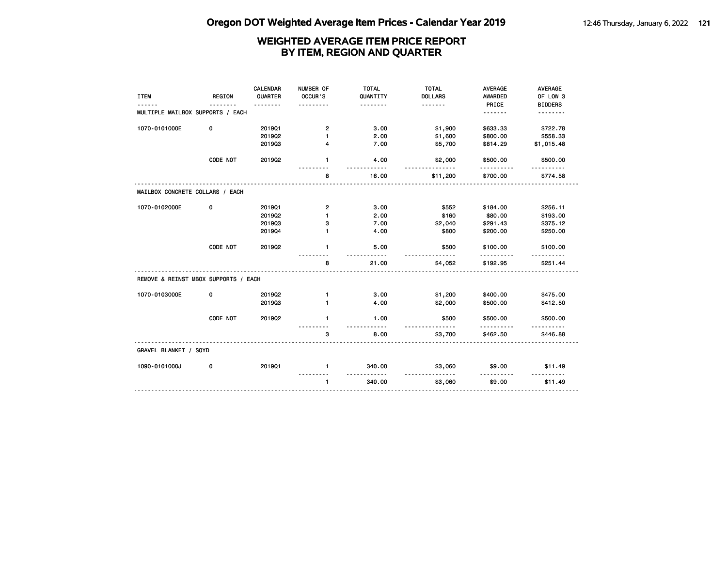|                                      |               | <b>CALENDAR</b> | NUMBER OF               | <b>TOTAL</b>           | <b>TOTAL</b>               | <b>AVERAGE</b>          | <b>AVERAGE</b>             |
|--------------------------------------|---------------|-----------------|-------------------------|------------------------|----------------------------|-------------------------|----------------------------|
| <b>ITEM</b>                          | <b>REGION</b> | QUARTER         | OCCUR'S                 | QUANTITY<br>.          | <b>DOLLARS</b><br><u>.</u> | <b>AWARDED</b><br>PRICE | OF LOW 3<br><b>BIDDERS</b> |
| MULTIPLE MAILBOX SUPPORTS / EACH     |               |                 |                         |                        |                            | .                       | .                          |
| 1070-0101000E                        | 0             | 201901          | $\overline{\mathbf{c}}$ | 3.00                   | \$1,900                    | \$633.33                | \$722.78                   |
|                                      |               | 2019Q2          | 1                       | 2.00                   | \$1,600                    | \$800.00                | \$558.33                   |
|                                      |               | 201903          | 4                       | 7.00                   | \$5,700                    | \$814.29                | \$1,015.48                 |
|                                      | CODE NOT      | 2019Q2          | $\mathbf{1}$            | 4.00                   | \$2,000                    | \$500.00<br>.           | \$500.00                   |
|                                      |               |                 | 8                       | ----<br>16.00          | .<br>\$11,200              | \$700.00                | \$774.58                   |
| MAILBOX CONCRETE COLLARS / EACH      |               |                 |                         |                        |                            |                         |                            |
| 1070-0102000E                        | 0             | 201901          | $\overline{\mathbf{c}}$ | 3.00                   | \$552                      | \$184.00                | \$256.11                   |
|                                      |               | 2019Q2          | $\mathbf{1}$            | 2.00                   | \$160                      | \$80.00                 | \$193.00                   |
|                                      |               | 201903          | з                       | 7.00                   | \$2,040                    | \$291.43                | \$375.12                   |
|                                      |               | 201904          | 1                       | 4.00                   | \$800                      | \$200.00                | \$250.00                   |
|                                      | CODE NOT      | 2019Q2          | 1                       | 5.00<br>$\sim$ - - - - | \$500                      | \$100.00                | \$100.00                   |
|                                      |               |                 | 8                       | 21.00                  | \$4,052                    | .<br>\$192.95           | \$251.44                   |
| REMOVE & REINST MBOX SUPPORTS / EACH |               |                 |                         |                        |                            |                         |                            |
| 1070-0103000E                        | 0             | 201902          | $\mathbf{1}$            | 3.00                   | \$1,200                    | \$400.00                | \$475.00                   |
|                                      |               | 201903          | 1                       | 4.00                   | \$2,000                    | \$500.00                | \$412.50                   |
|                                      | CODE NOT      | 201902          | $\blacksquare$          | 1.00                   | \$500                      | \$500.00                | \$500.00                   |
|                                      |               |                 | 3                       | 8.00                   | \$3,700                    | \$462.50                | \$446.88                   |
| GRAVEL BLANKET / SQYD                |               |                 |                         |                        |                            |                         |                            |
| 1090-0101000J                        | 0             | 201901          | $\mathbf{1}$            | 340.00                 | \$3,060                    | \$9.00                  | \$11.49                    |
|                                      |               |                 | $\mathbf{1}$            | <u>.</u><br>340.00     | <u>.</u><br>\$3,060        | <u>.</u><br>\$9.00      | \$11.49                    |
|                                      |               |                 |                         |                        |                            |                         |                            |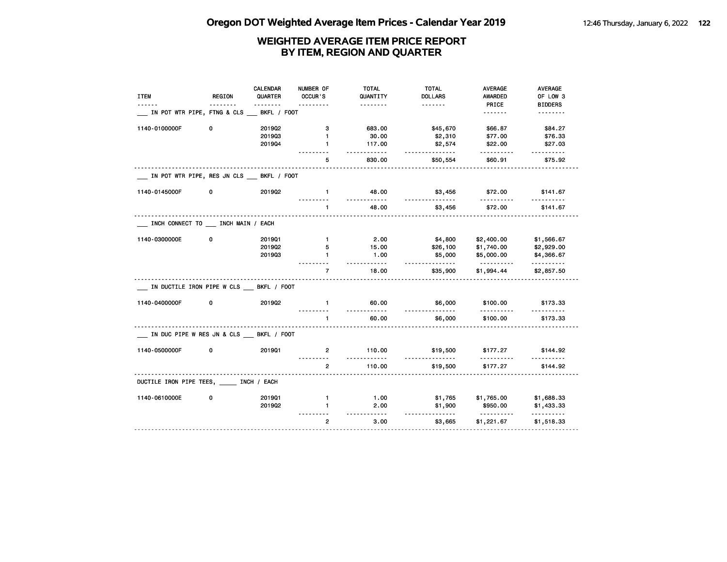| <b>ITEM</b>                               | REGION | <b>CALENDAR</b><br>QUARTER | NUMBER OF<br>OCCUR'S | <b>TOTAL</b><br>QUANTITY<br><u>.</u> | <b>TOTAL</b><br><b>DOLLARS</b><br>. | AVERAGE<br>AWARDED<br>PRICE | AVERAGE<br>OF LOW 3        |
|-------------------------------------------|--------|----------------------------|----------------------|--------------------------------------|-------------------------------------|-----------------------------|----------------------------|
| IN POT WTR PIPE, FTNG & CLS               |        | BKFL / FOOT                |                      |                                      |                                     | <u>.</u>                    | <b>BIDDERS</b><br><u>.</u> |
| 1140-0100000F                             | 0      | 2019Q2                     | з                    | 683.00                               | \$45,670                            | \$66.87                     | \$84.27                    |
|                                           |        | 201903                     | $\mathbf{1}$         | 30.00                                | \$2,310                             | \$77.00                     | \$76.33                    |
|                                           |        | 201904                     | $\mathbf{1}$         | 117.00<br>$- - - - - -$              | \$2,574<br><u>.</u>                 | \$22.00                     | \$27.03<br>.               |
|                                           |        |                            | 5                    | 830.00                               | \$50,554                            | \$60.91                     | \$75.92                    |
| IN POT WTR PIPE, RES JN CLS BKFL / FOOT   |        |                            |                      |                                      |                                     |                             |                            |
| 1140-0145000F                             | 0      | 201902                     | $\mathbf{1}$         | 48.00                                | \$3,456                             | \$72.00                     | \$141.67                   |
|                                           |        |                            | $\mathbf{1}$         | 48.00                                | \$3,456                             | \$72.00                     | \$141.67                   |
| INCH CONNECT TO __ INCH MAIN / EACH       |        |                            |                      |                                      |                                     |                             |                            |
| 1140-0300000E                             | 0      | 201901                     | $\mathbf{1}$         | 2.00                                 | \$4,800                             | \$2,400.00                  | \$1,566.67                 |
|                                           |        | 2019Q2                     | 5                    | 15.00                                | \$26,100                            | \$1,740.00                  | \$2,929.00                 |
|                                           |        | 201903                     | $\mathbf{1}$         | 1.00                                 | \$5,000<br>.                        | \$5,000.00<br><u>.</u>      | \$4,366.67<br>.            |
|                                           |        |                            | $\overline{7}$       | 18.00                                | \$35,900                            | \$1,994.44                  | \$2,857.50                 |
| IN DUCTILE IRON PIPE W CLS BKFL / FOOT    |        |                            |                      |                                      |                                     |                             |                            |
| 1140-0400000F                             | 0      | 2019Q2                     | $\mathbf{1}$         | 60.00                                | \$6,000                             | \$100.00                    | \$173.33                   |
|                                           |        |                            | $\mathbf{1}$         | 60.00                                | \$6,000                             | \$100.00                    | \$173.33                   |
| IN DUC PIPE W RES JN & CLS __ BKFL / FOOT |        |                            |                      |                                      |                                     |                             |                            |
| 1140-0500000F                             | 0      | 201901                     | $\mathbf{2}$         | 110.00                               | \$19,500                            | \$177.27                    | \$144.92                   |
|                                           |        |                            | $\overline{2}$       | 110.00                               | \$19,500                            | \$177.27                    | \$144.92                   |
| DUCTILE IRON PIPE TEES, INCH / EACH       |        |                            |                      |                                      |                                     |                             |                            |
| 1140-0610000E                             | 0      | 201901                     | $\mathbf{1}$         | 1.00                                 | \$1,765                             | \$1,765.00                  | \$1,688.33                 |
|                                           |        | 201902                     | 1                    | 2.00<br>$- - -$                      | \$1,900<br>.                        | \$950.00<br><u>.</u>        | \$1,433.33<br>.            |
|                                           |        |                            | $\overline{2}$       | 3.00                                 | \$3,665                             | \$1,221.67                  | \$1,518.33                 |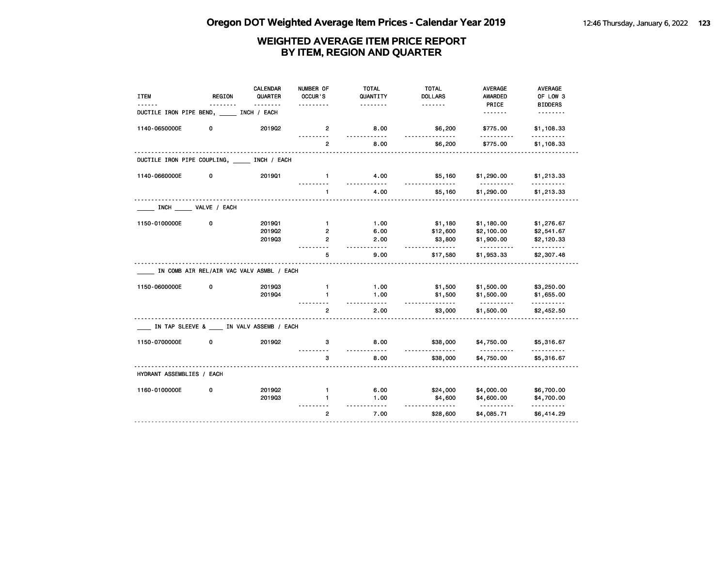| <b>ITEM</b>                                   | <b>REGION</b>                              | <b>CALENDAR</b><br>QUARTER | NUMBER OF<br>OCCUR'S                | <b>TOTAL</b><br>QUANTITY          | <b>TOTAL</b><br><b>DOLLARS</b> | <b>AVERAGE</b><br><b>AWARDED</b>       | <b>AVERAGE</b><br>OF LOW 3                  |
|-----------------------------------------------|--------------------------------------------|----------------------------|-------------------------------------|-----------------------------------|--------------------------------|----------------------------------------|---------------------------------------------|
| DUCTILE IRON PIPE BEND,                       |                                            | INCH / EACH                |                                     | .                                 | <u>.</u>                       | PRICE<br><u>.</u>                      | <b>BIDDERS</b>                              |
| 1140-0650000E                                 | 0                                          | 2019Q2                     | $\overline{2}$                      | 8.00<br><u>.</u>                  | \$6,200<br><u>.</u>            | \$775.00<br>.                          | \$1,108.33<br>.                             |
|                                               |                                            |                            | $\mathbf{2}$                        | 8.00                              | \$6,200                        | \$775.00                               | \$1,108.33                                  |
| DUCTILE IRON PIPE COUPLING, _____ INCH / EACH |                                            |                            |                                     |                                   |                                |                                        |                                             |
| 1140-0660000E                                 | 0                                          | 201901                     | $\mathbf{1}$                        | 4.00<br>$- - - - - -$             | \$5,160                        | \$1,290.00                             | \$1,213.33                                  |
|                                               |                                            |                            |                                     | 4.00                              | \$5,160                        | \$1,290.00                             | \$1,213.33                                  |
|                                               | INCH _______ VALVE / EACH                  |                            |                                     |                                   |                                |                                        |                                             |
| 1150-0100000E                                 | 0                                          | 201901<br>2019Q2<br>201903 | $\mathbf{1}$<br>2<br>$\overline{2}$ | 1.00<br>6.00<br>2.00<br>$- - - -$ | \$1,180<br>\$12,600<br>\$3,800 | \$1,180.00<br>\$2,100.00<br>\$1,900.00 | \$1,276.67<br>\$2,541.67<br>\$2,120.33<br>. |
|                                               |                                            |                            | 5                                   | 9.00                              | \$17,580                       | \$1,953.33                             | \$2,307.48                                  |
|                                               | IN COMB AIR REL/AIR VAC VALV ASMBL / EACH  |                            |                                     |                                   |                                |                                        |                                             |
| 1150-0600000E                                 | 0                                          | 201903<br>201904           | $\mathbf{1}$<br>$\mathbf{1}$        | 1.00<br>1.00<br>.                 | \$1,500<br>\$1,500<br>.        | \$1,500.00<br>\$1,500.00<br><u>.</u>   | \$3,250.00<br>\$1,655.00<br>.               |
|                                               |                                            |                            | $\overline{2}$                      | 2.00                              | \$3,000                        | \$1,500.00                             | \$2,452.50                                  |
|                                               | IN TAP SLEEVE & ____ IN VALV ASSEMB / EACH |                            |                                     |                                   |                                |                                        |                                             |
| 1150-0700000E                                 | 0                                          | 201902                     | з                                   | 8.00                              | \$38,000                       | \$4,750.00                             | \$5,316.67                                  |
|                                               |                                            |                            | 3                                   | 8.00                              | \$38,000                       | \$4,750.00                             | \$5,316.67                                  |
| HYDRANT ASSEMBLIES / EACH                     |                                            |                            |                                     |                                   |                                |                                        |                                             |
| 1160-0100000E                                 | 0                                          | 201902<br>201903           | $\mathbf{1}$<br>1                   | 6.00<br>1.00                      | \$24,000<br>\$4,600            | \$4,000.00<br>\$4,600.00               | \$6,700.00<br>\$4,700.00                    |
|                                               |                                            |                            | $\overline{2}$                      | $- - - -$<br>7.00                 | \$28,600                       | \$4,085.71                             | .<br>\$6,414.29                             |
|                                               |                                            |                            |                                     |                                   |                                |                                        |                                             |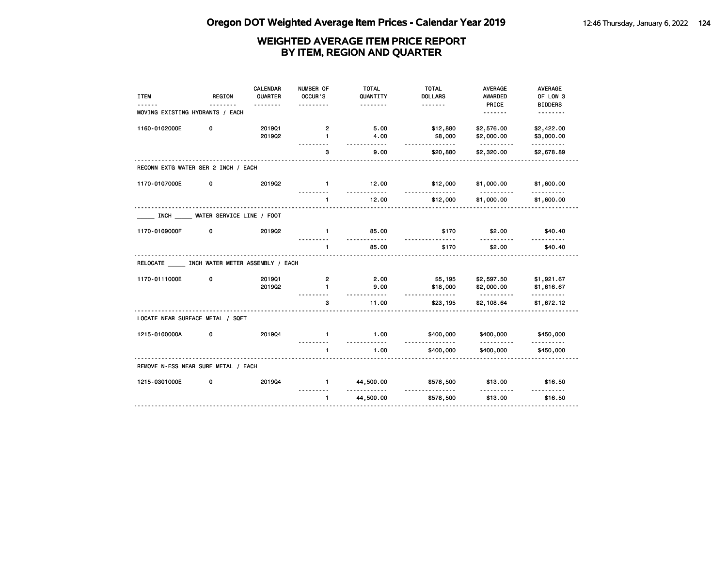| <b>ITEM</b>                               | <b>REGION</b>             | CALENDAR<br>QUARTER | NUMBER OF<br>OCCUR'S     | <b>TOTAL</b><br>QUANTITY | <b>TOTAL</b><br><b>DOLLARS</b> | <b>AVERAGE</b><br><b>AWARDED</b> | <b>AVERAGE</b><br>OF LOW 3 |
|-------------------------------------------|---------------------------|---------------------|--------------------------|--------------------------|--------------------------------|----------------------------------|----------------------------|
| MOVING EXISTING HYDRANTS / EACH           |                           | .                   | .                        | .                        |                                | PRICE<br><u>.</u>                | <b>BIDDERS</b><br>.        |
| 1160-0102000E                             | 0                         | 201901              | $\mathbf{2}$             | 5.00                     | \$12,880                       | \$2,576.00                       | \$2,422.00                 |
|                                           |                           | 201902              | $\mathbf{1}$             | 4.00<br>.                | \$8,000<br>.                   | \$2,000.00<br><u>.</u>           | \$3,000.00<br>.            |
|                                           |                           |                     | з                        | 9.00                     | \$20,880                       | \$2,320.00                       | \$2,678.89                 |
| RECONN EXTG WATER SER 2 INCH / EACH       |                           |                     |                          |                          |                                |                                  |                            |
| 1170-0107000E                             | 0                         | 2019Q2              | $\blacksquare$           | 12.00                    | \$12,000                       | \$1,000.00                       | \$1,600.00                 |
|                                           |                           |                     | $\mathbf{1}$<br><u>.</u> | 12.00                    | \$12,000                       | \$1,000.00                       | \$1,600.00                 |
| <b>INCH</b>                               | WATER SERVICE LINE / FOOT |                     |                          |                          |                                |                                  |                            |
| 1170-0109000F                             | 0                         | 201902              | $\mathbf{1}$             | 85.00<br>$- - - - - -$   | \$170                          | \$2.00                           | \$40.40                    |
|                                           |                           |                     | 1                        | 85.00                    | \$170                          | \$2.00                           | \$40.40                    |
| RELOCATE INCH WATER METER ASSEMBLY / EACH |                           |                     |                          |                          |                                |                                  |                            |
| 1170-0111000E                             | 0                         | 201901              | $\overline{2}$           | 2.00                     | \$5,195                        | \$2,597.50                       | \$1,921.67                 |
|                                           |                           | 2019Q2              | $\mathbf{1}$             | 9.00<br>$- - - - -$      | \$18,000<br>.                  | \$2,000.00                       | \$1,616.67<br>.            |
|                                           |                           |                     | 3                        | 11.00                    | \$23,195                       | \$2,108.64                       | \$1,672.12                 |
| LOCATE NEAR SURFACE METAL / SQFT          |                           |                     |                          |                          |                                |                                  |                            |
| 1215-0100000A                             | 0                         | 201904              | $\mathbf{1}$             | 1.00<br><u>.</u>         | \$400,000                      | \$400,000                        | \$450,000                  |
|                                           |                           |                     | 1                        | 1.00                     | .<br>\$400,000                 | .<br>\$400,000                   | <u>.</u><br>\$450,000      |
| REMOVE N-ESS NEAR SURF METAL / EACH       |                           |                     |                          |                          |                                |                                  |                            |
| 1215-0301000E                             | 0                         | 201904              | $\mathbf{1}$             | 44,500.00                | \$578,500                      | \$13.00                          | \$16.50                    |
|                                           |                           |                     | $\mathbf{1}$             | 44,500.00                | \$578,500                      | \$13.00                          | \$16.50                    |
|                                           |                           |                     |                          |                          |                                |                                  |                            |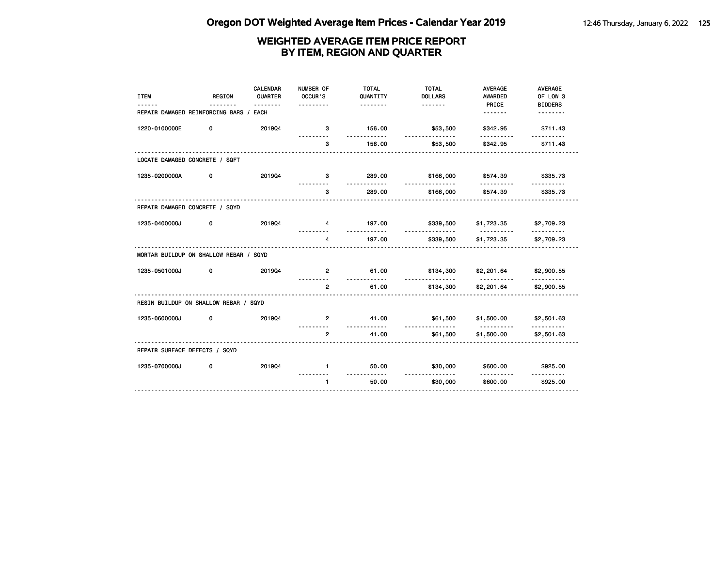| <b>ITEM</b><br>------                  | <b>REGION</b><br><u>.</u> | CALENDAR<br>QUARTER<br><u>.</u> | NUMBER OF<br>OCCUR'S<br>. | <b>TOTAL</b><br>QUANTITY<br><u>.</u> | <b>TOTAL</b><br><b>DOLLARS</b> | <b>AVERAGE</b><br><b>AWARDED</b><br>PRICE | <b>AVERAGE</b><br>OF LOW 3 |
|----------------------------------------|---------------------------|---------------------------------|---------------------------|--------------------------------------|--------------------------------|-------------------------------------------|----------------------------|
| REPAIR DAMAGED REINFORCING BARS / EACH |                           |                                 |                           |                                      |                                | <u>.</u>                                  | <b>BIDDERS</b><br><u>.</u> |
| 1220-0100000E                          | 0                         | 201904                          | 3                         | 156.00                               | \$53,500                       | \$342.95                                  | \$711.43                   |
|                                        |                           |                                 | 3                         | 156.00                               | <u>.</u><br>\$53,500           | \$342.95                                  | \$711.43                   |
| LOCATE DAMAGED CONCRETE / SQFT         |                           |                                 |                           |                                      |                                |                                           |                            |
| 1235-0200000A                          | 0                         | 201904                          | з                         | 289.00<br>.                          | \$166,000<br>.                 | \$574.39<br>.                             | \$335.73                   |
|                                        |                           |                                 | 3                         | 289.00                               | \$166,000                      | \$574.39                                  | \$335.73                   |
| REPAIR DAMAGED CONCRETE / SQYD         |                           |                                 |                           |                                      |                                |                                           |                            |
| 1235-0400000J                          | 0                         | 201904                          | 4                         | 197.00                               | \$339,500                      | \$1,723.35                                | \$2,709.23                 |
|                                        |                           |                                 | 4                         | .<br>197.00                          | .<br>\$339,500                 | <u>.</u><br>\$1,723.35                    | <u>.</u><br>\$2,709.23     |
| MORTAR BUILDUP ON SHALLOW REBAR / SQYD |                           |                                 |                           |                                      |                                |                                           |                            |
| 1235-0501000J                          | 0                         | 201904                          | $\mathbf{2}$              | 61.00                                | \$134,300                      | \$2,201.64                                | \$2,900.55                 |
|                                        |                           |                                 | $\overline{2}$            | <u>.</u><br>61.00                    | <u>.</u><br>\$134,300          | .<br>\$2,201.64                           | \$2,900.55                 |
| RESIN BUILDUP ON SHALLOW REBAR / SQYD  |                           |                                 |                           |                                      |                                |                                           |                            |
| 1235-0600000J                          | 0                         | 201904                          | $\mathbf{2}$              | 41.00<br>.                           | \$61,500                       | \$1,500.00                                | \$2,501.63                 |
|                                        |                           |                                 | $\overline{2}$            | 41.00                                | <u>.</u><br>\$61,500           | .<br>\$1,500.00                           | \$2,501.63                 |
| REPAIR SURFACE DEFECTS / SQYD          |                           |                                 |                           |                                      |                                |                                           |                            |
| 1235-0700000J                          | 0                         | 201904                          | $\mathbf{1}$              | 50.00                                | \$30,000                       | \$600.00                                  | \$925.00                   |
|                                        |                           |                                 | $\mathbf{1}$              | 50.00                                | .<br>\$30,000                  | .<br>\$600.00                             | \$925.00                   |
|                                        |                           |                                 |                           |                                      |                                |                                           |                            |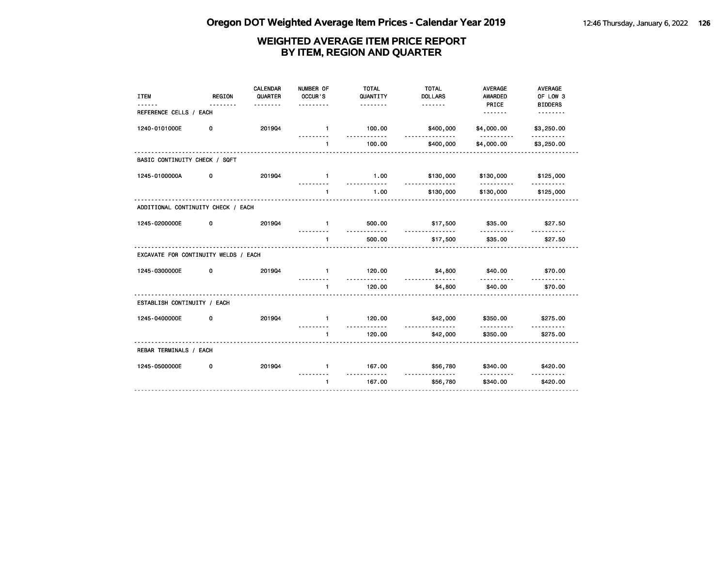| <b>ITEM</b>                          | <b>REGION</b> | <b>CALENDAR</b><br>QUARTER<br>. | NUMBER OF<br>OCCUR'S<br>. | <b>TOTAL</b><br>QUANTITY<br><u>.</u> | <b>TOTAL</b><br><b>DOLLARS</b> | <b>AVERAGE</b><br><b>AWARDED</b><br>PRICE | <b>AVERAGE</b><br>OF LOW 3<br><b>BIDDERS</b> |
|--------------------------------------|---------------|---------------------------------|---------------------------|--------------------------------------|--------------------------------|-------------------------------------------|----------------------------------------------|
| REFERENCE CELLS / EACH               |               |                                 |                           |                                      |                                |                                           | <u>.</u>                                     |
| 1240-0101000E                        | 0             | 201904                          | $\blacksquare$            | 100.00<br>.                          | \$400,000<br>.                 | \$4,000.00                                | \$3,250.00<br>.                              |
|                                      |               |                                 | $\mathbf{1}$              | 100.00                               | \$400,000                      | \$4,000.00                                | \$3,250.00                                   |
| BASIC CONTINUITY CHECK / SQFT        |               |                                 |                           |                                      |                                |                                           |                                              |
| 1245-0100000A                        | 0             | 201904                          | $\mathbf{1}$              | 1.00<br><u>.</u>                     | \$130,000                      | \$130,000                                 | \$125,000                                    |
|                                      |               |                                 | $\blacksquare$            | 1.00                                 | .<br>\$130,000                 | <u>.</u><br>\$130,000                     | <u>.</u><br>\$125,000                        |
| ADDITIONAL CONTINUITY CHECK / EACH   |               |                                 |                           |                                      |                                |                                           |                                              |
| 1245-0200000E                        | 0             | 201904                          | $\mathbf{1}$              | 500.00                               | \$17,500                       | \$35.00                                   | \$27.50                                      |
|                                      |               |                                 | $\mathbf{1}$              | .<br>500.00                          | <u>.</u><br>\$17,500           | <u>.</u><br>\$35.00                       | \$27.50                                      |
| EXCAVATE FOR CONTINUITY WELDS / EACH |               |                                 | .                         |                                      |                                |                                           |                                              |
| 1245-0300000E                        | 0             | 201904                          | $\mathbf{1}$              | 120.00                               | \$4,800                        | \$40.00                                   | \$70.00                                      |
|                                      |               |                                 | $\blacksquare$            | .<br>120.00                          | \$4,800                        | \$40.00                                   | \$70.00                                      |
| ESTABLISH CONTINUITY / EACH          |               |                                 |                           |                                      |                                |                                           |                                              |
| 1245-0400000E                        | 0             | 201904                          | $\mathbf{1}$              | 120.00                               | \$42,000                       | \$350.00                                  | \$275.00                                     |
|                                      |               |                                 | $\mathbf{1}$              | .<br>120.00                          | <u>.</u><br>\$42,000           | \$350.00                                  | \$275.00                                     |
| REBAR TERMINALS / EACH               |               |                                 |                           |                                      |                                |                                           |                                              |
| 1245-0500000E                        | 0             | 201904                          | $\mathbf{1}$              | 167.00<br>. . <b>.</b>               | \$56,780                       | \$340.00                                  | \$420.00                                     |
|                                      |               |                                 | $\mathbf{1}$              | 167.00                               | .<br>\$56,780                  | <u>.</u><br>\$340.00                      | \$420.00                                     |
|                                      |               |                                 |                           |                                      |                                |                                           |                                              |